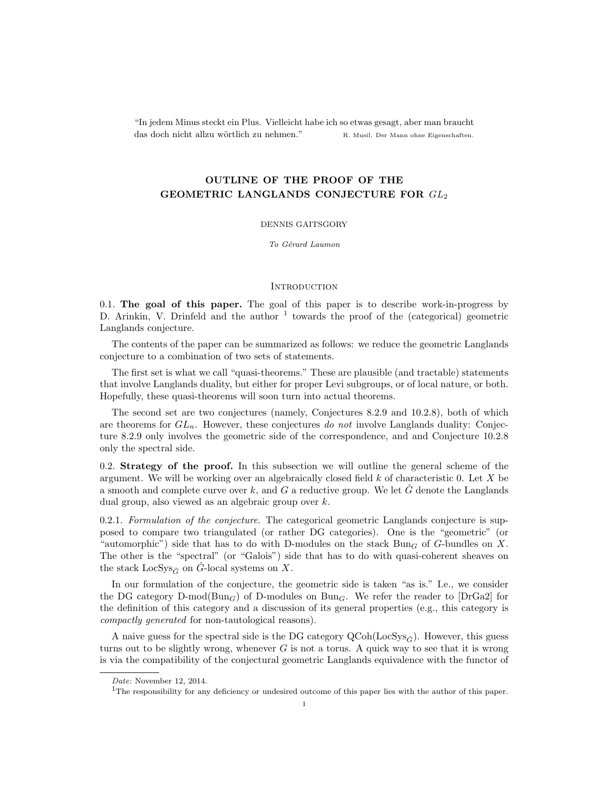"In jedem Minus steckt ein Plus. Vielleicht habe ich so etwas gesagt, aber man braucht das doch nicht allzu wörtlich zu nehmen." R. Musil. Der Mann ohne Eigenschaften.

# OUTLINE OF THE PROOF OF THE GEOMETRIC LANGLANDS CONJECTURE FOR  $GL_2$

## DENNIS GAITSGORY

To Gérard Laumon

## **INTRODUCTION**

0.1. The goal of this paper. The goal of this paper is to describe work-in-progress by D. Arinkin, V. Drinfeld and the author  $1$  towards the proof of the (categorical) geometric Langlands conjecture.

The contents of the paper can be summarized as follows: we reduce the geometric Langlands conjecture to a combination of two sets of statements.

The first set is what we call "quasi-theorems." These are plausible (and tractable) statements that involve Langlands duality, but either for proper Levi subgroups, or of local nature, or both. Hopefully, these quasi-theorems will soon turn into actual theorems.

The second set are two conjectures (namely, Conjectures 8.2.9 and 10.2.8), both of which are theorems for  $GL_n$ . However, these conjectures do not involve Langlands duality: Conjecture 8.2.9 only involves the geometric side of the correspondence, and and Conjecture 10.2.8 only the spectral side.

0.2. Strategy of the proof. In this subsection we will outline the general scheme of the argument. We will be working over an algebraically closed field  $k$  of characteristic 0. Let  $X$  be a smooth and complete curve over k, and G a reductive group. We let  $\check{G}$  denote the Langlands dual group, also viewed as an algebraic group over k.

0.2.1. Formulation of the conjecture. The categorical geometric Langlands conjecture is supposed to compare two triangulated (or rather DG categories). One is the "geometric" (or "automorphic") side that has to do with D-modules on the stack  $Bun<sub>G</sub>$  of G-bundles on X. The other is the "spectral" (or "Galois") side that has to do with quasi-coherent sheaves on the stack LocSys<sub> $\check{G}$ </sub> on  $\check{G}$ -local systems on X.

In our formulation of the conjecture, the geometric side is taken "as is." I.e., we consider the DG category D-mod $(Bun_G)$  of D-modules on Bun<sub>G</sub>. We refer the reader to [DrGa2] for the definition of this category and a discussion of its general properties (e.g., this category is compactly generated for non-tautological reasons).

A naive guess for the spectral side is the DG category  $QCoh(LocSys_{\tilde{C}})$ . However, this guess turns out to be slightly wrong, whenever G is not a torus. A quick way to see that it is wrong is via the compatibility of the conjectural geometric Langlands equivalence with the functor of

Date: November 12, 2014.

<sup>&</sup>lt;sup>1</sup>The responsibility for any deficiency or undesired outcome of this paper lies with the author of this paper.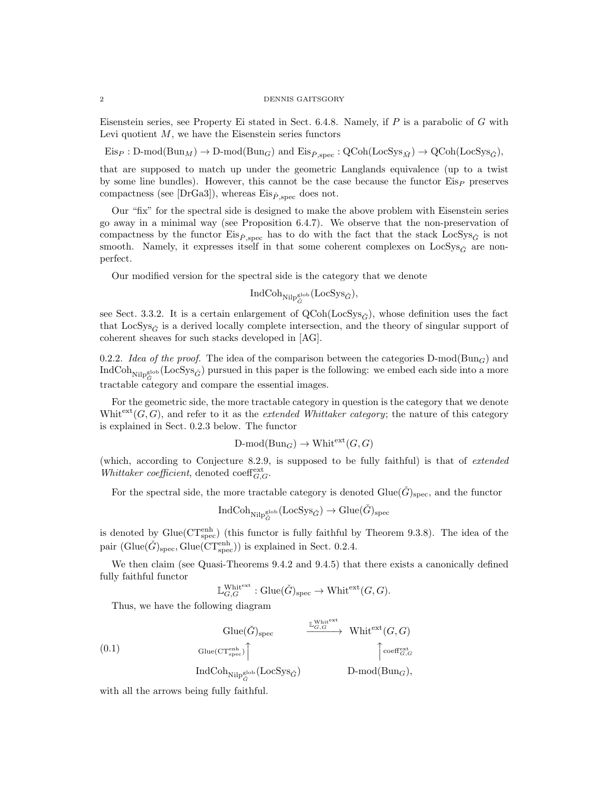Eisenstein series, see Property Ei stated in Sect. 6.4.8. Namely, if  $P$  is a parabolic of  $G$  with Levi quotient  $M$ , we have the Eisenstein series functors

 $Eis_P : D\text{-mod}(Bun_M) \to D\text{-mod}(Bun_G)$  and  $Eis_{\tilde{P}, \text{spec}} : Q\text{Coh}(\text{LocSys}_{\tilde{M}}) \to Q\text{Coh}(\text{LocSys}_{\tilde{G}})$ ,

that are supposed to match up under the geometric Langlands equivalence (up to a twist by some line bundles). However, this cannot be the case because the functor  $E$ is<sub>P</sub> preserves compactness (see [DrGa3]), whereas  $Eis_{\tilde{P}, \text{spec}}$  does not.

Our "fix" for the spectral side is designed to make the above problem with Eisenstein series go away in a minimal way (see Proposition 6.4.7). We observe that the non-preservation of compactness by the functor  $Eis_{\check{P}, \text{spec}}$  has to do with the fact that the stack LocSys<sub> $\check{G}$ </sub> is not smooth. Namely, it expresses itself in that some coherent complexes on LocSys<sub> $\tilde{G}$ </sub> are nonperfect.

Our modified version for the spectral side is the category that we denote

$$
\operatorname{IndCoh}_{\operatorname{Nilp}^{\operatorname{glob}}_{\check{G}}}(\operatorname{LocSys}_{\check{G}}),
$$

see Sect. 3.3.2. It is a certain enlargement of  $QCoh(LocSys_{\tilde{G}})$ , whose definition uses the fact that LocSys<sub> $\tilde{G}$ </sub> is a derived locally complete intersection, and the theory of singular support of coherent sheaves for such stacks developed in [AG].

0.2.2. Idea of the proof. The idea of the comparison between the categories  $D\text{-mod}(Bun_G)$  and  $\text{IndCoh}_{\text{Nilp}^{\text{glob}}_G}(\text{LocSys}_{\check{G}})$  pursued in this paper is the following: we embed each side into a more tractable category and compare the essential images.

For the geometric side, the more tractable category in question is the category that we denote Whitext $(G, G)$ , and refer to it as the *extended Whittaker category*; the nature of this category is explained in Sect. 0.2.3 below. The functor

$$
\mathrm{D\text{-}mod}(\mathrm{Bun}_G) \to \mathrm{Whit}^{\mathrm{ext}}(G,G)
$$

(which, according to Conjecture 8.2.9, is supposed to be fully faithful) is that of extended Whittaker coefficient, denoted coeff<sup>ext</sup><sub>G,G</sub>.

For the spectral side, the more tractable category is denoted  $\text{Glue}(\check{G})_{\text{spec}}$ , and the functor

$$
\operatorname{IndCoh}_{\operatorname{Nilp}^{\operatorname{glob}}_{\check{G}}}(\operatorname{LocSys}_{\check{G}}) \to \operatorname{Glue}(\check{G})_{\operatorname{spec}}
$$

is denoted by  $\text{Glue}(\text{CT}_{\text{spec}}^{\text{enh}})$  (this functor is fully faithful by Theorem 9.3.8). The idea of the pair (Glue( $\check{G}$ )<sub>spec</sub>, Glue( $\widehat{CT}_{\text{spec}}^{\text{enh}}$ )) is explained in Sect. 0.2.4.

We then claim (see Quasi-Theorems 9.4.2 and 9.4.5) that there exists a canonically defined fully faithful functor

 $\mathbb{L}^{\text{White}}_{G,G}$ : Glue $(\check{G})_{\text{spec}} \to \text{White}^{\text{ext}}(G,G)$ .

Thus, we have the following diagram

(0.1)  
\n
$$
\text{Glue}(\check{G})_{\text{spec}} \xrightarrow{\mathbb{L}_{G,G}^{\text{White}} \text{Whit}^{\text{ext}}(G, G)}
$$
\n
$$
\text{Glue}(\text{CT}_{\text{spec}}^{\text{enh}}) \qquad \qquad \text{Unif}^{\text{White}}_{G, G} \qquad \qquad \text{Coeff}_{G, G}^{\text{ext}}
$$
\n
$$
\text{IndCoh}_{\text{Nilp}_G^{\text{glob}}}(\text{LocSys}_{\check{G}}) \qquad \qquad \text{D-mod}(\text{Bun}_G),
$$

with all the arrows being fully faithful.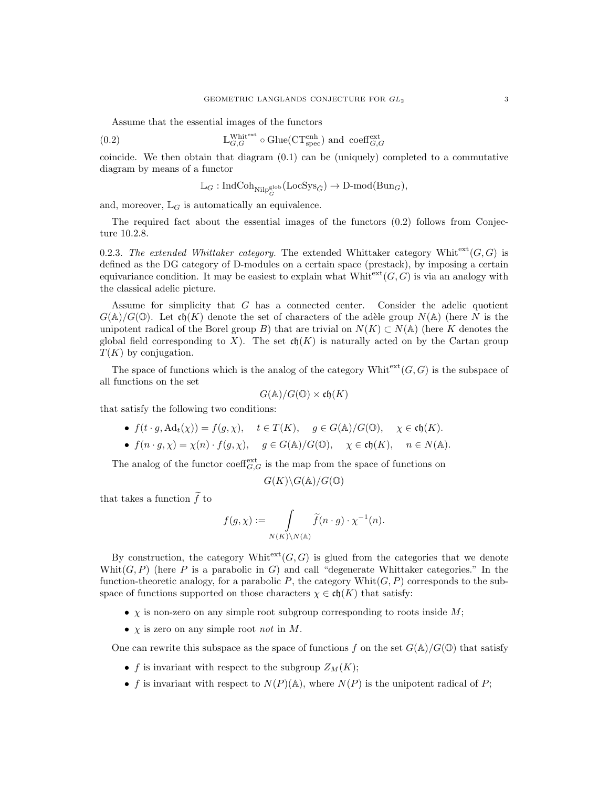Assume that the essential images of the functors

(0.2) 
$$
\mathbb{L}^{\text{Whit}^{\text{ext}}}_{G,G} \circ \text{Glue}(\text{CT}^{\text{enh}}_{\text{spec}}) \text{ and } \text{coeff}_{G,G}^{\text{ext}}
$$

coincide. We then obtain that diagram  $(0.1)$  can be (uniquely) completed to a commutative diagram by means of a functor

$$
\mathbb{L}_G : \mathrm{IndCoh}_{\mathrm{Nilp}_G^{\mathrm{glob}}}(\mathrm{LocSys}_{\check G}) \to \mathrm{D\text{-}mod}(\mathrm{Bun}_G),
$$

and, moreover,  $\mathbb{L}_G$  is automatically an equivalence.

The required fact about the essential images of the functors (0.2) follows from Conjecture 10.2.8.

0.2.3. The extended Whittaker category. The extended Whittaker category White $\chi^{\text{ext}}(G, G)$  is defined as the DG category of D-modules on a certain space (prestack), by imposing a certain equivariance condition. It may be easiest to explain what White $\chi^{\text{ext}}(G, G)$  is via an analogy with the classical adelic picture.

Assume for simplicity that G has a connected center. Consider the adelic quotient  $G(\mathbb{A})/G(\mathbb{O})$ . Let ch(K) denote the set of characters of the adèle group  $N(\mathbb{A})$  (here N is the unipotent radical of the Borel group B) that are trivial on  $N(K) \subset N(\mathbb{A})$  (here K denotes the global field corresponding to X). The set  $\mathfrak{ch}(K)$  is naturally acted on by the Cartan group  $T(K)$  by conjugation.

The space of functions which is the analog of the category White  $\mathfrak{c}^{\text{ext}}(G, G)$  is the subspace of all functions on the set

$$
G(\mathbb{A})/G(\mathbb{O})\times \mathfrak{ch}(K)
$$

that satisfy the following two conditions:

• 
$$
f(t \cdot g, \text{Ad}_t(\chi)) = f(g, \chi), \quad t \in T(K), \quad g \in G(\mathbb{A})/G(\mathbb{O}), \quad \chi \in \mathfrak{ch}(K).
$$

•  $f(n \cdot g, \chi) = \chi(n) \cdot f(g, \chi), \quad g \in G(\mathbb{A})/G(\mathbb{O}), \quad \chi \in \mathfrak{ch}(K), \quad n \in N(\mathbb{A}).$ 

The analog of the functor coeff<sub>c</sub>,  $G$  is the map from the space of functions on

$$
G(K)\backslash G(\mathbb{A})/G(\mathbb{O})
$$

that takes a function  $\tilde{f}$  to

$$
f(g, \chi) := \int_{N(K) \backslash N(\mathbb{A})} \widetilde{f}(n \cdot g) \cdot \chi^{-1}(n).
$$

By construction, the category Whit<sup>ext</sup> $(G, G)$  is glued from the categories that we denote Whit $(G, P)$  (here P is a parabolic in G) and call "degenerate Whittaker categories." In the function-theoretic analogy, for a parabolic P, the category  $\text{Whit}(G, P)$  corresponds to the subspace of functions supported on those characters  $\chi \in \mathfrak{ch}(K)$  that satisfy:

- $\chi$  is non-zero on any simple root subgroup corresponding to roots inside  $M$ ;
- $\chi$  is zero on any simple root not in M.

One can rewrite this subspace as the space of functions f on the set  $G(\mathbb{A})/G(\mathbb{O})$  that satisfy

- f is invariant with respect to the subgroup  $Z_M(K)$ ;
- f is invariant with respect to  $N(P)(\mathbb{A})$ , where  $N(P)$  is the unipotent radical of P;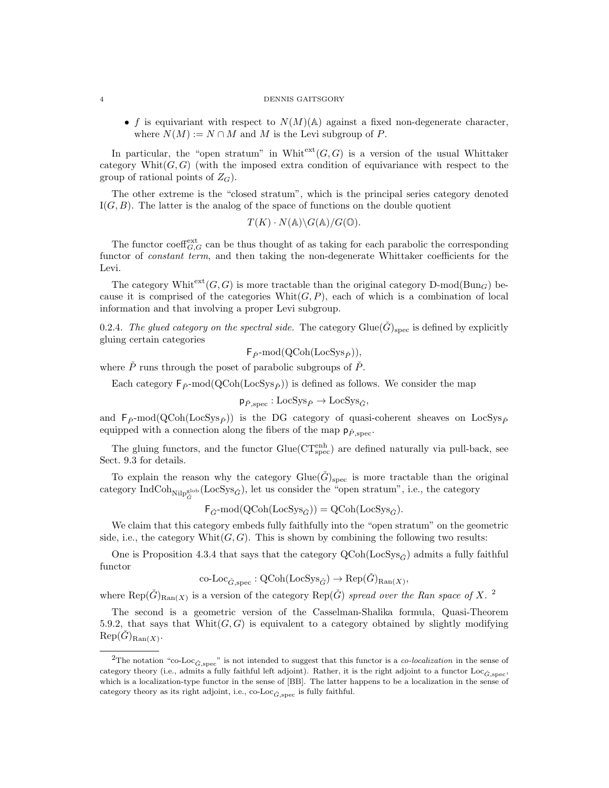• f is equivariant with respect to  $N(M)(\mathbb{A})$  against a fixed non-degenerate character, where  $N(M) := N \cap M$  and M is the Levi subgroup of P.

In particular, the "open stratum" in White $\kappa(G, G)$  is a version of the usual Whittaker category Whit $(G, G)$  (with the imposed extra condition of equivariance with respect to the group of rational points of  $Z_G$ ).

The other extreme is the "closed stratum", which is the principal series category denoted  $I(G, B)$ . The latter is the analog of the space of functions on the double quotient

$$
T(K) \cdot N(\mathbb{A}) \backslash G(\mathbb{A}) / G(\mathbb{O}).
$$

The functor coeff<sup>ext</sup><sub> $G,G$ </sub> can be thus thought of as taking for each parabolic the corresponding functor of *constant term*, and then taking the non-degenerate Whittaker coefficients for the Levi.

The category Whitext $(G, G)$  is more tractable than the original category D-mod(Bun<sub>G</sub>) because it is comprised of the categories  $Whit(G, P)$ , each of which is a combination of local information and that involving a proper Levi subgroup.

0.2.4. The glued category on the spectral side. The category  $G\text{lie}(\check{G})_{\text{spec}}$  is defined by explicitly gluing certain categories

 $\mathsf{F}_{\check{P}}\text{-mod}(\mathrm{QCoh}(\mathrm{LocSys}_{\check{P}})),$ 

where  $\check{P}$  runs through the poset of parabolic subgroups of  $\check{P}$ .

Each category  $F_{\tilde{P}}$ -mod(QCoh(LocSys<sub>P</sub>^)) is defined as follows. We consider the map

$$
\mathsf{p}_{\check{P},\mathrm{spec}}:\mathrm{LocSys}_{\check{P}}\to \mathrm{LocSys}_{\check{G}},
$$

and  $F_{\check{P}}$ -mod(QCoh(LocSys<sub> $\check{P}$ </sub>)) is the DG category of quasi-coherent sheaves on LocSys<sub> $\check{P}$ </sub> equipped with a connection along the fibers of the map  $p_{\tilde{P}, \text{spec}}$ .

The gluing functors, and the functor  $\text{Glue}(\text{CT}_{\text{spec}}^{\text{enh}})$  are defined naturally via pull-back, see Sect. 9.3 for details.

To explain the reason why the category  $\text{Glue}(\check{G})_{\text{spec}}$  is more tractable than the original category  $\text{IndCoh}_{\text{Nilp}^{\text{glob}}_{\tilde{G}}}(\text{LocSys}_{\tilde{G}})$ , let us consider the "open stratum", i.e., the category

 $\mathsf{F}_{\check{G}}\text{-mod}(\mathrm{QCoh}(\mathrm{LocSys}_{\check{G}})) = \mathrm{QCoh}(\mathrm{LocSys}_{\check{G}}).$ 

We claim that this category embeds fully faithfully into the "open stratum" on the geometric side, i.e., the category Whit $(G, G)$ . This is shown by combining the following two results:

One is Proposition 4.3.4 that says that the category  $\text{QCoh}(\text{LocSys}_{\tilde{C}})$  admits a fully faithful functor

co-Loc
$$
\tilde{G}_{,\text{spec}}
$$
:  $QCoh(\text{LocSys}_{\tilde{G}}) \to \text{Rep}(\tilde{G})_{\text{Ran}(X)},$ 

where  $\text{Rep}(\check{G})_{\text{Ran}(X)}$  is a version of the category  $\text{Rep}(\check{G})$  spread over the Ran space of X. <sup>2</sup>

The second is a geometric version of the Casselman-Shalika formula, Quasi-Theorem 5.9.2, that says that Whit $(G, G)$  is equivalent to a category obtained by slightly modifying  $\mathrm{Rep}(\check{G})_{\mathrm{Ran}(X)}.$ 

<sup>&</sup>lt;sup>2</sup>The notation "co-Loc<sub>G, spec</sub>" is not intended to suggest that this functor is a *co-localization* in the sense of category theory (i.e., admits a fully faithful left adjoint). Rather, it is the right adjoint to a functor  $\text{Loc}_{\tilde{G}, \text{spec}}$ , which is a localization-type functor in the sense of [BB]. The latter happens to be a localization in the sense of category theory as its right adjoint, i.e., co-Loc $_{\check{G}, \text{spec}}$  is fully faithful.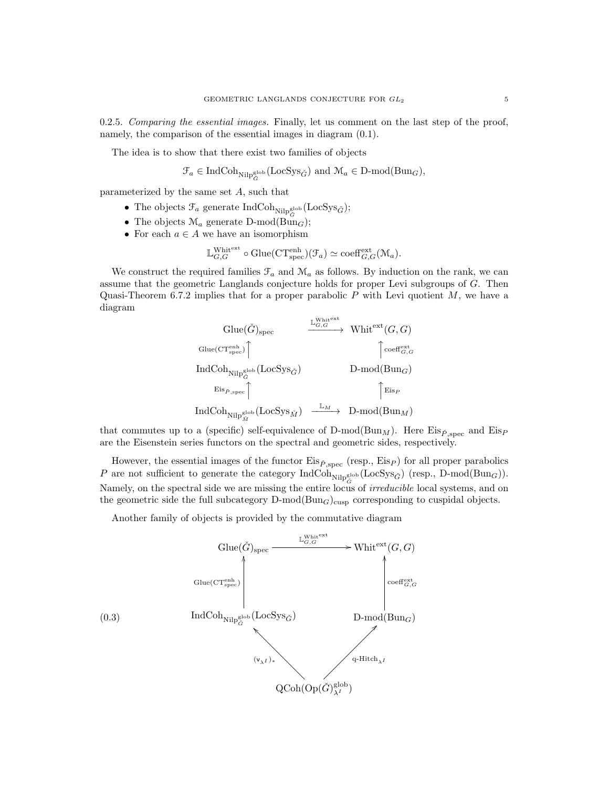0.2.5. Comparing the essential images. Finally, let us comment on the last step of the proof, namely, the comparison of the essential images in diagram (0.1).

The idea is to show that there exist two families of objects

 $\mathcal{F}_a \in \text{IndCoh}_{\text{Nilp}_G^{\text{glob}}}(\text{LocSys}_{\check{G}})$  and  $\mathcal{M}_a \in \text{D-mod}(\text{Bun}_G)$ ,

parameterized by the same set A, such that

- The objects  $\mathcal{F}_a$  generate  $\text{IndCoh}_{\text{NilP}_G^{\text{glob}}}(\text{LocSys}_{\check{G}});$
- The objects  $\mathcal{M}_a$  generate D-mod(Bun<sub>G</sub>);
- For each  $a \in A$  we have an isomorphism

$$
\mathbb{L}^{\text{Whit}^{\text{ext}}}_{G,G} \circ \text{Glue}(\text{CT}^{\text{enh}}_{\text{spec}})(\mathcal{F}_a) \simeq \text{coeff}_{G,G}^{\text{ext}}(\mathcal{M}_a).
$$

We construct the required families  $\mathcal{F}_a$  and  $\mathcal{M}_a$  as follows. By induction on the rank, we can assume that the geometric Langlands conjecture holds for proper Levi subgroups of G. Then Quasi-Theorem 6.7.2 implies that for a proper parabolic  $P$  with Levi quotient  $M$ , we have a diagram

$$
\begin{array}{ccc}\n\text{Glue}(\check{G})_{\text{spec}} & \xrightarrow{\mathbb{L}_{G,G}^{\text{White}^{\text{ext}}}} & \text{Whit}^{\text{ext}}(G,G) \\
\text{Glue}(\text{CT}_{\text{spec}}^{\text{enh}}) \Big\uparrow & & \Big\uparrow \text{coeff}_{G,G}^{\text{ext}} \\
\text{IndCoh}_{\text{Nilp}_G^{\text{glob}}}(\text{LocSys}_{\check{G}}) & \text{D-mod}(\text{Bun}_G) \\
&\xrightarrow{\text{Eis}_{\check{P},\text{spec}}} \Big\uparrow & & \Big\uparrow \text{Eis}_{P} \\
\text{IndCoh}_{\text{Nilp}_M^{\text{glob}}}(\text{LocSys}_{\check{M}}) & \xrightarrow{\mathbb{L}_M} & \text{D-mod}(\text{Bun}_M)\n\end{array}
$$

that commutes up to a (specific) self-equivalence of  $D\text{-mod}(Bun_M)$ . Here  $Eis_{\tilde{P}, spec}$  and  $Eis_P$ are the Eisenstein series functors on the spectral and geometric sides, respectively.

However, the essential images of the functor  $Eis_{\tilde{P}, spec}$  (resp.,  $Eis_P$ ) for all proper parabolics P are not sufficient to generate the category  $\text{IndCoh}_{\text{Nilp}_G^{\text{glob}}}(\text{LocSys}_{\check{G}})$  (resp.,  $\text{D-mod}(\text{Bun}_G)$ ). Namely, on the spectral side we are missing the entire locus of *irreducible* local systems, and on the geometric side the full subcategory  $D\text{-mod}(Bun_G)_{cusp}$  corresponding to cuspidal objects.

Another family of objects is provided by the commutative diagram

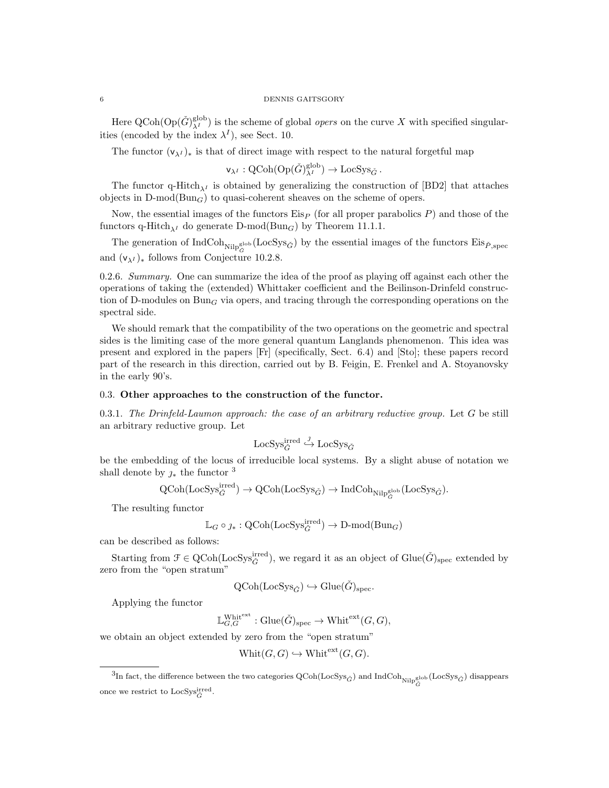Here  $Q\text{Coh}(\text{Op}(\check{G})_{\lambda^I}^{\text{glob}})$  is the scheme of global *opers* on the curve X with specified singularities (encoded by the index  $\lambda^I$ ), see Sect. 10.

The functor  $(v_{\lambda}I)_*$  is that of direct image with respect to the natural forgetful map

 $\mathsf{v}_{\lambda^I}: \mathrm{QCoh}(\mathrm{Op}(\check{G})_{\lambda^I}^{\mathrm{glob}}) \to \mathrm{Loc} \mathrm{Sys}_{\check{G}}$ .

The functor q-Hitch<sub> $\lambda$ I</sub> is obtained by generalizing the construction of [BD2] that attaches objects in  $D\text{-mod}(Bun_G)$  to quasi-coherent sheaves on the scheme of opers.

Now, the essential images of the functors  $E$  is  $P$  (for all proper parabolics P) and those of the functors q-Hitch<sub> $\lambda$ I</sub> do generate D-mod(Bun<sub>G</sub>) by Theorem 11.1.1.

The generation of  $\text{IndCoh}_{\text{NilP}_G^{\text{glob}}}(\text{LocSys}_{\check{G}})$  by the essential images of the functors  $\text{Eis}_{\check{P}, \text{spec}}$ and  $(v_{\lambda^I})_*$  follows from Conjecture 10.2.8.

0.2.6. Summary. One can summarize the idea of the proof as playing off against each other the operations of taking the (extended) Whittaker coefficient and the Beilinson-Drinfeld construction of D-modules on  $Bun_G$  via opers, and tracing through the corresponding operations on the spectral side.

We should remark that the compatibility of the two operations on the geometric and spectral sides is the limiting case of the more general quantum Langlands phenomenon. This idea was present and explored in the papers [Fr] (specifically, Sect. 6.4) and [Sto]; these papers record part of the research in this direction, carried out by B. Feigin, E. Frenkel and A. Stoyanovsky in the early 90's.

## 0.3. Other approaches to the construction of the functor.

0.3.1. The Drinfeld-Laumon approach: the case of an arbitrary reductive group. Let  $G$  be still an arbitrary reductive group. Let

$$
\mathrm{LocSys}_{\check{G}}^{\mathrm{irred}} \overset{\jmath}{\hookrightarrow} \mathrm{LocSys}_{\check{G}}
$$

be the embedding of the locus of irreducible local systems. By a slight abuse of notation we shall denote by  $\iota_*$  the functor  $^3$ 

$$
\operatorname{QCoh}(\operatorname{LocSys}^{\operatorname{irred}}_{\check{G}}) \to \operatorname{QCoh}(\operatorname{LocSys}_{\check{G}}) \to \operatorname{IndCoh}_{\operatorname{Nilp}^{\operatorname{glob}}_{\check{G}}}(\operatorname{LocSys}_{\check{G}}).
$$

The resulting functor

$$
\mathbb{L}_G\circ \jmath_*: {\rm QCoh}({\rm LocSys}_{\check{G}}^{\rm irred})\rightarrow {\rm D\text{-}mod}({\rm Bun}_G)
$$

can be described as follows:

Starting from  $\mathcal{F} \in \text{QCoh}(\text{LocSys}_{\check{G}}^{\text{irred}})$ , we regard it as an object of  $\text{Glue}(\check{G})_{\text{spec}}$  extended by zero from the "open stratum"

$$
\text{QCoh}(\text{LocSys}_{\check{G}}) \hookrightarrow \text{Glue}(\check{G})_{\text{spec}}.
$$

Applying the functor

$$
\mathbb{L}^\text{Whit^{ext}}_{G,G}: \text{Glue}(\check{G})_{\text{spec}} \to \text{Whit}^{\text{ext}}(G,G),
$$

we obtain an object extended by zero from the "open stratum"

$$
Whit(G, G) \hookrightarrow Whitext(G, G).
$$

<sup>&</sup>lt;sup>3</sup>In fact, the difference between the two categories  $QCoh(LocSys_{\check{G}})$  and  $IndCoh_{NilP_{\check{G}}^{\text{glob}}}(LocSys_{\check{G}})$  disappears once we restrict to  $\text{LocSys}_{\check{G}}^{\text{irred}}$ .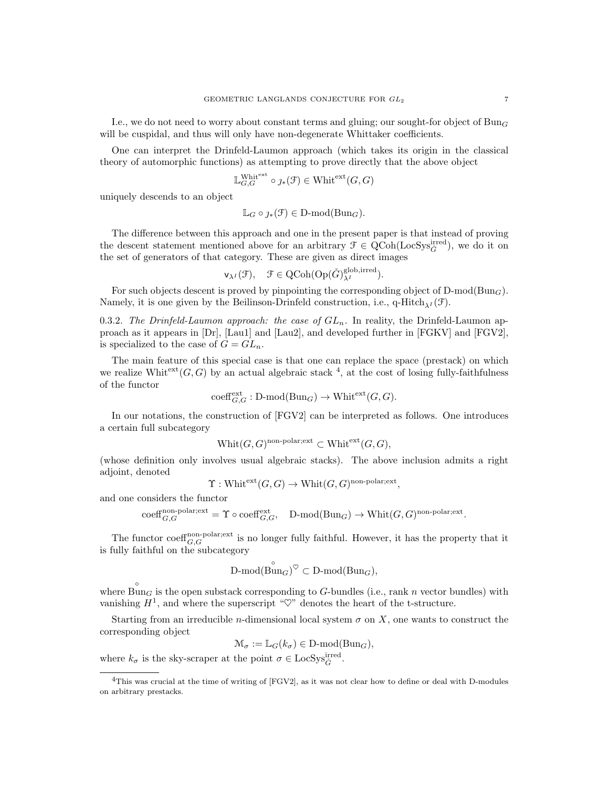I.e., we do not need to worry about constant terms and gluing; our sought-for object of  $Bun_G$ will be cuspidal, and thus will only have non-degenerate Whittaker coefficients.

One can interpret the Drinfeld-Laumon approach (which takes its origin in the classical theory of automorphic functions) as attempting to prove directly that the above object

$$
\mathbb{L}^{\mathrm{Whit}^{\mathrm{ext}}}_{G, G} \circ \jmath_{*}(\mathcal{F}) \in \mathrm{Whit}^{\mathrm{ext}}(G, G)
$$

uniquely descends to an object

$$
\mathbb{L}_G \circ \jmath_*(\mathfrak{F}) \in \mathbf{D}\text{-mod}(\mathbf{Bun}_G).
$$

The difference between this approach and one in the present paper is that instead of proving the descent statement mentioned above for an arbitrary  $\mathcal{F} \in \text{QCoh}(\text{LocSys}_{\check{G}}^{\text{irred}})$ , we do it on the set of generators of that category. These are given as direct images

$$
\mathsf{v}_{\lambda^I}(\mathcal{F}), \quad \mathcal{F} \in \mathrm{QCoh}(\mathrm{Op}(\check{G})_{\lambda^I}^{\mathrm{glob}, \mathrm{irred}}).
$$

For such objects descent is proved by pinpointing the corresponding object of  $D\text{-mod}(Bun_G)$ . Namely, it is one given by the Beilinson-Drinfeld construction, i.e.,  $q$ -Hitch $\chi_I(\mathcal{F})$ .

0.3.2. The Drinfeld-Laumon approach: the case of  $GL_n$ . In reality, the Drinfeld-Laumon approach as it appears in [Dr], [Lau1] and [Lau2], and developed further in [FGKV] and [FGV2], is specialized to the case of  $G = GL_n$ .

The main feature of this special case is that one can replace the space (prestack) on which we realize Whit<sup>ext</sup> $(G, G)$  by an actual algebraic stack <sup>4</sup>, at the cost of losing fully-faithfulness of the functor

$$
\mathrm{coeff}_{G,G}^{\mathrm{ext}}: \mathrm{D\text{-}mod}(\mathrm{Bun}_G) \to \mathrm{Whit}^{\mathrm{ext}}(G,G).
$$

In our notations, the construction of [FGV2] can be interpreted as follows. One introduces a certain full subcategory

$$
Whit(G, G)^{non-polar; ext} \subset Whit^{ext}(G, G),
$$

(whose definition only involves usual algebraic stacks). The above inclusion admits a right adjoint, denoted

 $\Upsilon: \text{Whit}^{\text{ext}}(G, G) \to \text{Whit}(G, G)^{\text{non-polar;ext}},$ 

and one considers the functor

$$
\mathrm{coeff}_{G,G}^{\mathrm{non-polar;ext}} = \Upsilon \circ \mathrm{coeff}_{G,G}^{\mathrm{ext}}, \quad \mathrm{D}\text{-}\mathrm{mod}(\mathrm{Bun}_G) \to \mathrm{Whit}(G,G)^\mathrm{non-polar;ext}.
$$

The functor coeff<sup>non-polar<sub>iext</sub> is no longer fully faithful. However, it has the property that it</sup> is fully faithful on the subcategory

$$
\text{D-mod}(\overset{\circ}{\text{Bun}}_G)^{\heartsuit} \subset \text{D-mod}(\text{Bun}_G),
$$

where  $\overset{\circ}{\text{Bun}}_G$  is the open substack corresponding to G-bundles (i.e., rank n vector bundles) with vanishing  $H^1$ , and where the superscript " $\heartsuit$ " denotes the heart of the t-structure.

Starting from an irreducible *n*-dimensional local system  $\sigma$  on X, one wants to construct the corresponding object

$$
\mathcal{M}_{\sigma} := \mathbb{L}_G(k_{\sigma}) \in D\text{-mod}(\text{Bun}_G),
$$

where  $k_{\sigma}$  is the sky-scraper at the point  $\sigma \in \text{LocSys}_{\check{G}}^{\text{irred}}$ .

<sup>4</sup>This was crucial at the time of writing of [FGV2], as it was not clear how to define or deal with D-modules on arbitrary prestacks.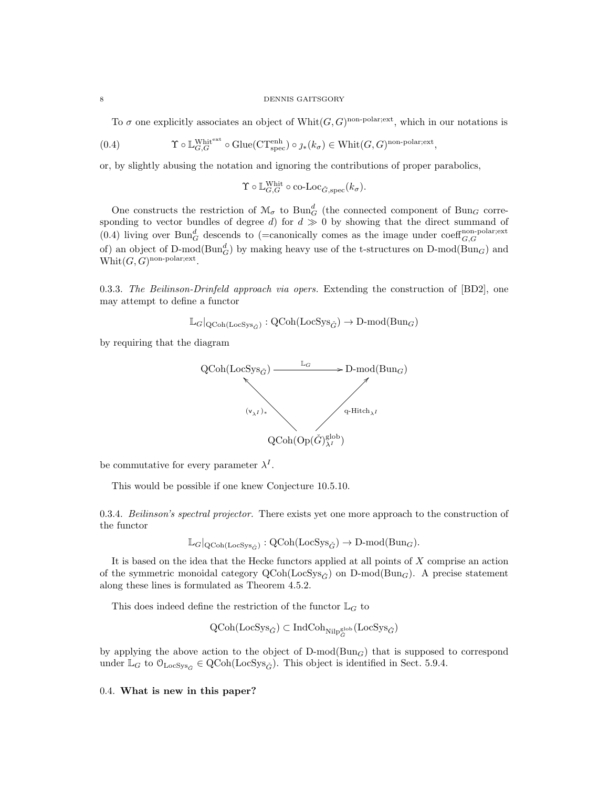To  $\sigma$  one explicitly associates an object of Whit $(G, G)$ <sup>non-polar;ext</sup>, which in our notations is

(0.4) 
$$
\Upsilon \circ \mathbb{L}_{G,G}^{\text{Whiteext}} \circ \text{Glue}(\text{CT}_{\text{spec}}^{\text{enh}}) \circ \jmath_{*}(k_{\sigma}) \in \text{Whit}(G, G)^{\text{non-polar;ext}},
$$

or, by slightly abusing the notation and ignoring the contributions of proper parabolics,

 $\Upsilon \circ \mathbb{L}_{G,G}^{\text{White}} \circ \text{co-Loc}_{\check{G},\text{spec}}(k_{\sigma}).$ 

One constructs the restriction of  $\mathcal{M}_{\sigma}$  to  $Bun_{G}^{d}$  (the connected component of  $Bun_{G}$  corresponding to vector bundles of degree d) for  $d \gg 0$  by showing that the direct summand of (0.4) living over  $Bun_G^d$  descends to (=canonically comes as the image under coeffof) an object of D-mod( $\text{Bun}_G^d$ ) by making heavy use of the t-structures on D-mod( $\text{Bun}_G$ ) and  $\text{Whit}(G, G)$ <sup>non-polar;ext</sup>.

0.3.3. The Beilinson-Drinfeld approach via opers. Extending the construction of [BD2], one may attempt to define a functor

 $\mathbb{L}_G|_{\text{QCoh}(\text{LocSys}_{\check{G}})} : \text{QCoh}(\text{LocSys}_{\check{G}}) \to \text{D-mod}(\text{Bun}_G)$ 

by requiring that the diagram



be commutative for every parameter  $\lambda^I$ .

This would be possible if one knew Conjecture 10.5.10.

0.3.4. Beilinson's spectral projector. There exists yet one more approach to the construction of the functor

$$
\mathbb{L}_G|_{\rm QCoh(\rm LocSys_{\check G})}: {\rm QCoh}(\rm LocSys_{\check G}) \to {\rm D-mod}({\rm Bun}_G).
$$

It is based on the idea that the Hecke functors applied at all points of X comprise an action of the symmetric monoidal category  $QCoh(LocSys_{\tilde{G}})$  on D-mod(Bun<sub>G</sub>). A precise statement along these lines is formulated as Theorem 4.5.2.

This does indeed define the restriction of the functor  $\mathbb{L}_G$  to

$$
\operatorname{QCoh}(\operatorname{LocSys}_{\check G}) \subset \operatorname{IndCoh}_{\operatorname{Nilp}^{\operatorname{glob}}_{\check G}}(\operatorname{LocSys}_{\check G})
$$

by applying the above action to the object of  $D\text{-mod}(Bun_G)$  that is supposed to correspond under  $\mathbb{L}_G$  to  $\mathbb{O}_{\text{LocSys}_{\check{G}}} \in \text{QCoh}(\text{LocSys}_{\check{G}})$ . This object is identified in Sect. 5.9.4.

## 0.4. What is new in this paper?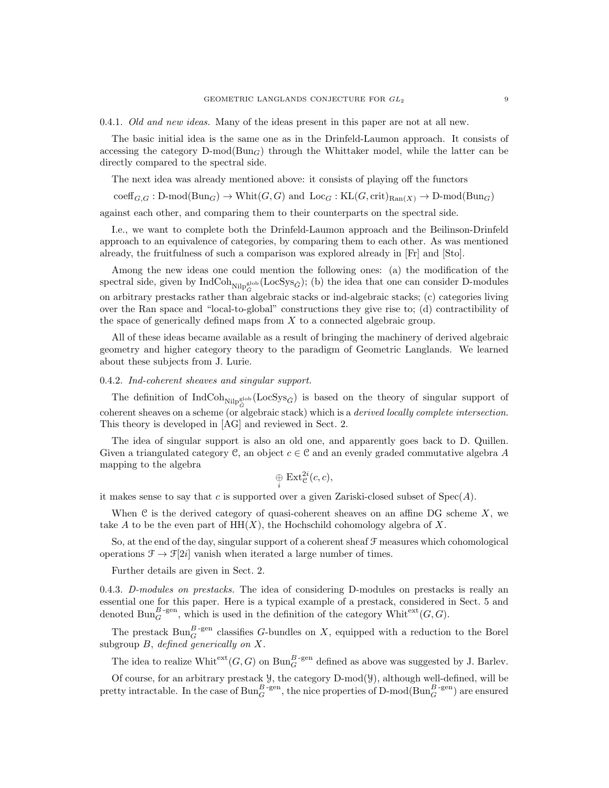0.4.1. *Old and new ideas*. Many of the ideas present in this paper are not at all new.

The basic initial idea is the same one as in the Drinfeld-Laumon approach. It consists of accessing the category  $D\text{-mod}(Bun_G)$  through the Whittaker model, while the latter can be directly compared to the spectral side.

The next idea was already mentioned above: it consists of playing off the functors

 $\mathrm{coeff}_{G,G} : \mathrm{D\text{-}mod}(\mathrm{Bun}_G) \to \mathrm{Whit}(G,G)$  and  $\mathrm{Loc}_G : \mathrm{KL}(G,\mathrm{crit})_{\mathrm{Ran}(X)} \to \mathrm{D\text{-}mod}(\mathrm{Bun}_G)$ 

against each other, and comparing them to their counterparts on the spectral side.

I.e., we want to complete both the Drinfeld-Laumon approach and the Beilinson-Drinfeld approach to an equivalence of categories, by comparing them to each other. As was mentioned already, the fruitfulness of such a comparison was explored already in [Fr] and [Sto].

Among the new ideas one could mention the following ones: (a) the modification of the spectral side, given by  $\text{IndCoh}_{\text{Nilp}^{\text{glob}}_{\tilde{G}}}(\text{LocSys}_{\tilde{G}});$  (b) the idea that one can consider D-modules on arbitrary prestacks rather than algebraic stacks or ind-algebraic stacks; (c) categories living over the Ran space and "local-to-global" constructions they give rise to; (d) contractibility of the space of generically defined maps from X to a connected algebraic group.

All of these ideas became available as a result of bringing the machinery of derived algebraic geometry and higher category theory to the paradigm of Geometric Langlands. We learned about these subjects from J. Lurie.

### 0.4.2. Ind-coherent sheaves and singular support.

The definition of  $IndCoh_{NilP_G^{glob}}(LocSys_{\check{G}})$  is based on the theory of singular support of coherent sheaves on a scheme (or algebraic stack) which is a derived locally complete intersection. This theory is developed in [AG] and reviewed in Sect. 2.

The idea of singular support is also an old one, and apparently goes back to D. Quillen. Given a triangulated category C, an object  $c \in \mathcal{C}$  and an evenly graded commutative algebra A mapping to the algebra

$$
\mathop{\oplus}\limits_i\mathop{\operatorname{{\cal E}xt}}\nolimits^{2i}_{{\Bbb C}}(c,c),
$$

it makes sense to say that c is supported over a given Zariski-closed subset of  $Spec(A)$ .

When  $\mathfrak C$  is the derived category of quasi-coherent sheaves on an affine DG scheme  $X$ , we take A to be the even part of  $HH(X)$ , the Hochschild cohomology algebra of X.

So, at the end of the day, singular support of a coherent sheaf F measures which cohomological operations  $\mathcal{F} \to \mathcal{F}[2i]$  vanish when iterated a large number of times.

Further details are given in Sect. 2.

0.4.3. D-modules on prestacks. The idea of considering D-modules on prestacks is really an essential one for this paper. Here is a typical example of a prestack, considered in Sect. 5 and denoted  $\text{Bun}_G^{B\text{-gen}}$ , which is used in the definition of the category  $\text{Whit}^{\text{ext}}(G, G)$ .

The prestack  $\text{Bun}_G^{B\text{-gen}}$  classifies G-bundles on X, equipped with a reduction to the Borel subgroup  $B$ , defined generically on  $X$ .

The idea to realize  $\text{Whit}^{\text{ext}}(G, G)$  on  $\text{Bun}_G^{B\text{-gen}}$  defined as above was suggested by J. Barlev.

Of course, for an arbitrary prestack  $\mathcal{Y}$ , the category D-mod( $\mathcal{Y}$ ), although well-defined, will be pretty intractable. In the case of  $Bun_G^{B\text{-gen}}$ , the nice properties of D-mod $(Bun_G^{B\text{-gen}})$  are ensured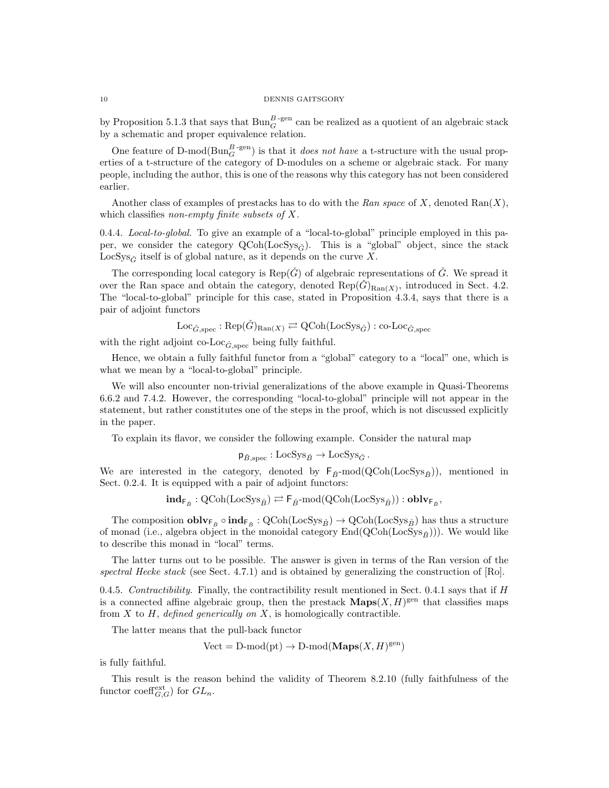by Proposition 5.1.3 that says that  $Bun_G^{B\text{-gen}}$  can be realized as a quotient of an algebraic stack by a schematic and proper equivalence relation.

One feature of D-mod( $\text{Bun}_G^{B\text{-gen}}$ ) is that it *does not have* a t-structure with the usual properties of a t-structure of the category of D-modules on a scheme or algebraic stack. For many people, including the author, this is one of the reasons why this category has not been considered earlier.

Another class of examples of prestacks has to do with the Ran space of X, denoted  $\text{Ran}(X)$ , which classifies *non-empty finite subsets of X*.

0.4.4. Local-to-global. To give an example of a "local-to-global" principle employed in this paper, we consider the category  $QCoh(LocSys_{\tilde{G}})$ . This is a "global" object, since the stack LocSys<sub> $\check{G}$ </sub> itself is of global nature, as it depends on the curve X.

The corresponding local category is  $\text{Rep}(\check{G})$  of algebraic representations of  $\check{G}$ . We spread it over the Ran space and obtain the category, denoted  $\text{Rep}(\check{G})_{\text{Ran}(X)}$ , introduced in Sect. 4.2. The "local-to-global" principle for this case, stated in Proposition 4.3.4, says that there is a pair of adjoint functors

 $Loc_{\check{G}, \text{spec}} : \text{Rep}(\check{G})_{\text{Ran}(X)} \rightleftarrows \text{QCoh}(\text{LocSys}_{\check{G}}) : \text{co-Loc}_{\check{G}, \text{spec}}$ 

with the right adjoint co-Loc<sub> $\check{G}$ , spec</sub> being fully faithful.

Hence, we obtain a fully faithful functor from a "global" category to a "local" one, which is what we mean by a "local-to-global" principle.

We will also encounter non-trivial generalizations of the above example in Quasi-Theorems 6.6.2 and 7.4.2. However, the corresponding "local-to-global" principle will not appear in the statement, but rather constitutes one of the steps in the proof, which is not discussed explicitly in the paper.

To explain its flavor, we consider the following example. Consider the natural map

$$
\mathsf{p}_{\check{B},\mathrm{spec}}:\mathrm{LocSys}_{\check{B}} \to \mathrm{LocSys}_{\check{G}}.
$$

We are interested in the category, denoted by  $\mathsf{F}_{\check{B}}$ -mod(QCoh(LocSys<sub> $\check{B}$ </sub>)), mentioned in Sect. 0.2.4. It is equipped with a pair of adjoint functors:

 $\textbf{ind}_{\mathsf{F}_{\check{B}}} : \text{QCoh}(\text{LocSys}_{\check{B}}) \rightleftarrows \mathsf{F}_{\check{B}}\text{-}\text{mod}(\text{QCoh}(\text{LocSys}_{\check{B}})) : \textbf{oblv}_{\mathsf{F}_{\check{B}}},$ 

The composition  $\textbf{oblv}_{\textsf{F}_{\check{B}}} \circ \textbf{ind}_{\textsf{F}_{\check{B}}} : \text{QCoh}(\text{LocSys}_{\check{B}}) \to \text{QCoh}(\text{LocSys}_{\check{B}})$  has thus a structure of monad (i.e., algebra object in the monoidal category  $\text{End}(Q\text{Coh}(\text{LocSys}_{\tilde{B}})))$ . We would like to describe this monad in "local" terms.

The latter turns out to be possible. The answer is given in terms of the Ran version of the spectral Hecke stack (see Sect. 4.7.1) and is obtained by generalizing the construction of  $[Ro]$ .

0.4.5. Contractibility. Finally, the contractibility result mentioned in Sect. 0.4.1 says that if  $H$ is a connected affine algebraic group, then the prestack  $\mathbf{Maps}(X, H)$ <sup>gen</sup> that classifies maps from  $X$  to  $H$ , defined generically on  $X$ , is homologically contractible.

The latter means that the pull-back functor

$$
Vect = D\text{-mod}(\text{pt}) \to D\text{-mod}(\mathbf{Maps}(X, H)^{\text{gen}})
$$

is fully faithful.

This result is the reason behind the validity of Theorem 8.2.10 (fully faithfulness of the functor coeff<sup>ext</sup><sub>G,G</sub>) for  $GL_n$ .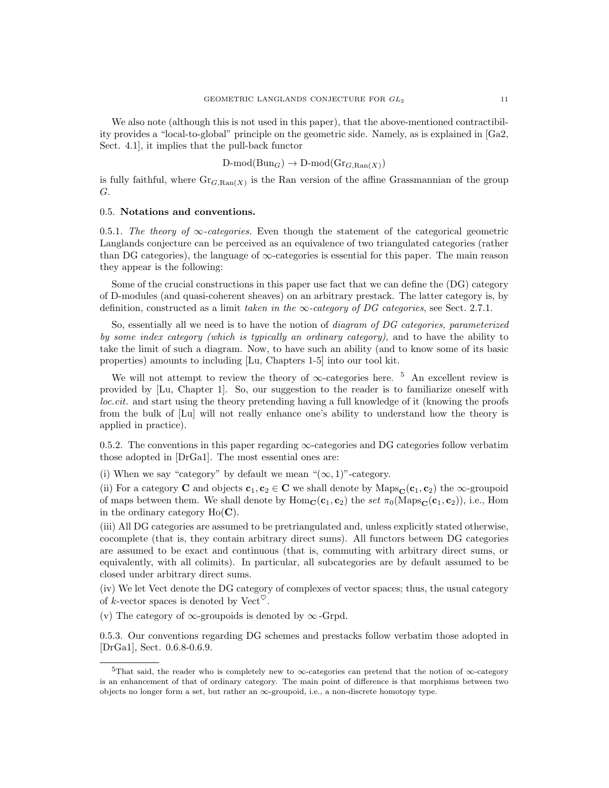We also note (although this is not used in this paper), that the above-mentioned contractibility provides a "local-to-global" principle on the geometric side. Namely, as is explained in [Ga2, Sect. 4.1], it implies that the pull-back functor

$$
D\text{-mod}(Bun_G) \to D\text{-mod}(Gr_{G, Ran(X)})
$$

is fully faithful, where  $\text{Gr}_{G, \text{Ran}(X)}$  is the Ran version of the affine Grassmannian of the group G.

## 0.5. Notations and conventions.

0.5.1. The theory of  $\infty$ -categories. Even though the statement of the categorical geometric Langlands conjecture can be perceived as an equivalence of two triangulated categories (rather than DG categories), the language of  $\infty$ -categories is essential for this paper. The main reason they appear is the following:

Some of the crucial constructions in this paper use fact that we can define the (DG) category of D-modules (and quasi-coherent sheaves) on an arbitrary prestack. The latter category is, by definition, constructed as a limit taken in the  $\infty$ -category of DG categories, see Sect. 2.7.1.

So, essentially all we need is to have the notion of *diagram of DG categories, parameterized* by some index category (which is typically an ordinary category), and to have the ability to take the limit of such a diagram. Now, to have such an ability (and to know some of its basic properties) amounts to including [Lu, Chapters 1-5] into our tool kit.

We will not attempt to review the theory of  $\infty$ -categories here. <sup>5</sup> An excellent review is provided by [Lu, Chapter 1]. So, our suggestion to the reader is to familiarize oneself with loc.cit. and start using the theory pretending having a full knowledge of it (knowing the proofs from the bulk of [Lu] will not really enhance one's ability to understand how the theory is applied in practice).

0.5.2. The conventions in this paper regarding  $\infty$ -categories and DG categories follow verbatim those adopted in [DrGa1]. The most essential ones are:

(i) When we say "category" by default we mean " $(\infty, 1)$ "-category.

(ii) For a category C and objects  $c_1, c_2 \in C$  we shall denote by  $\text{Maps}_{\mathbf{C}}(c_1, c_2)$  the  $\infty$ -groupoid of maps between them. We shall denote by  $\text{Hom}_{\mathbf{C}}(\mathbf{c}_1, \mathbf{c}_2)$  the set  $\pi_0(\text{Maps}_{\mathbf{C}}(\mathbf{c}_1, \mathbf{c}_2))$ , i.e., Hom in the ordinary category  $Ho(\mathbf{C})$ .

(iii) All DG categories are assumed to be pretriangulated and, unless explicitly stated otherwise, cocomplete (that is, they contain arbitrary direct sums). All functors between DG categories are assumed to be exact and continuous (that is, commuting with arbitrary direct sums, or equivalently, with all colimits). In particular, all subcategories are by default assumed to be closed under arbitrary direct sums.

(iv) We let Vect denote the DG category of complexes of vector spaces; thus, the usual category of k-vector spaces is denoted by Vect<sup> $\heartsuit$ </sup>.

(v) The category of  $\infty$ -groupoids is denoted by  $\infty$ -Grpd.

0.5.3. Our conventions regarding DG schemes and prestacks follow verbatim those adopted in [DrGa1], Sect. 0.6.8-0.6.9.

<sup>5</sup>That said, the reader who is completely new to ∞-categories can pretend that the notion of ∞-category is an enhancement of that of ordinary category. The main point of difference is that morphisms between two objects no longer form a set, but rather an  $\infty$ -groupoid, i.e., a non-discrete homotopy type.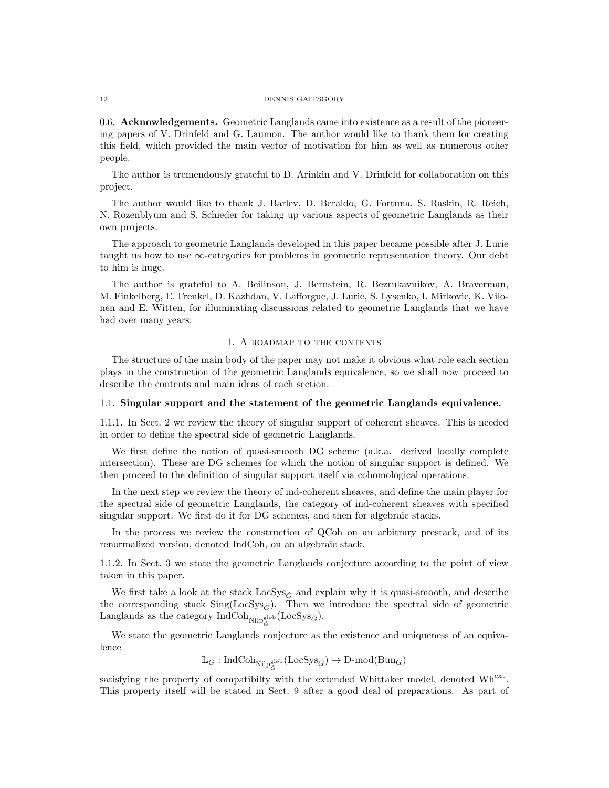0.6. Acknowledgements. Geometric Langlands came into existence as a result of the pioneering papers of V. Drinfeld and G. Laumon. The author would like to thank them for creating this field, which provided the main vector of motivation for him as well as numerous other people.

The author is tremendously grateful to D. Arinkin and V. Drinfeld for collaboration on this project.

The author would like to thank J. Barlev, D. Beraldo, G. Fortuna, S. Raskin, R. Reich, N. Rozenblyum and S. Schieder for taking up various aspects of geometric Langlands as their own projects.

The approach to geometric Langlands developed in this paper became possible after J. Lurie taught us how to use  $\infty$ -categories for problems in geometric representation theory. Our debt to him is huge.

The author is grateful to A. Beilinson, J. Bernstein, R. Bezrukavnikov, A. Braverman, M. Finkelberg, E. Frenkel, D. Kazhdan, V. Lafforgue, J. Lurie, S. Lysenko, I. Mirkovic, K. Vilonen and E. Witten, for illuminating discussions related to geometric Langlands that we have had over many years.

## 1. A roadmap to the contents

The structure of the main body of the paper may not make it obvious what role each section plays in the construction of the geometric Langlands equivalence, so we shall now proceed to describe the contents and main ideas of each section.

## 1.1. Singular support and the statement of the geometric Langlands equivalence.

1.1.1. In Sect. 2 we review the theory of singular support of coherent sheaves. This is needed in order to define the spectral side of geometric Langlands.

We first define the notion of quasi-smooth DG scheme (a.k.a. derived locally complete intersection). These are DG schemes for which the notion of singular support is defined. We then proceed to the definition of singular support itself via cohomological operations.

In the next step we review the theory of ind-coherent sheaves, and define the main player for the spectral side of geometric Langlands, the category of ind-coherent sheaves with specified singular support. We first do it for DG schemes, and then for algebraic stacks.

In the process we review the construction of QCoh on an arbitrary prestack, and of its renormalized version, denoted IndCoh, on an algebraic stack.

1.1.2. In Sect. 3 we state the geometric Langlands conjecture according to the point of view taken in this paper.

We first take a look at the stack  $LocSys_{\tilde{G}}$  and explain why it is quasi-smooth, and describe the corresponding stack  $\text{Sing}(\text{LocSys}_{\tilde{G}})$ . Then we introduce the spectral side of geometric Langlands as the category  $\operatorname{IndCoh}_{\operatorname{NilP}^{\operatorname{glob}}_{\check{G}}}(\operatorname{LocSys}_{\check{G}}).$ 

We state the geometric Langlands conjecture as the existence and uniqueness of an equivalence

$$
\mathbb{L}_G : \mathrm{IndCoh}_{\mathrm{Nilp}_G^{\mathrm{glob}}}( \mathrm{LocSys}_{\check G}) \to \mathrm{D\text{-}mod}(\mathrm{Bun}_G)
$$

satisfying the property of compatibilty with the extended Whittaker model, denoted  $Wh<sup>ext</sup>$ . This property itself will be stated in Sect. 9 after a good deal of preparations. As part of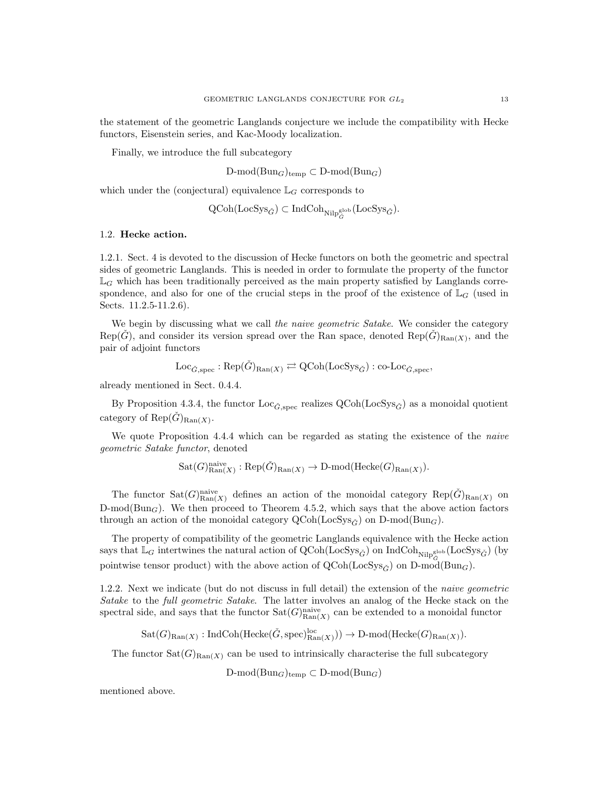the statement of the geometric Langlands conjecture we include the compatibility with Hecke functors, Eisenstein series, and Kac-Moody localization.

Finally, we introduce the full subcategory

D-mod( $Bun_G$ )<sub>temp</sub>  $\subset D$ -mod( $Bun_G$ )

which under the (conjectural) equivalence  $\mathbb{L}_G$  corresponds to

$$
\operatorname{QCoh}(\operatorname{LocSys}_{\check{G}}) \subset \operatorname{IndCoh}_{\operatorname{Nilp}^{\operatorname{glob}}_{\check{G}}}(\operatorname{LocSys}_{\check{G}}).
$$

## 1.2. Hecke action.

1.2.1. Sect. 4 is devoted to the discussion of Hecke functors on both the geometric and spectral sides of geometric Langlands. This is needed in order to formulate the property of the functor  $\mathbb{L}_G$  which has been traditionally perceived as the main property satisfied by Langlands correspondence, and also for one of the crucial steps in the proof of the existence of  $\mathbb{L}_G$  (used in Sects. 11.2.5-11.2.6).

We begin by discussing what we call the naive geometric Satake. We consider the category Rep( $\check{G}$ ), and consider its version spread over the Ran space, denoted Rep( $\check{G}$ )<sub>Ran(X)</sub>, and the pair of adjoint functors

$$
\mathrm{Loc}_{\check{G},\mathrm{spec}} : \mathrm{Rep}(\check{G})_{\mathrm{Ran}(X)} \rightleftarrows \mathrm{QCoh}(\mathrm{LocSys}_{\check{G}}) : \mathrm{co}\text{-}\mathrm{Loc}_{\check{G},\mathrm{spec}},
$$

already mentioned in Sect. 0.4.4.

By Proposition 4.3.4, the functor  $Loc_{\check{G}, spec}$  realizes  $QCoh(LocSys_{\check{G}})$  as a monoidal quotient category of  $\text{Rep}(\check{G})_{\text{Ran}(X)}$ .

We quote Proposition 4.4.4 which can be regarded as stating the existence of the naive geometric Satake functor, denoted

$$
\mathrm{Sat}(G)_{\mathrm{Ran}(X)}^{\mathrm{naive}}:\mathrm{Rep}(\check{G})_{\mathrm{Ran}(X)}\rightarrow \mathrm{D\text{-}mod}(\mathrm{Hecke}(G)_{\mathrm{Ran}(X)}).
$$

The functor  $\text{Sat}(G)_{\text{Ran}(X)}^{\text{naive}}$  defines an action of the monoidal category  $\text{Rep}(\check{G})_{\text{Ran}(X)}$  on D-mod( $Bun_G$ ). We then proceed to Theorem 4.5.2, which says that the above action factors through an action of the monoidal category  $Q\text{Coh}(\text{LocSys}_{\tilde{C}})$  on  $D\text{-mod}(\text{Bun}_G)$ .

The property of compatibility of the geometric Langlands equivalence with the Hecke action says that  $\mathbb{L}_G$  intertwines the natural action of QCoh(LocSys<sub> $\check{G}$ </sub>) on IndCoh<sub>Nilp</sub><sub> $\check{G}$ </sub> (LocSys<sub> $\check{G}$ </sub>) (by pointwise tensor product) with the above action of  $QCoh(LocSys_{\check{G}})$  on D-mod(Bun<sub>G</sub>).

1.2.2. Next we indicate (but do not discuss in full detail) the extension of the naive geometric Satake to the full geometric Satake. The latter involves an analog of the Hecke stack on the spectral side, and says that the functor  $\text{Sat}(G)_{\text{Ran}(X)}^{\text{naive}}$  can be extended to a monoidal functor

 $\mathrm{Sat}(G)_{\mathrm{Ran}(X)}: \mathrm{IndCoh}(\mathrm{Hecke}(\check{G}, \mathrm{spec})_{\mathrm{Ran}(X)}^{\mathrm{loc}})) \to \mathrm{D}\text{-mod}(\mathrm{Hecke}(G)_{\mathrm{Ran}(X)}).$ 

The functor  $\text{Sat}(G)_{\text{Ran}(X)}$  can be used to intrinsically characterise the full subcategory

D-mod( $Bun_G$ )<sub>temp</sub>  $\subset$  D-mod( $Bun_G$ )

mentioned above.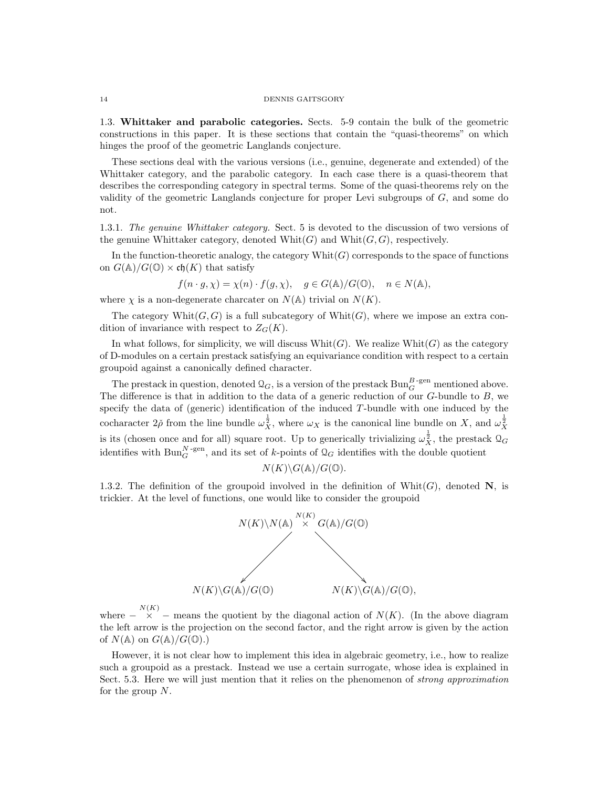1.3. Whittaker and parabolic categories. Sects. 5-9 contain the bulk of the geometric constructions in this paper. It is these sections that contain the "quasi-theorems" on which hinges the proof of the geometric Langlands conjecture.

These sections deal with the various versions (i.e., genuine, degenerate and extended) of the Whittaker category, and the parabolic category. In each case there is a quasi-theorem that describes the corresponding category in spectral terms. Some of the quasi-theorems rely on the validity of the geometric Langlands conjecture for proper Levi subgroups of G, and some do not.

1.3.1. The genuine Whittaker category. Sect. 5 is devoted to the discussion of two versions of the genuine Whittaker category, denoted  $\text{Whit}(G)$  and  $\text{Whit}(G, G)$ , respectively.

In the function-theoretic analogy, the category  $\text{Whit}(G)$  corresponds to the space of functions on  $G(\mathbb{A})/G(\mathbb{O}) \times \mathfrak{ch}(K)$  that satisfy

$$
f(n \cdot g, \chi) = \chi(n) \cdot f(g, \chi), \quad g \in G(\mathbb{A})/G(\mathbb{O}), \quad n \in N(\mathbb{A}),
$$

where  $\chi$  is a non-degenerate charcater on  $N(\mathbb{A})$  trivial on  $N(K)$ .

The category  $\text{Whit}(G, G)$  is a full subcategory of  $\text{Whit}(G)$ , where we impose an extra condition of invariance with respect to  $Z_G(K)$ .

In what follows, for simplicity, we will discuss  $Whit(G)$ . We realize  $Whit(G)$  as the category of D-modules on a certain prestack satisfying an equivariance condition with respect to a certain groupoid against a canonically defined character.

The prestack in question, denoted  $\mathcal{Q}_G$ , is a version of the prestack  $\text{Bun}_G^{B\text{-gen}}$  mentioned above. The difference is that in addition to the data of a generic reduction of our G-bundle to B, we specify the data of (generic) identification of the induced  $T$ -bundle with one induced by the cocharacter  $2\rho$  from the line bundle  $\omega_X^{\frac{1}{2}}$ , where  $\omega_X$  is the canonical line bundle on X, and  $\omega_X^{\frac{1}{2}}$ is its (chosen once and for all) square root. Up to generically trivializing  $\omega_X^{\frac{1}{2}}$ , the prestack  $\mathcal{Q}_G$ identifies with  $\text{Bun}_G^{N\text{-gen}}$ , and its set of k-points of  $\mathcal{Q}_G$  identifies with the double quotient

 $N(K)\backslash G(\mathbb{A})/G(\mathbb{O}).$ 

1.3.2. The definition of the groupoid involved in the definition of Whit $(G)$ , denoted N, is trickier. At the level of functions, one would like to consider the groupoid



where  $-\stackrel{N(K)}{\times}$  – means the quotient by the diagonal action of  $N(K)$ . (In the above diagram the left arrow is the projection on the second factor, and the right arrow is given by the action of  $N(\mathbb{A})$  on  $G(\mathbb{A})/G(\mathbb{O})$ .)

However, it is not clear how to implement this idea in algebraic geometry, i.e., how to realize such a groupoid as a prestack. Instead we use a certain surrogate, whose idea is explained in Sect. 5.3. Here we will just mention that it relies on the phenomenon of *strong approximation* for the group  $N$ .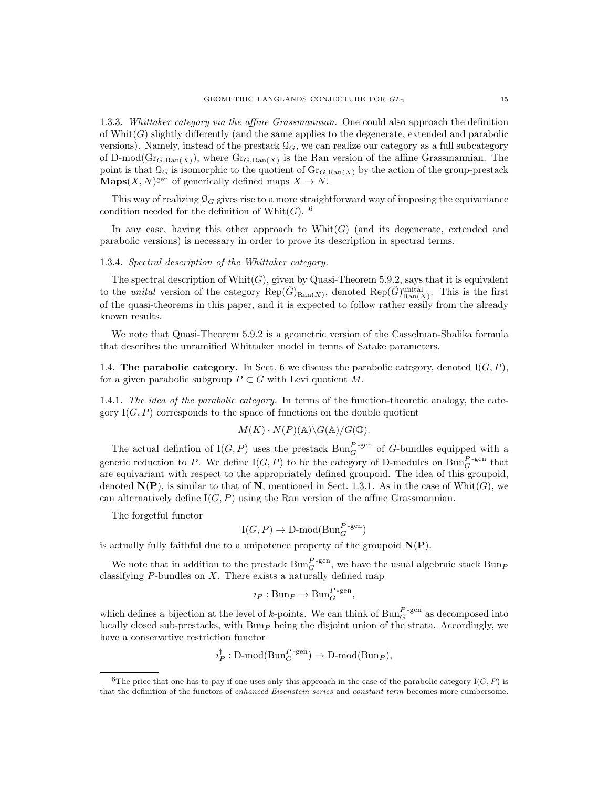1.3.3. Whittaker category via the affine Grassmannian. One could also approach the definition of Whit $(G)$  slightly differently (and the same applies to the degenerate, extended and parabolic versions). Namely, instead of the prestack  $\mathcal{Q}_G$ , we can realize our category as a full subcategory of D-mod( $\text{Gr}_{G, \text{Ran}(X)}$ ), where  $\text{Gr}_{G, \text{Ran}(X)}$  is the Ran version of the affine Grassmannian. The point is that  $\mathfrak{Q}_G$  is isomorphic to the quotient of  $\mathrm{Gr}_{G,\mathrm{Ran}(X)}$  by the action of the group-prestack **Maps** $(X, N)$ <sup>gen</sup> of generically defined maps  $X \to N$ .

This way of realizing  $\mathcal{Q}_G$  gives rise to a more straightforward way of imposing the equivariance condition needed for the definition of Whit $(G)$ . <sup>6</sup>

In any case, having this other approach to  $Whit(G)$  (and its degenerate, extended and parabolic versions) is necessary in order to prove its description in spectral terms.

## 1.3.4. Spectral description of the Whittaker category.

The spectral description of Whit $(G)$ , given by Quasi-Theorem 5.9.2, says that it is equivalent to the *unital* version of the category  $\text{Rep}(\check{G})_{\text{Ran}(X)}$ , denoted  $\text{Rep}(\check{G})_{\text{Ran}(X)}$ . This is the first of the quasi-theorems in this paper, and it is expected to follow rather easily from the already known results.

We note that Quasi-Theorem 5.9.2 is a geometric version of the Casselman-Shalika formula that describes the unramified Whittaker model in terms of Satake parameters.

1.4. The parabolic category. In Sect. 6 we discuss the parabolic category, denoted  $I(G, P)$ , for a given parabolic subgroup  $P \subset G$  with Levi quotient M.

1.4.1. The idea of the parabolic category. In terms of the function-theoretic analogy, the category  $I(G, P)$  corresponds to the space of functions on the double quotient

$$
M(K) \cdot N(P)(\mathbb{A}) \backslash G(\mathbb{A}) / G(\mathbb{O}).
$$

The actual defintion of  $I(G, P)$  uses the prestack  $Bun_{G}^{P\text{-gen}}$  of G-bundles equipped with a generic reduction to P. We define  $I(G, P)$  to be the category of D-modules on  $Bun_G^{P\text{-gen}}$  that are equivariant with respect to the appropriately defined groupoid. The idea of this groupoid, denoted  $N(P)$ , is similar to that of N, mentioned in Sect. 1.3.1. As in the case of Whit $(G)$ , we can alternatively define  $I(G, P)$  using the Ran version of the affine Grassmannian.

The forgetful functor

$$
\mathcal{I}(G,P) \to \mathcal{D}\text{-mod}(\mathcal{Bun}_G^{P\text{-gen}})
$$

is actually fully faithful due to a unipotence property of the groupoid  $N(P)$ .

We note that in addition to the prestack  $\text{Bun}_G^{P-\text{gen}}$ , we have the usual algebraic stack  $\text{Bun}_P$ classifying  $P$ -bundles on  $X$ . There exists a naturally defined map

$$
i_P: \text{Bun}_P \to \text{Bun}_G^{P\text{-gen}},
$$

which defines a bijection at the level of k-points. We can think of  $\text{Bun}_G^{P\text{-gen}}$  as decomposed into locally closed sub-prestacks, with  $Bun_P$  being the disjoint union of the strata. Accordingly, we have a conservative restriction functor

$$
i_P^{\dagger} : D\text{-mod}(Bun_G^{P\text{-gen}}) \to D\text{-mod}(Bun_P),
$$

<sup>&</sup>lt;sup>6</sup>The price that one has to pay if one uses only this approach in the case of the parabolic category  $I(G, P)$  is that the definition of the functors of enhanced Eisenstein series and constant term becomes more cumbersome.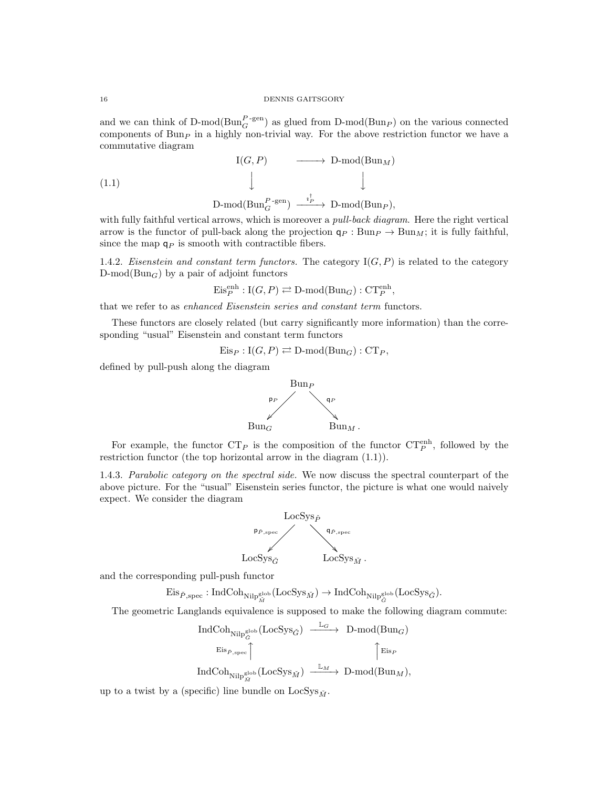and we can think of D-mod( $\text{Bun}_G^{P\text{-gen}}$ ) as glued from D-mod( $\text{Bun}_P$ ) on the various connected components of  $Bun<sub>P</sub>$  in a highly non-trivial way. For the above restriction functor we have a commutative diagram

(1.1)  
\n
$$
I(G, P) \longrightarrow D-mod(Bun_M)
$$
\n
$$
\downarrow \qquad \qquad \downarrow
$$
\n
$$
D-mod(Bun_G^{P-\text{gen}}) \xrightarrow{i_P^{\dagger}} D-mod(Bun_P),
$$

with fully faithful vertical arrows, which is moreover a *pull-back diagram*. Here the right vertical arrow is the functor of pull-back along the projection  $q_P : Bun_P \to Bun_M$ ; it is fully faithful, since the map  $q_P$  is smooth with contractible fibers.

1.4.2. Eisenstein and constant term functors. The category  $I(G, P)$  is related to the category  $D\text{-mod}(Bun_G)$  by a pair of adjoint functors

$$
\mathrm{Eis}_P^{\mathrm{enh}} : \mathrm{I}(G,P) \rightleftarrows \mathrm{D-mod}(\mathrm{Bun}_G) : \mathrm{CT}_P^{\mathrm{enh}},
$$

that we refer to as enhanced Eisenstein series and constant term functors.

These functors are closely related (but carry significantly more information) than the corresponding "usual" Eisenstein and constant term functors

$$
Eis_P: I(G, P) \rightleftarrows D-mod(Bun_G): CT_P,
$$

defined by pull-push along the diagram



For example, the functor  $CT_P$  is the composition of the functor  $CT_P^{\text{enh}}$ , followed by the restriction functor (the top horizontal arrow in the diagram (1.1)).

1.4.3. Parabolic category on the spectral side. We now discuss the spectral counterpart of the above picture. For the "usual" Eisenstein series functor, the picture is what one would naively expect. We consider the diagram



and the corresponding pull-push functor

 ${\rm Eis}_{\check{P}, {\rm spec}}: {\rm IndCoh}_{\rm NilP^{\rm glob}_{\check{M}}}({\rm LocSys}_{\check{M}}) \rightarrow {\rm IndCoh}_{\rm NilP^{\rm glob}_{\check{G}}}({\rm LocSys}_{\check{G}}).$ 

The geometric Langlands equivalence is supposed to make the following diagram commute:

$$
\begin{array}{ccc}\n\text{IndCoh}_{\text{NilP}_G^{\text{glob}}}\left(\text{LocSys}_{\check{G}}\right) & \xrightarrow{\mathbb{L}_G} & \text{D-mod}\left(\text{Bun}_G\right) \\
&\xrightarrow{\text{Eis}_{\check{P}, \text{spec}}}\uparrow & & \uparrow{\text{Eis}_P} \\
\text{IndCoh}_{\text{NilP}_M^{\text{glob}}}\left(\text{LocSys}_{\check{M}}\right) & \xrightarrow{\mathbb{L}_M} & \text{D-mod}\left(\text{Bun}_M\right),\n\end{array}
$$

up to a twist by a (specific) line bundle on  $\text{LocSys}_{\check{M}}$ .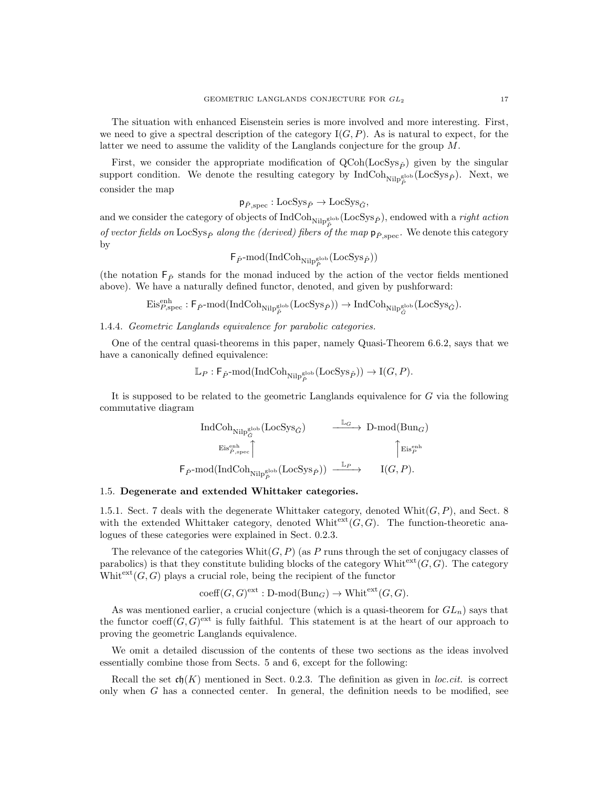The situation with enhanced Eisenstein series is more involved and more interesting. First, we need to give a spectral description of the category  $I(G, P)$ . As is natural to expect, for the latter we need to assume the validity of the Langlands conjecture for the group M.

First, we consider the appropriate modification of  $QCoh(LocSys_{\tilde{P}})$  given by the singular support condition. We denote the resulting category by  $\text{IndCoh}_{\text{Nilp}^{\text{glob}}_P}(\text{LocSys}_{\tilde{P}})$ . Next, we consider the map

$$
\mathsf{p}_{\check{P}, \mathrm{spec}} : \mathrm{LocSys}_{\check{P}} \to \mathrm{LocSys}_{\check{G}},
$$

and we consider the category of objects of  $\text{IndCoh}_{\text{Nilp}^{\text{glob}}_P}(\text{LocSys}_{\check{P}})$ , endowed with a *right action* of vector fields on LocSys<sub>p</sub><sup>\*</sup> along the (derived) fibers of the map  $p_{\tilde{P}, \text{spec}}$ . We denote this category by

$$
\mathsf{F}_{\check{P}}\text{-mod}(\mathrm{IndCoh}_{\mathrm{Nilp}^{\mathrm{glob}}_{\check{P}}}(\mathrm{LocSys}_{\check{P}}))
$$

(the notation  $F_{\tilde{P}}$  stands for the monad induced by the action of the vector fields mentioned above). We have a naturally defined functor, denoted, and given by pushforward:

 $\mathrm{Eis}_{P,\mathrm{spec}}^{\mathrm{enh}}: \mathsf{F}_{\check{P}}\text{-}\mathrm{mod}(\mathrm{IndCoh}_{\mathrm{NilP}^{\mathrm{glob}}_{\check{P}}}}(\mathrm{LocSys}_{\check{P}}))\to \mathrm{IndCoh}_{\mathrm{NilP}^{\mathrm{glob}}_{\check{G}}}(\mathrm{LocSys}_{\check{G}}).$ 

1.4.4. Geometric Langlands equivalence for parabolic categories.

One of the central quasi-theorems in this paper, namely Quasi-Theorem 6.6.2, says that we have a canonically defined equivalence:

$$
\mathbb{L}_P: \mathsf{F}_{\check{P}}\text{-}\mathrm{mod}(\mathrm{IndCoh}_{\mathrm{Nilp}^{\mathrm{glob}}_{\check{P}}}(\mathrm{LocSys}_{\check{P}})) \to \mathrm{I}(G, P).
$$

It is supposed to be related to the geometric Langlands equivalence for G via the following commutative diagram

$$
\text{IndCoh}_{\text{Nilp}_{\tilde{G}}^{\text{glob}}}\left(\text{LocSys}_{\tilde{G}}\right) \xrightarrow{\mathbb{L}_G} \text{D-mod}(\text{Bun}_G)
$$
\n
$$
\text{Eis}_{\tilde{P}, \text{spec}}^{\text{enh}} \uparrow \qquad \qquad \uparrow \text{Eis}_{P}^{\text{enh}} \uparrow
$$
\n
$$
\mathsf{F}_{\tilde{P}}\text{-mod}(\text{IndCoh}_{\text{Nilp}_{\tilde{P}}^{\text{glob}}}\left(\text{LocSys}_{\tilde{P}}\right)) \xrightarrow{\mathbb{L}_P} \qquad \text{I}(G, P).
$$

## 1.5. Degenerate and extended Whittaker categories.

1.5.1. Sect. 7 deals with the degenerate Whittaker category, denoted Whit $(G, P)$ , and Sect. 8 with the extended Whittaker category, denoted Whit<sup>ext</sup> $(G, G)$ . The function-theoretic analogues of these categories were explained in Sect. 0.2.3.

The relevance of the categories  $\text{Whit}(G, P)$  (as P runs through the set of conjugacy classes of parabolics) is that they constitute buliding blocks of the category Whit<sup>ext</sup> $(G, G)$ . The category White<sub>xt</sub> $(G, G)$  plays a crucial role, being the recipient of the functor

$$
coeff(G, G)^{ext} : D-mod(Bun_G) \to Whit^{ext}(G, G).
$$

As was mentioned earlier, a crucial conjecture (which is a quasi-theorem for  $GL_n$ ) says that the functor coeff $(G, G)$ <sup>ext</sup> is fully faithful. This statement is at the heart of our approach to proving the geometric Langlands equivalence.

We omit a detailed discussion of the contents of these two sections as the ideas involved essentially combine those from Sects. 5 and 6, except for the following:

Recall the set  $\mathfrak{ch}(K)$  mentioned in Sect. 0.2.3. The definition as given in loc.cit. is correct only when  $G$  has a connected center. In general, the definition needs to be modified, see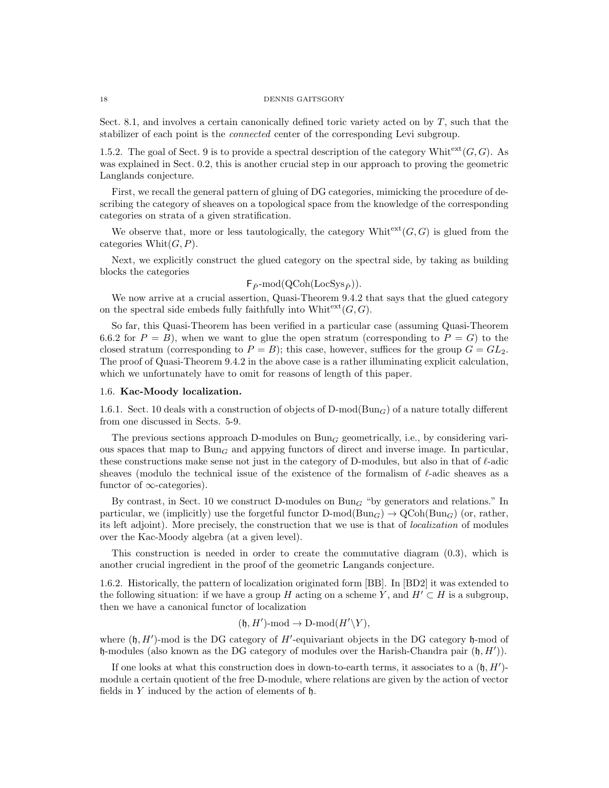Sect. 8.1, and involves a certain canonically defined toric variety acted on by  $T$ , such that the stabilizer of each point is the connected center of the corresponding Levi subgroup.

1.5.2. The goal of Sect. 9 is to provide a spectral description of the category Whit $\text{ext}(G, G)$ . As was explained in Sect. 0.2, this is another crucial step in our approach to proving the geometric Langlands conjecture.

First, we recall the general pattern of gluing of DG categories, mimicking the procedure of describing the category of sheaves on a topological space from the knowledge of the corresponding categories on strata of a given stratification.

We observe that, more or less tautologically, the category White  $\mathcal{C}(G, G)$  is glued from the categories Whit $(G, P)$ .

Next, we explicitly construct the glued category on the spectral side, by taking as building blocks the categories

$$
\mathsf{F}_{\check{P}}\text{-mod}(\mathrm{QCoh}(\mathrm{LocSys}_{\check{P}})).
$$

We now arrive at a crucial assertion, Quasi-Theorem 9.4.2 that says that the glued category on the spectral side embeds fully faithfully into Whit<sup>ext</sup> $(G, G)$ .

So far, this Quasi-Theorem has been verified in a particular case (assuming Quasi-Theorem 6.6.2 for  $P = B$ ), when we want to glue the open stratum (corresponding to  $P = G$ ) to the closed stratum (corresponding to  $P = B$ ); this case, however, suffices for the group  $G = GL_2$ . The proof of Quasi-Theorem 9.4.2 in the above case is a rather illuminating explicit calculation, which we unfortunately have to omit for reasons of length of this paper.

## 1.6. Kac-Moody localization.

1.6.1. Sect. 10 deals with a construction of objects of D-mod(Bun<sub>G</sub>) of a nature totally different from one discussed in Sects. 5-9.

The previous sections approach D-modules on  $Bun_G$  geometrically, i.e., by considering various spaces that map to  $Bun<sub>G</sub>$  and appying functors of direct and inverse image. In particular, these constructions make sense not just in the category of D-modules, but also in that of  $\ell$ -adic sheaves (modulo the technical issue of the existence of the formalism of  $\ell$ -adic sheaves as a functor of  $\infty$ -categories).

By contrast, in Sect. 10 we construct D-modules on  $Bun<sub>G</sub>$  "by generators and relations." In particular, we (implicitly) use the forgetful functor  $D\text{-mod}(Bun_G) \to \text{QCoh}(Bun_G)$  (or, rather, its left adjoint). More precisely, the construction that we use is that of localization of modules over the Kac-Moody algebra (at a given level).

This construction is needed in order to create the commutative diagram (0.3), which is another crucial ingredient in the proof of the geometric Langands conjecture.

1.6.2. Historically, the pattern of localization originated form [BB]. In [BD2] it was extended to the following situation: if we have a group H acting on a scheme Y, and  $H' \subset H$  is a subgroup, then we have a canonical functor of localization

$$
(\mathfrak{h}, H')\text{-mod} \to \mathbf{D}\text{-mod}(H'\backslash Y),
$$

where  $(h, H')$ -mod is the DG category of  $H'$ -equivariant objects in the DG category  $h$ -mod of  $\mathfrak h$ -modules (also known as the DG category of modules over the Harish-Chandra pair  $(\mathfrak h, H')$ ).

If one looks at what this construction does in down-to-earth terms, it associates to a  $(\mathfrak{h}, H')$ module a certain quotient of the free D-module, where relations are given by the action of vector fields in  $Y$  induced by the action of elements of  $\mathfrak h$ .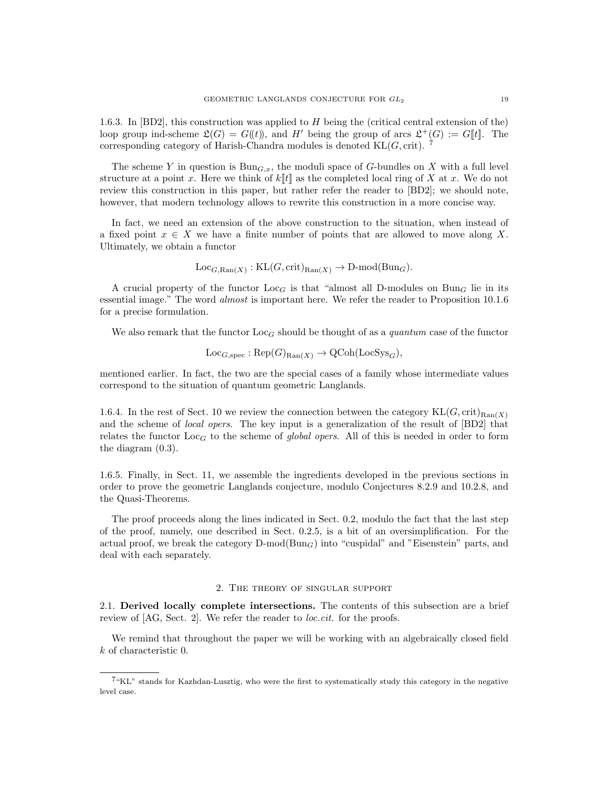1.6.3. In [BD2], this construction was applied to H being the (critical central extension of the) loop group ind-scheme  $\mathfrak{L}(G) = G(\mathfrak{t})$ , and H' being the group of arcs  $\mathfrak{L}^+(G) := G[\mathfrak{t}]$ . The corresponding category of Harish-Chandra modules is denoted  $KL(G, crit)$ . <sup>7</sup>

The scheme Y in question is  $Bun_{G,x}$ , the moduli space of G-bundles on X with a full level structure at a point x. Here we think of  $k[[t]]$  as the completed local ring of X at x. We do not review this construction in this paper, but rather refer the reader to [BD2]; we should note, however, that modern technology allows to rewrite this construction in a more concise way.

In fact, we need an extension of the above construction to the situation, when instead of a fixed point  $x \in X$  we have a finite number of points that are allowed to move along X. Ultimately, we obtain a functor

$$
Loc_{G, Ran(X)} : KL(G, crit)_{Ran(X)} \to D-mod(Bun_G).
$$

A crucial property of the functor  $Loc_G$  is that "almost all D-modules on Bung lie in its essential image." The word almost is important here. We refer the reader to Proposition 10.1.6 for a precise formulation.

We also remark that the functor  $\text{Loc}_G$  should be thought of as a quantum case of the functor

$$
Loc_{G,spec}: \text{Rep}(G)_{\text{Ran}(X)} \to \text{QCoh}(\text{LocSys}_G),
$$

mentioned earlier. In fact, the two are the special cases of a family whose intermediate values correspond to the situation of quantum geometric Langlands.

1.6.4. In the rest of Sect. 10 we review the connection between the category  $KL(G, crit)_{\text{Ran}(X)}$ and the scheme of local opers. The key input is a generalization of the result of [BD2] that relates the functor  $\text{Loc}_G$  to the scheme of global opers. All of this is needed in order to form the diagram (0.3).

1.6.5. Finally, in Sect. 11, we assemble the ingredients developed in the previous sections in order to prove the geometric Langlands conjecture, modulo Conjectures 8.2.9 and 10.2.8, and the Quasi-Theorems.

The proof proceeds along the lines indicated in Sect. 0.2, modulo the fact that the last step of the proof, namely, one described in Sect. 0.2.5, is a bit of an oversimplification. For the actual proof, we break the category  $D\text{-mod}(Bun_G)$  into "cuspidal" and "Eisenstein" parts, and deal with each separately.

#### 2. The theory of singular support

2.1. Derived locally complete intersections. The contents of this subsection are a brief review of [AG, Sect. 2]. We refer the reader to *loc.cit*. for the proofs.

We remind that throughout the paper we will be working with an algebraically closed field k of characteristic 0.

<sup>7</sup>"KL" stands for Kazhdan-Lusztig, who were the first to systematically study this category in the negative level case.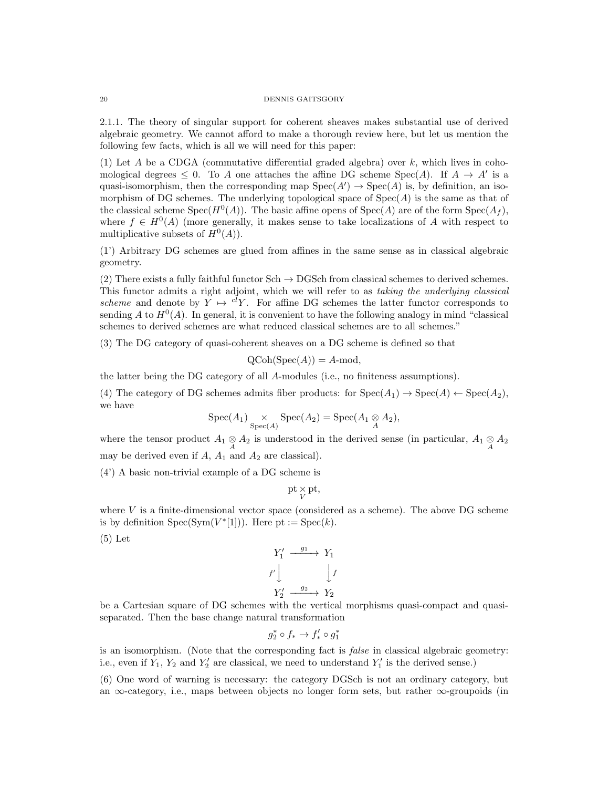2.1.1. The theory of singular support for coherent sheaves makes substantial use of derived algebraic geometry. We cannot afford to make a thorough review here, but let us mention the following few facts, which is all we will need for this paper:

(1) Let A be a CDGA (commutative differential graded algebra) over  $k$ , which lives in cohomological degrees  $\leq 0$ . To A one attaches the affine DG scheme Spec(A). If  $A \to A'$  is a quasi-isomorphism, then the corresponding map  $Spec(A') \to Spec(A)$  is, by definition, an isomorphism of DG schemes. The underlying topological space of  $Spec(A)$  is the same as that of the classical scheme  $Spec(H^0(A))$ . The basic affine opens of  $Spec(A)$  are of the form  $Spec(A_f)$ , where  $f \in H^0(A)$  (more generally, it makes sense to take localizations of A with respect to multiplicative subsets of  $H^0(A)$ .

(1') Arbitrary DG schemes are glued from affines in the same sense as in classical algebraic geometry.

(2) There exists a fully faithful functor Sch  $\rightarrow$  DGSch from classical schemes to derived schemes. This functor admits a right adjoint, which we will refer to as taking the underlying classical scheme and denote by  $\overline{Y} \mapsto {^{cl}Y}$ . For affine DG schemes the latter functor corresponds to sending A to  $H^0(A)$ . In general, it is convenient to have the following analogy in mind "classical" schemes to derived schemes are what reduced classical schemes are to all schemes."

(3) The DG category of quasi-coherent sheaves on a DG scheme is defined so that

$$
\text{QCoh}(\text{Spec}(A)) = A\text{-mod},
$$

the latter being the DG category of all A-modules (i.e., no finiteness assumptions).

(4) The category of DG schemes admits fiber products: for  $Spec(A_1) \rightarrow Spec(A) \leftarrow Spec(A_2)$ , we have

$$
Spec(A_1) \underset{Spec(A)}{\times} Spec(A_2) = Spec(A_1 \underset{A}{\otimes} A_2),
$$

where the tensor product  $A_1 \otimes A_2$  is understood in the derived sense (in particular,  $A_1 \otimes A_2$ ) may be derived even if  $A$ ,  $A_1$  and  $A_2$  are classical).

(4') A basic non-trivial example of a DG scheme is

 $\operatorname{pt}\underset{V}{\times}\operatorname{pt},$ 

where  $V$  is a finite-dimensional vector space (considered as a scheme). The above  $DG$  scheme is by definition  $Spec(Sym(V^*[1]))$ . Here pt :=  $Spec(k)$ .

 $(5)$  Let

$$
\begin{array}{ccc}\n Y_1' & \xrightarrow{g_1} & Y_1 \\
 f' & & \downarrow f \\
 Y_2' & \xrightarrow{g_2} & Y_2\n \end{array}
$$

be a Cartesian square of DG schemes with the vertical morphisms quasi-compact and quasiseparated. Then the base change natural transformation

$$
g_2^* \circ f_* \to f'_* \circ g_1^*
$$

is an isomorphism. (Note that the corresponding fact is false in classical algebraic geometry: i.e., even if  $Y_1$ ,  $Y_2$  and  $Y'_2$  are classical, we need to understand  $Y'_1$  is the derived sense.)

(6) One word of warning is necessary: the category DGSch is not an ordinary category, but an  $\infty$ -category, i.e., maps between objects no longer form sets, but rather  $\infty$ -groupoids (in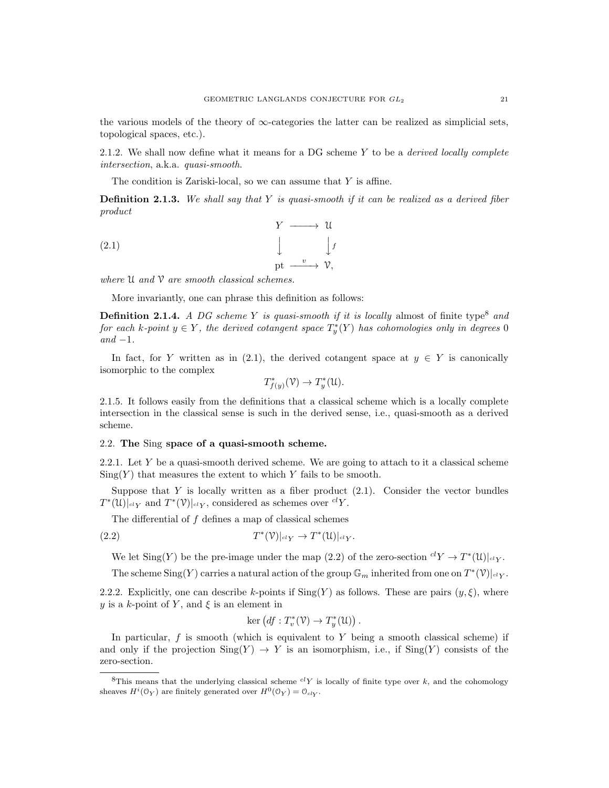the various models of the theory of  $\infty$ -categories the latter can be realized as simplicial sets, topological spaces, etc.).

2.1.2. We shall now define what it means for a DG scheme Y to be a derived locally complete intersection, a.k.a. quasi-smooth.

The condition is Zariski-local, so we can assume that Y is affine.

**Definition 2.1.3.** We shall say that Y is quasi-smooth if it can be realized as a derived fiber product

(2.1) 
$$
\downarrow \qquad \qquad \downarrow f
$$

$$
\downarrow \qquad \qquad \downarrow f
$$

$$
\text{pt} \xrightarrow{v} \mathcal{V},
$$

where  $\mathfrak U$  and  $\mathfrak V$  are smooth classical schemes.

More invariantly, one can phrase this definition as follows:

**Definition 2.1.4.** A DG scheme Y is quasi-smooth if it is locally almost of finite type<sup>8</sup> and for each k-point  $y \in Y$ , the derived cotangent space  $T_y^*(Y)$  has cohomologies only in degrees 0  $and -1.$ 

In fact, for Y written as in (2.1), the derived cotangent space at  $y \in Y$  is canonically isomorphic to the complex

$$
T^*_{f(y)}(\mathcal{V}) \to T^*_y(\mathcal{U}).
$$

2.1.5. It follows easily from the definitions that a classical scheme which is a locally complete intersection in the classical sense is such in the derived sense, i.e., quasi-smooth as a derived scheme.

## 2.2. The Sing space of a quasi-smooth scheme.

2.2.1. Let Y be a quasi-smooth derived scheme. We are going to attach to it a classical scheme  $\text{Sing}(Y)$  that measures the extent to which Y fails to be smooth.

Suppose that Y is locally written as a fiber product  $(2.1)$ . Consider the vector bundles  $T^*(\mathfrak{U})|_{\mathfrak{cl}_Y}$  and  $T^*(\mathfrak{V})|_{\mathfrak{cl}_Y}$ , considered as schemes over  $\mathfrak{cl}_Y$ .

The differential of  $f$  defines a map of classical schemes

(2.2) 
$$
T^*(\mathcal{V})|_{\mathit{cl}\,Y} \to T^*(\mathcal{U})|_{\mathit{cl}\,Y}.
$$

We let  $\text{Sing}(Y)$  be the pre-image under the map (2.2) of the zero-section  ${}^{cl}Y \to T^*(\mathfrak{U})|_{{}^{cl}Y}$ .

The scheme  $\text{Sing}(Y)$  carries a natural action of the group  $\mathbb{G}_m$  inherited from one on  $T^*(\mathcal{V})|_{\mathfrak{cl} Y}$ .

2.2.2. Explicitly, one can describe k-points if  $\text{Sing}(Y)$  as follows. These are pairs  $(y,\xi)$ , where y is a k-point of Y, and  $\xi$  is an element in

$$
\ker \left( df : T_v^*(\mathcal{V}) \to T_y^*(\mathcal{U}) \right).
$$

In particular,  $f$  is smooth (which is equivalent to  $Y$  being a smooth classical scheme) if and only if the projection  $Sing(Y) \to Y$  is an isomorphism, i.e., if  $Sing(Y)$  consists of the zero-section.

<sup>&</sup>lt;sup>8</sup>This means that the underlying classical scheme <sup>cl</sup>Y is locally of finite type over k, and the cohomology sheaves  $H^i(\mathbb{O}_Y)$  are finitely generated over  $H^0(\mathbb{O}_Y) = \mathbb{O}_{clY}$ .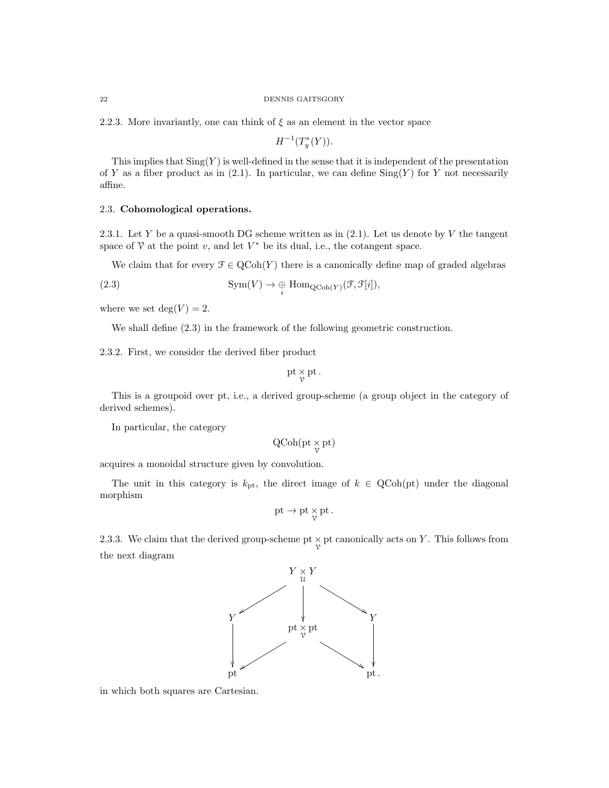2.2.3. More invariantly, one can think of  $\xi$  as an element in the vector space

 $H^{-1}(T^*_{y}(Y)).$ 

This implies that  $\text{Sing}(Y)$  is well-defined in the sense that it is independent of the presentation of Y as a fiber product as in  $(2.1)$ . In particular, we can define  $\text{Sing}(Y)$  for Y not necessarily affine.

## 2.3. Cohomological operations.

2.3.1. Let Y be a quasi-smooth DG scheme written as in  $(2.1)$ . Let us denote by V the tangent space of  $\mathcal V$  at the point v, and let  $V^*$  be its dual, i.e., the cotangent space.

We claim that for every  $\mathcal{F} \in \mathrm{QCoh}(Y)$  there is a canonically define map of graded algebras

(2.3) 
$$
\mathrm{Sym}(V) \to \bigoplus_i \mathrm{Hom}_{\mathrm{QCoh}(Y)}(\mathcal{F}, \mathcal{F}[i]),
$$

where we set  $deg(V) = 2$ .

We shall define (2.3) in the framework of the following geometric construction.

2.3.2. First, we consider the derived fiber product

$$
\operatorname{pt}\underset{\gamma}{\times}\operatorname{pt}.
$$

This is a groupoid over pt, i.e., a derived group-scheme (a group object in the category of derived schemes).

In particular, the category

$$
\mathrm{QCoh}(\mathrm{pt}\mathop{\times}\limits_\gamma\mathrm{pt})
$$

acquires a monoidal structure given by convolution.

The unit in this category is  $k_{\text{pt}}$ , the direct image of  $k \in \text{QCoh}(\text{pt})$  under the diagonal morphism

$$
\mathrm{pt}\to\mathrm{pt}\mathop{\times}_\mathcal{V}\mathrm{pt}\,.
$$

2.3.3. We claim that the derived group-scheme pt  $\frac{1}{\gamma}$  pt canonically acts on Y. This follows from the next diagram



in which both squares are Cartesian.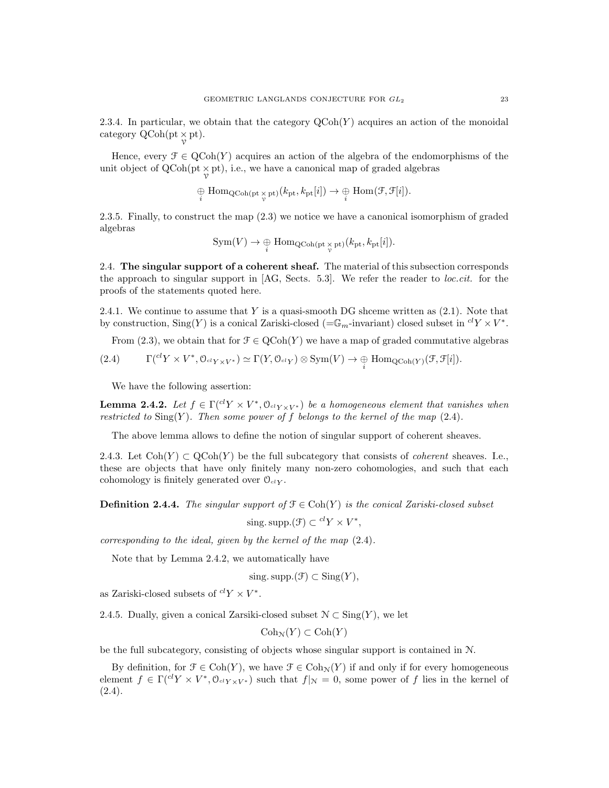2.3.4. In particular, we obtain that the category  $\mathrm{QCoh}(Y)$  acquires an action of the monoidal category  $Q\text{Coh}(\text{pt} \times \text{pt}).$ 

Hence, every  $\mathcal{F} \in \text{QCoh}(Y)$  acquires an action of the algebra of the endomorphisms of the unit object of QCoh(pt  $\times$  pt), i.e., we have a canonical map of graded algebras

$$
\underset{i}{\oplus} \text{Hom}_{\text{QCoh}(\text{pt}\, \underset{\gamma}{\times} \text{pt})}(k_{\text{pt}},k_{\text{pt}}[i]) \rightarrow \underset{i}{\oplus} \text{Hom}(\mathcal{F},\mathcal{F}[i]).
$$

2.3.5. Finally, to construct the map (2.3) we notice we have a canonical isomorphism of graded algebras

$$
\mathrm{Sym}(V) \to \underset{i}{\oplus} \mathrm{Hom}_{\mathrm{QCoh}(\mathrm{pt}\, \underset{\mathcal{V}}{\times} \mathrm{pt})}(k_{\mathrm{pt}}, k_{\mathrm{pt}}[i]).
$$

2.4. The singular support of a coherent sheaf. The material of this subsection corresponds the approach to singular support in  $[AG, S.3]$ . We refer the reader to *loc.cit.* for the proofs of the statements quoted here.

2.4.1. We continue to assume that Y is a quasi-smooth DG shceme written as  $(2.1)$ . Note that by construction,  $\text{Sing}(Y)$  is a conical Zariski-closed (= $\mathbb{G}_m$ -invariant) closed subset in  ${}^{cl}Y \times V^*$ .

From (2.3), we obtain that for  $\mathcal{F} \in \text{QCoh}(Y)$  we have a map of graded commutative algebras

(2.4) 
$$
\Gamma({}^{cl}Y \times V^*, \mathbb{O}_{{}^{cl}Y \times V^*}) \simeq \Gamma(Y, \mathbb{O}_{{}^{cl}Y}) \otimes \mathrm{Sym}(V) \to \bigoplus_i \mathrm{Hom}_{\mathrm{QCoh}(Y)}(\mathcal{F}, \mathcal{F}[i]).
$$

We have the following assertion:

**Lemma 2.4.2.** Let  $f \in \Gamma({}^{cl}Y \times V^*, \mathcal{O}_{{}^{cl}Y \times V^*})$  be a homogeneous element that vanishes when restricted to  $\text{Sing}(Y)$ . Then some power of f belongs to the kernel of the map  $(2.4)$ .

The above lemma allows to define the notion of singular support of coherent sheaves.

2.4.3. Let  $\text{Coh}(Y) \subset \text{QCoh}(Y)$  be the full subcategory that consists of *coherent* sheaves. I.e., these are objects that have only finitely many non-zero cohomologies, and such that each cohomology is finitely generated over  $\mathcal{O}_{\alpha V}$ .

**Definition 2.4.4.** The singular support of  $\mathcal{F} \in \text{Coh}(Y)$  is the conical Zariski-closed subset

sing. supp.
$$
(\mathcal{F}) \subset {}^{cl}Y \times V^*
$$
,

corresponding to the ideal, given by the kernel of the map (2.4).

Note that by Lemma 2.4.2, we automatically have

$$
sing.\operatorname{supp.}(\mathcal{F})\subset \operatorname{Sing}(Y),
$$

as Zariski-closed subsets of  ${}^{cl}Y \times V^*$ .

2.4.5. Dually, given a conical Zarsiki-closed subset  $\mathcal{N} \subset \text{Sing}(Y)$ , we let

 $\text{Coh}_{\mathcal{N}}(Y) \subset \text{Coh}(Y)$ 

be the full subcategory, consisting of objects whose singular support is contained in N.

By definition, for  $\mathcal{F} \in \text{Coh}(Y)$ , we have  $\mathcal{F} \in \text{Coh}_{\mathcal{N}}(Y)$  if and only if for every homogeneous element  $f \in \Gamma^{(cl)}Y \times V^*$ ,  $\mathcal{O}_{clY \times V^*}$  such that  $f|_{\mathcal{N}} = 0$ , some power of f lies in the kernel of  $(2.4).$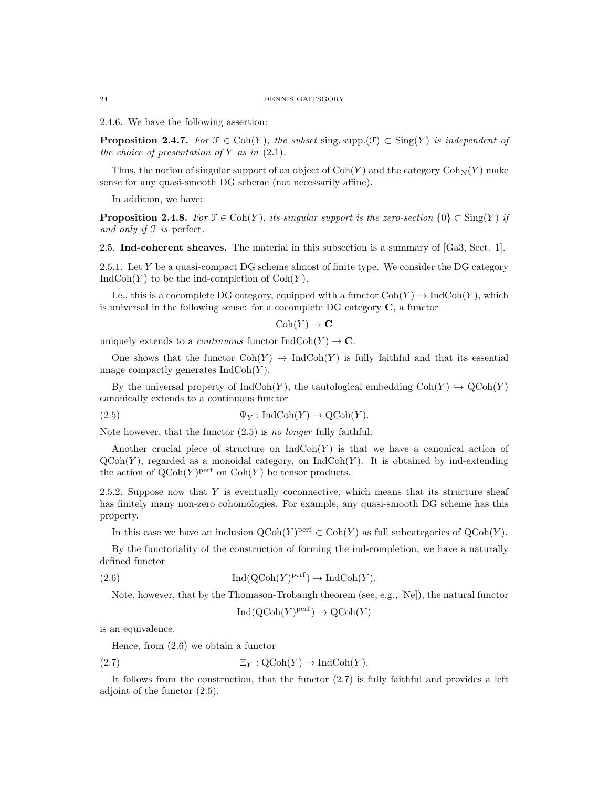2.4.6. We have the following assertion:

**Proposition 2.4.7.** For  $\mathcal{F} \in \text{Coh}(Y)$ , the subset sing. supp.( $\mathcal{F}$ )  $\subset$  Sing(Y) is independent of the choice of presentation of Y as in  $(2.1)$ .

Thus, the notion of singular support of an object of  $\text{Coh}(Y)$  and the category  $\text{Coh}_{\mathcal{N}}(Y)$  make sense for any quasi-smooth DG scheme (not necessarily affine).

In addition, we have:

**Proposition 2.4.8.** For  $\mathcal{F} \in \text{Coh}(Y)$ , its singular support is the zero-section  $\{0\} \subset \text{Sing}(Y)$  if and only if  $\mathcal F$  is perfect.

2.5. Ind-coherent sheaves. The material in this subsection is a summary of [Ga3, Sect. 1].

2.5.1. Let Y be a quasi-compact DG scheme almost of finite type. We consider the DG category  $IndCoh(Y)$  to be the ind-completion of  $Coh(Y)$ .

I.e., this is a cocomplete DG category, equipped with a functor  $Coh(Y) \to \text{Ind}Coh(Y)$ , which is universal in the following sense: for a cocomplete DG category C, a functor

 $Coh(Y) \to \mathbf{C}$ 

uniquely extends to a *continuous* functor  $IndCoh(Y) \rightarrow \mathbb{C}$ .

One shows that the functor  $Coh(Y) \to IndCoh(Y)$  is fully faithful and that its essential image compactly generates  $\text{IndCoh}(Y)$ .

By the universal property of  $IndCoh(Y)$ , the tautological embedding  $Coh(Y) \hookrightarrow \text{QCoh}(Y)$ canonically extends to a continuous functor

(2.5) 
$$
\Psi_Y : \text{IndCoh}(Y) \to \text{QCoh}(Y).
$$

Note however, that the functor (2.5) is no longer fully faithful.

Another crucial piece of structure on  $IndCoh(Y)$  is that we have a canonical action of  $QCoh(Y)$ , regarded as a monoidal category, on  $IndCoh(Y)$ . It is obtained by ind-extending the action of  $\mathrm{QCoh}(Y)$ <sup>perf</sup> on  $\mathrm{Coh}(Y)$  be tensor products.

2.5.2. Suppose now that  $Y$  is eventually coconnective, which means that its structure sheaf has finitely many non-zero cohomologies. For example, any quasi-smooth DG scheme has this property.

In this case we have an inclusion  $\mathrm{QCoh}(Y)^{\mathrm{perf}} \subset \mathrm{Coh}(Y)$  as full subcategories of  $\mathrm{QCoh}(Y)$ .

By the functoriality of the construction of forming the ind-completion, we have a naturally defined functor

(2.6) Ind(QCoh(Y ) perf) → IndCoh(Y ).

Note, however, that by the Thomason-Trobaugh theorem (see, e.g., [Ne]), the natural functor

$$
Ind(QCoh(Y)^{perf}) \to QCoh(Y)
$$

is an equivalence.

Hence, from (2.6) we obtain a functor

$$
\Xi_Y : \mathrm{QCoh}(Y) \to \mathrm{IndCoh}(Y).
$$

It follows from the construction, that the functor (2.7) is fully faithful and provides a left adjoint of the functor (2.5).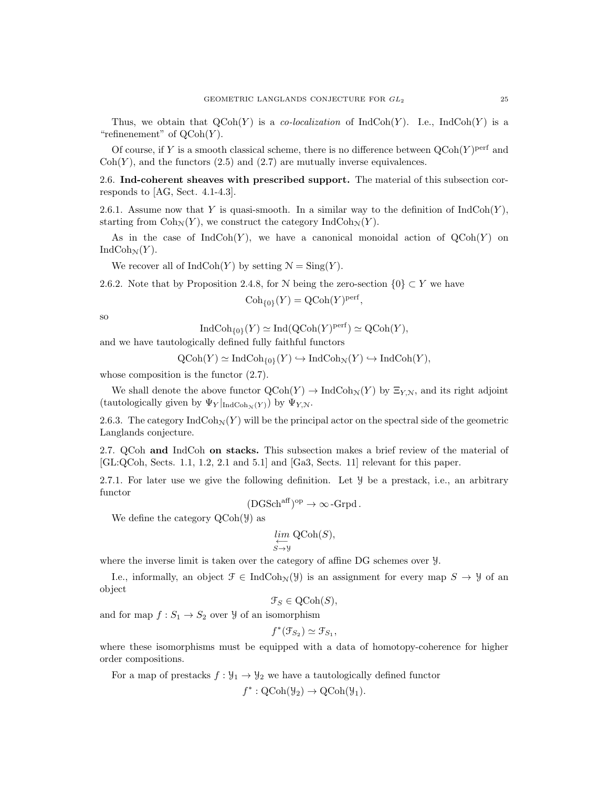Thus, we obtain that  $QCoh(Y)$  is a *co-localization* of  $IndCoh(Y)$ . I.e.,  $IndCoh(Y)$  is a "refinement" of  $QCoh(Y)$ .

Of course, if Y is a smooth classical scheme, there is no difference between  $Q\text{Coh}(Y)^\text{perf}$  and  $Coh(Y)$ , and the functors  $(2.5)$  and  $(2.7)$  are mutually inverse equivalences.

2.6. Ind-coherent sheaves with prescribed support. The material of this subsection corresponds to [AG, Sect. 4.1-4.3].

2.6.1. Assume now that Y is quasi-smooth. In a similar way to the definition of  $IndCoh(Y)$ , starting from  $\text{Coh}_{\mathcal{N}}(Y)$ , we construct the category  $\text{IndCoh}_{\mathcal{N}}(Y)$ .

As in the case of  $IndCoh(Y)$ , we have a canonical monoidal action of  $QCoh(Y)$  on  $IndCoh_{\mathcal{N}}(Y)$ .

We recover all of  $IndCoh(Y)$  by setting  $\mathcal{N} = Sing(Y)$ .

2.6.2. Note that by Proposition 2.4.8, for N being the zero-section  $\{0\} \subset Y$  we have

$$
\mathrm{Coh}_{\{0\}}(Y) = \mathrm{QCoh}(Y)^{\mathrm{perf}},
$$

so

$$
\operatorname{IndCoh}_{\{0\}}(Y) \simeq \operatorname{Ind}(\operatorname{QCoh}(Y)^{\operatorname{perf}}) \simeq \operatorname{QCoh}(Y),
$$

and we have tautologically defined fully faithful functors

$$
\mathrm{QCoh}(Y) \simeq \mathrm{IndCoh}_{\{0\}}(Y) \hookrightarrow \mathrm{IndCoh}_{\mathcal{N}}(Y) \hookrightarrow \mathrm{IndCoh}(Y),
$$

whose composition is the functor (2.7).

We shall denote the above functor  $\mathrm{QCoh}(Y) \to \mathrm{IndCoh}_N(Y)$  by  $\Xi_{Y,N}$ , and its right adjoint (tautologically given by  $\Psi_Y|_{\text{IndCoh}_{\mathcal{N}}(Y)}$ ) by  $\Psi_{Y,\mathcal{N}}$ .

2.6.3. The category IndCoh<sub>N</sub> $(Y)$  will be the principal actor on the spectral side of the geometric Langlands conjecture.

2.7. QCoh and IndCoh on stacks. This subsection makes a brief review of the material of [GL:QCoh, Sects. 1.1, 1.2, 2.1 and 5.1] and [Ga3, Sects. 11] relevant for this paper.

2.7.1. For later use we give the following definition. Let  $\mathcal Y$  be a prestack, i.e., an arbitrary functor

$$
(\text{DGSch}^{\text{aff}})^{\text{op}} \to \infty\text{-}\text{Grpd}.
$$

We define the category  $QCoh(\mathcal{Y})$  as

$$
\lim_{S \to \mathcal{Y}} \text{QCoh}(S),
$$

where the inverse limit is taken over the category of affine DG schemes over Y.

I.e., informally, an object  $\mathcal{F} \in \text{IndCoh}_{\mathcal{N}}(\mathcal{Y})$  is an assignment for every map  $S \to \mathcal{Y}$  of an object

$$
\mathcal{F}_S \in \mathrm{QCoh}(S),
$$

and for map  $f: S_1 \to S_2$  over  $\mathcal{Y}$  of an isomorphism

$$
f^*(\mathcal{F}_{S_2}) \simeq \mathcal{F}_{S_1},
$$

where these isomorphisms must be equipped with a data of homotopy-coherence for higher order compositions.

For a map of prestacks  $f: \mathcal{Y}_1 \to \mathcal{Y}_2$  we have a tautologically defined functor

 $f^*: \text{QCoh}(\mathcal{Y}_2) \to \text{QCoh}(\mathcal{Y}_1).$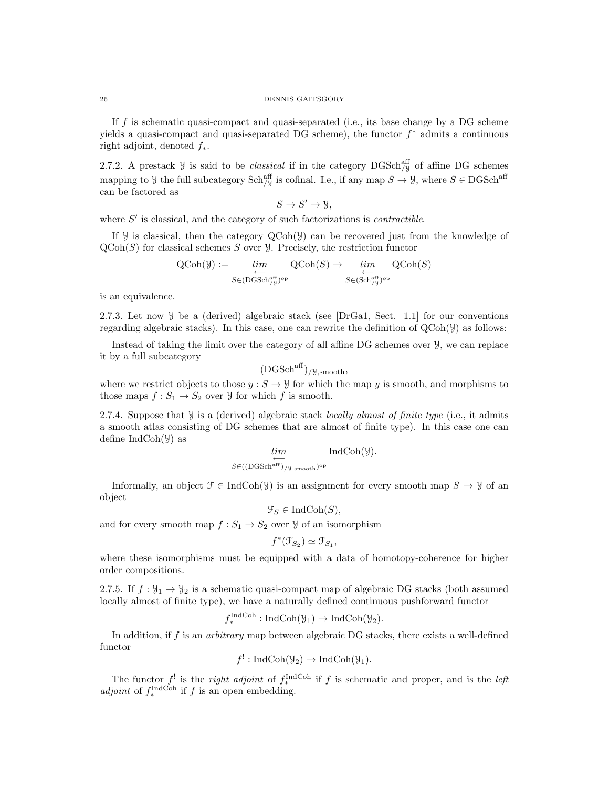If f is schematic quasi-compact and quasi-separated (i.e., its base change by a  $DG$  scheme yields a quasi-compact and quasi-separated DG scheme), the functor  $f^*$  admits a continuous right adjoint, denoted  $f_*$ .

2.7.2. A prestack  $\mathcal Y$  is said to be *classical* if in the category DGSch<sup>aff</sup> of affine DG schemes mapping to *y* the full subcategory  $Sch_{y}^{aff}$  is cofinal. I.e., if any map  $S \to Y$ , where  $S \in DGSch^{aff}$ can be factored as

$$
S \to S' \to \mathcal{Y},
$$

where  $S'$  is classical, and the category of such factorizations is *contractible*.

If Y is classical, then the category QCoh(Y) can be recovered just from the knowledge of  $\mathrm{QCoh}(S)$  for classical schemes S over *Y*. Precisely, the restriction functor

$$
\mathrm{QCoh}(\mathcal{Y}):=\varprojlim\limits_{S\in (\mathrm{DGSch}^{\mathrm{aff}}_{{/\!\!}_\mathcal{Y}})^{\mathrm{op}}} \mathrm{QCoh}(S)\to \varprojlim\limits_{S\in (\mathrm{Sch}^{\mathrm{aff}}_{{/\!\!}_\mathcal{Y}})^{\mathrm{op}}} \mathrm{QCoh}(S)
$$

is an equivalence.

2.7.3. Let now  $\mathcal{Y}$  be a (derived) algebraic stack (see [DrGa1, Sect. 1.1] for our conventions regarding algebraic stacks). In this case, one can rewrite the definition of QCoh(Y) as follows:

Instead of taking the limit over the category of all affine  $DG$  schemes over  $\mathcal{Y}$ , we can replace it by a full subcategory

$$
(\mathrm{DGSch}^{\mathrm{aff}})_{/\mathcal{Y},\mathrm{smooth}},
$$

where we restrict objects to those  $y : S \to Y$  for which the map y is smooth, and morphisms to those maps  $f: S_1 \to S_2$  over  $\mathcal{Y}$  for which f is smooth.

2.7.4. Suppose that  $\mathcal Y$  is a (derived) algebraic stack locally almost of finite type (i.e., it admits a smooth atlas consisting of DG schemes that are almost of finite type). In this case one can define IndCoh(Y) as

$$
\lim_{S \in ((\text{DGSch}^{\text{aff}})_{/\mathcal{Y}, \text{smooth}})^{\text{op}}} \text{IndCoh}(\mathcal{Y}).
$$

Informally, an object  $\mathcal{F} \in \text{IndCoh}(\mathcal{Y})$  is an assignment for every smooth map  $S \to \mathcal{Y}$  of an object

$$
\mathcal{F}_S \in \mathrm{IndCoh}(S),
$$

and for every smooth map  $f : S_1 \to S_2$  over  $\mathcal{Y}$  of an isomorphism

$$
f^*(\mathcal{F}_{S_2}) \simeq \mathcal{F}_{S_1},
$$

where these isomorphisms must be equipped with a data of homotopy-coherence for higher order compositions.

2.7.5. If  $f: \mathcal{Y}_1 \to \mathcal{Y}_2$  is a schematic quasi-compact map of algebraic DG stacks (both assumed locally almost of finite type), we have a naturally defined continuous pushforward functor

$$
f_*^{\text{IndCoh}} : \text{IndCoh}(\mathcal{Y}_1) \to \text{IndCoh}(\mathcal{Y}_2).
$$

In addition, if  $f$  is an *arbitrary* map between algebraic DG stacks, there exists a well-defined functor

$$
f^!
$$
: IndCoh( $\mathcal{Y}_2$ )  $\rightarrow$  IndCoh( $\mathcal{Y}_1$ ).

The functor  $f^!$  is the *right adjoint* of  $f_*^{\text{IndCoh}}$  if f is schematic and proper, and is the *left adjoint* of  $f_*^{\text{IndCoh}}$  if f is an open embedding.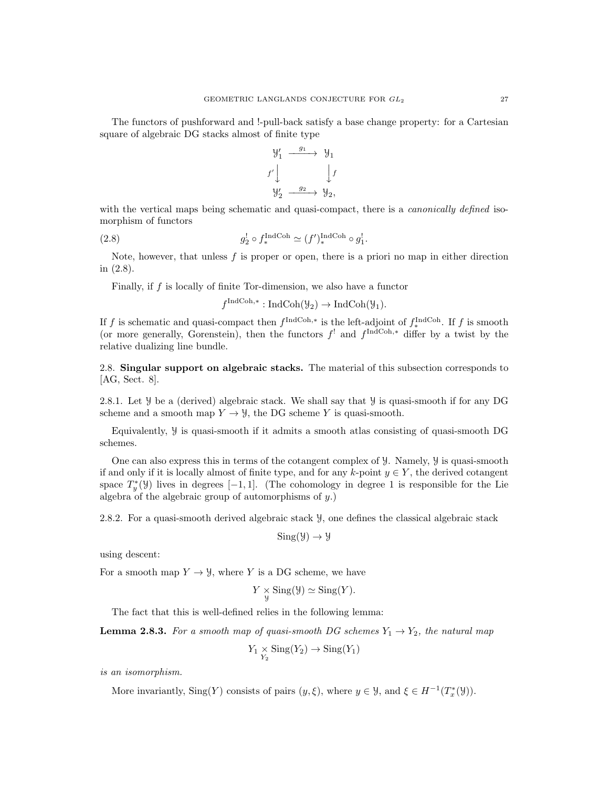The functors of pushforward and !-pull-back satisfy a base change property: for a Cartesian square of algebraic DG stacks almost of finite type

$$
\begin{array}{ccc}\n\mathbf{y}'_1 & \xrightarrow{g_1} & \mathbf{y}_1 \\
f' \downarrow & & \downarrow f \\
\mathbf{y}'_2 & \xrightarrow{g_2} & \mathbf{y}_2\n\end{array}
$$

with the vertical maps being schematic and quasi-compact, there is a *canonically defined* isomorphism of functors

(2.8) 
$$
g_2^! \circ f_*^{\text{IndCoh}} \simeq (f')_*^{\text{IndCoh}} \circ g_1^!.
$$

Note, however, that unless  $f$  is proper or open, there is a priori no map in either direction in (2.8).

Finally, if f is locally of finite Tor-dimension, we also have a functor

$$
f^{\text{IndCoh},*}: \text{IndCoh}(\mathcal{Y}_2) \to \text{IndCoh}(\mathcal{Y}_1).
$$

If f is schematic and quasi-compact then  $f^{\text{IndCoh},*}$  is the left-adjoint of  $f_*^{\text{IndCoh}}$ . If f is smooth (or more generally, Gorenstein), then the functors  $f^!$  and  $f^{\text{IndCoh},*}$  differ by a twist by the relative dualizing line bundle.

2.8. Singular support on algebraic stacks. The material of this subsection corresponds to [AG, Sect. 8].

2.8.1. Let y be a (derived) algebraic stack. We shall say that y is quasi-smooth if for any DG scheme and a smooth map  $Y \to \mathcal{Y}$ , the DG scheme Y is quasi-smooth.

Equivalently, Y is quasi-smooth if it admits a smooth atlas consisting of quasi-smooth DG schemes.

One can also express this in terms of the cotangent complex of Y. Namely, Y is quasi-smooth if and only if it is locally almost of finite type, and for any k-point  $y \in Y$ , the derived cotangent space  $T^*_{y}(\mathcal{Y})$  lives in degrees [-1,1]. (The cohomology in degree 1 is responsible for the Lie algebra of the algebraic group of automorphisms of y.)

2.8.2. For a quasi-smooth derived algebraic stack Y, one defines the classical algebraic stack

$$
Sing(\mathcal{Y}) \to \mathcal{Y}
$$

using descent:

For a smooth map  $Y \to \mathcal{Y}$ , where Y is a DG scheme, we have

$$
Y \underset{y}{\times} \operatorname{Sing}(\mathcal{Y}) \simeq \operatorname{Sing}(Y).
$$

The fact that this is well-defined relies in the following lemma:

**Lemma 2.8.3.** For a smooth map of quasi-smooth DG schemes  $Y_1 \rightarrow Y_2$ , the natural map

$$
Y_1 \underset{Y_2}{\times} Sing(Y_2) \to Sing(Y_1)
$$

is an isomorphism.

More invariantly,  $\text{Sing}(Y)$  consists of pairs  $(y, \xi)$ , where  $y \in \mathcal{Y}$ , and  $\xi \in H^{-1}(T_x^*(\mathcal{Y}))$ .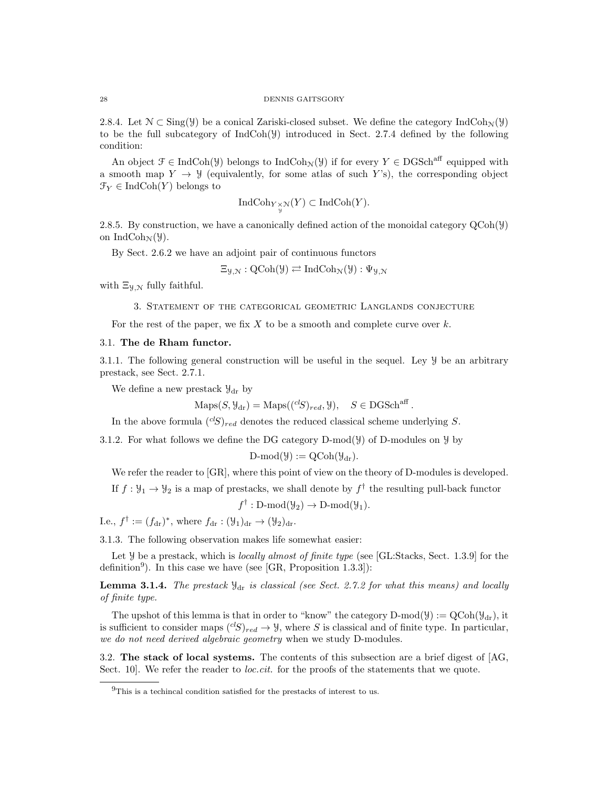2.8.4. Let  $\mathcal{N} \subset \text{Sing}(\mathcal{Y})$  be a conical Zariski-closed subset. We define the category IndCoh<sub>N</sub>(Y) to be the full subcategory of IndCoh(Y) introduced in Sect. 2.7.4 defined by the following condition:

An object  $\mathcal{F} \in \text{IndCoh}(\mathcal{Y})$  belongs to  $\text{IndCoh}_{\mathcal{N}}(\mathcal{Y})$  if for every  $Y \in \text{DGSch}^{\text{aff}}$  equipped with a smooth map  $Y \to Y$  (equivalently, for some atlas of such Y's), the corresponding object  $\mathfrak{F}_Y \in \text{IndCoh}(Y)$  belongs to

$$
\mathrm{IndCoh}_{Y \underset{y}{\times} \mathcal{N}}(Y) \subset \mathrm{IndCoh}(Y).
$$

2.8.5. By construction, we have a canonically defined action of the monoidal category QCoh(Y) on IndCoh $_N(\mathcal{Y})$ .

By Sect. 2.6.2 we have an adjoint pair of continuous functors

$$
\Xi_{\mathcal{Y},\mathcal{N}} : \mathrm{QCoh}(\mathcal{Y}) \rightleftarrows \mathrm{IndCoh}_{\mathcal{N}}(\mathcal{Y}) : \Psi_{\mathcal{Y},\mathcal{N}}
$$

with  $\Xi_{\mathcal{Y},\mathcal{N}}$  fully faithful.

3. Statement of the categorical geometric Langlands conjecture

For the rest of the paper, we fix  $X$  to be a smooth and complete curve over  $k$ .

## 3.1. The de Rham functor.

3.1.1. The following general construction will be useful in the sequel. Ley Y be an arbitrary prestack, see Sect. 2.7.1.

We define a new prestack  $\mathcal{Y}_{dr}$  by

 $\text{Maps}(S, \mathcal{Y}_{dr}) = \text{Maps}(({}^{cl}S)_{red}, \mathcal{Y}), \quad S \in \text{DGSch}^{\text{aff}}.$ 

In the above formula  $(^{cl}S)_{red}$  denotes the reduced classical scheme underlying S.

3.1.2. For what follows we define the DG category  $D\text{-mod}(y)$  of D-modules on  $y$  by

$$
\text{D-mod}(\mathcal{Y}):=\text{QCoh}(\mathcal{Y}_{\text{dr}}).
$$

We refer the reader to [GR], where this point of view on the theory of D-modules is developed.

If  $f: \mathcal{Y}_1 \to \mathcal{Y}_2$  is a map of prestacks, we shall denote by  $f^{\dagger}$  the resulting pull-back functor

$$
f^{\dagger} : D\text{-mod}(\mathcal{Y}_2) \to D\text{-mod}(\mathcal{Y}_1).
$$

I.e.,  $f^{\dagger} := (f_{\text{dr}})^*$ , where  $f_{\text{dr}} : (\mathcal{Y}_1)_{\text{dr}} \to (\mathcal{Y}_2)_{\text{dr}}$ .

3.1.3. The following observation makes life somewhat easier:

Let  $\mathcal Y$  be a prestack, which is *locally almost of finite type* (see [GL:Stacks, Sect. 1.3.9] for the definition<sup>9</sup>). In this case we have (see [GR, Proposition 1.3.3]):

**Lemma 3.1.4.** The prestack  $\mathcal{Y}_{dr}$  is classical (see Sect. 2.7.2 for what this means) and locally of finite type.

The upshot of this lemma is that in order to "know" the category  $D\text{-mod}(\mathcal{Y}) := Q\text{Coh}(\mathcal{Y}_{dr})$ , it is sufficient to consider maps  $({}^{cl}S)_{red} \rightarrow \mathcal{Y}$ , where S is classical and of finite type. In particular, we do not need derived algebraic geometry when we study D-modules.

3.2. The stack of local systems. The contents of this subsection are a brief digest of [AG, Sect. 10. We refer the reader to *loc.cit*. for the proofs of the statements that we quote.

 $9$ This is a techincal condition satisfied for the prestacks of interest to us.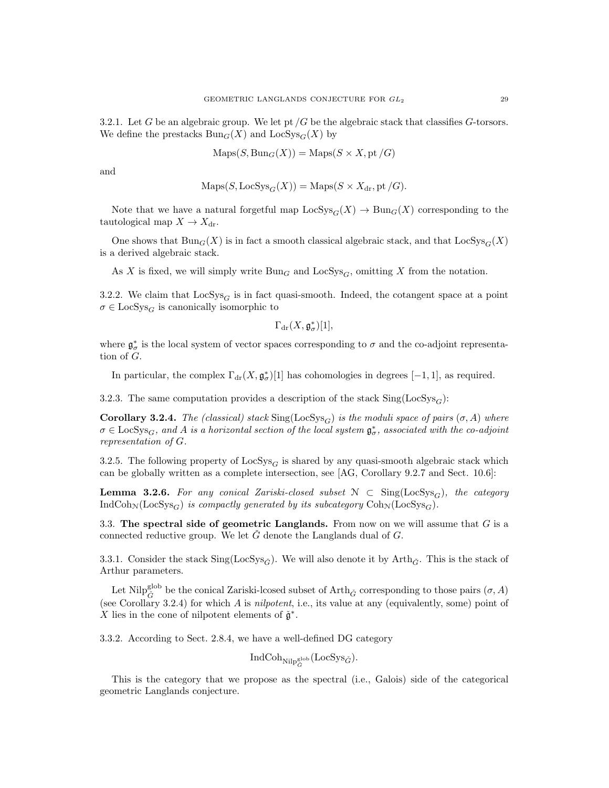3.2.1. Let G be an algebraic group. We let pt  $/G$  be the algebraic stack that classifies G-torsors. We define the prestacks  $Bun_G(X)$  and  $LocSys_G(X)$  by

$$
Maps(S, Bun_G(X)) = Maps(S \times X, pt/G)
$$

and

$$
Maps(S, LocSysG(X)) = Maps(S \times Xdr, pt/G).
$$

Note that we have a natural forgetful map  $\text{LocSys}_G(X) \to \text{Bun}_G(X)$  corresponding to the tautological map  $X \to X_{\text{dr}}$ .

One shows that  $Bun_G(X)$  is in fact a smooth classical algebraic stack, and that  $LocSys_G(X)$ is a derived algebraic stack.

As X is fixed, we will simply write  $Bun_G$  and  $LocSys_G$ , omitting X from the notation.

3.2.2. We claim that  $\text{LocSys}_G$  is in fact quasi-smooth. Indeed, the cotangent space at a point  $\sigma \in \text{LocSys}_{G}$  is canonically isomorphic to

$$
\Gamma_{\mathrm{dr}}(X,\mathfrak{g}^*_{\sigma})[1],
$$

where  $\mathfrak{g}^*_{\sigma}$  is the local system of vector spaces corresponding to  $\sigma$  and the co-adjoint representation of G.

In particular, the complex  $\Gamma_{dr}(X, \mathfrak{g}_{\sigma}^*)[1]$  has cohomologies in degrees  $[-1, 1]$ , as required.

3.2.3. The same computation provides a description of the stack  $\text{Sing}(\text{LocSys}_G)$ :

Corollary 3.2.4. The (classical) stack  $\text{Sing}(\text{LocSys}_G)$  is the moduli space of pairs  $(\sigma, A)$  where  $\sigma \in \text{LocSys}_G$ , and A is a horizontal section of the local system  $\mathfrak{g}^*_\sigma$ , associated with the co-adjoint representation of G.

3.2.5. The following property of  $LocSys_G$  is shared by any quasi-smooth algebraic stack which can be globally written as a complete intersection, see [AG, Corollary 9.2.7 and Sect. 10.6]:

**Lemma 3.2.6.** For any conical Zariski-closed subset  $N \subset$  Sing(LocSys<sub>G</sub>), the category  $IndCoh_{\mathcal{N}}(LocSys_{G})$  is compactly generated by its subcategory  $Coh_{\mathcal{N}}(LocSys_{G})$ .

3.3. The spectral side of geometric Langlands. From now on we will assume that  $G$  is a connected reductive group. We let  $\check{G}$  denote the Langlands dual of  $G$ .

3.3.1. Consider the stack  $\text{Sing}(\text{LocSys}_{\tilde{G}})$ . We will also denote it by Arth $_{\tilde{G}}$ . This is the stack of Arthur parameters.

Let Nilp<sup>glob</sup> be the conical Zariski-lcosed subset of  $\mathrm{Arth}_{\check{G}}$  corresponding to those pairs  $(\sigma, A)$ (see Corollary 3.2.4) for which A is *nilpotent*, i.e., its value at any (equivalently, some) point of X lies in the cone of nilpotent elements of  $\check{\mathfrak{g}}^*$ .

3.3.2. According to Sect. 2.8.4, we have a well-defined DG category

$$
\operatorname{IndCoh}_{\operatorname{Nilp}^{\operatorname{glob}}_{\check{G}}}(\operatorname{LocSys}_{\check{G}}).
$$

This is the category that we propose as the spectral (i.e., Galois) side of the categorical geometric Langlands conjecture.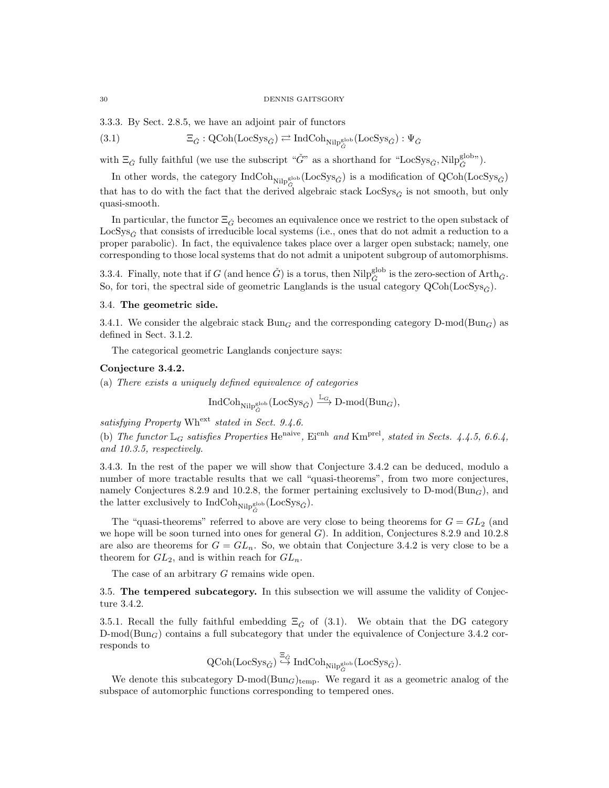3.3.3. By Sect. 2.8.5, we have an adjoint pair of functors

(3.1) 
$$
\Xi_{\check{G}} : \mathrm{QCoh}(\mathrm{LocSys}_{\check{G}}) \rightleftarrows \mathrm{IndCoh}_{\mathrm{Nilp}^{\mathrm{glob}}_{\check{G}}}(\mathrm{LocSys}_{\check{G}}) : \Psi_{\check{G}}
$$

with  $\Xi_{\check{G}}$  fully faithful (we use the subscript " $\check{G}$ " as a shorthand for "LocSys<sub> $\check{G}$ </sub>, Nil $p_{\check{G}}^{\text{glob},}$ ").

In other words, the category  $\text{IndCoh}_{\text{Nilp}^{\text{glob}}_{\tilde{G}}}(\text{LocSys}_{\check{G}})$  is a modification of  $\text{QCoh}(\text{LocSys}_{\check{G}})$ that has to do with the fact that the derived algebraic stack  $LocSys_{\tilde{G}}$  is not smooth, but only quasi-smooth.

In particular, the functor  $\Xi_{\tilde{G}}$  becomes an equivalence once we restrict to the open substack of LocSys<sub> $\tilde{G}$ </sub> that consists of irreducible local systems (i.e., ones that do not admit a reduction to a proper parabolic). In fact, the equivalence takes place over a larger open substack; namely, one corresponding to those local systems that do not admit a unipotent subgroup of automorphisms.

3.3.4. Finally, note that if G (and hence  $\check{G}$ ) is a torus, then  $Nilp_{\check{G}}^{glob}$  is the zero-section of  $Arth_{\check{G}}$ . So, for tori, the spectral side of geometric Langlands is the usual category  $QCoh(LocSys_{\tilde{C}})$ .

## 3.4. The geometric side.

3.4.1. We consider the algebraic stack  $Bun<sub>G</sub>$  and the corresponding category D-mod( $Bun<sub>G</sub>$ ) as defined in Sect. 3.1.2.

The categorical geometric Langlands conjecture says:

## Conjecture 3.4.2.

(a) There exists a uniquely defined equivalence of categories

 $\text{IndCoh}_{\text{Nilp}_G^{\text{glob}}}(\text{LocSys}_{\check{G}}) \xrightarrow{\mathbb{L}_G} \text{D-mod}(\text{Bun}_G),$ 

satisfying Property Wh<sup>ext</sup> stated in Sect. 9.4.6.

(b) The functor  $\mathbb{L}_G$  satisfies Properties He<sup>naive</sup>, Ei<sup>enh</sup> and Km<sup>prel</sup>, stated in Sects. 4.4.5, 6.6.4, and 10.3.5, respectively.

3.4.3. In the rest of the paper we will show that Conjecture 3.4.2 can be deduced, modulo a number of more tractable results that we call "quasi-theorems", from two more conjectures, namely Conjectures 8.2.9 and 10.2.8, the former pertaining exclusively to  $D\text{-mod}(Bun_G)$ , and the latter exclusively to  $\text{IndCoh}_{\text{Nilp}^{\text{glob}}_{G}}(\text{LocSys}_{\check{G}}).$ 

The "quasi-theorems" referred to above are very close to being theorems for  $G = GL<sub>2</sub>$  (and we hope will be soon turned into ones for general  $G$ ). In addition, Conjectures 8.2.9 and 10.2.8 are also are theorems for  $G = GL_n$ . So, we obtain that Conjecture 3.4.2 is very close to be a theorem for  $GL_2$ , and is within reach for  $GL_n$ .

The case of an arbitrary G remains wide open.

3.5. The tempered subcategory. In this subsection we will assume the validity of Conjecture 3.4.2.

3.5.1. Recall the fully faithful embedding  $\Xi_{\check{G}}$  of (3.1). We obtain that the DG category  $D\text{-mod}(Bun_G)$  contains a full subcategory that under the equivalence of Conjecture 3.4.2 corresponds to

$$
\operatorname{QCoh}(\operatorname{LocSys}_{\check G}) \stackrel{\Xi_{\check G}}{\hookrightarrow} \operatorname{IndCoh}_{\operatorname{Nilp}^{\operatorname{glob}}_{\check G}}(\operatorname{LocSys}_{\check G}).
$$

We denote this subcategory  $D\text{-mod}(Bun_G)_{temp}$ . We regard it as a geometric analog of the subspace of automorphic functions corresponding to tempered ones.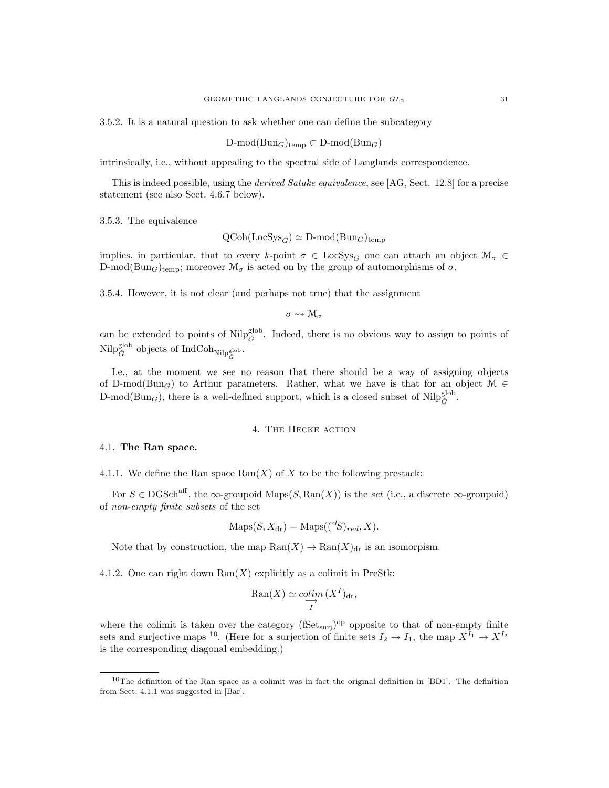3.5.2. It is a natural question to ask whether one can define the subcategory

$$
\mathrm{D\text{-}mod}(\mathrm{Bun}_G)_{\mathrm{temp}} \subset \mathrm{D\text{-}mod}(\mathrm{Bun}_G)
$$

intrinsically, i.e., without appealing to the spectral side of Langlands correspondence.

This is indeed possible, using the derived Satake equivalence, see [AG, Sect. 12.8] for a precise statement (see also Sect. 4.6.7 below).

3.5.3. The equivalence

 $QCoh(LocSys_{\check{C}}) \simeq D-mod(Bun_G)_{temp}$ 

implies, in particular, that to every k-point  $\sigma \in \text{LocSys}_G$  one can attach an object  $\mathcal{M}_{\sigma} \in$ D-mod( $\text{Bun}_G$ )<sub>temp</sub>; moreover  $\mathcal{M}_{\sigma}$  is acted on by the group of automorphisms of  $\sigma$ .

3.5.4. However, it is not clear (and perhaps not true) that the assignment

 $\sigma \rightsquigarrow \mathcal{M}_{\sigma}$ 

can be extended to points of Nilp<sup>glob</sup>. Indeed, there is no obvious way to assign to points of  $\text{Nilp}^{\text{glob}}_{\check{G}}$  objects of  $\text{IndCoh}_{\text{Nilp}^{\text{glob}}_{\check{G}}}$ .

I.e., at the moment we see no reason that there should be a way of assigning objects of D-mod( $Bun_G$ ) to Arthur parameters. Rather, what we have is that for an object  $\mathcal{M} \in$ D-mod( $\text{Bun}_G$ ), there is a well-defined support, which is a closed subset of  $\text{Nilp}_{\check{G}}^{\text{glob}}$ .

## 4. The Hecke action

## 4.1. The Ran space.

4.1.1. We define the Ran space  $\text{Ran}(X)$  of X to be the following prestack:

For  $S \in DGSch<sup>aff</sup>$ , the  $\infty$ -groupoid Maps $(S, Ran(X))$  is the set (i.e., a discrete  $\infty$ -groupoid) of non-empty finite subsets of the set

$$
Maps(S, Xdr) = Maps((clS)red, X).
$$

Note that by construction, the map  $\text{Ran}(X) \to \text{Ran}(X)_{\text{dr}}$  is an isomorpism.

4.1.2. One can right down  $\text{Ran}(X)$  explicitly as a colimit in PreStk:

$$
Ran(X) \simeq \underset{I}{\text{colim}} (X^I)_{\text{dr}},
$$

where the colimit is taken over the category  $(Set_{surj})^{\text{op}}$  opposite to that of non-empty finite sets and surjective maps <sup>10</sup>. (Here for a surjection of finite sets  $I_2 \to I_1$ , the map  $X^{I_1} \to X^{I_2}$ is the corresponding diagonal embedding.)

<sup>&</sup>lt;sup>10</sup>The definition of the Ran space as a colimit was in fact the original definition in [BD1]. The definition from Sect. 4.1.1 was suggested in [Bar].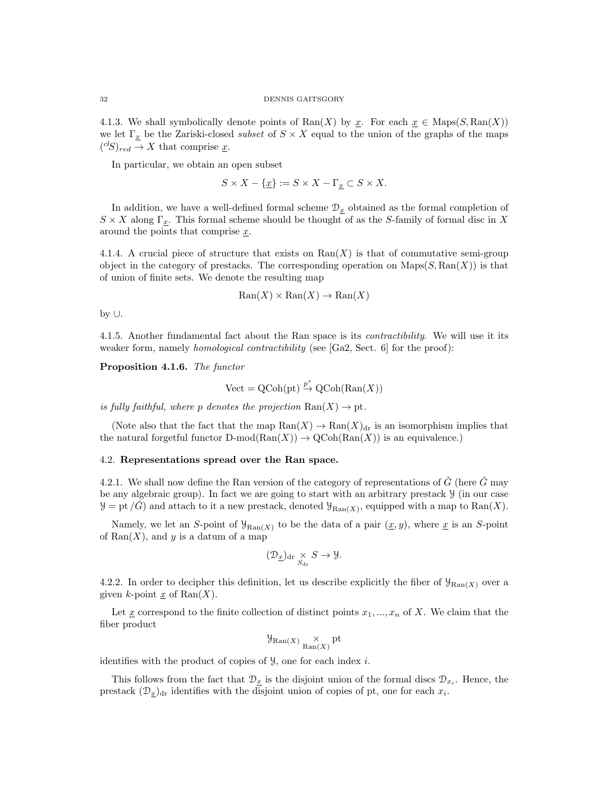4.1.3. We shall symbolically denote points of Ran(X) by x. For each  $x \in \text{Maps}(S, \text{Ran}(X))$ we let  $\Gamma_x$  be the Zariski-closed *subset* of  $S \times X$  equal to the union of the graphs of the maps  $(^{cl}S)_{red} \rightarrow X$  that comprise  $\underline{x}$ .

In particular, we obtain an open subset

$$
S \times X - \{ \underline{x} \} := S \times X - \Gamma_{\underline{x}} \subset S \times X.
$$

In addition, we have a well-defined formal scheme  $\mathcal{D}_x$  obtained as the formal completion of  $S \times X$  along  $\Gamma_x$ . This formal scheme should be thought of as the S-family of formal disc in X around the points that comprise x.

4.1.4. A crucial piece of structure that exists on  $\text{Ran}(X)$  is that of commutative semi-group object in the category of prestacks. The corresponding operation on  $\text{Maps}(S, \text{Ran}(X))$  is that of union of finite sets. We denote the resulting map

$$
\text{Ran}(X) \times \text{Ran}(X) \to \text{Ran}(X)
$$

by ∪.

4.1.5. Another fundamental fact about the Ran space is its contractibility. We will use it its weaker form, namely *homological contractibility* (see  $|Ga2, Sect. 6|$  for the proof):

Proposition 4.1.6. The functor

$$
\text{Vect} = \text{QCoh}(\text{pt}) \stackrel{p^*}{\to} \text{QCoh}(\text{Ran}(X))
$$

is fully faithful, where p denotes the projection  $\text{Ran}(X) \to \text{pt}$ .

(Note also that the fact that the map  $\text{Ran}(X) \to \text{Ran}(X)_{\text{dr}}$  is an isomorphism implies that the natural forgetful functor  $D\text{-mod}(Ran(X)) \to QCoh(Ran(X))$  is an equivalence.)

## 4.2. Representations spread over the Ran space.

4.2.1. We shall now define the Ran version of the category of representations of  $G^{\dagger}$  (here  $G^{\dagger}$  may be any algebraic group). In fact we are going to start with an arbitrary prestack Y (in our case  $\mathcal{Y} =$  pt  $\check{G}$  and attach to it a new prestack, denoted  $\mathcal{Y}_{\text{Ran}(X)}$ , equipped with a map to  $\text{Ran}(X)$ .

Namely, we let an S-point of  $\mathcal{Y}_{\text{Ran}(X)}$  to be the data of a pair  $(\underline{x}, y)$ , where  $\underline{x}$  is an S-point of  $\text{Ran}(X)$ , and y is a datum of a map

$$
(\mathcal{D}_{\underline{x}})_{\text{dr}} \underset{S_{\text{dr}}}{\times} S \to \mathcal{Y}.
$$

4.2.2. In order to decipher this definition, let us describe explicitly the fiber of  $\mathcal{Y}_{\text{Ran}(X)}$  over a given k-point  $\underline{x}$  of Ran $(X)$ .

Let  $\underline{x}$  correspond to the finite collection of distinct points  $x_1, ..., x_n$  of X. We claim that the fiber product

$$
\mathcal{Y}_{\text{Ran}(X)} \underset{\text{Ran}(X)}{\times} \text{pt}
$$

identifies with the product of copies of  $\mathcal{Y}$ , one for each index *i*.

This follows from the fact that  $\mathcal{D}_{\underline{x}}$  is the disjoint union of the formal discs  $\mathcal{D}_{x_i}$ . Hence, the prestack  $(\mathcal{D}_{\underline{x}})_{\text{dr}}$  identifies with the disjoint union of copies of pt, one for each  $x_i$ .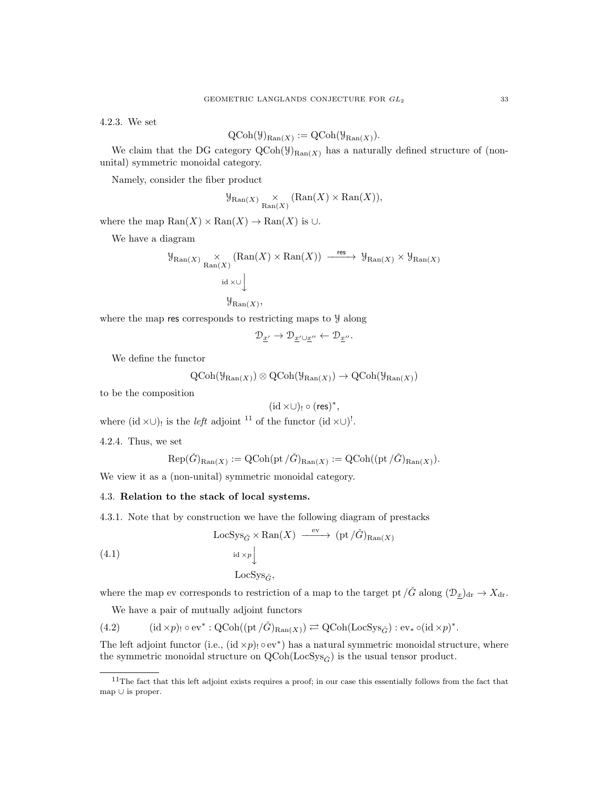4.2.3. We set

$$
\mathrm{QCoh}(\mathcal{Y})_{\mathrm{Ran}(X)} := \mathrm{QCoh}(\mathcal{Y}_{\mathrm{Ran}(X)}).
$$

We claim that the DG category  $QCoh(\mathcal{Y})_{\text{Ran}(X)}$  has a naturally defined structure of (nonunital) symmetric monoidal category.

Namely, consider the fiber product

$$
\mathcal{Y}_{\text{Ran}(X)} \underset{\text{Ran}(X)}{\times} (\text{Ran}(X) \times \text{Ran}(X)),
$$

where the map  $\text{Ran}(X) \times \text{Ran}(X) \to \text{Ran}(X)$  is ∪.

We have a diagram

$$
\mathcal{Y}_{\mathrm{Ran}(X)} \underset{\mathrm{Ran}(X)}{\times} (\mathrm{Ran}(X) \times \mathrm{Ran}(X)) \xrightarrow{\mathrm{res}} \mathcal{Y}_{\mathrm{Ran}(X)} \times \mathcal{Y}_{\mathrm{Ran}(X)}
$$
  
id  $\times \cup \downarrow$   

$$
\mathcal{Y}_{\mathrm{Ran}(X)},
$$

where the map res corresponds to restricting maps to  $\mathcal Y$  along

$$
\mathcal{D}_{\underline{x}'} \to \mathcal{D}_{\underline{x}' \cup \underline{x}''} \leftarrow \mathcal{D}_{\underline{x}''}.
$$

We define the functor

$$
\text{QCoh}(\mathcal{Y}_{\text{Ran}(X)}) \otimes \text{QCoh}(\mathcal{Y}_{\text{Ran}(X)}) \to \text{QCoh}(\mathcal{Y}_{\text{Ran}(X)})
$$

to be the composition

$$
(\mathrm{id} \times \cup)_! \circ (\mathsf{res})^*,
$$

where  $(id \times \cup)$  is the *left* adjoint <sup>11</sup> of the functor  $(id \times \cup)^!$ .

4.2.4. Thus, we set

$$
Rep(\check{G})_{\text{Ran}(X)} := Q\text{Coh}(\text{pt}/\check{G})_{\text{Ran}(X)} := Q\text{Coh}((\text{pt}/\check{G})_{\text{Ran}(X)}).
$$

We view it as a (non-unital) symmetric monoidal category.

## 4.3. Relation to the stack of local systems.

4.3.1. Note that by construction we have the following diagram of prestacks

(4.1) 
$$
\begin{array}{c}\text{LocSys}_{\check{G}} \times \text{Ran}(X) \xrightarrow{\text{ev}} (\text{pt}/\check{G})_{\text{Ran}(X)}\\ \text{id} \times p \downarrow \text{LocSys}_{\check{G}}, \end{array}
$$

where the map ev corresponds to restriction of a map to the target pt  $\overline{\overline{G}}$  along  $(\mathcal{D}_x)_{dr} \to X_{dr}$ .

We have a pair of mutually adjoint functors

$$
(4.2) \qquad (\mathrm{id} \times p)_{!} \circ \mathrm{ev}^* : \mathrm{QCoh}((\mathrm{pt}/\check{G})_{\mathrm{Ran}(X)}) \rightleftarrows \mathrm{QCoh}(\mathrm{Loc} \mathrm{Sys}_{\check{G}}) : \mathrm{ev}_* \circ (\mathrm{id} \times p)^*.
$$

The left adjoint functor (i.e.,  $(id \times p)$   $\circ$  ev<sup>\*</sup>) has a natural symmetric monoidal structure, where the symmetric monoidal structure on  $Q\text{Coh}(\text{LocSys}_{\check{G}})$  is the usual tensor product.

 $11$ The fact that this left adjoint exists requires a proof; in our case this essentially follows from the fact that map ∪ is proper.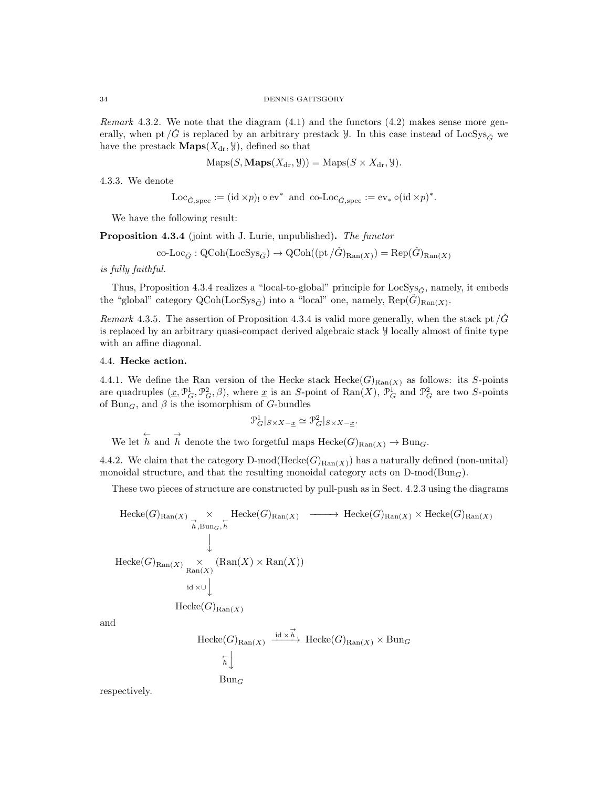Remark 4.3.2. We note that the diagram  $(4.1)$  and the functors  $(4.2)$  makes sense more generally, when pt  $\overrightarrow{G}$  is replaced by an arbitrary prestack Y. In this case instead of LocSys<sub> $\overrightarrow{G}$ </sub> we have the prestack  $\mathbf{Maps}(X_{\text{dr}}, \mathcal{Y})$ , defined so that

$$
Maps(S, \mathbf{Maps}(X_{\mathrm{dr}}, \mathcal{Y})) = Maps(S \times X_{\mathrm{dr}}, \mathcal{Y}).
$$

4.3.3. We denote

$$
\mathrm{Loc}_{\check{G},\mathrm{spec}} := (\mathrm{id} \times p)_{!} \circ \mathrm{ev}^* \ \text{ and } \ \mathrm{co}\text{-}\mathrm{Loc}_{\check{G},\mathrm{spec}} := \mathrm{ev}_* \circ (\mathrm{id} \times p)^*.
$$

We have the following result:

Proposition 4.3.4 (joint with J. Lurie, unpublished). The functor

co-Loc<sub>$$
\check{G}
$$</sub>:  $QCoh(LocSys_{\check{G}}) \rightarrow QCoh((pt/ $\check{G}$ )<sub>Ran(X)</sub>) = Rep( $\check{G}$ )<sub>Ran(X)</sub>$ 

is fully faithful.

Thus, Proposition 4.3.4 realizes a "local-to-global" principle for  $LocSys_{\tilde{G}}$ , namely, it embeds the "global" category  $Q\text{Coh}(\text{LocSys}_{\check{G}})$  into a "local" one, namely,  $\text{Rep}(\check{G})_{\text{Ran}(X)}$ .

Remark 4.3.5. The assertion of Proposition 4.3.4 is valid more generally, when the stack pt  $\overrightarrow{G}$ is replaced by an arbitrary quasi-compact derived algebraic stack Y locally almost of finite type with an affine diagonal.

## 4.4. Hecke action.

4.4.1. We define the Ran version of the Hecke stack  $Hecke(G)_{\text{Ran}(X)}$  as follows: its S-points are quadruples  $(\underline{x}, \mathcal{P}_G^1, \mathcal{P}_G^2, \beta)$ , where  $\underline{x}$  is an S-point of Ran $(X)$ ,  $\mathcal{P}_G^1$  and  $\mathcal{P}_G^2$  are two S-points of Bun<sub>G</sub>, and  $\beta$  is the isomorphism of G-bundles

$$
\mathcal{P}_G^1|_{S \times X - \underline{x}} \simeq \mathcal{P}_G^2|_{S \times X - \underline{x}}.
$$

We let  $\overleftrightarrow{h}$  and  $\overrightarrow{h}$  denote the two forgetful maps  $\text{Hecke}(G)_{\text{Ran}(X)} \to \text{Bun}_G$ .

4.4.2. We claim that the category D-mod( $\text{Hecke}(G)_{\text{Ran}(X)}$ ) has a naturally defined (non-unital) monoidal structure, and that the resulting monoidal category acts on  $D\text{-mod}(Bun_G)$ .

These two pieces of structure are constructed by pull-push as in Sect. 4.2.3 using the diagrams

$$
\begin{array}{ccc}\n\text{Hecke}(G)_{\text{Ran}(X)} & \times \\
\downarrow & \downarrow & \text{Hecke}(G)_{\text{Ran}(X)} \\
\downarrow & & \downarrow \\
\text{Hecke}(G)_{\text{Ran}(X)} & \times & \text{Ran}(X) \\
\downarrow & & \downarrow \\
\text{Hecke}(G)_{\text{Ran}(X)} & \times & \text{Ran}(X) \\
\downarrow & & \downarrow \\
\downarrow & & \downarrow \\
\text{Hecke}(G)_{\text{Ran}(X)} & & \downarrow \\
\downarrow & & \downarrow \\
\text{Hecke}(G)_{\text{Ran}(X)} & & \downarrow\n\end{array}
$$

and

 $\text{Hecke}(G)_{\text{Ran}(X)} \xrightarrow{\text{id} \times \overrightarrow{h}} \text{Hecke}(G)_{\text{Ran}(X)} \times \text{Bun}_G$  $\overleftarrow{h}$  $Bun_G$ 

respectively.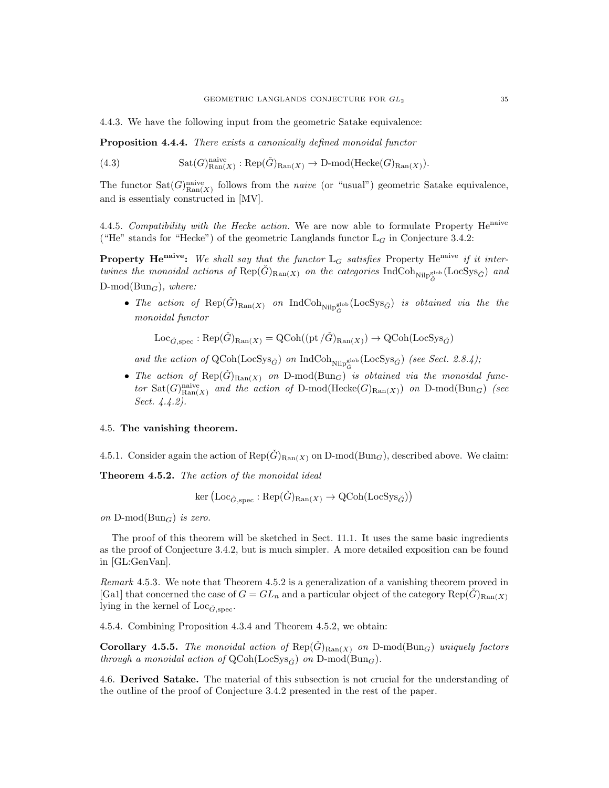4.4.3. We have the following input from the geometric Satake equivalence:

Proposition 4.4.4. There exists a canonically defined monoidal functor

(4.3)  $\text{Sat}(G)_{\text{Ran}(X)}^{\text{naive}} : \text{Rep}(\check{G})_{\text{Ran}(X)} \to \text{D-mod}(\text{Hecke}(G)_{\text{Ran}(X)}).$ 

The functor  $\text{Sat}(G)_{\text{Ran}(X)}^{\text{naive}}$  follows from the *naive* (or "usual") geometric Satake equivalence, and is essentialy constructed in [MV].

4.4.5. Compatibility with the Hecke action. We are now able to formulate Property He<sup>naive</sup> ("He" stands for "Hecke") of the geometric Langlands functor  $\mathbb{L}_G$  in Conjecture 3.4.2:

**Property He<sup>naive</sup>:** We shall say that the functor  $\mathbb{L}_G$  satisfies Property He<sup>naive</sup> if it intertwines the monoidal actions of  $\text{Rep}(\check{G})_{\text{Ran}(X)}$  on the categories  $\text{Ind}\text{Coh}_{\text{Nilp}^{\text{glob}}_{\check{G}}}(\text{Loc} \text{Sys}_{\check{G}})$  and  $D\text{-mod}(Bun_G)$ , where:

• The action of  $\text{Rep}(\check{G})_{\text{Ran}(X)}$  on  $\text{IndCoh}_{\text{Nilp}_G^{\text{glob}}}(\text{LocSys}_{\check{G}})$  is obtained via the the monoidal functor

 $Loc_{\check{G}, \text{spec}} : \text{Rep}(\check{G})_{\text{Ran}(X)} = \text{QCoh}((\text{pt}/\check{G})_{\text{Ran}(X)}) \to \text{QCoh}(\text{LocSys}_{\check{G}})$ 

and the action of  $QCoh(LocSys_{\check{G}})$  on IndCoh<sub>Nilpglob</sub>(LocSys<sub> $\check{G}$ </sub>) (see Sect. 2.8.4);

• The action of  $\text{Rep}(G)_{\text{Ran}(X)}$  on D-mod( $\text{Bun}_G$ ) is obtained via the monoidal functor  $Sat(G)_{\text{Ran}(X)}^{\text{naive}}$  and the action of D-mod(Hecke $(G)_{\text{Ran}(X)}$ ) on D-mod(Bun<sub>G</sub>) (see Sect. 4.4.2).

## 4.5. The vanishing theorem.

4.5.1. Consider again the action of  $\text{Rep}(\check{G})_{\text{Ran}(X)}$  on D-mod( $\text{Bun}_G$ ), described above. We claim:

Theorem 4.5.2. The action of the monoidal ideal

$$
\ker \left( \mathrm{Loc}_{\check{G}, \mathrm{spec}} : \mathrm{Rep}(\check{G})_{\mathrm{Ran}(X)} \to \mathrm{QCoh}(\mathrm{LocSys}_{\check{G}}) \right)
$$

on  $D\text{-mod}(Bun_G)$  is zero.

The proof of this theorem will be sketched in Sect. 11.1. It uses the same basic ingredients as the proof of Conjecture 3.4.2, but is much simpler. A more detailed exposition can be found in [GL:GenVan].

Remark 4.5.3. We note that Theorem 4.5.2 is a generalization of a vanishing theorem proved in [Ga1] that concerned the case of  $G = GL_n$  and a particular object of the category  $Rep(\check{G})_{\text{Ran}(X)}$ lying in the kernel of  $Loc_{\check{G}, \text{spec}}$ .

4.5.4. Combining Proposition 4.3.4 and Theorem 4.5.2, we obtain:

**Corollary 4.5.5.** The monoidal action of  $\text{Rep}(\check{G})_{\text{Ran}(X)}$  on  $D\text{-mod}(\text{Bun}_G)$  uniquely factors through a monoidal action of  $QCoh(LocSys_{\tilde{G}})$  on  $D-mod(Bun_G)$ .

4.6. Derived Satake. The material of this subsection is not crucial for the understanding of the outline of the proof of Conjecture 3.4.2 presented in the rest of the paper.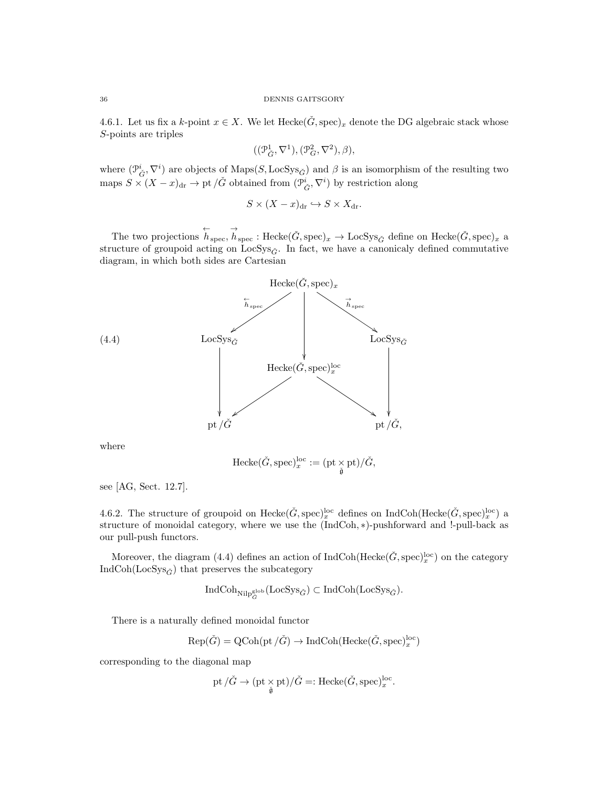4.6.1. Let us fix a k-point  $x \in X$ . We let Hecke $(\check{G}, \text{spec})_x$  denote the DG algebraic stack whose S-points are triples

$$
((\mathcal{P}_{\check{G}}^1, \nabla^1), (\mathcal{P}_G^2, \nabla^2), \beta),
$$

where  $(\mathcal{P}_{\check{G}}^i, \nabla^i)$  are objects of Maps(S, LocSys<sub> $\check{G}$ </sub>) and  $\beta$  is an isomorphism of the resulting two maps  $S \times (X - x)_{dr} \to pt / \tilde{G}$  obtained from  $(\mathcal{P}_{\tilde{G}}^i, \nabla^i)$  by restriction along

$$
S \times (X - x)_{\text{dr}} \hookrightarrow S \times X_{\text{dr}}.
$$

The two projections  $\overleftrightarrow{h}_{\text{spec}}$ ,  $\overrightarrow{h}_{\text{spec}}$ : Hecke $(\check{G}, \text{spec})_x \to \text{LocSys}_{\check{G}}$  define on Hecke $(\check{G}, \text{spec})_x$  a structure of groupoid acting on  $LocSys_{\check{G}}$ . In fact, we have a canonicaly defined commutative diagram, in which both sides are Cartesian



where

$$
\text{Hecke}(\check{G}, \text{spec})_x^{\text{loc}} := (\text{pt} \times \text{pt})/\check{G},
$$

see [AG, Sect. 12.7].

4.6.2. The structure of groupoid on Hecke $(\check{G}, \text{spec})_{x}^{\text{loc}}$  defines on IndCoh(Hecke $(\check{G}, \text{spec})_{x}^{\text{loc}}$ ) a structure of monoidal category, where we use the (IndCoh, ∗)-pushforward and !-pull-back as our pull-push functors.

Moreover, the diagram (4.4) defines an action of  $\text{IndCoh}(\text{Hecke}(\check{G}, \text{spec})_{x}^{\text{loc}})$  on the category IndCoh(LocSys<sub> $\check{G}$ </sub>) that preserves the subcategory

$$
\operatorname{IndCoh}_{\operatorname{NilP}^{\operatorname{glob}}_G}(\operatorname{LocSys}_{\check G}) \subset \operatorname{IndCoh}(\operatorname{LocSys}_{\check G}).
$$

There is a naturally defined monoidal functor

$$
\text{Rep}(\check{G}) = \text{QCoh}(\text{pt}/\check{G}) \to \text{IndCoh}(\text{Hecke}(\check{G}, \text{spec})_x^{\text{loc}})
$$

corresponding to the diagonal map

$$
\mathrm{pt}\,/\check{G}\to (\mathrm{pt}\times_{\check{\mathfrak g}}\mathrm{pt})/\check{G}=:\mathrm{Hecke}(\check{G},\mathrm{spec})_x^{\mathrm{loc}}.
$$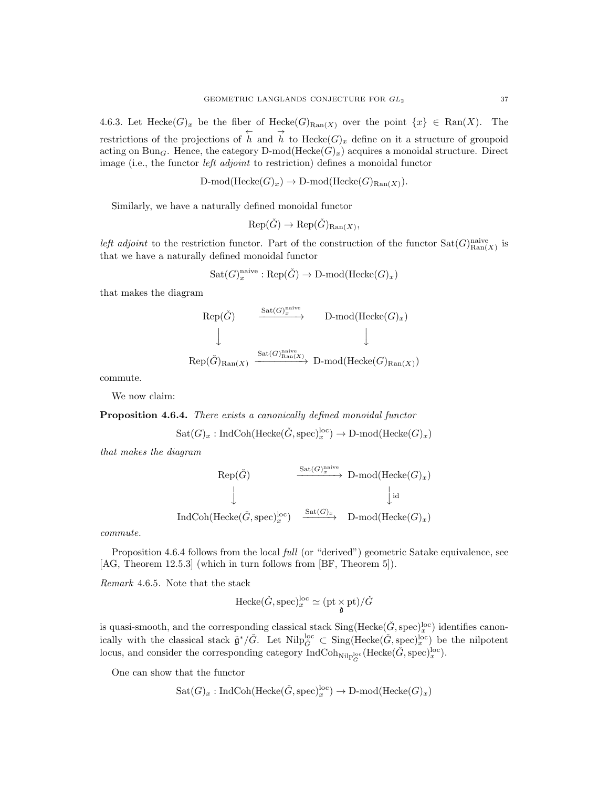4.6.3. Let Hecke $(G)_x$  be the fiber of Hecke $(G)_{\text{Ran}(X)}$  over the point  $\{x\} \in \text{Ran}(X)$ . The restrictions of the projections of  $\overleftrightarrow{h}$  and  $\overrightarrow{h}$  to Hecke $(G)_x$  define on it a structure of groupoid acting on Bun<sub>G</sub>. Hence, the category D-mod(Hecke $(G)_x$ ) acquires a monoidal structure. Direct image (i.e., the functor left adjoint to restriction) defines a monoidal functor

$$
\text{D-mod}(\text{Hecke}(G)_x) \to \text{D-mod}(\text{Hecke}(G)_{\text{Ran}(X)}).
$$

Similarly, we have a naturally defined monoidal functor

$$
Rep(\check{G}) \to Rep(\check{G})_{\text{Ran}(X)},
$$

left adjoint to the restriction functor. Part of the construction of the functor  $Sat(G)_{\text{Ran}(X)}^{\text{naive}}$  is that we have a naturally defined monoidal functor

$$
\mathrm{Sat}(G)_x^\text{naive}:\mathrm{Rep}(\check{G})\to\mathbf{D}\text{-}\mathrm{mod}(\mathrm{Hecke}(G)_x)
$$

that makes the diagram

$$
\begin{array}{ccc}\n\text{Rep}(\check{G}) & \xrightarrow{\text{Sat}(G)^{\text{naive}}_{x}} & \text{D-mod}(\text{Hecke}(G)_x) \\
\downarrow & & \downarrow \\
\text{Rep}(\check{G})_{\text{Ran}(X)} & \xrightarrow{\text{Sat}(G)^{\text{naive}}_{\text{Ran}(X)}} & \text{D-mod}(\text{Hecke}(G)_{\text{Ran}(X)})\n\end{array}
$$

commute.

We now claim:

Proposition 4.6.4. There exists a canonically defined monoidal functor

$$
Sat(G)_x: \operatorname{IndCoh}(\operatorname{Hecke}(\check{G}, \operatorname{spec})_x^{\operatorname{loc}}) \to \operatorname{D-mod}(\operatorname{Hecke}(G)_x)
$$

that makes the diagram

Rep(
$$
\check{G}
$$
)   
\n
$$
\xrightarrow{\text{Sat}(G)_x^{\text{naive}}} D\text{-mod}(\text{Hecke}(G)_x)
$$
\n
$$
\downarrow \text{ind} \text{Coh}(\text{Hecke}(\check{G}, \text{spec})_x^{\text{loc}}) \xrightarrow{\text{Sat}(G)_x} D\text{-mod}(\text{Hecke}(G)_x)
$$

commute.

Proposition 4.6.4 follows from the local *full* (or "derived") geometric Satake equivalence, see [AG, Theorem 12.5.3] (which in turn follows from [BF, Theorem 5]).

Remark 4.6.5. Note that the stack

$$
\mathrm{Hecke}(\check{G},\mathrm{spec})_{x}^{\mathrm{loc}}\simeq (\mathrm{pt}\mathop{\times}\limits_{\check{\mathfrak{g}}}\mathrm{pt})/\check{G}
$$

is quasi-smooth, and the corresponding classical stack  $\text{Sing}(\text{Hecke}(\check{G}, \text{spec})_x^{\text{loc}})$  identifies canonically with the classical stack  $\check{\mathfrak{g}}^*/\check{G}$ . Let  $\text{Nilp}_G^{\text{loc}} \subset \text{Sing}(\text{Hecke}(\check{G}, \text{spec})_\mathfrak{X}^{\text{loc}})$  be the nilpotent locus, and consider the corresponding category  $\text{IndCoh}_{\text{Nilp}_G^{\text{loc}}}(\text{Hecke}(\check{G}, \text{spec})_x^{\text{loc}})$ .

One can show that the functor

$$
Sat(G)_x: \operatorname{IndCoh}(\operatorname{Hecke}(\check{G}, \operatorname{spec})_x^{\operatorname{loc}}) \to \operatorname{D-mod}(\operatorname{Hecke}(G)_x)
$$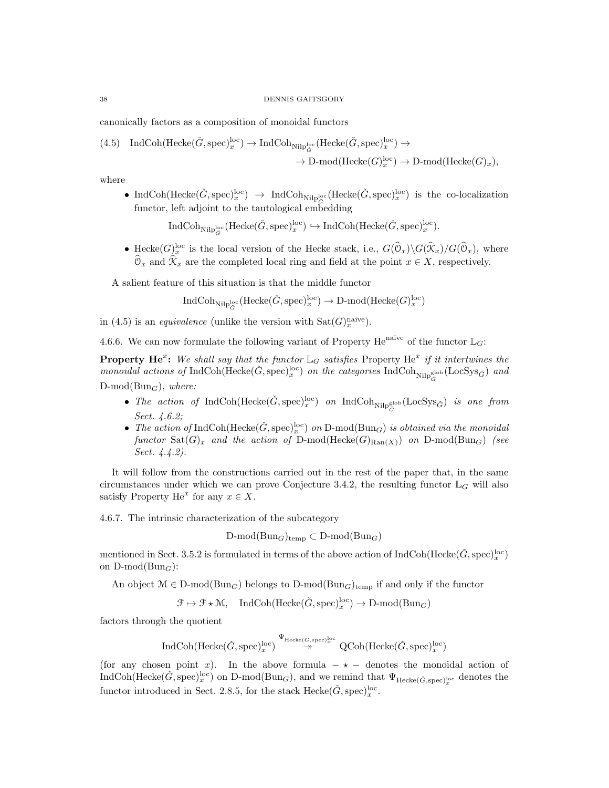canonically factors as a composition of monoidal functors

(4.5) IndCoh(Hecke(
$$
\check{G}
$$
, spec)<sup>loc</sup> <sub>$x$</sub> )  $\rightarrow$  IndCoh<sub>Nilp<sub>G</sub><sup>loc</sup></sub>(Hecke( $\check{G}$ , spec)<sup>loc</sup> <sub>$x$</sub> )  $\rightarrow$   
 $\rightarrow$  D-mod(Hecke( $G$ )<sup>loc</sup> <sub>$x$</sub> )  $\rightarrow$  D-mod(Hecke( $G$ ) <sub>$x$</sub> )

where

• IndCoh(Hecke $(\check{G}, \text{spec})_{x}^{\text{loc}} \to \text{IndCoh}_{\text{Nilp}_{\check{G}}^{\text{loc}}}(\text{Hecke}(\check{G}, \text{spec})_{x}^{\text{loc}})$  is the co-localization functor, left adjoint to the tautological embedding

$$
\operatorname{IndCoh}_{\operatorname{Nilp}^{\operatorname{loc}}_{\mathcal{G}}}(\operatorname{Hecke}(\check{G}, \operatorname{spec})_x^{\operatorname{loc}}) \hookrightarrow \operatorname{IndCoh}(\operatorname{Hecke}(\check{G}, \operatorname{spec})_x^{\operatorname{loc}}).
$$

• Hecke $(G)_{x}^{\text{loc}}$  is the local version of the Hecke stack, i.e.,  $G(\hat{O}_x)\backslash G(\hat{X}_x)/G(\hat{O}_x)$ , where  $\mathcal{O}_x$  and  $\mathcal{K}_x$  are the completed local ring and field at the point  $x \in X$ , respectively.

A salient feature of this situation is that the middle functor

 $\operatorname{IndCoh}_{\operatorname{Nilp}_G^{\operatorname{loc}}}(\operatorname{Hecke}(\check{G}, \operatorname{spec})_x^{\operatorname{loc}}) \to \operatorname{D-mod}(\operatorname{Hecke}(G)_x^{\operatorname{loc}})$ 

in (4.5) is an *equivalence* (unlike the version with  $Sat(G)_x^{\text{naive}}$ ).

4.6.6. We can now formulate the following variant of Property He<sup>naive</sup> of the functor  $\mathbb{L}_G$ :

**Property He<sup>x</sup>:** We shall say that the functor  $\mathbb{L}_G$  satisfies Property He<sup>x</sup> if it intertwines the monoidal actions of  $IndCoh(Hecke(\check{G}, spec)^{loc})$  on the categories  $IndCoh_{NilP_{\check{G}}^{\text{glob}}}(LocSys_{\check{G}})$  and  $D\text{-mod}(Bun_G)$ , where:

- The action of  $IndCoh(Hecke(\check{G}, spec)^{loc}_{x})$  on  $IndCoh_{Nilp^{\mathrm{glob}}_{\check{G}}}(LocSys_{\check{G}})$  is one from Sect. 4.6.2;
- The action of IndCoh(Hecke $(\check{G}, \text{spec})_x^{\text{loc}}$ ) on D-mod( $\text{Bun}_G$ ) is obtained via the monoidal functor  $Sat(G)_x$  and the action of D-mod(Hecke $(G)_{\text{Ran}(X)}$ ) on D-mod(Bun<sub>G</sub>) (see Sect. 4.4.2).

It will follow from the constructions carried out in the rest of the paper that, in the same circumstances under which we can prove Conjecture 3.4.2, the resulting functor  $\mathbb{L}_G$  will also satisfy Property He<sup>x</sup> for any  $x \in X$ .

4.6.7. The intrinsic characterization of the subcategory

$$
D\text{-mod}(Bun_G)_{temp} \subset D\text{-mod}(Bun_G)
$$

mentioned in Sect. 3.5.2 is formulated in terms of the above action of  $IndCoh(Hecke(\check{G}, spec)^{loc}_{x})$ on  $D\text{-mod}(Bun_G)$ :

An object  $M \in D\text{-mod}(Bun_G)$  belongs to  $D\text{-mod}(Bun_G)_{temp}$  if and only if the functor

 $\mathcal{F} \mapsto \mathcal{F} \star \mathcal{M}$ , IndCoh(Hecke $(\check{G}, \text{spec})_x^{\text{loc}} \to \text{D-mod}(\text{Bun}_G)$ 

factors through the quotient

$$
\operatorname{IndCoh}(\operatorname{Hecke}(\check{G}, \operatorname{spec})_{x}^{\operatorname{loc}}) \overset{\Psi_{\operatorname{Hecke}(\check{G}, \operatorname{spec})_{x}^{\operatorname{loc}}}}{\twoheadrightarrow} \operatorname{QCoh}(\operatorname{Hecke}(\check{G}, \operatorname{spec})_{x}^{\operatorname{loc}})
$$

(for any chosen point x). In the above formula  $-\star$  – denotes the monoidal action of  $\text{IndCoh}(\text{Hecke}(\check{G}, \text{spec})_x^{\text{loc}})$  on D-mod( $\text{Bun}_G$ ), and we remind that  $\Psi_{\text{Hecke}(\check{G}, \text{spec})_x^{\text{loc}}}$  denotes the functor introduced in Sect. 2.8.5, for the stack  $\text{Hecke}(\check{G}, \text{spec})_x^{\text{loc}}$ .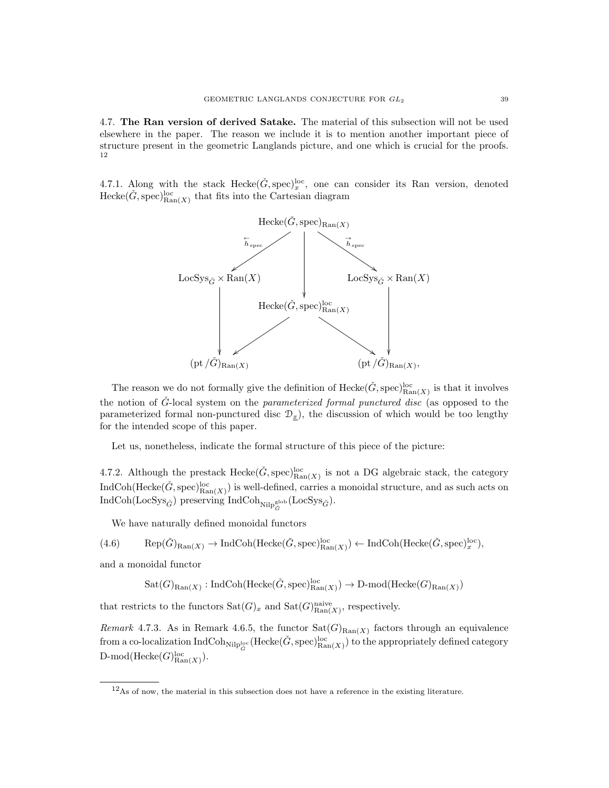4.7. The Ran version of derived Satake. The material of this subsection will not be used elsewhere in the paper. The reason we include it is to mention another important piece of structure present in the geometric Langlands picture, and one which is crucial for the proofs. 12

4.7.1. Along with the stack  $Hecke(\check{G}, spec)_{x}^{\text{loc}}$ , one can consider its Ran version, denoted  $\text{Hecke}(\check{G}, \text{spec})_{\text{Ran}(X)}^{\text{loc}}$  that fits into the Cartesian diagram



The reason we do not formally give the definition of  $\text{Hecke}(\check{G}, \text{spec})_{\text{Ran}(X)}^{\text{loc}}$  is that it involves the notion of  $\tilde{G}$ -local system on the *parameterized formal punctured disc* (as opposed to the parameterized formal non-punctured disc  $\mathcal{D}_{\underline{x}}$ ), the discussion of which would be too lengthy for the intended scope of this paper.

Let us, nonetheless, indicate the formal structure of this piece of the picture:

4.7.2. Although the prestack  $\text{Hecke}(\check{G}, \text{spec})_{\text{Ran}(X)}^{\text{loc}}$  is not a DG algebraic stack, the category  $\text{IndCoh}(\text{Hecke}(\check{G}, \text{spec})_{\text{Ran}(X)}^{\text{loc}})$  is well-defined, carries a monoidal structure, and as such acts on  $\operatorname{IndCoh}(\operatorname{LocSys}_{\check{G}})$  preserving  $\operatorname{IndCoh}_{\operatorname{NilP}^{\operatorname{glob}}_{\check{G}}}(\operatorname{LocSys}_{\check{G}})$ .

We have naturally defined monoidal functors

 $(4.6) \qquad \text{Rep}(\check{G})_{\text{Ran}(X)} \to \text{IndCoh}(\text{Hecke}(\check{G}, \text{spec})_{\text{Ran}(X)}^{\text{loc}}) \leftarrow \text{IndCoh}(\text{Hecke}(\check{G}, \text{spec})_{x}^{\text{loc}}),$ 

and a monoidal functor

 $\mathrm{Sat}(G)_{\mathrm{Ran}(X)}:\mathrm{IndCoh}(\mathrm{Hecke}(\check{G}, \mathrm{spec})_{\mathrm{Ran}(X)}^{\mathrm{loc}}) \to \mathrm{D\text{-}mod}(\mathrm{Hecke}(G)_{\mathrm{Ran}(X)})$ 

that restricts to the functors  $\text{Sat}(G)_x$  and  $\text{Sat}(G)_{\text{Ran}(X)}^{\text{naive}}$ , respectively.

*Remark* 4.7.3. As in Remark 4.6.5, the functor  $\text{Sat}(G)_{\text{Ran}(X)}$  factors through an equivalence from a co-localization  ${\rm IndCoh}_{\rm Nilp^{\rm loc}_G}({\rm Hecke}(\check{G}, {\rm spec})^{\rm loc}_{\rm Ran(X)})$  to the appropriately defined category  $D\text{-mod}(\text{Hecke}(G)_{\text{Ran}(X)}^{\text{loc}}).$ 

<sup>12</sup>As of now, the material in this subsection does not have a reference in the existing literature.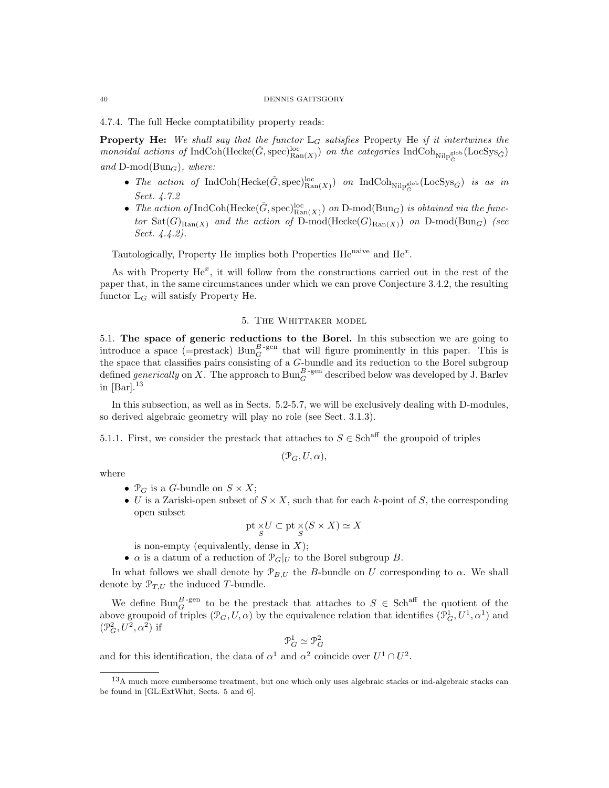4.7.4. The full Hecke comptatibility property reads:

**Property He:** We shall say that the functor  $\mathbb{L}_G$  satisfies Property He if it intertwines the monoidal actions of  $IndCoh(Hecke(\check{G}, spec)^{loc}_{Ran(X)})$  on the categories  $IndCoh_{NilP_G^{glob}}(LocSys_{\check{G}})$ and  $D\text{-mod}(Bun_G)$ , where:

- The action of  $IndCoh(Hecke(\check{G}, spec)_{\text{Ran}(X)}^{\text{loc}})$  on  $IndCoh_{\text{Nilp}_G^{\text{glob}}}(LocSys_{\check{G}})$  is as in Sect. 4.7.2
- The action of IndCoh(Hecke( $\check{G}$ , spec) $_{\text{Ran}(X)}^{loc}$  on D-mod( $\text{Bun}_G$ ) is obtained via the functor  $Sat(G)_{\text{Ran}(X)}$  and the action of D-mod(Hecke $(G)_{\text{Ran}(X)}$ ) on D-mod(Bun<sub>G</sub>) (see Sect. 4.4.2).

Tautologically, Property He implies both Properties  $He^{naive}$  and  $He^{x}$ .

As with Property  $He^{x}$ , it will follow from the constructions carried out in the rest of the paper that, in the same circumstances under which we can prove Conjecture 3.4.2, the resulting functor  $\mathbb{L}_G$  will satisfy Property He.

## 5. The Whittaker model

5.1. The space of generic reductions to the Borel. In this subsection we are going to introduce a space (=prestack)  $Bun_G^{B\text{-gen}}$  that will figure prominently in this paper. This is the space that classifies pairs consisting of a G-bundle and its reduction to the Borel subgroup defined *generically* on X. The approach to  $\text{Bun}_G^{B\text{-gen}}$  described below was developed by J. Barlev in  $\rm [Bar]$ .<sup>13</sup>

In this subsection, as well as in Sects. 5.2-5.7, we will be exclusively dealing with D-modules, so derived algebraic geometry will play no role (see Sect. 3.1.3).

5.1.1. First, we consider the prestack that attaches to  $S \in \text{Sch}^{\text{aff}}$  the groupoid of triples

$$
(\mathcal{P}_G,U,\alpha),
$$

where

- $\mathcal{P}_G$  is a G-bundle on  $S \times X$ ;
- U is a Zariski-open subset of  $S \times X$ , such that for each k-point of S, the corresponding open subset

$$
\operatorname{pt\,}_{S}\times U\subset\operatorname{pt\,}_{S}\times(S\times X)\simeq X
$$

is non-empty (equivalently, dense in  $X$ );

•  $\alpha$  is a datum of a reduction of  $\mathcal{P}_G|_U$  to the Borel subgroup B.

In what follows we shall denote by  $\mathcal{P}_{B,U}$  the B-bundle on U corresponding to  $\alpha$ . We shall denote by  $\mathcal{P}_{T,U}$  the induced T-bundle.

We define  $\text{Bun}_G^{B\text{-gen}}$  to be the prestack that attaches to  $S \in \text{Sch}^{\text{aff}}$  the quotient of the above groupoid of triples  $(\mathcal{P}_G, U, \alpha)$  by the equivalence relation that identifies  $(\mathcal{P}_G^1, U^1, \alpha^1)$  and  $(\mathcal{P}_G^2, U^2, \alpha^2)$  if

$$
\mathcal{P}_G^1 \simeq \mathcal{P}_G^2
$$

and for this identification, the data of  $\alpha^1$  and  $\alpha^2$  coincide over  $U^1 \cap U^2$ .

<sup>&</sup>lt;sup>13</sup>A much more cumbersome treatment, but one which only uses algebraic stacks or ind-algebraic stacks can be found in [GL:ExtWhit, Sects. 5 and 6].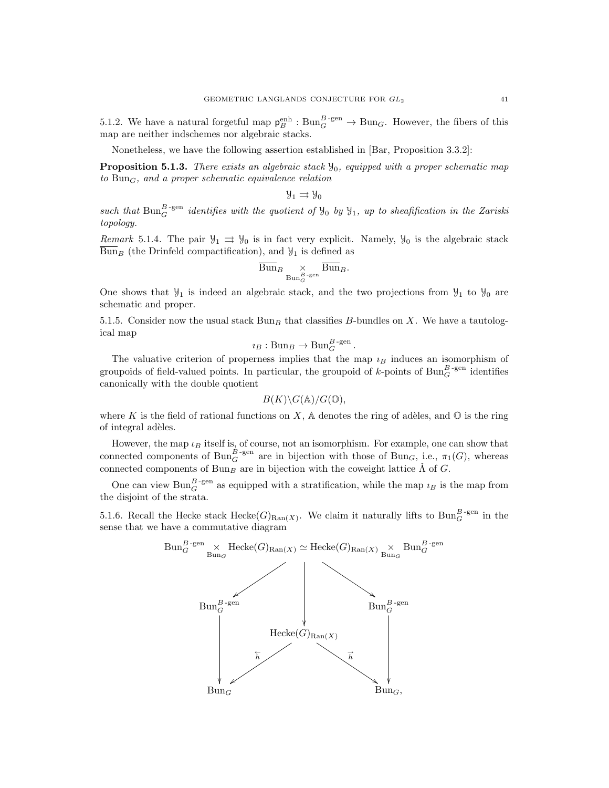5.1.2. We have a natural forgetful map  $p_B^{\text{enh}}$ : Bun $_G^B$ <sup>-gen</sup>  $\rightarrow$  Bun $_G$ . However, the fibers of this map are neither indschemes nor algebraic stacks.

Nonetheless, we have the following assertion established in [Bar, Proposition 3.3.2]:

**Proposition 5.1.3.** There exists an algebraic stack  $\mathcal{Y}_0$ , equipped with a proper schematic map to  $Bun<sub>G</sub>$ , and a proper schematic equivalence relation

$$
\mathcal{Y}_1 \rightrightarrows \mathcal{Y}_0
$$

such that  $Bun_G^{B-qen}$  identifies with the quotient of  $\mathcal{Y}_0$  by  $\mathcal{Y}_1$ , up to sheafification in the Zariski topology.

Remark 5.1.4. The pair  $\mathcal{Y}_1 \Rightarrow \mathcal{Y}_0$  is in fact very explicit. Namely,  $\mathcal{Y}_0$  is the algebraic stack  $\overline{\text{Bun}}_B$  (the Drinfeld compactification), and  $\mathcal{Y}_1$  is defined as

$$
\overline{\mathrm{Bun}}_{B} \underset{\mathrm{Bun}_G^{B\text{-}\mathrm{gen}}}{\times} \overline{\mathrm{Bun}}_{B}.
$$

One shows that  $\mathcal{Y}_1$  is indeed an algebraic stack, and the two projections from  $\mathcal{Y}_1$  to  $\mathcal{Y}_0$  are schematic and proper.

5.1.5. Consider now the usual stack  $B\Box B_0$  that classifies B-bundles on X. We have a tautological map

$$
i_B: \text{Bun}_B \to \text{Bun}_G^{B\text{-gen}}.
$$

The valuative criterion of properness implies that the map  $\iota_B$  induces an isomorphism of groupoids of field-valued points. In particular, the groupoid of k-points of  $Bun_G^{B\text{-gen}}$  identifies canonically with the double quotient

$$
B(K)\backslash G(\mathbb{A})/G(\mathbb{O}),
$$

where K is the field of rational functions on X, A denotes the ring of adèles, and  $\mathbb O$  is the ring of integral adèles.

However, the map  $\iota_B$  itself is, of course, not an isomorphism. For example, one can show that connected components of  $Bun_G^{B\text{-gen}}$  are in bijection with those of  $Bun_G$ , i.e.,  $\pi_1(G)$ , whereas connected components of  $\text{Bun}_B$  are in bijection with the coweight lattice  $\check{\Lambda}$  of  $G$ .

One can view Bun<sup>B-gen</sup> as equipped with a stratification, while the map  $i_B$  is the map from the disjoint of the strata.

5.1.6. Recall the Hecke stack  $\text{Hecke}(G)_{\text{Ran}(X)}$ . We claim it naturally lifts to  $\text{Bun}_G^{B\text{-gen}}$  in the sense that we have a commutative diagram

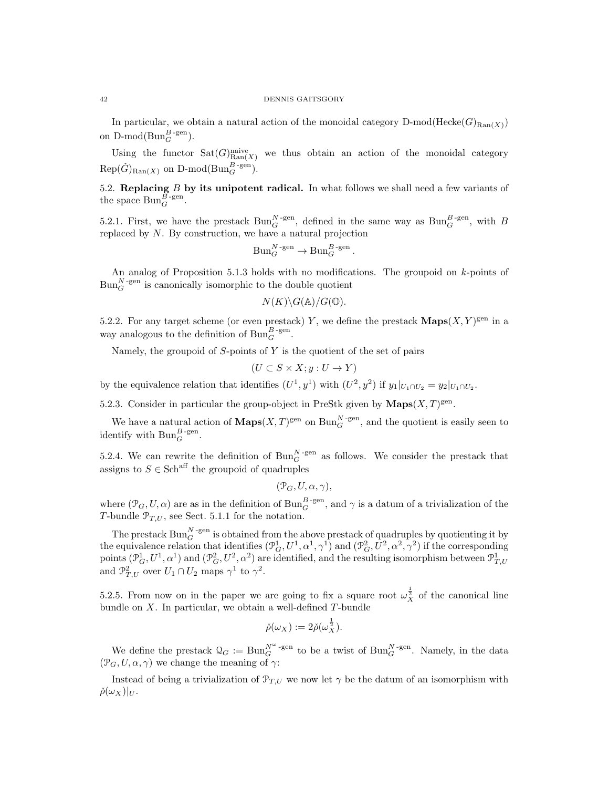#### 42 DENNIS GAITSGORY

In particular, we obtain a natural action of the monoidal category  $D\text{-mod}(Hecke(G)_{\text{Ran}(X)})$ on D-mod( $\text{Bun}_G^{B\text{-gen}}$ ).

Using the functor  $\text{Sat}(G)_{\text{Ran}(X)}^{\text{naive}}$  we thus obtain an action of the monoidal category  $\operatorname{Rep}(\check{G})_{\operatorname{Ran}(X)}$  on D-mod( $\operatorname{Bun}_{G}^{B\text{-gen}}$ ).

5.2. Replacing  $B$  by its unipotent radical. In what follows we shall need a few variants of the space  $Bun_{G}^{\overline{B}-gen}$ .

5.2.1. First, we have the prestack  $\text{Bun}_G^{N-\text{gen}}$ , defined in the same way as  $\text{Bun}_G^{B-\text{gen}}$ , with B replaced by N. By construction, we have a natural projection

$$
Bun_G^{N-gen} \to Bun_G^{B-gen}.
$$

An analog of Proposition 5.1.3 holds with no modifications. The groupoid on  $k$ -points of  $\text{Bun}_G^{N-\text{gen}}$  is canonically isomorphic to the double quotient

$$
N(K)\backslash G(\mathbb{A})/G(\mathbb{O}).
$$

5.2.2. For any target scheme (or even prestack) Y, we define the prestack  $\mathbf{Maps}(X, Y)^{\text{gen}}$  in a way analogous to the definition of  $Bun_G^{B\text{-gen}}$ .

Namely, the groupoid of  $S$ -points of  $Y$  is the quotient of the set of pairs

$$
(U \subset S \times X; y: U \to Y)
$$

by the equivalence relation that identifies  $(U^1, y^1)$  with  $(U^2, y^2)$  if  $y_1|_{U_1 \cap U_2} = y_2|_{U_1 \cap U_2}$ .

5.2.3. Consider in particular the group-object in PreStk given by  $\mathbf{Maps}(X,T)^{\text{gen}}$ .

We have a natural action of  $\mathbf{Maps}(X,T)^{\text{gen}}$  on  $\text{Bun}_G^{N\text{-}\text{gen}}$ , and the quotient is easily seen to identify with  $\text{Bun}_G^{B\text{-gen}}$ .

5.2.4. We can rewrite the definition of  $Bun_G^{N-gen}$  as follows. We consider the prestack that assigns to  $S \in \text{Sch}^{\text{aff}}$  the groupoid of quadruples

$$
(\mathcal{P}_G,U,\alpha,\gamma),
$$

where  $(\mathcal{P}_G, U, \alpha)$  are as in the definition of  $Bun_G^{B\text{-gen}}$ , and  $\gamma$  is a datum of a trivialization of the T-bundle  $\mathcal{P}_{T,U}$ , see Sect. 5.1.1 for the notation.

The prestack  $\text{Bun}_G^{N-\text{gen}}$  is obtained from the above prestack of quadruples by quotienting it by the equivalence relation that identifies  $(\mathcal{P}_G^1, U^1, \alpha^1, \gamma^1)$  and  $(\mathcal{P}_G^2, U^2, \alpha^2, \gamma^2)$  if the corresponding points  $(\mathcal{P}_G^1, U^1, \alpha^1)$  and  $(\mathcal{P}_G^2, U^2, \alpha^2)$  are identified, and the resulting isomorphism between  $\mathcal{P}_{T,U}^1$ and  $\mathcal{P}_{T,U}^2$  over  $U_1 \cap U_2$  maps  $\gamma^1$  to  $\gamma^2$ .

5.2.5. From now on in the paper we are going to fix a square root  $\omega_X^{\frac{1}{2}}$  of the canonical line bundle on X. In particular, we obtain a well-defined T-bundle

$$
\check{\rho}(\omega_X) := 2\check{\rho}(\omega_X^{\frac{1}{2}}).
$$

We define the prestack  $\mathcal{Q}_G := \text{Bun}_{G}^{N^{\omega} \text{-gen}}$  to be a twist of  $\text{Bun}_{G}^{N \text{-gen}}$ . Namely, in the data  $(\mathcal{P}_G, U, \alpha, \gamma)$  we change the meaning of  $\gamma$ :

Instead of being a trivialization of  $\mathcal{P}_{T,U}$  we now let  $\gamma$  be the datum of an isomorphism with  $\check{\rho}(\omega_X)|_U.$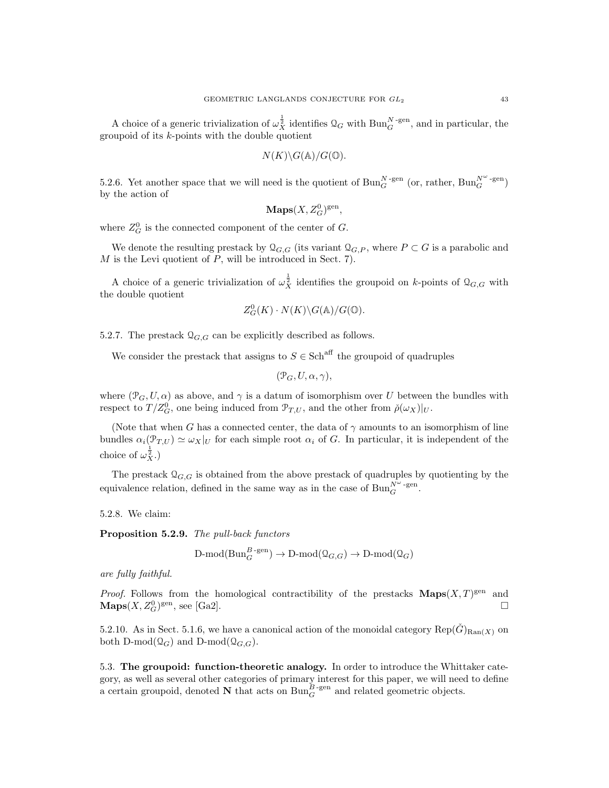A choice of a generic trivialization of  $\omega_X^{\frac{1}{2}}$  identifies  $\mathcal{Q}_G$  with  $\text{Bun}_G^{N-\text{gen}}$ , and in particular, the groupoid of its  $k$ -points with the double quotient

$$
N(K)\backslash G(\mathbb{A})/G(\mathbb{O}).
$$

5.2.6. Yet another space that we will need is the quotient of  $\text{Bun}_G^{N-\text{gen}}$  (or, rather,  $\text{Bun}_G^{N^{\omega}-\text{gen}}$ ) by the action of

$$
\mathbf{Maps}(X,Z_G^0)^{\mathrm{gen}},
$$

where  $Z_G^0$  is the connected component of the center of G.

We denote the resulting prestack by  $\mathcal{Q}_{G,G}$  (its variant  $\mathcal{Q}_{G,P}$ , where  $P \subset G$  is a parabolic and  $M$  is the Levi quotient of  $P$ , will be introduced in Sect. 7).

A choice of a generic trivialization of  $\omega_X^{\frac{1}{2}}$  identifies the groupoid on k-points of  $\mathcal{Q}_{G,G}$  with the double quotient

$$
Z_G^0(K) \cdot N(K) \backslash G(\mathbb{A})/G(\mathbb{O}).
$$

5.2.7. The prestack  $\mathcal{Q}_{G,G}$  can be explicitly described as follows.

We consider the prestack that assigns to  $S \in \text{Sch}^{\text{aff}}$  the groupoid of quadruples

 $(\mathcal{P}_G, U, \alpha, \gamma),$ 

where  $(\mathcal{P}_G, U, \alpha)$  as above, and  $\gamma$  is a datum of isomorphism over U between the bundles with respect to  $T/Z_G^0$ , one being induced from  $\mathcal{P}_{T,U}$ , and the other from  $\check{\rho}(\omega_X)|_U$ .

(Note that when G has a connected center, the data of  $\gamma$  amounts to an isomorphism of line bundles  $\alpha_i(\mathcal{P}_{T,U}) \simeq \omega_X|_U$  for each simple root  $\alpha_i$  of G. In particular, it is independent of the choice of  $\omega_X^{\frac{1}{2}}$ .)

The prestack  $\mathcal{Q}_{G,G}$  is obtained from the above prestack of quadruples by quotienting by the equivalence relation, defined in the same way as in the case of  $\text{Bun}_G^{N^{\omega}}$ -gen.

5.2.8. We claim:

Proposition 5.2.9. The pull-back functors

 $D\text{-mod}(Bun_G^{B\text{-gen}}) \to D\text{-mod}(\mathcal{Q}_{G,G}) \to D\text{-mod}(\mathcal{Q}_G)$ 

are fully faithful.

*Proof.* Follows from the homological contractibility of the prestacks  $\mathbf{Maps}(X,T)^{\text{gen}}$  and **Maps** $(X, Z_G^0)$ <sup>gen</sup>, see [Ga2].

5.2.10. As in Sect. 5.1.6, we have a canonical action of the monoidal category  $\text{Rep}(\check{G})_{\text{Ran}(X)}$  on both D-mod $(\mathcal{Q}_G)$  and D-mod $(\mathcal{Q}_{G,G})$ .

5.3. The groupoid: function-theoretic analogy. In order to introduce the Whittaker category, as well as several other categories of primary interest for this paper, we will need to define a certain groupoid, denoted  $N$  that acts on  $Bun_G^{B\text{-}\mathrm{gen}}$  and related geometric objects.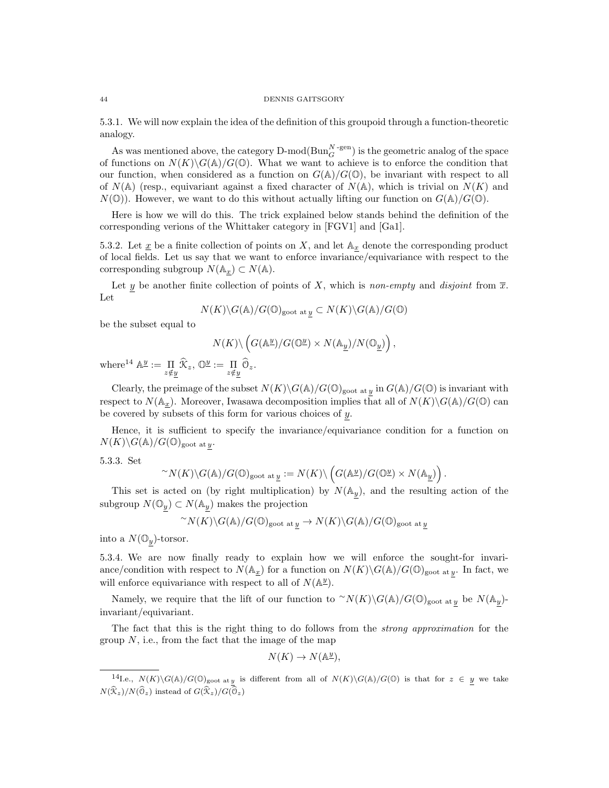5.3.1. We will now explain the idea of the definition of this groupoid through a function-theoretic analogy.

As was mentioned above, the category  $D\text{-mod}(Bun_G^{N-\text{gen}})$  is the geometric analog of the space of functions on  $N(K)\backslash G(\mathbb{A})/G(\mathbb{O})$ . What we want to achieve is to enforce the condition that our function, when considered as a function on  $G(\mathbb{A})/G(\mathbb{O})$ , be invariant with respect to all of  $N(A)$  (resp., equivariant against a fixed character of  $N(A)$ , which is trivial on  $N(K)$  and  $N(\mathbb{O})$ . However, we want to do this without actually lifting our function on  $G(\mathbb{A})/G(\mathbb{O})$ .

Here is how we will do this. The trick explained below stands behind the definition of the corresponding verions of the Whittaker category in [FGV1] and [Ga1].

5.3.2. Let  $\underline{x}$  be a finite collection of points on X, and let  $\mathbb{A}_x$  denote the corresponding product of local fields. Let us say that we want to enforce invariance/equivariance with respect to the corresponding subgroup  $N(\mathbb{A}_x) \subset N(\mathbb{A}).$ 

Let y be another finite collection of points of X, which is non-empty and disjoint from  $\overline{x}$ . Let

$$
N(K)\backslash G(\mathbb{A})/G(\mathbb{O})_{\text{good at } \underline{y}} \subset N(K)\backslash G(\mathbb{A})/G(\mathbb{O})
$$

be the subset equal to

$$
N(K)\backslash \left(G(\mathbb{A}^{\underline{y}})/G(\mathbb{O}^{\underline{y}})\times N(\mathbb{A}_{\underline{y}})/N(\mathbb{O}_{\underline{y}})\right),
$$

 $\text{where}^{14} \mathbb{A}^{\underline{y}} := \prod_{z \notin y} \widehat{\mathcal{K}}_z, \, \mathbb{O}^{\underline{y}} := \prod_{z \notin y} \widehat{\mathcal{O}}_z.$ 

Clearly, the preimage of the subset  $N(K)\backslash G(\mathbb{A})/G(\mathbb{O})_{\text{good at }y}$  in  $G(\mathbb{A})/G(\mathbb{O})$  is invariant with respect to  $N(\mathbb{A}_{\underline{x}})$ . Moreover, Iwasawa decomposition implies that all of  $N(K)\backslash G(\mathbb{A})/G(\mathbb{O})$  can be covered by subsets of this form for various choices of y.

Hence, it is sufficient to specify the invariance/equivariance condition for a function on  $N(K)\backslash G(\mathbb{A})/G(\mathbb{O})_{\text{good at }y}.$ 

5.3.3. Set

$$
^\sim N(K)\backslash G(\mathbb A)/G(\mathbb O)_{\text{good at }\underline{y}}:=N(K)\backslash \left(G(\mathbb A^{\underline{y}})/G(\mathbb O^{\underline{y}})\times N(\mathbb A_{\underline{y}})\right).
$$

This set is acted on (by right multiplication) by  $N(\mathbb{A}_y)$ , and the resulting action of the subgroup  $N(\mathbb{O}_y) \subset N(\mathbb{A}_y)$  makes the projection

$$
\verb!^! N(K)\backslash G(\mathbb A)/G(\mathbb O)_{\text{good at}\, \underline{y}}\to N(K)\backslash G(\mathbb A)/G(\mathbb O)_{\text{good at}\, \underline{y}}
$$

into a  $N(\mathbb{O}_y)$ -torsor.

5.3.4. We are now finally ready to explain how we will enforce the sought-for invariance/condition with respect to  $N(\mathbb{A}_x)$  for a function on  $N(K)\backslash G(\mathbb{A})/G(\mathbb{O})_{\text{good at }y}$ . In fact, we will enforce equivariance with respect to all of  $N(\mathbb{A}^{\underline{y}})$ .

Namely, we require that the lift of our function to  $\gamma N(K) \backslash G(\mathbb{A})/G(\mathbb{O})_{\text{good at }y}$  be  $N(\mathbb{A}_y)$ invariant/equivariant.

The fact that this is the right thing to do follows from the strong approximation for the group  $N$ , i.e., from the fact that the image of the map

$$
N(K) \to N(\mathbb{A}^{\underline{y}}),
$$

<sup>&</sup>lt;sup>14</sup>I.e.,  $N(K)\backslash G(\mathbb{A})/G(\mathbb{O})_{\text{good at }\underline{y}}$  is different from all of  $N(K)\backslash G(\mathbb{A})/G(\mathbb{O})$  is that for  $z \in \underline{y}$  we take  $N(\widehat{\mathcal{K}}_z)/N(\widehat{\mathcal{O}}_z)$  instead of  $G(\widehat{\mathcal{K}}_z)/G(\widehat{\widehat{\mathcal{O}}}_z)$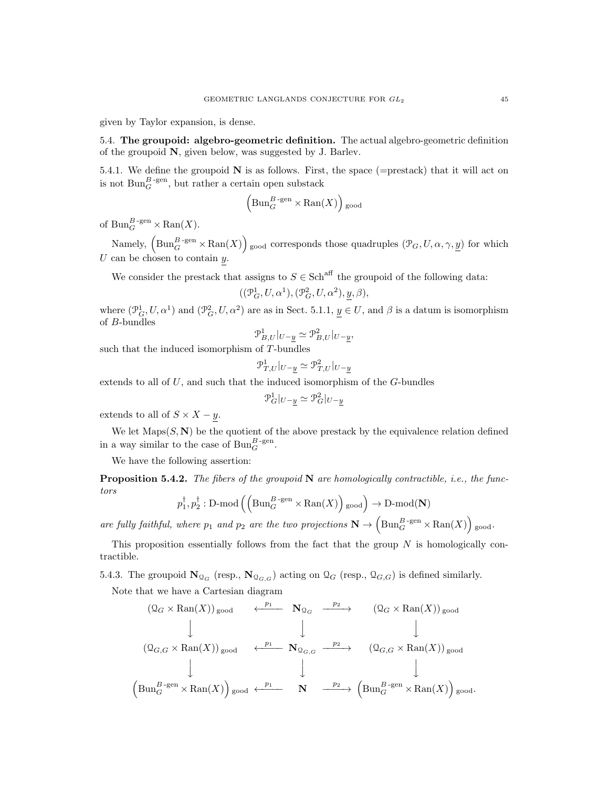given by Taylor expansion, is dense.

5.4. The groupoid: algebro-geometric definition. The actual algebro-geometric definition of the groupoid N, given below, was suggested by J. Barlev.

5.4.1. We define the groupoid  $N$  is as follows. First, the space (=prestack) that it will act on is not  $\text{Bun}_G^{B\text{-gen}}$ , but rather a certain open substack

$$
\left(\mathrm{Bun}_G^{B\text{-gen}}\times \mathrm{Ran}(X)\right)_{\mathrm{good}}
$$

of  $\text{Bun}_G^{B\text{-gen}} \times \text{Ran}(X)$ .

Namely,  $\left(\text{Bun}_G^{B\text{-gen}}\times\text{Ran}(X)\right)_{\text{good}}$  corresponds those quadruples  $(\mathcal{P}_G, U, \alpha, \gamma, \underline{y})$  for which  $U$  can be chosen to contain  $y$ .

We consider the prestack that assigns to  $S \in \text{Sch}^{\text{aff}}$  the groupoid of the following data:

$$
((\mathcal{P}_G^1, U, \alpha^1), (\mathcal{P}_G^2, U, \alpha^2), \underline{y}, \beta),
$$

where  $(\mathcal{P}_G^1, U, \alpha^1)$  and  $(\mathcal{P}_G^2, U, \alpha^2)$  are as in Sect. 5.1.1,  $\underline{y} \in U$ , and  $\beta$  is a datum is isomorphism of B-bundles

$$
\mathcal{P}_{B,U}^1|_{U-\underline{y}} \simeq \mathcal{P}_{B,U}^2|_{U-\underline{y}},
$$

such that the induced isomorphism of T-bundles

$$
\mathcal{P}_{T,U}^1|_{U-\underline{y}} \simeq \mathcal{P}_{T,U}^2|_{U-\underline{y}}
$$

extends to all of  $U$ , and such that the induced isomorphism of the  $G$ -bundles

$$
\mathcal{P}_G^1|_{U-\underline{y}} \simeq \mathcal{P}_G^2|_{U-\underline{y}}
$$

extends to all of  $S \times X - y$ .

We let  $\text{Maps}(S, \mathbb{N})$  be the quotient of the above prestack by the equivalence relation defined in a way similar to the case of  $Bun_G^{B\text{-gen}}$ .

We have the following assertion:

**Proposition 5.4.2.** The fibers of the groupoid  $N$  are homologically contractible, i.e., the functors

$$
p_1^{\dagger}, p_2^{\dagger} : \text{D-mod}\left(\left(\text{Bun}_G^{B\text{-gen}} \times \text{Ran}(X)\right)_{\text{good}}\right) \to \text{D-mod}(\mathbf{N})
$$

are fully faithful, where  $p_1$  and  $p_2$  are the two projections  $\mathbf{N} \to \left( \text{Bun}_G^{B\text{-gen}} \times \text{Ran}(X) \right)_{\text{good}}$ .

This proposition essentially follows from the fact that the group  $N$  is homologically contractible.

5.4.3. The groupoid  $\mathbf{N}_{\mathcal{Q}_G}$  (resp.,  $\mathbf{N}_{\mathcal{Q}_G,G}$ ) acting on  $\mathcal{Q}_G$  (resp.,  $\mathcal{Q}_{G,G}$ ) is defined similarly. Note that we have a Cartesian diagram

$$
\left(\mathfrak{Q}_{G} \times \text{Ran}(X)\right)_{\text{good}} \quad \begin{array}{c}\n\longleftarrow p_1 \quad \mathbf{N}_{\mathfrak{Q}_{G}} \quad \xrightarrow{p_2} \quad (\mathfrak{Q}_{G} \times \text{Ran}(X))_{\text{good}} \\
\downarrow \qquad \qquad \downarrow \qquad \qquad \downarrow \qquad \qquad \downarrow \qquad \qquad \downarrow \qquad \qquad \downarrow \qquad \qquad \downarrow \qquad \qquad \downarrow \qquad \qquad \downarrow \qquad \qquad \downarrow \qquad \qquad \downarrow \qquad \qquad \downarrow \qquad \qquad \downarrow \qquad \qquad \downarrow \qquad \qquad \downarrow \qquad \qquad \downarrow \qquad \qquad \downarrow \qquad \qquad \downarrow \qquad \qquad \downarrow \qquad \qquad \downarrow \qquad \qquad \downarrow \qquad \qquad \downarrow \qquad \qquad \downarrow \qquad \qquad \downarrow \qquad \qquad \downarrow \qquad \qquad \downarrow \qquad \qquad \downarrow \qquad \qquad \downarrow \qquad \qquad \downarrow \qquad \qquad \downarrow \qquad \qquad \downarrow \qquad \qquad \downarrow \qquad \qquad \downarrow \qquad \qquad \downarrow \qquad \qquad \downarrow \qquad \qquad \downarrow \qquad \qquad \downarrow \qquad \qquad \downarrow \qquad \qquad \downarrow \qquad \qquad \downarrow \qquad \qquad \downarrow \qquad \qquad \downarrow \qquad \qquad \downarrow \qquad \qquad \downarrow \qquad \qquad \downarrow \qquad \qquad \downarrow \qquad \qquad \downarrow \qquad \qquad \downarrow \qquad \qquad \downarrow \qquad \qquad \downarrow \qquad \qquad \downarrow \qquad \qquad \downarrow \qquad \qquad \downarrow \qquad \qquad \downarrow \qquad \qquad \downarrow \qquad \qquad \downarrow \qquad \qquad \downarrow \qquad \qquad \downarrow \qquad \qquad \downarrow \qquad \qquad \downarrow \qquad \qquad \downarrow \qquad \qquad \downarrow \qquad \qquad \downarrow \qquad \qquad \downarrow \qquad \qquad \downarrow \qquad \qquad \downarrow \qquad \qquad \downarrow \qquad \qquad \downarrow \qquad \qquad \downarrow \qquad \qquad \downarrow \qquad \qquad \downarrow \qquad \qquad \downarrow \qquad \qquad \downarrow \qquad \qquad \down
$$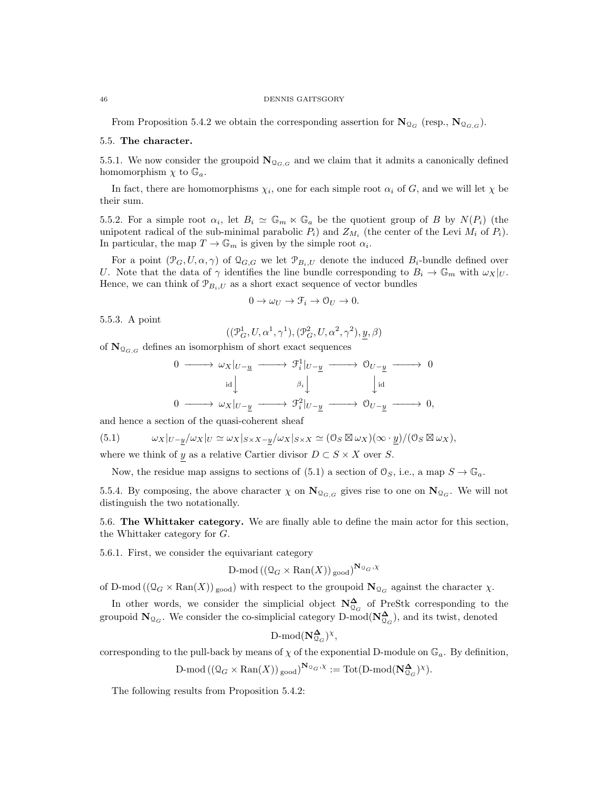#### 46 DENNIS GAITSGORY

From Proposition 5.4.2 we obtain the corresponding assertion for  $\mathbf{N}_{\mathcal{Q}_G}$  (resp.,  $\mathbf{N}_{\mathcal{Q}_G, G}$ ).

### 5.5. The character.

5.5.1. We now consider the groupoid  $\mathbf{N}_{Q_{G,G}}$  and we claim that it admits a canonically defined homomorphism  $\chi$  to  $\mathbb{G}_a$ .

In fact, there are homomorphisms  $\chi_i$ , one for each simple root  $\alpha_i$  of G, and we will let  $\chi$  be their sum.

5.5.2. For a simple root  $\alpha_i$ , let  $B_i \simeq \mathbb{G}_m \ltimes \mathbb{G}_a$  be the quotient group of B by  $N(P_i)$  (the unipotent radical of the sub-minimal parabolic  $P_i$ ) and  $Z_{M_i}$  (the center of the Levi  $M_i$  of  $P_i$ ). In particular, the map  $T \to \mathbb{G}_m$  is given by the simple root  $\alpha_i$ .

For a point  $(\mathcal{P}_G, U, \alpha, \gamma)$  of  $\mathcal{Q}_{G,G}$  we let  $\mathcal{P}_{B_i,U}$  denote the induced  $B_i$ -bundle defined over U. Note that the data of  $\gamma$  identifies the line bundle corresponding to  $B_i \to \mathbb{G}_m$  with  $\omega_X|_U$ . Hence, we can think of  $\mathcal{P}_{B_i,U}$  as a short exact sequence of vector bundles

$$
0 \to \omega_U \to \mathcal{F}_i \to \mathcal{O}_U \to 0.
$$

5.5.3. A point

$$
((\mathcal{P}_G^1, U, \alpha^1, \gamma^1), (\mathcal{P}_G^2, U, \alpha^2, \gamma^2), \underline{y}, \beta)
$$

of  $N_{\mathcal{Q}_{G,G}}$  defines an isomorphism of short exact sequences

$$
\begin{array}{ccc}\n0 & \longrightarrow & \omega_X|_{U-\underline{u}} & \longrightarrow & \mathfrak{F}_i^1|_{U-\underline{y}} & \longrightarrow & 0_{U-\underline{y}} & \longrightarrow & 0 \\
& \mathrm{id} & & & \beta_i \downarrow & & \downarrow \mathrm{id} \\
& & & & \beta_i \downarrow & & \downarrow \mathrm{id} \\
0 & \longrightarrow & \omega_X|_{U-\underline{y}} & \longrightarrow & \mathfrak{F}_i^2|_{U-\underline{y}} & \longrightarrow & 0_{U-\underline{y}} & \longrightarrow & 0,\n\end{array}
$$

and hence a section of the quasi-coherent sheaf

(5.1) 
$$
\omega_X|_{U-y}/\omega_X|_U \simeq \omega_X|_{S \times X-y}/\omega_X|_{S \times X} \simeq (0_S \boxtimes \omega_X)(\infty \cdot \underline{y})/(0_S \boxtimes \omega_X),
$$

where we think of y as a relative Cartier divisor  $D \subset S \times X$  over S.

Now, the residue map assigns to sections of (5.1) a section of  $\mathcal{O}_S$ , i.e., a map  $S \to \mathbb{G}_a$ .

5.5.4. By composing, the above character  $\chi$  on  $N_{\mathcal{Q}_{G,G}}$  gives rise to one on  $N_{\mathcal{Q}_G}$ . We will not distinguish the two notationally.

5.6. The Whittaker category. We are finally able to define the main actor for this section, the Whittaker category for G.

5.6.1. First, we consider the equivariant category

$$
\mathrm{D\text{-}mod}\left(\left(\mathcal{Q}_G \times \mathrm{Ran}(X)\right)_{\mathrm{good}}\right)^{\mathbf{N}_{\mathcal{Q}_G}, \chi}
$$

of D-mod  $((\mathcal{Q}_G \times \text{Ran}(X))_{\text{good}})$  with respect to the groupoid  $\mathbf{N}_{\mathcal{Q}_G}$  against the character  $\chi$ .

In other words, we consider the simplicial object  $N^{\Delta}_{\mathbb{Q}_G}$  of PreStk corresponding to the groupoid  $\mathbf{N}_{\mathcal{Q}_G}$ . We consider the co-simplicial category D-mod $(\mathbf{N}_{\mathcal{Q}_G}^{\Delta})$ , and its twist, denoted

$$
\operatorname{D-mod}(N_{\mathbb{Q}_G}^{\Delta})^{\chi},
$$

corresponding to the pull-back by means of  $\chi$  of the exponential D-module on  $\mathbb{G}_a$ . By definition,

$$
\text{D-mod}\left((\mathbb{Q}_G\times \text{Ran}(X))_{\text{good}}\right)^{\mathbf{N}_{\mathbb{Q}_G,\chi}}:=\text{Tot}(\text{D-mod}(\mathbf{N}_{\mathbb{Q}_G}^{\Delta})^{\chi}).
$$

The following results from Proposition 5.4.2: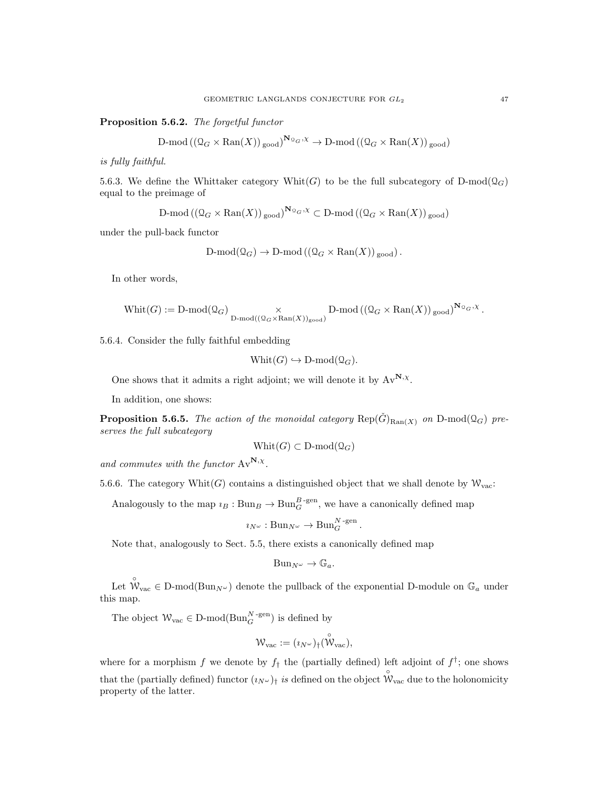Proposition 5.6.2. The forgetful functor

$$
\mathrm{D\text{-}mod}\left(\left(\mathcal{Q}_G \times \mathrm{Ran}(X)\right)_{\mathrm{good}}\right)^{\mathbf{N}_{\mathcal{Q}_G}, \chi} \to \mathrm{D\text{-}mod}\left(\left(\mathcal{Q}_G \times \mathrm{Ran}(X)\right)_{\mathrm{good}}\right)
$$

is fully faithful.

5.6.3. We define the Whittaker category Whit(G) to be the full subcategory of  $D\text{-mod}(\mathcal{Q}_G)$ equal to the preimage of

$$
\mathrm{D\text{-}mod} \left( \left( \mathcal{Q}_G \times \mathrm{Ran}(X) \right)_{\mathrm{good}} \right)^{\mathbf{N}_{\mathcal{Q}_G}, \chi} \subset \mathrm{D\text{-}mod} \left( \left( \mathcal{Q}_G \times \mathrm{Ran}(X) \right)_{\mathrm{good}} \right)
$$

under the pull-back functor

$$
\mathrm{D\text{-}mod}(\mathfrak{Q}_G) \to \mathrm{D\text{-}mod}(\left(\mathfrak{Q}_G \times \mathrm{Ran}(X)\right)_{\mathrm{good}}).
$$

In other words,

$$
\mathrm{Whit}(G) := \mathrm{D\text{-}mod}(\mathbb{Q}_G) \underset{\mathrm{D\text{-}mod}((\mathbb{Q}_G \times \mathrm{Ran}(X))_{\mathrm{good}})}{\times} \mathrm{D\text{-}mod} \left( (\mathbb{Q}_G \times \mathrm{Ran}(X))_{\mathrm{good}} \right)^{\mathbf{N}_{\mathbb{Q}_G}, \chi}
$$

5.6.4. Consider the fully faithful embedding

$$
Whit(G) \hookrightarrow D\text{-mod}(\Omega_G).
$$

One shows that it admits a right adjoint; we will denote it by  $Av^{N,\chi}$ .

In addition, one shows:

**Proposition 5.6.5.** The action of the monoidal category  $\text{Rep}(\check{G})_{\text{Ran}(X)}$  on  $D\text{-mod}(\mathcal{Q}_G)$  preserves the full subcategory

$$
Whit(G) \subset D\text{-mod}(\Omega_G)
$$

and commutes with the functor  $Av^{\mathbf{N}, \chi}$ .

5.6.6. The category Whit(G) contains a distinguished object that we shall denote by  $W_{\text{vac}}$ :

Analogously to the map  $i_B : \text{Bun}_B \to \text{Bun}_G^{B\text{-gen}}$ , we have a canonically defined map

$$
i_{N^{\omega}}: \text{Bun}_{N^{\omega}} \to \text{Bun}_{G}^{N-\text{gen}}.
$$

Note that, analogously to Sect. 5.5, there exists a canonically defined map

$$
Bun_{N^{\omega}} \to \mathbb{G}_a.
$$

Let  $\hat{W}_{\text{vac}} \in D\text{-mod}(Bun_{N^{\omega}})$  denote the pullback of the exponential D-module on  $\mathbb{G}_a$  under this map.

The object  $W_{\text{vac}} \in D\text{-mod}(Bun_G^{N-\text{gen}})$  is defined by

$$
\mathcal{W}_{\text{vac}} := (\imath_{N^{\omega}})_{\dagger}(\overset{\circ}{\mathcal{W}}_{\text{vac}}),
$$

where for a morphism f we denote by  $f_{\dagger}$  the (partially defined) left adjoint of  $f^{\dagger}$ ; one shows that the (partially defined) functor  $(i_{N^{\omega}})$  is defined on the object  $\mathring{W}_{\text{vac}}$  due to the holonomicity property of the latter.

.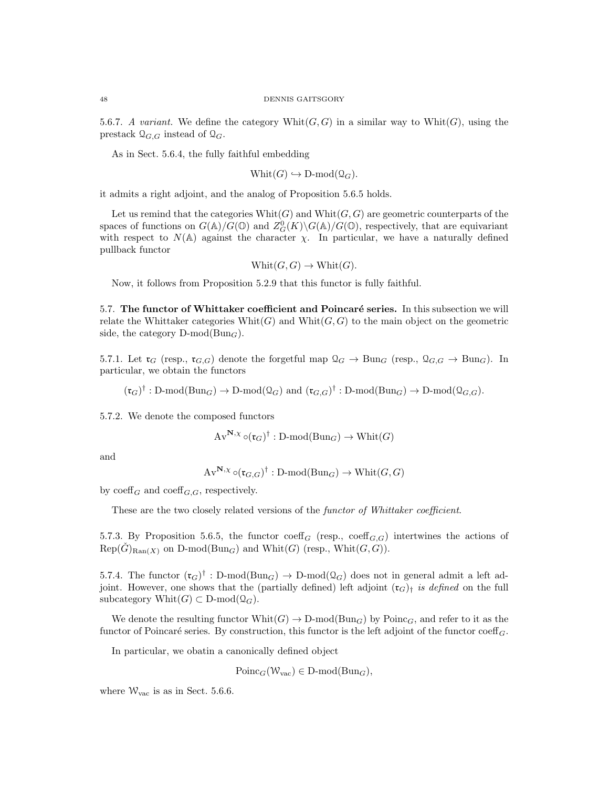5.6.7. A variant. We define the category  $\text{Whit}(G, G)$  in a similar way to  $\text{Whit}(G)$ , using the prestack  $\mathcal{Q}_{G,G}$  instead of  $\mathcal{Q}_G$ .

As in Sect. 5.6.4, the fully faithful embedding

$$
Whit(G) \hookrightarrow D\text{-mod}(\Omega_G).
$$

it admits a right adjoint, and the analog of Proposition 5.6.5 holds.

Let us remind that the categories  $\text{Whit}(G)$  and  $\text{Whit}(G, G)$  are geometric counterparts of the spaces of functions on  $G(\mathbb{A})/G(\mathbb{O})$  and  $Z_G^0(K)\backslash G(\mathbb{A})/G(\mathbb{O})$ , respectively, that are equivariant with respect to  $N(A)$  against the character  $\chi$ . In particular, we have a naturally defined pullback functor

$$
Whit(G, G) \to Whit(G).
$$

Now, it follows from Proposition 5.2.9 that this functor is fully faithful.

5.7. The functor of Whittaker coefficient and Poincaré series. In this subsection we will relate the Whittaker categories  $\text{Whit}(G)$  and  $\text{Whit}(G, G)$  to the main object on the geometric side, the category  $D\text{-mod}(Bun_G)$ .

5.7.1. Let  $\mathfrak{r}_G$  (resp.,  $\mathfrak{r}_{G,G}$ ) denote the forgetful map  $\mathfrak{Q}_G \to \text{Bun}_G$  (resp.,  $\mathfrak{Q}_{G,G} \to \text{Bun}_G$ ). In particular, we obtain the functors

 $(\mathfrak{r}_G)^{\dagger} : \mathbb{D}\text{-mod}(\mathbb{B}\text{un}_G) \to \mathbb{D}\text{-mod}(\mathbb{Q}_G)$  and  $(\mathfrak{r}_{G,G})^{\dagger} : \mathbb{D}\text{-mod}(\mathbb{B}\text{un}_G) \to \mathbb{D}\text{-mod}(\mathbb{Q}_{G,G}).$ 

5.7.2. We denote the composed functors

$$
\mathrm{Av}^{\mathbf{N}, \chi} \circ (\mathfrak{r}_G)^{\dagger} : \mathrm{D}\text{-}\mathrm{mod}(\mathrm{Bun}_G) \to \mathrm{Whit}(G)
$$

and

$$
\mathrm{Av}^{\mathbf{N}, \chi} \circ (\mathfrak{r}_{G, G})^{\dagger} : \mathbf{D}\text{-}\mathrm{mod}(\mathbf{Bun}_G) \to \mathrm{Whit}(G, G)
$$

by  $\operatorname{coeff}_G$  and  $\operatorname{coeff}_{G,G}$ , respectively.

These are the two closely related versions of the *functor of Whittaker coefficient*.

5.7.3. By Proposition 5.6.5, the functor coeff<sub>G</sub> (resp., coeff<sub>G,G</sub>) intertwines the actions of  $Rep(G)_{\text{Ran}(X)}$  on D-mod( $\text{Bun}_G$ ) and Whit(G) (resp., Whit(G, G)).

5.7.4. The functor  $(\mathfrak{r}_G)^{\dagger}$ : D-mod $(\text{Bun}_G) \to \text{D-mod}(\mathcal{Q}_G)$  does not in general admit a left adjoint. However, one shows that the (partially defined) left adjoint  $(\mathfrak{r}_G)_\dagger$  is defined on the full subcategory Whit $(G) \subset D\text{-mod}(\mathcal{Q}_G)$ .

We denote the resulting functor  $Whit(G) \to D\text{-mod}(Bun_G)$  by  $Poinc_G$ , and refer to it as the functor of Poincaré series. By construction, this functor is the left adjoint of the functor coeff  $_G$ .

In particular, we obatin a canonically defined object

$$
Poinc_G(W_{\text{vac}}) \in D\text{-mod}(Bun_G),
$$

where  $W_{\text{vac}}$  is as in Sect. 5.6.6.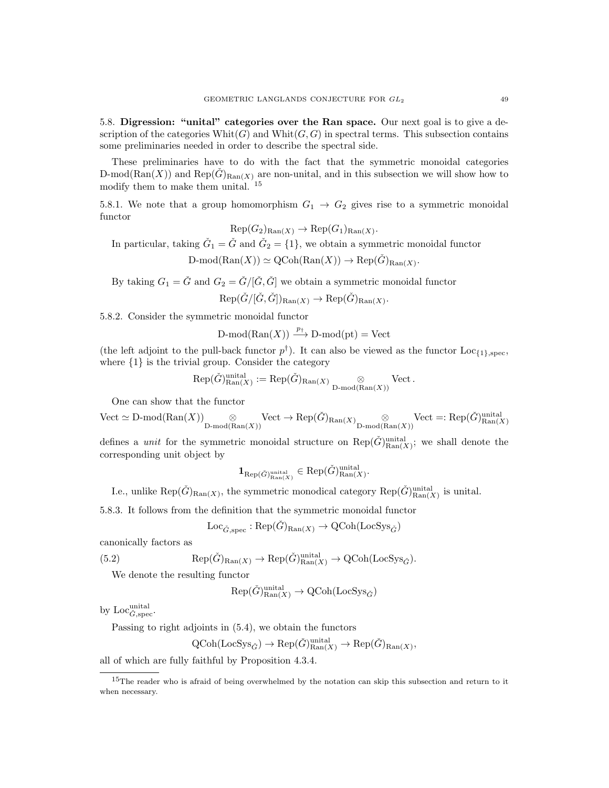5.8. Digression: "unital" categories over the Ran space. Our next goal is to give a description of the categories  $\text{Whit}(G)$  and  $\text{Whit}(G, G)$  in spectral terms. This subsection contains some preliminaries needed in order to describe the spectral side.

These preliminaries have to do with the fact that the symmetric monoidal categories D-mod(Ran(X)) and Rep( $\check{G}$ )<sub>Ran(X)</sub> are non-unital, and in this subsection we will show how to modify them to make them unital.  $^{15}$ 

5.8.1. We note that a group homomorphism  $G_1 \rightarrow G_2$  gives rise to a symmetric monoidal functor

$$
Rep(G_2)_{\text{Ran}(X)} \to \text{Rep}(G_1)_{\text{Ran}(X)}.
$$

In particular, taking  $\check{G}_1 = \check{G}$  and  $\check{G}_2 = \{1\}$ , we obtain a symmetric monoidal functor

 $D\text{-mod}(Ran(X)) \simeq \text{QCoh}(Ran(X)) \to \text{Rep}(\check{G})_{\text{Ran}(X)}.$ 

By taking  $G_1 = \check{G}$  and  $G_2 = \check{G}/[\check{G}, \check{G}]$  we obtain a symmetric monoidal functor

 $\text{Rep}(\check{G}/[\check{G},\check{G}])_{\text{Ran}(X)} \to \text{Rep}(\check{G})_{\text{Ran}(X)}.$ 

5.8.2. Consider the symmetric monoidal functor

D-mod(Ran(X))  $\stackrel{p_{\dagger}}{\longrightarrow}$  D-mod(pt) = Vect

(the left adjoint to the pull-back functor  $p^{\dagger}$ ). It can also be viewed as the functor Loc<sub>{1}</sub>, spec, where {1} is the trivial group. Consider the category

$$
\operatorname{Rep}(\check{G})^{\operatorname{unital}}_{\operatorname{Ran}(X)} := \operatorname{Rep}(\check{G})_{\operatorname{Ran}(X)} \underset{\operatorname{D-mod}(\operatorname{Ran}(X))}{\otimes} \operatorname{Vect}.
$$

One can show that the functor

 $\mathrm{Vect} \simeq \mathrm{D\text{-}mod}(\mathrm{Ran}(X)) \underset{\mathrm{D\text{-}mod}(\mathrm{Ran}(X))}{\otimes} \mathrm{Vect} \to \mathrm{Rep}(\check{G})_{\mathrm{Ran}(X)} \underset{\mathrm{D\text{-}mod}(\mathrm{Ran}(X))}{\otimes} \mathrm{Vect} \stackrel{=}{\text{:=}} \mathrm{Rep}(\check{G})_{\mathrm{Ran}(X)}^{\mathrm{unital}}$ 

defines a *unit* for the symmetric monoidal structure on  $\text{Rep}(\check{G})_{\text{Ran}(X)}^{\text{unital}}$ ; we shall denote the corresponding unit object by

$$
\mathbf{1}_{\text{Rep}(\check{G})^{\text{unital}}_{\text{Ran}(X)}} \in \text{Rep}(\check{G})^{\text{unital}}_{\text{Ran}(X)}.
$$

I.e., unlike  $\text{Rep}(\check{G})_{\text{Ran}(X)}$ , the symmetric monodical category  $\text{Rep}(\check{G})_{\text{Ran}(X)}^{\text{unital}}$  is unital.

5.8.3. It follows from the definition that the symmetric monoidal functor

$$
\mathrm{Loc}_{\check{G},\mathrm{spec}}:\mathrm{Rep}(\check{G})_{\mathrm{Ran}(X)}\to \mathrm{QCoh}(\mathrm{LocSys}_{\check{G}})
$$

canonically factors as

(5.2) 
$$
\operatorname{Rep}(\check{G})_{\operatorname{Ran}(X)} \to \operatorname{Rep}(\check{G})_{\operatorname{Ran}(X)}^{\operatorname{unital}} \to \operatorname{QCoh}(\operatorname{LocSys}_{\check{G}}).
$$

We denote the resulting functor

$$
\text{Rep}(\check{G})^{\text{unital}}_{\text{Ran}(X)} \to \text{QCoh}(\text{LocSys}_{\check{G}})
$$

by  $Loc_{\check{G}, \text{spec}}^{\text{unital}}$ .

Passing to right adjoints in (5.4), we obtain the functors

$$
\text{QCoh}(\text{LocSys}_{\check{G}}) \to \text{Rep}(\check{G})^{\text{unital}}_{\text{Ran}(X)} \to \text{Rep}(\check{G})_{\text{Ran}(X)},
$$

all of which are fully faithful by Proposition 4.3.4.

<sup>&</sup>lt;sup>15</sup>The reader who is afraid of being overwhelmed by the notation can skip this subsection and return to it when necessary.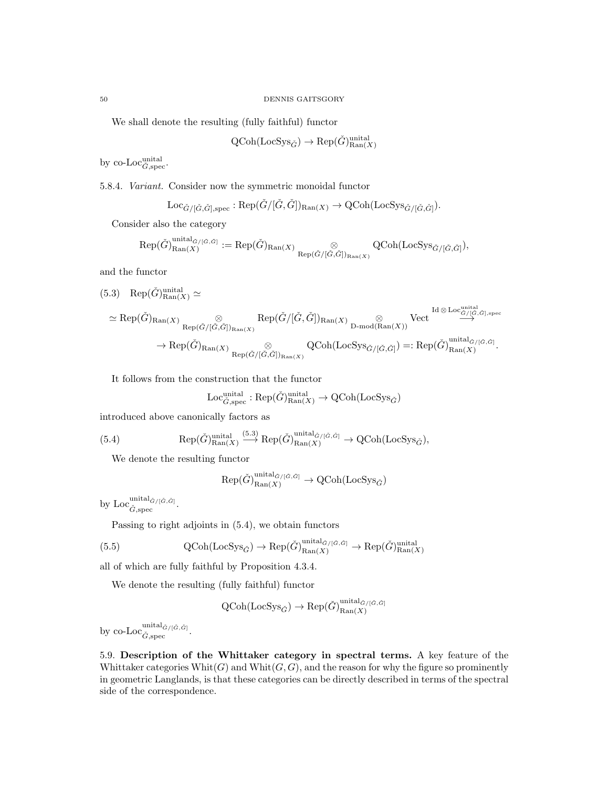We shall denote the resulting (fully faithful) functor

$$
\text{QCoh}(\text{LocSys}_{\check{G}}) \to \text{Rep}(\check{G})_{\text{Ran}(X)}^{\text{unital}}
$$

unital

by co-Loc $\ddot{G}_{,\mathrm{spec}}^{\mathrm{unital}}$ .

5.8.4. Variant. Consider now the symmetric monoidal functor

$$
Loc_{\check{G}/[\check{G},\check{G}],\mathrm{spec}} : \mathrm{Rep}(\check{G}/[\check{G},\check{G}])_{\mathrm{Ran}(X)} \to \mathrm{QCoh}(\mathrm{LocSys}_{\check{G}/[\check{G},\check{G}]}).
$$

Consider also the category

$$
\operatorname{Rep}(\check{G})_{\operatorname{Ran}(X)}^{\operatorname{unital}_{\check{G}/[\check{G},\check{G}]}}:=\operatorname{Rep}(\check{G})_{\operatorname{Ran}(X)}\underset{\operatorname{Rep}(\check{G}/[\check{G},\check{G}])_{\operatorname{Ran}(X)}}{\otimes}\operatorname{QCoh}(\operatorname{LocSys}_{\check{G}/[\check{G},\check{G}]}),
$$

and the functor

$$
(5.3) \quad \operatorname{Rep}(\check{G})^{\operatorname{unital}}_{\operatorname{Ran}(X)} \simeq \\ \simeq \operatorname{Rep}(\check{G})^{\operatorname{unital}}_{\operatorname{Rep}(\check{G}/[\check{G},\check{G}])_{\operatorname{Ran}(X)}} \operatorname{Rep}(\check{G}/[\check{G},\check{G}])_{\operatorname{Ran}(X)} \simeq \\ \simeq \operatorname{Rep}(\check{G})^{\operatorname{ind}}_{\operatorname{Ran}(X)} \otimes \\ \simeq \operatorname{Rep}(\check{G})^{\operatorname{ind}}_{\operatorname{Ran}(X)} \otimes \operatorname{QCoh}(\operatorname{Loc}Sys_{\check{G}/[\check{G},\check{G}]}) =: \operatorname{Rep}(\check{G})^{\operatorname{unital}_{\check{G}/[\check{G},\check{G}]}}_{\operatorname{Ran}(X)}.
$$

It follows from the construction that the functor

$$
Loc_{\check{G}, spec}^{unital}: Rep(\check{G})_{\text{Ran}(X)}^{\text{unital}} \to \text{QCoh}(\text{LocSys}_{\check{G}})
$$

introduced above canonically factors as

(5.4) 
$$
\operatorname{Rep}(\check{G})^{\text{unital}}_{\operatorname{Ran}(X)} \stackrel{(5.3)}{\longrightarrow} \operatorname{Rep}(\check{G})^{\text{unital}_{\check{G}/[\check{G},\check{G}]}}_{\operatorname{Ran}(X)} \to \operatorname{QCoh}(\operatorname{LocSys}_{\check{G}}),
$$

We denote the resulting functor

$$
\text{Rep}(\check{G})_{\text{Ran}(X)}^{\text{unital}_{\check{G}/[\check{G},\check{G}]}} \to \text{QCoh}(\text{LocSys}_{\check{G}})
$$

by  $\text{Loc}_{\check{G}, \text{spec}}^{\text{unital}_{\check{G}/[\check{G}, \check{G}]}}$ .

Passing to right adjoints in (5.4), we obtain functors

(5.5) 
$$
\mathrm{QCoh}(\mathrm{LocSys}_{\check{G}}) \to \mathrm{Rep}(\check{G})^{\mathrm{unital}_{\check{G}/[\check{G},\check{G}]}}_{\mathrm{Ran}(X)} \to \mathrm{Rep}(\check{G})^{\mathrm{unital}}_{\mathrm{Ran}(X)}
$$

all of which are fully faithful by Proposition 4.3.4.

We denote the resulting (fully faithful) functor

$$
\operatorname{QCoh}(\operatorname{LocSys}_{\check G}) \to \operatorname{Rep}(\check G)^{\operatorname{unital}_{\check G/[\check G,\check G]}}_{\operatorname{Ran}(X)}
$$

by co-Loc $\ddot{\tilde{G}}_{\check{G},\text{spec}}^{\text{unital}_{\check{G}/[\check{G},\check{G}]}}$ .

5.9. Description of the Whittaker category in spectral terms. A key feature of the Whittaker categories  $\text{Whit}(G)$  and  $\text{Whit}(G, G)$ , and the reason for why the figure so prominently in geometric Langlands, is that these categories can be directly described in terms of the spectral side of the correspondence.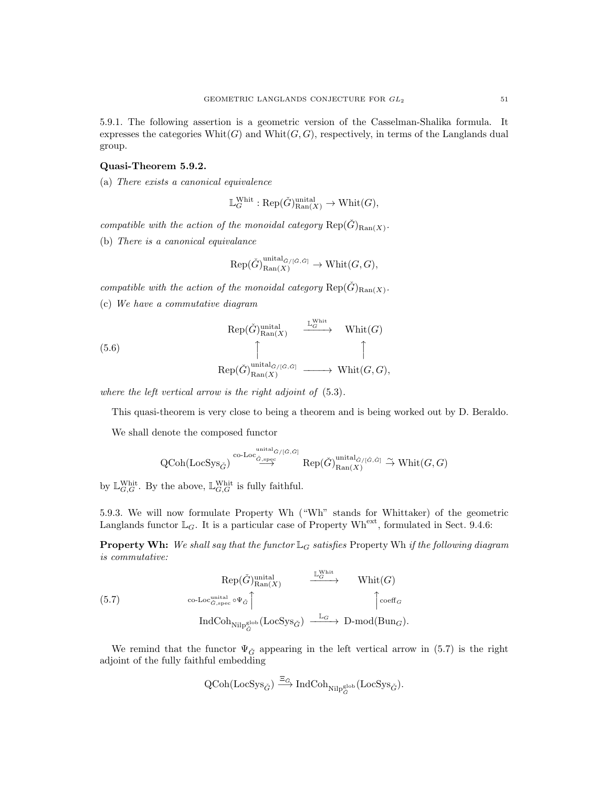5.9.1. The following assertion is a geometric version of the Casselman-Shalika formula. It expresses the categories  $\text{Whit}(G)$  and  $\text{Whit}(G, G)$ , respectively, in terms of the Langlands dual group.

## Quasi-Theorem 5.9.2.

(a) There exists a canonical equivalence

$$
\mathbb{L}_G^{\mathrm{Whit}}:\mathrm{Rep}(\check{G})^{\mathrm{unital}}_{\mathrm{Ran}(X)}\to\mathrm{Whit}(G),
$$

compatible with the action of the monoidal category  $\text{Rep}(\check{G})_{\text{Ran}(X)}$ .

(b) There is a canonical equivalance

$$
\text{Rep}(\check{G})^{\text{unital}_{\check{G}/[\check{G},\check{G}]}}_{\text{Ran}(X)} \to \text{Whit}(G,G),
$$

compatible with the action of the monoidal category  $\text{Rep}(\check{G})_{\text{Ran}(X)}$ .

(c) We have a commutative diagram

(5.6)  
\n
$$
\operatorname{Rep}(\check{G})^{\text{initial}}_{\text{Ran}(X)} \xrightarrow{\mathbb{L}_G^{\text{white}}}
$$
\n
$$
\uparrow
$$
\n
$$
\operatorname{Rep}(\check{G})^{\text{unital}_{G/[G,\check{G}]}}_{\text{Ran}(X)} \xrightarrow{\uparrow}
$$
\n
$$
\operatorname{Whit}(G, G),
$$

where the left vertical arrow is the right adjoint of (5.3).

This quasi-theorem is very close to being a theorem and is being worked out by D. Beraldo.

We shall denote the composed functor

$$
\operatorname{QCoh}(\operatorname{LocSys}_{\check G}) \stackrel{\operatorname{co-Loc}}{\overset{\operatorname{indid}}{\to} \check G/[\check G,\check G]}}{\longrightarrow} \operatorname{Rep}(\check G)^{\operatorname{unital}_{\check G/[\check G,\check G]}}_{\operatorname{Ran}(X)} \stackrel{\sim}{\to} \operatorname{Whit}(G,G)
$$

by  $\mathbb{L}_{G,G}^{\text{Whit}}$ . By the above,  $\mathbb{L}_{G,G}^{\text{Whit}}$  is fully faithful.

5.9.3. We will now formulate Property Wh ("Wh" stands for Whittaker) of the geometric Langlands functor  $\mathbb{L}_G$ . It is a particular case of Property Wh<sup>ext</sup>, formulated in Sect. 9.4.6:

**Property Wh:** We shall say that the functor  $\mathbb{L}_G$  satisfies Property Wh if the following diagram is commutative:

(5.7) 
$$
\operatorname{Rep}(\check{G})^{\text{unital}}_{\text{Ran}(X)} \xrightarrow{\mathbb{L}_G^{\text{unit}} \atop \mathbb{L}_G^{\text{unit}}} \text{Whit}(G)
$$
  
\n
$$
\operatorname{co-Loc}_{G,\text{spec}}^{\text{unital}} \circ \Psi_{\check{G}} \uparrow \qquad \qquad \uparrow \operatorname{coeff}_G
$$
  
\n
$$
\operatorname{IndCoh}_{\text{Nilp}_G^{\text{glob}}}(\text{LocSys}_{\check{G}}) \xrightarrow{\mathbb{L}_G} \text{D-mod}(\text{Bun}_G).
$$

We remind that the functor  $\Psi_{\check{G}}$  appearing in the left vertical arrow in (5.7) is the right adjoint of the fully faithful embedding

$$
\text{QCoh}(\text{LocSys}_{\check{G}}) \xrightarrow{\Xi_{\check{G}}} \text{IndCoh}_{\text{NilP}^{\text{glob}}_{\check{G}}}(\text{LocSys}_{\check{G}}).
$$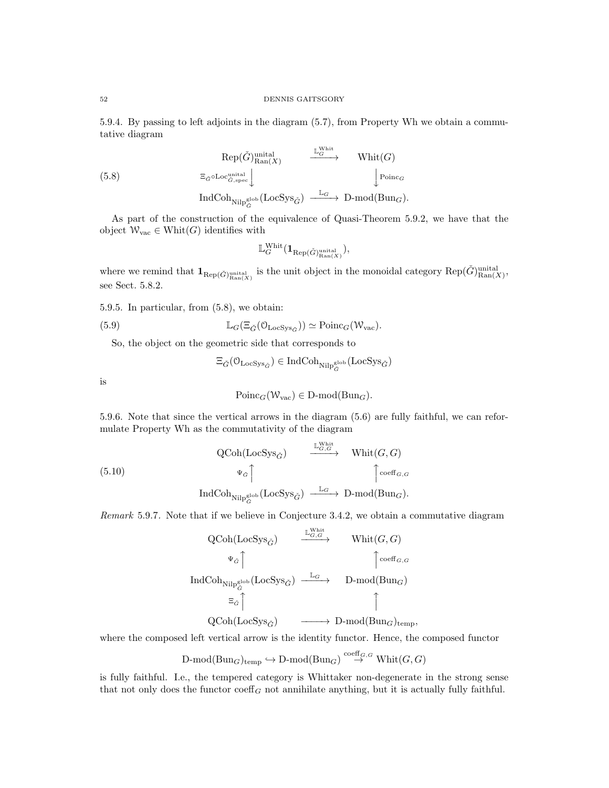5.9.4. By passing to left adjoints in the diagram (5.7), from Property Wh we obtain a commutative diagram

(5.8) 
$$
\begin{array}{ccc}\n\text{Rep}(\check{G})_{\text{Ran}(X)} & \xrightarrow{\mathbb{L}_G^{\text{whit}}} & \text{Whit}(G) \\
\left.\sum_{\check{G}^{\text{oLoc}}_{G,\text{spec}}^{\text{unital}}\right|} & & \downarrow^{\text{Poinc}_G} \\
\text{IndCoh}_{\text{Nilp}_G^{\text{glob}}}(\text{LocSys}_{\check{G}}) & \xrightarrow{\mathbb{L}_G} & \text{D-mod}(\text{Bun}_G).\n\end{array}
$$

As part of the construction of the equivalence of Quasi-Theorem 5.9.2, we have that the object  $W_{\text{vac}} \in \text{Whit}(G)$  identifies with

$$
\mathbb{L}_{G}^{\rm Whit}(\mathbf{1}_{\rm Rep(\check{G})_{\rm Ran(X)}^{\rm unital}}),
$$

where we remind that  $\mathbf{1}_{\text{Rep}(\check{G})_{\text{Ran}(X)}^{\text{unital}}}$  is the unit object in the monoidal category  $\text{Rep}(\check{G})_{\text{Ran}(X)}^{\text{unital}}$ , see Sect. 5.8.2.

5.9.5. In particular, from (5.8), we obtain:

(5.9) 
$$
\mathbb{L}_G(\Xi_{\check{G}}(\mathcal{O}_{\text{LocSys}_{\check{G}}})) \simeq \text{Poinc}_G(\mathcal{W}_{\text{vac}}).
$$

So, the object on the geometric side that corresponds to

$$
\Xi_{\check{G}}(\mathbb{O}_{\mathrm{LocSys}_{\check{G}}}) \in \mathrm{IndCoh}_{\mathrm{Nilp}^{\mathrm{glob}}_{\check{G}}}(\mathrm{LocSys}_{\check{G}})
$$

is

$$
Poinc_G(W_{\text{vac}}) \in D\text{-mod}(Bun_G).
$$

5.9.6. Note that since the vertical arrows in the diagram (5.6) are fully faithful, we can reformulate Property Wh as the commutativity of the diagram

 $W$ hit

(5.10)  
\n
$$
\begin{array}{ccc}\n\text{QCoh}(\text{LocSys}_{\tilde{G}}) & \xrightarrow{\mathbb{L}_{G, \tilde{G}}} & \text{Whit}(G, G) \\
\downarrow^{\Psi_{\tilde{G}}}\uparrow & & \uparrow^{\text{coeff}_{G, G}} \\
\text{IndCoh}_{\text{Nilp}_{\tilde{G}}^{\text{glob}}}(\text{LocSys}_{\tilde{G}}) & \xrightarrow{\mathbb{L}_{G}} & \text{D-mod}(\text{Bun}_{G}).\n\end{array}
$$

Remark 5.9.7. Note that if we believe in Conjecture 3.4.2, we obtain a commutative diagram

$$
\begin{array}{ccc}\n\text{QCoh}(\text{LocSys}_{\check{G}}) & \xrightarrow{\mathbb{L}_{G,G}^{\text{Whit}}}& \text{Whit}(G, G) \\
\downarrow^{\psi_G} & & \uparrow^{\text{coeff}_{G, G}} \\
\text{IndCoh}_{\text{Nilp}_{\check{G}}^{\text{glob}}}\text{(LocSys}_{\check{G}}) & \xrightarrow{\mathbb{L}_G} & \text{D-mod}(\text{Bun}_G) \\
& \vDash_{\check{G}} \uparrow & & \uparrow^{\text{coeff}_{G, G}} \\
\text{QCoh}(\text{LocSys}_{\check{G}}) & \xrightarrow{\mathbb{L}_G} & \uparrow^{\text{Ind}_{G}} \\
\text{QCoh}(\text{LocSys}_{\check{G}}) & \xrightarrow{\mathbb{L}_G} & \text{D-mod}(\text{Bun}_G)_{\text{temp}},\n\end{array}
$$

where the composed left vertical arrow is the identity functor. Hence, the composed functor

$$
\text{D-mod}(\text{Bun}_G)_{\text{temp}} \hookrightarrow \text{D-mod}(\text{Bun}_G) \stackrel{\text{coeff}_{G,G}}{\rightarrow} \text{Whit}(G,G)
$$

is fully faithful. I.e., the tempered category is Whittaker non-degenerate in the strong sense that not only does the functor  $\operatorname{coeff}_G$  not annihilate anything, but it is actually fully faithful.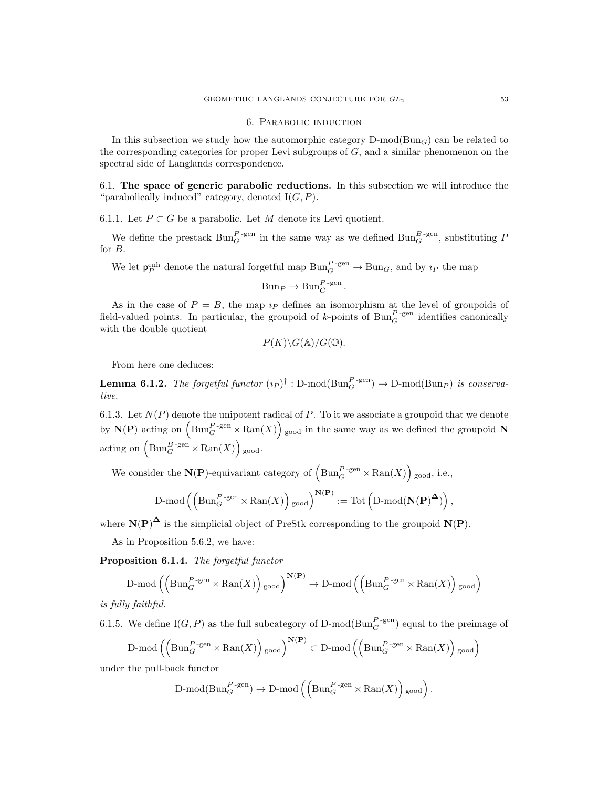### 6. Parabolic induction

In this subsection we study how the automorphic category  $D\text{-mod}(Bun_G)$  can be related to the corresponding categories for proper Levi subgroups of  $G$ , and a similar phenomenon on the spectral side of Langlands correspondence.

6.1. The space of generic parabolic reductions. In this subsection we will introduce the "parabolically induced" category, denoted  $I(G, P)$ .

6.1.1. Let  $P \subset G$  be a parabolic. Let M denote its Levi quotient.

We define the prestack  $\text{Bun}_G^{P\text{-gen}}$  in the same way as we defined  $\text{Bun}_G^{B\text{-gen}}$ , substituting P for B.

We let  $p_P^{\text{enh}}$  denote the natural forgetful map  $\text{Bun}_G^{P\text{-gen}} \to \text{Bun}_G$ , and by  $i_P$  the map

$$
Bun_P \to Bun_G^{P\text{-gen}}.
$$

As in the case of  $P = B$ , the map  $i_P$  defines an isomorphism at the level of groupoids of field-valued points. In particular, the groupoid of k-points of  $Bun_G^{P\text{-gen}}$  identifies canonically with the double quotient

$$
P(K)\backslash G(\mathbb{A})/G(\mathbb{O}).
$$

From here one deduces:

**Lemma 6.1.2.** The forgetful functor  $(i_P)^{\dagger}$  : D-mod $(\text{Bun}_G^{P\text{-gen}}) \to \text{D-mod}(\text{Bun}_P)$  is conservative.

6.1.3. Let  $N(P)$  denote the unipotent radical of P. To it we associate a groupoid that we denote by  $N(P)$  acting on  $\left( Bun_G^{P\text{-gen}}\times \text{Ran}(X)\right)$  good in the same way as we defined the groupoid N acting on  $\left(\text{Bun}_G^{B\text{-gen}} \times \text{Ran}(X)\right)$  good.

We consider the  $\mathbf{N}(\mathbf{P})$ -equivariant category of  $\left(\text{Bun}_G^{P\text{-gen}} \times \text{Ran}(X)\right)_{\text{good}}$ , i.e.,  $\mathrm{D\text{-}mod}\left(\left(\mathrm{Bun}_G^{P\text{-}\mathrm{gen}}\times \mathrm{Ran}(X)\right)_{\mathrm{good}}\right)^{\mathbf{N}(\mathbf{P})}:=\mathrm{Tot}\left(\mathrm{D\text{-}mod}(\mathbf{N}(\mathbf{P})^{\mathbf{\Delta}})\right),$ 

where  $N(P)^{\Delta}$  is the simplicial object of PreStk corresponding to the groupoid  $N(P)$ .

As in Proposition 5.6.2, we have:

Proposition 6.1.4. The forgetful functor

$$
\text{D-mod}\left(\left(\text{Bun}_G^{P\text{-gen}}\times\text{Ran}(X)\right)_{\text{good}}\right)^{\mathbf{N}(\mathbf{P})}\to\text{D-mod}\left(\left(\text{Bun}_G^{P\text{-gen}}\times\text{Ran}(X)\right)_{\text{good}}\right)
$$

is fully faithful.

6.1.5. We define  $I(G, P)$  as the full subcategory of D-mod( $Bun_G^{P\text{-gen}}$ ) equal to the preimage of

$$
\text{D-mod}\left(\left(\text{Bun}_G^{P\text{-gen}}\times\text{Ran}(X)\right)_{\text{good}}\right)^{\mathbf{N}(\mathbf{P})}\subset\text{D-mod}\left(\left(\text{Bun}_G^{P\text{-gen}}\times\text{Ran}(X)\right)_{\text{good}}\right)
$$

under the pull-back functor

$$
\text{D-mod}(\text{Bun}_G^{P\text{-gen}})\to \text{D-mod}\left(\left(\text{Bun}_G^{P\text{-gen}}\times \text{Ran}(X)\right)_{\text{good}}\right).
$$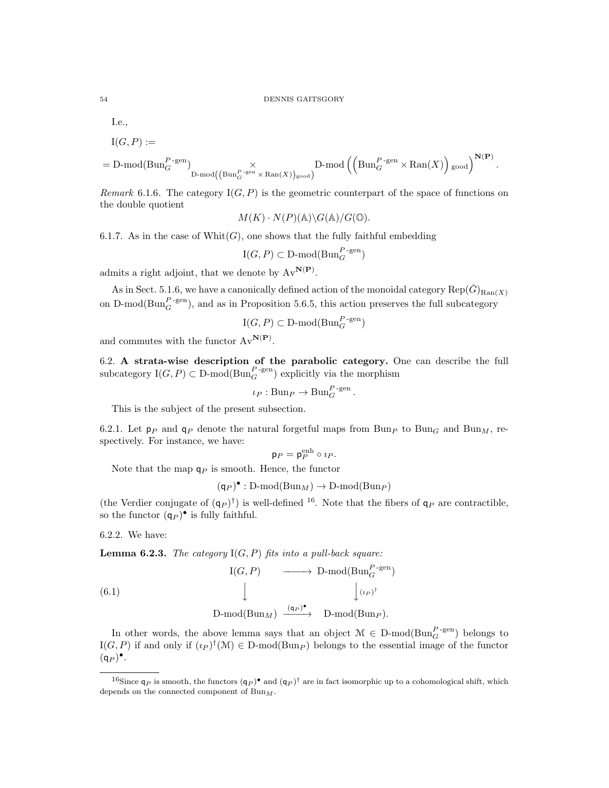I.e.,

$$
I(G,P) :=
$$

$$
= \mathrm{D\text{-}mod}(\mathrm{Bun}_G^{P\text{-}\mathrm{gen}}) \underset{\mathrm{D\text{-}mod}\left(\left(\mathrm{Bun}_G^{P\text{-}\mathrm{gen}}\times \mathrm{Ran}(X)\right)_{\mathrm{good}}\right)}{\times} \mathrm{D\text{-}mod}\left(\left(\mathrm{Bun}_G^{P\text{-}\mathrm{gen}}\times \mathrm{Ran}(X)\right)_{\mathrm{good}}\right)^{\mathbf{N}(\mathbf{P})}.
$$

Remark 6.1.6. The category  $I(G, P)$  is the geometric counterpart of the space of functions on the double quotient

$$
M(K) \cdot N(P)(\mathbb{A}) \backslash G(\mathbb{A}) / G(\mathbb{O}).
$$

6.1.7. As in the case of  $Whit(G)$ , one shows that the fully faithful embedding

$$
\mathrm{I}(G,P) \subset \mathrm{D\text{-}mod}(\mathrm{Bun}_G^{P\text{-}\mathrm{gen}})
$$

admits a right adjoint, that we denote by  $Av^{\mathbf{N}(\mathbf{P})}$ .

As in Sect. 5.1.6, we have a canonically defined action of the monoidal category Rep( $\check{G}$ )<sub>Ran(X)</sub> on D-mod( $\text{Bun}_G^{\text{P-gen}}$ ), and as in Proposition 5.6.5, this action preserves the full subcategory

$$
\mathrm{I}(G,P) \subset \mathrm{D\text{-}mod}(\mathrm{Bun}_G^{P\text{-}\mathrm{gen}})
$$

and commutes with the functor  $Av^{\mathbf{N}(\mathbf{P})}$ .

6.2. A strata-wise description of the parabolic category. One can describe the full subcategory  $I(G, P) \subset D$ -mod $(Bun_G^{P\text{-gen}})$  explicitly via the morphism

$$
\iota_P: \mathrm{Bun}_P \to \mathrm{Bun}_G^{P\text{-gen}}.
$$

This is the subject of the present subsection.

6.2.1. Let  $p_P$  and  $q_P$  denote the natural forgetful maps from Bun<sub>P</sub> to Bun<sub>G</sub> and Bun<sub>M</sub>, respectively. For instance, we have:

$$
\mathsf{p}_P = \mathsf{p}_P^{\text{enh}} \circ \imath_P.
$$

Note that the map  $q_P$  is smooth. Hence, the functor

$$
(\mathsf{q}_P)^{\bullet}: \mathbf{D}\text{-}\mathrm{mod}(\mathbf{Bun}_M) \to \mathbf{D}\text{-}\mathrm{mod}(\mathbf{Bun}_P)
$$

(the Verdier conjugate of  $(q_P)^{\dagger}$ ) is well-defined <sup>16</sup>. Note that the fibers of  $q_P$  are contractible, so the functor  $(q_P)^{\bullet}$  is fully faithful.

6.2.2. We have:

**Lemma 6.2.3.** The category  $I(G, P)$  fits into a pull-back square:

(6.1)  
\n
$$
I(G, P) \longrightarrow D-mod(Bun_{G}^{P-\text{gen}})
$$
\n
$$
\downarrow \qquad \qquad \downarrow \qquad \qquad \downarrow \qquad \qquad \downarrow \qquad \qquad \downarrow \qquad \qquad \downarrow \qquad \qquad \downarrow \qquad \qquad \downarrow \qquad \qquad \downarrow \qquad \qquad \downarrow \qquad \qquad \downarrow \qquad \qquad \downarrow \qquad \qquad \downarrow \qquad \qquad \downarrow \qquad \qquad \downarrow \qquad \qquad \downarrow \qquad \qquad \downarrow \qquad \qquad \downarrow \qquad \qquad \downarrow \qquad \qquad \downarrow \qquad \qquad \downarrow \qquad \qquad \downarrow \qquad \qquad \downarrow \qquad \qquad \downarrow \qquad \qquad \downarrow \qquad \qquad \downarrow \qquad \qquad \downarrow \qquad \qquad \downarrow \qquad \qquad \downarrow \qquad \qquad \downarrow \qquad \qquad \downarrow \qquad \qquad \downarrow \qquad \qquad \downarrow \qquad \qquad \downarrow \qquad \qquad \downarrow \qquad \qquad \downarrow \qquad \qquad \downarrow \qquad \qquad \downarrow \qquad \qquad \downarrow \qquad \qquad \downarrow \qquad \qquad \downarrow \qquad \qquad \downarrow \qquad \qquad \downarrow \qquad \qquad \downarrow \qquad \qquad \downarrow \qquad \qquad \downarrow \qquad \qquad \downarrow \qquad \qquad \downarrow \qquad \qquad \downarrow \qquad \qquad \downarrow \qquad \qquad \downarrow \qquad \qquad \downarrow \qquad \qquad \downarrow \qquad \qquad \downarrow \qquad \qquad \downarrow \qquad \qquad \downarrow \qquad \qquad \downarrow \qquad \qquad \downarrow \qquad \qquad \downarrow \qquad \qquad \downarrow \qquad \qquad \downarrow \qquad \qquad \downarrow \qquad \qquad \downarrow \qquad \qquad \downarrow \qquad \qquad \downarrow \qquad \qquad \downarrow \qquad \qquad \downarrow \qquad \qquad \downarrow \qquad \qquad \downarrow \qquad \qquad \downarrow \qquad \qquad \downarrow \qquad \qquad \downarrow \qquad \qquad \downarrow \qquad \qquad \downarrow \qquad \qquad \downarrow \qquad \qquad \downarrow \qquad \qquad \downarrow \qquad \qquad \downarrow \qquad \qquad \downarrow \qquad \qquad \downarrow \qquad \qquad \
$$

In other words, the above lemma says that an object  $\mathcal{M} \in D\text{-mod}(Bun_G^{P\text{-gen}})$  belongs to  $I(G, P)$  if and only if  $(\iota_P)^{\dagger}(\mathcal{M}) \in D\text{-mod}(Bun_P)$  belongs to the essential image of the functor  $(q_P)^{\bullet}$ .

<sup>&</sup>lt;sup>16</sup>Since  $q_P$  is smooth, the functors  $(q_P)^{\bullet}$  and  $(q_P)^{\dagger}$  are in fact isomorphic up to a cohomological shift, which depends on the connected component of  $Bun_M$ .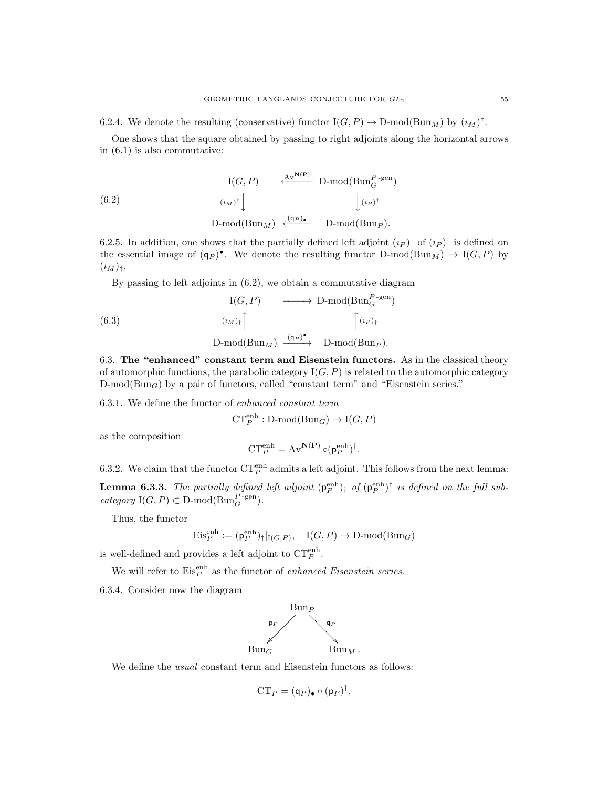6.2.4. We denote the resulting (conservative) functor  $I(G, P) \to D\text{-mod}(Bun_M)$  by  $(i_M)^{\dagger}$ .

One shows that the square obtained by passing to right adjoints along the horizontal arrows in (6.1) is also commutative:

(6.2) 
$$
I(G, P) \xrightarrow{\mathbf{A}v^{\mathbf{N(P)}}} \mathbf{D}\text{-mod}(\text{Bun}_G^{P\text{-gen}})
$$

$$
\underbrace{(i_M)^{\dagger}}_{\mathbf{D}\text{-mod}(\text{Bun}_M)} \underbrace{\downarrow^{(\mathbf{q}_P)\bullet}}_{\mathbf{D}\text{-mod}(\text{Bun}_P)} \mathbf{D}\text{-mod}(\text{Bun}_P).
$$

6.2.5. In addition, one shows that the partially defined left adjoint  $(\iota_P)_\dagger$  of  $(\iota_P)^\dagger$  is defined on the essential image of  $(q_P)^{\bullet}$ . We denote the resulting functor D-mod( $Bun_M$ )  $\rightarrow I(G, P)$  by  $(i_M)_\dagger$ .

By passing to left adjoints in (6.2), we obtain a commutative diagram

(6.3)  
\n
$$
I(G, P) \longrightarrow D-mod(Bun_{G}^{P-\text{gen}})
$$
\n
$$
\xrightarrow{(i_{M})_{\dagger}} \uparrow \qquad \qquad \uparrow (i_{P})_{\dagger}
$$
\n
$$
D-mod(Bun_{M}) \xrightarrow{(q_{P})^{\bullet}} D-mod(Bun_{P}).
$$

6.3. The "enhanced" constant term and Eisenstein functors. As in the classical theory of automorphic functions, the parabolic category  $I(G, P)$  is related to the automorphic category  $D\text{-mod}(Bun_G)$  by a pair of functors, called "constant term" and "Eisenstein series."

6.3.1. We define the functor of enhanced constant term

$$
\mathbf{CT}^{\text{enh}}_P:\mathbf{D}\text{-}\mathrm{mod}(\mathbf{Bun}_G)\rightarrow \mathbf{I}(G,P)
$$

as the composition

$$
\mathbf{CT}_P^{\mathrm{enh}} = \mathbf{A}\mathbf{v}^{\mathbf{N}(\mathbf{P})} \circ (\mathbf{p}_P^{\mathrm{enh}})^{\dagger}.
$$

6.3.2. We claim that the functor  $CT_P^{\text{enh}}$  admits a left adjoint. This follows from the next lemma:

**Lemma 6.3.3.** The partially defined left adjoint  $(\mathsf{p}_P^{\text{enh}})_\dagger$  of  $(\mathsf{p}_P^{\text{enh}})^{\dagger}$  is defined on the full sub $category \ I(G, P) \subset D\text{-mod}(\text{Bun}_G^{P\text{-gen}}).$ 

Thus, the functor

$$
\mathrm{Eis}_P^{\mathrm{enh}} := (\mathsf{p}_P^{\mathrm{enh}})_\dagger|_{\mathrm{I}(G,P)}, \quad \mathrm{I}(G,P) \to \mathrm{D\text{-}mod}(\mathrm{Bun}_G)
$$

is well-defined and provides a left adjoint to  $CT_P^{\text{enh}}$ .

We will refer to  $\text{Eis}_{P}^{\text{enh}}$  as the functor of *enhanced Eisenstein series*.

6.3.4. Consider now the diagram



We define the *usual* constant term and Eisenstein functors as follows:

$$
\mathrm{CT}_P = (\mathsf{q}_P)_{\bullet} \circ (\mathsf{p}_P)^{\dagger},
$$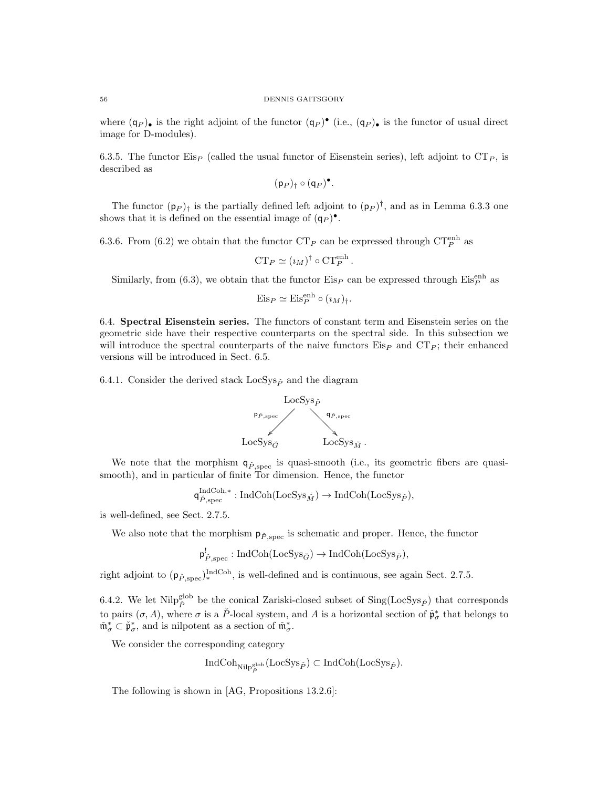where  $(q_P)$ , is the right adjoint of the functor  $(q_P)$ <sup>\*</sup> (i.e.,  $(q_P)$ , is the functor of usual direct image for D-modules).

6.3.5. The functor Eis<sub>P</sub> (called the usual functor of Eisenstein series), left adjoint to  $CT_P$ , is described as

$$
(\mathsf{p}_P)_{\dagger} \circ (\mathsf{q}_P)^{\bullet}.
$$

The functor  $(p_P)$ <sub>†</sub> is the partially defined left adjoint to  $(p_P)$ <sup>†</sup>, and as in Lemma 6.3.3 one shows that it is defined on the essential image of  $(q_P)^{\bullet}$ .

6.3.6. From (6.2) we obtain that the functor  $CT_P$  can be expressed through  $CT_P^{\text{enh}}$  as

$$
CT_P \simeq (\iota_M)^{\dagger} \circ CT_P^{\text{enh}}.
$$

Similarly, from (6.3), we obtain that the functor  $\mathrm{Eis}_P$  can be expressed through  $\mathrm{Eis}_P^{\mathrm{enh}}$  as

$$
\mathrm{Eis}_P \simeq \mathrm{Eis}_P^{\mathrm{enh}} \circ (i_M)_\dagger.
$$

6.4. Spectral Eisenstein series. The functors of constant term and Eisenstein series on the geometric side have their respective counterparts on the spectral side. In this subsection we will introduce the spectral counterparts of the naive functors  $E$ is *p* and  $CT<sub>P</sub>$ ; their enhanced versions will be introduced in Sect. 6.5.

6.4.1. Consider the derived stack LocSys<sub>p</sub><sup>2</sup> and the diagram



We note that the morphism  $q_{\check{P}, \text{spec}}$  is quasi-smooth (i.e., its geometric fibers are quasismooth), and in particular of finite Tor dimension. Hence, the functor

$$
\mathsf{q}_{\check{P}, \mathrm{spec}}^{\mathrm{IndCoh}, *} : \mathrm{IndCoh}(\mathrm{LocSys}_{\check{M}}) \to \mathrm{IndCoh}(\mathrm{LocSys}_{\check{P}}),
$$

is well-defined, see Sect. 2.7.5.

We also note that the morphism  $p_{\tilde{P}, \text{spec}}$  is schematic and proper. Hence, the functor

$$
\mathsf{p}^!_{\check{P}, \mathrm{spec}} : \mathrm{IndCoh}(\mathrm{LocSys}_{\check{G}}) \to \mathrm{IndCoh}(\mathrm{LocSys}_{\check{P}}),
$$

right adjoint to  $(p_{\tilde{P}, \text{spec}})^{\text{IndCoh}}$ , is well-defined and is continuous, see again Sect. 2.7.5.

6.4.2. We let  $\text{Nilp}_{\tilde{P}}^{\text{glob}}$  be the conical Zariski-closed subset of  $\text{Sing}(\text{LocSys}_{\tilde{P}})$  that corresponds to pairs  $(\sigma, A)$ , where  $\sigma$  is a P<sup>\*</sup>-local system, and A is a horizontal section of  $\mathfrak{p}^*_{\sigma}$  that belongs to  $\check{\mathfrak{m}}_{\sigma}^* \subset \check{\mathfrak{p}}_{\sigma}^*$ , and is nilpotent as a section of  $\check{\mathfrak{m}}_{\sigma}^*$ .

We consider the corresponding category

$$
\operatorname{IndCoh}_{\operatorname{Nilp}^{\operatorname{glob}}_P}(\operatorname{LocSys}_{\check{P}}) \subset \operatorname{IndCoh}(\operatorname{LocSys}_{\check{P}}).
$$

The following is shown in [AG, Propositions 13.2.6]: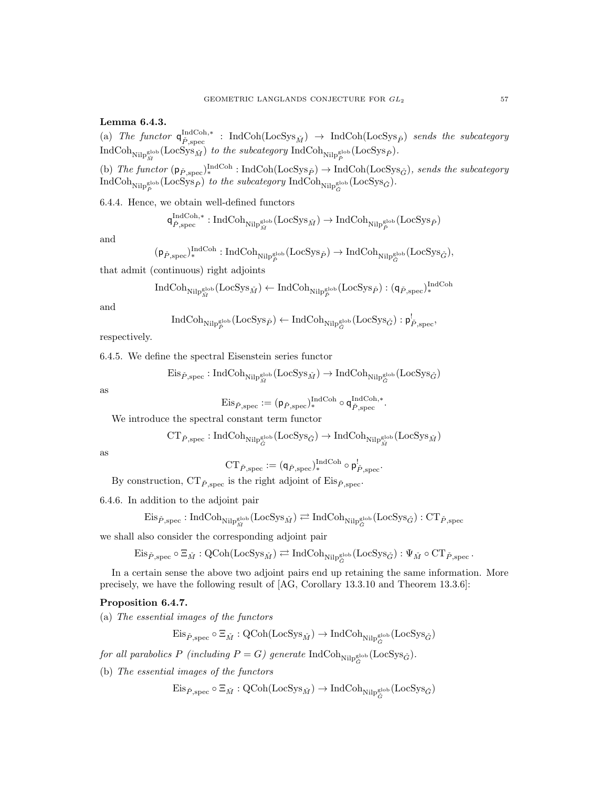Lemma 6.4.3.

(a) The functor  $\mathsf{q}_{\check{P},\mathrm{spec}}^{\mathrm{IndCoh},*}$  : IndCoh(LocSys<sub>M</sub>^)  $\rightarrow$  IndCoh(LocSys<sub>P</sub>^) sends the subcategory  $\rm IndCoh_{Nilp^{\rm glob}_{\tilde{M}}}(\rm LocSys_{\tilde{M}})$  to the subcategory  $\rm IndCoh_{Nilp^{\rm glob}_{\tilde{P}}}(\rm LocSys_{\tilde{P}}).$ 

(b) The functor  $(p_{\check{P}, \text{spec}})^{\text{IndCoh}}$ : IndCoh(LocSys<sub> $\check{P}$ </sub>)  $\rightarrow$  IndCoh(LocSys<sub> $\check{G}$ </sub>), sends the subcategory  $\text{IndCoh}_{\text{Nilp}^{\text{glob}}_{\tilde{P}}}(\text{LocSys}_{\tilde{P}})$  to the subcategory  $\text{IndCoh}_{\text{Nilp}^{\text{glob}}_{\tilde{G}}}(\text{LocSys}_{\tilde{G}})$ .

6.4.4. Hence, we obtain well-defined functors

$$
\mathsf{q}_{\check{P},\mathrm{spec}}^{\mathrm{IndCoh},*}:\mathrm{IndCoh}_{\mathrm{NilP}_M^{\mathrm{glob}} }(\mathrm{LocSys}_{\check{M}})\to \mathrm{IndCoh}_{\mathrm{NilP}_P^{\mathrm{glob}} }(\mathrm{LocSys}_{\check{P}})
$$

and

$$
(\mathsf{p}_{\breve{P}, \mathrm{spec}})_{*}^{\mathrm{IndCoh}}: \mathrm{IndCoh}_{\mathrm{Nilp}^{\mathrm{glob}}_{\breve{P}}}( \mathrm{LocSys}_{\breve{P}}) \rightarrow \mathrm{IndCoh}_{\mathrm{Nilp}^{\mathrm{glob}}_{\breve{G}}}( \mathrm{LocSys}_{\breve{G}}),
$$

that admit (continuous) right adjoints

$$
\operatorname{IndCoh}_{\operatorname{NilP}^{\operatorname{glob}}_M}(\operatorname{LocSys}_{\check{M}}) \leftarrow \operatorname{IndCoh}_{\operatorname{NilP}^{\operatorname{glob}}_{{\check{P}}}}(\operatorname{LocSys}_{{\check{P}}}) : (\mathsf{q}_{{\check{P}}, \operatorname{spec}})_{*}^{\operatorname{IndCoh}}
$$

and

$$
\operatorname{IndCoh}_{\operatorname{Nilp}_P^{\operatorname{glob}}}( \operatorname{LocSys}_{\check{P}}) \leftarrow \operatorname{IndCoh}_{\operatorname{Nilp}_G^{\operatorname{glob}}}( \operatorname{LocSys}_{\check{G}}) : \mathsf{p}^!_{\check{P}, \operatorname{spec}},
$$

respectively.

6.4.5. We define the spectral Eisenstein series functor

$$
\mathrm{Eis}_{\breve{P}, \mathrm{spec}}: \mathrm{IndCoh}_{\mathrm{Nilp}^{\mathrm{glob}}_{\breve{M}}}(\mathrm{LocSys}_{\breve{M}}) \to \mathrm{IndCoh}_{\mathrm{Nilp}^{\mathrm{glob}}_{\breve{G}}}(\mathrm{LocSys}_{\breve{G}})
$$

as

$$
\mathrm{Eis}_{\check{P}, \mathrm{spec}} := (\mathsf{p}_{\check{P}, \mathrm{spec}})_{*}^{\mathrm{IndCoh}} \circ \mathsf{q}_{\check{P}, \mathrm{spec}}^{\mathrm{IndCoh}, *}.
$$

We introduce the spectral constant term functor

$$
\operatorname{CT}_{\check{P}, \operatorname{spec}}: \operatorname{IndCoh}_{\operatorname{NilP}_G^{\operatorname{glob}}}( \operatorname{LocSys}_{\check{G}}) \to \operatorname{IndCoh}_{\operatorname{NilP}_M^{\operatorname{glob}}}( \operatorname{LocSys}_{\check{M}})
$$

as

$$
\operatorname{CT}_{\check{P}, \operatorname{spec}} := (\mathsf{q}_{\check{P}, \operatorname{spec}})_{*}^{\operatorname{IndCoh}} \circ \mathsf{p}^!_{\check{P}, \operatorname{spec}}
$$

.

By construction,  $CT_{\check{P}, \text{spec}}$  is the right adjoint of  $Eis_{\check{P}, \text{spec}}$ .

6.4.6. In addition to the adjoint pair

$$
\mathrm{Eis}_{\check{P}, \mathrm{spec}} : \mathrm{IndCoh}_{\mathrm{NilP}^{\mathrm{glob}}_{\check{M}}}(\mathrm{LocSys}_{\check{M}}) \rightleftarrows \mathrm{IndCoh}_{\mathrm{NilP}^{\mathrm{glob}}_{\check{G}}}(\mathrm{LocSys}_{\check{G}}) : \mathrm{CT}_{\check{P}, \mathrm{spec}}
$$

we shall also consider the corresponding adjoint pair

$$
\mathrm{Eis}_{\breve{P}, \mathrm{spec}} \circ \Xi_{\breve{M}} : \mathrm{QCoh}(\mathrm{LocSys}_{\breve{M}}) \rightleftarrows \mathrm{IndCoh}_{\mathrm{Nilp}_G^{\mathrm{glob}}}(\mathrm{LocSys}_{\breve{G}}) : \Psi_{\breve{M}} \circ \mathrm{CT}_{\breve{P}, \mathrm{spec}} \, .
$$

In a certain sense the above two adjoint pairs end up retaining the same information. More precisely, we have the following result of [AG, Corollary 13.3.10 and Theorem 13.3.6]:

### Proposition 6.4.7.

(a) The essential images of the functors

$$
\mathrm{Eis}_{\breve{P}, \mathrm{spec}} \circ \Xi_{\breve{M}} : \mathrm{QCoh}(\mathrm{LocSys}_{\breve{M}}) \to \mathrm{IndCoh}_{\mathrm{NilP}^{\mathrm{glob}}_{\breve{G}}}(\mathrm{LocSys}_{\breve{G}})
$$

for all parabolics P (including  $P = G$ ) generate  $\text{IndCoh}_{\text{Nilp}_G^{\text{glob}}}(\text{LocSys}_{\check{G}})$ .

(b) The essential images of the functors

$$
\mathrm{Eis}_{\check{P}, \mathrm{spec}} \circ \Xi_{\check{M}} : \mathrm{QCoh}(\mathrm{LocSys}_{\check{M}}) \to \mathrm{IndCoh}_{\mathrm{NilP}^{\mathrm{glob}}_{\check{G}}}(\mathrm{LocSys}_{\check{G}})
$$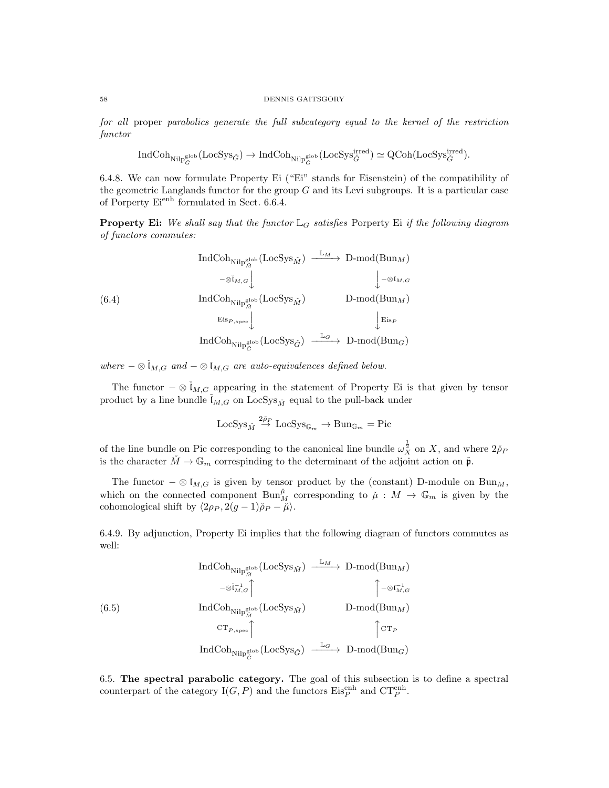for all proper parabolics generate the full subcategory equal to the kernel of the restriction functor

$$
\operatorname{IndCoh}_{\operatorname{Nilp}^{\operatorname{glob}}_G}(\operatorname{LocSys}_{\check{G}}) \to \operatorname{IndCoh}_{\operatorname{Nilp}^{\operatorname{glob}}_G}(\operatorname{LocSys}^{\operatorname{irred}}_{\check{G}}) \simeq \operatorname{QCoh}(\operatorname{LocSys}^{\operatorname{irred}}_{\check{G}}).
$$

6.4.8. We can now formulate Property Ei ("Ei" stands for Eisenstein) of the compatibility of the geometric Langlands functor for the group  $G$  and its Levi subgroups. It is a particular case of Porperty Ei<sup>enh</sup> formulated in Sect. 6.6.4.

**Property Ei:** We shall say that the functor  $\mathbb{L}_G$  satisfies Porperty Ei if the following diagram of functors commutes:

$$
\text{IndCoh}_{\text{Nilp}_{\tilde{M}}^{\text{glob}}}\left(\text{LocSys}_{\tilde{M}}\right) \xrightarrow{\mathbb{L}_M} \text{D-mod(Bun}_{M}\right) \\
-\otimes i_{M,G} \downarrow \qquad \qquad \downarrow -\otimes I_{M,G} \\
\text{IndCoh}_{\text{Nilp}_{\tilde{M}}^{\text{glob}}}\left(\text{LocSys}_{\tilde{M}}\right) \qquad \qquad \text{D-mod(Bun}_{M}) \\
\text{Eis}_{\tilde{P}, \text{spec}} \downarrow \qquad \qquad \downarrow \text{Eis}_{P} \\
\text{IndCoh}_{\text{Nilp}_{\tilde{G}}^{\text{glob}}}\left(\text{LocSys}_{\tilde{G}}\right) \xrightarrow{\mathbb{L}_G} \text{D-mod(Bun}_{G})
$$

where  $-\otimes \check{I}_{M,G}$  and  $-\otimes I_{M,G}$  are auto-equivalences defined below.

The functor  $-\otimes \check{I}_{M,G}$  appearing in the statement of Property Ei is that given by tensor product by a line bundle  $\check{l}_{M,G}$  on LocSys<sub>M</sub><sup>i</sup> equal to the pull-back under

$$
\text{LocSys}_{\tilde{M}} \overset{2\tilde{\rho}_P}{\rightarrow} \text{LocSys}_{\mathbb{G}_m} \rightarrow \text{Bun}_{\mathbb{G}_m} = \text{Pic}
$$

of the line bundle on Pic corresponding to the canonical line bundle  $\omega_X^{\frac{1}{2}}$  on X, and where  $2\check{\rho}_P$ is the character  $\check{M} \to \mathbb{G}_m$  correspinding to the determinant of the adjoint action on  $\check{\mathfrak{p}}$ .

The functor  $-\otimes I_{M,G}$  is given by tensor product by the (constant) D-module on Bun<sub>M</sub>, which on the connected component  $\text{Bun}_M^{\tilde{\mu}}$  corresponding to  $\tilde{\mu}: M \to \mathbb{G}_m$  is given by the cohomological shift by  $\langle 2\rho_P, 2(g - 1)\check{\rho}_P - \check{\mu} \rangle$ .

6.4.9. By adjunction, Property Ei implies that the following diagram of functors commutes as well:

$$
\text{IndCoh}_{\text{Nilp}^{\text{glob}}_M}(\text{LocSys}_{\check{M}}) \xrightarrow{\mathbb{L}_M} \text{D-mod}(\text{Bun}_M)
$$
\n
$$
\neg \otimes i_{M,G}^{-1} \qquad \qquad \uparrow \neg \otimes i_{M,G}^{-1}
$$
\n
$$
\text{IndCoh}_{\text{Nilp}^{\text{glob}}_M}(\text{LocSys}_{\check{M}}) \qquad \qquad \text{D-mod}(\text{Bun}_M)
$$
\n
$$
\text{CT}_{\check{P}, \text{spec}} \qquad \qquad \uparrow \qquad \qquad \uparrow \text{CT}_{P}
$$
\n
$$
\text{IndCoh}_{\text{Nilp}^{\text{glob}}_G}(\text{LocSys}_{\check{G}}) \xrightarrow{\mathbb{L}_G} \text{D-mod}(\text{Bun}_G)
$$

6.5. The spectral parabolic category. The goal of this subsection is to define a spectral counterpart of the category  $I(G, P)$  and the functors  $Eis_P^{\text{enh}}$  and  $CT_P^{\text{enh}}$ .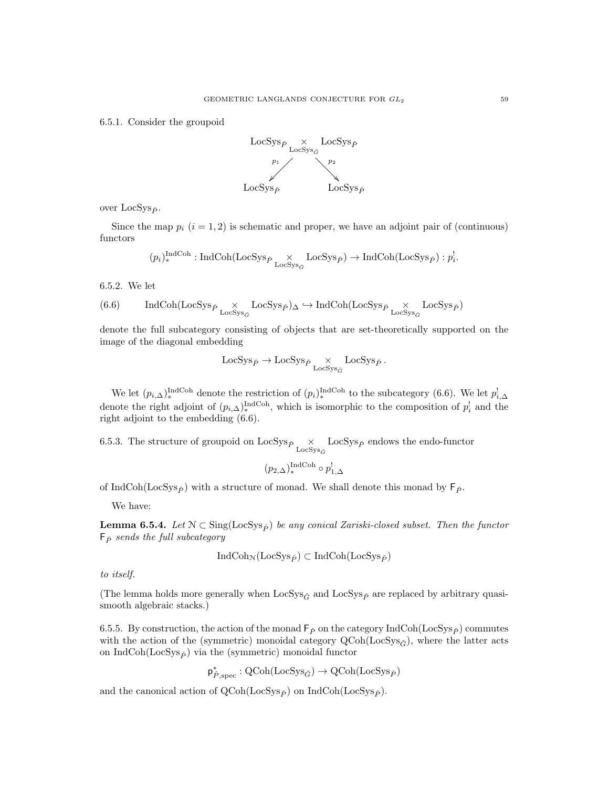6.5.1. Consider the groupoid



over  $LocSys_{\check{P}}$ .

Since the map  $p_i$   $(i = 1, 2)$  is schematic and proper, we have an adjoint pair of (continuous) functors

$$
(p_i)^\mathrm{IndCoh}_*:\mathrm{IndCoh}(\mathrm{LocSys}_{\check{P}}\underset{\mathrm{LocSys}_{\check{G}}}{\times}\mathrm{LocSys}_{\check{P}})\rightarrow \mathrm{IndCoh}(\mathrm{LocSys}_{\check{P}}):p_i^!.
$$

6.5.2. We let

$$
(6.6) \qquad \text{IndCoh}(\text{LocSys}_{\check{P}}\underset{\text{LocSys}_{\check{G}}}{\times}\text{LocSys}_{\check{P}})_{\Delta}\hookrightarrow \text{IndCoh}(\text{LocSys}_{\check{P}}\underset{\text{LocSys}_{\check{G}}}{\times}\text{LocSys}_{\check{P}})
$$

denote the full subcategory consisting of objects that are set-theoretically supported on the image of the diagonal embedding

$$
\text{LocSys}_{\check{P}} \rightarrow \text{LocSys}_{\check{P}} \underset{\text{LocSys}_{\check{G}}}{\times} \text{LocSys}_{\check{P}} \,.
$$

We let  $(p_{i,\Delta})^{\text{IndCoh}}_{*}$  denote the restriction of  $(p_i)^{\text{IndCoh}}_{*}$  to the subcategory (6.6). We let  $p_{i,\Delta}^{\text{!}}$ denote the right adjoint of  $(p_{i,\Delta})_*^{\text{IndCoh}}$ , which is isomorphic to the composition of  $p_i^!$  and the right adjoint to the embedding (6.6).

6.5.3. The structure of groupoid on  $LocSys_{\check{P}} \times \text{LocSys}_{\check{G}}$  endows the endo-functor

$$
(p_{2,\Delta})_\ast^{\mathrm{IndCoh}}\circ p_{1,\Delta}^!
$$

of IndCoh(LocSys<sub>p</sub>̆) with a structure of monad. We shall denote this monad by  $F_{\rho}$ .

We have:

**Lemma 6.5.4.** Let  $\mathcal{N} \subset \text{Sing}(\text{LocSys}_{\tilde{P}})$  be any conical Zariski-closed subset. Then the functor  $F_{\check{P}}$  sends the full subcategory

$$
IndCoh_{\mathcal{N}}(LocSys_{\check{P}}) \subset IndCoh(LocSys_{\check{P}})
$$

to itself.

(The lemma holds more generally when  $LocSys_{\check{G}}$  and  $LocSys_{\check{P}}$  are replaced by arbitrary quasismooth algebraic stacks.)

6.5.5. By construction, the action of the monad  $\mathsf{F}_{\vec{P}}$  on the category IndCoh(LocSys<sub> $\vec{P}$ </sub>) commutes with the action of the (symmetric) monoidal category  $QCoh(LocSys_{\tilde{G}})$ , where the latter acts on IndCoh(LocSys<sub> $\check{P}$ </sub>) via the (symmetric) monoidal functor

 $\mathsf{p}_{\check{P}, \text{spec}}^* : \text{QCoh}(\text{LocSys}_{\check{G}}) \to \text{QCoh}(\text{LocSys}_{\check{P}})$ 

and the canonical action of  $QCoh(LocSys_{\check{P}})$  on IndCoh(LocSys<sub> $\check{P}$ </sub>).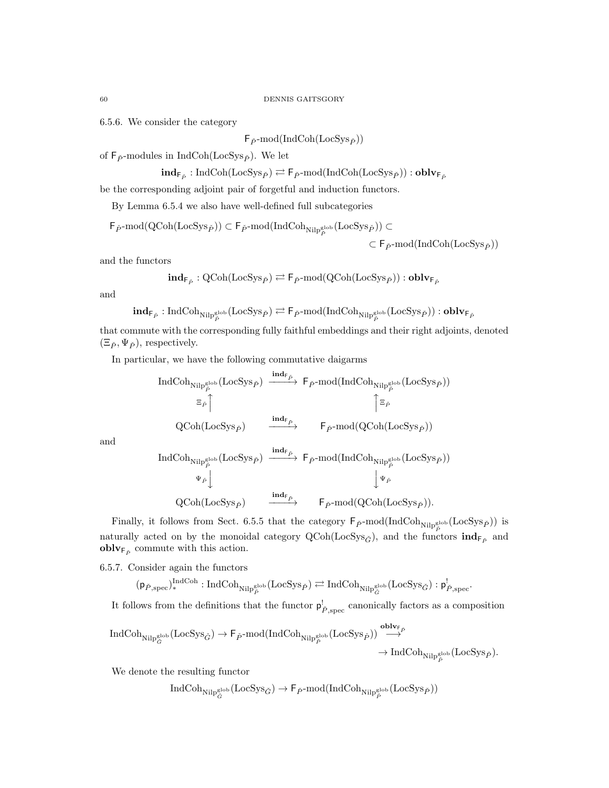6.5.6. We consider the category

 $\mathsf{F}_{\check{P}}\text{-mod}(\text{IndCoh}(\text{LocSys}_{\check{P}}))$ 

of  $\mathsf{F}_{\check{P}}\text{-modules}$  in  $\mathrm{IndCoh}(\mathrm{LocSys}_{\check{P}}).$  We let

 $\textbf{ind}_{\mathsf{F}_{\breve{P}}} : \text{IndCoh}(\text{LocSys}_{\breve{P}}) \rightleftarrows \mathsf{F}_{\breve{P}}\text{-mod}(\text{IndCoh}(\text{LocSys}_{\breve{P}})) : \textbf{oblv}_{\mathsf{F}_{\breve{P}}}$ 

be the corresponding adjoint pair of forgetful and induction functors.

By Lemma 6.5.4 we also have well-defined full subcategories

$$
\begin{aligned} \mathsf{F}_{\tilde{P}}\text{-mod}(\text{QCoh}(\text{LocSys}_{\tilde{P}})) &\subset \mathsf{F}_{\tilde{P}}\text{-mod}(\text{IndCoh}_{\text{Nilp}_{\tilde{P}}^{\text{glob}}}( \text{LocSys}_{\tilde{P}})) \subset \\ &\subset \mathsf{F}_{\tilde{P}}\text{-mod}(\text{IndCoh}(\text{LocSys}_{\tilde{P}})) \end{aligned}
$$

and the functors

$$
\text{ind}_{\mathsf{F}_{\check{P}}}: \text{QCoh}(\text{LocSys}_{\check{P}}) \rightleftarrows \mathsf{F}_{\check{P}}\text{-mod}(\text{QCoh}(\text{LocSys}_{\check{P}})): \textbf{oblv}_{\mathsf{F}_{\check{P}}}
$$

and

$$
\textup{ind}_{\mathsf{F}_{\tilde{P}}}: \textup{IndCoh}_{\textup{Nilp}_{\tilde{P}}^{\textup{glob}}}( \textup{LocSys}_{\check{P}}) \rightleftarrows \mathsf{F}_{\check{P}}\textup{-mod}(\textup{IndCoh}_{\textup{Nilp}_{\check{P}}^{\textup{glob}}}( \textup{LocSys}_{\check{P}})) : \textup{oblv}_{\mathsf{F}_{\check{P}}}
$$

that commute with the corresponding fully faithful embeddings and their right adjoints, denoted  $(\Xi_{\check{P}}, \Psi_{\check{P}})$ , respectively.

In particular, we have the following commutative daigarms

$$
\begin{array}{ccc}\n\text{IndCoh}_{\text{Nilp}_{\tilde{P}}^{\text{glob}}}\left(\text{LocSys}_{\tilde{P}}\right) & \xrightarrow{\text{ind}_{\mathsf{F}_{\tilde{P}}}} & \mathsf{F}_{\tilde{P}}\text{-mod}(\text{IndCoh}_{\text{Nilp}_{\tilde{P}}^{\text{glob}}}\left(\text{LocSys}_{\tilde{P}})\right) \\
& \xrightarrow{\Xi_{\tilde{P}}}\uparrow & & \uparrow_{\Xi_{\tilde{P}}}\uparrow \\
& & \text{QCoh}(\text{LocSys}_{\tilde{P}}) & \xrightarrow{\text{ind}_{\mathsf{F}_{\tilde{P}}}} & \mathsf{F}_{\tilde{P}}\text{-mod}(\text{QCoh}(\text{LocSys}_{\tilde{P}}))\n\end{array}
$$

and

$$
\begin{array}{ccc}\n\text{IndCoh}_{\text{Nilp}_{\tilde{P}}^{\text{glob}}}\left(\text{LocSys}_{\tilde{P}}\right) & \xrightarrow{\text{ind}_{\tilde{F}_{\tilde{P}}}} & F_{\tilde{P}}\text{-mod}(\text{IndCoh}_{\text{Nilp}_{\tilde{P}}^{\text{glob}}}\left(\text{LocSys}_{\tilde{P}})\right) \\
& & \psi_{\tilde{P}}\downarrow & \psi_{\tilde{P}} \\
& & \text{QCoh}(\text{LocSys}_{\tilde{P}}) & \xrightarrow{\text{ind}_{\tilde{F}_{\tilde{P}}}} & F_{\tilde{P}}\text{-mod}(\text{QCoh}(\text{LocSys}_{\tilde{P}})).\n\end{array}
$$

Finally, it follows from Sect. 6.5.5 that the category  $\mathsf{F}_{\check{P}}$ -mod(IndCoh<sub>Nilpglob</sub>(LocSys<sub> $\check{P}$ </sub>)) is naturally acted on by the monoidal category QCoh(LocSys<sub> $\check{G}$ </sub>), and the functors  $\text{ind}_{\mathsf{F}_{\check{P}}}$  and **obl**  $v_{F_{\tilde{P}}}$  commute with this action.

6.5.7. Consider again the functors

 $({\sf p}_{\check{P},\mathrm{spec}})_*^{\mathrm{IndCoh}}: \mathrm{IndCoh}_{\mathrm{Nilp}_\check{P}^{\mathrm{glob}}}( \mathrm{LocSys}_{\check{P}}) \rightleftarrows \mathrm{IndCoh}_{\mathrm{Nilp}_G^{\mathrm{glob}}}( \mathrm{LocSys}_{\check{G}}): {\sf p}^!_{\check{P},\mathrm{spec}}.$ 

It follows from the definitions that the functor  $p_{\check{P},spec}^!$  canonically factors as a composition

$$
\begin{array}{ccc}\textup{IndCoh}_{\textup{Nilp}_{\check{G}}^{\textup{glob}}}( \textup{LocSys}_{\check{G}}) \rightarrow \textup{F}_{\check{P}}\textup{-mod}(\textup{IndCoh}_{\textup{Nilp}_{\check{P}}^{\textup{glob}}}( \textup{LocSys}_{\check{P}}))\stackrel{\textup{oblv}_{\textup{F}_{\check{P}}}}{\longrightarrow} &\\ &\rightarrow \textup{IndCoh}_{\textup{Nilp}_{\check{P}}^{\textup{glob}}}( \textup{LocSys}_{\check{P}}). \end{array}
$$

We denote the resulting functor

$$
\operatorname{IndCoh}_{\operatorname{Nilp}^{\operatorname{glob}}_{\check{G}}}( \operatorname{LocSys}_{\check{G}}) \to \mathsf{F}_{\check{P}}\text{-}\mathrm{mod}(\operatorname{IndCoh}_{\operatorname{Nilp}^{\operatorname{glob}}_{\check{P}}}( \operatorname{LocSys}_{\check{P}}))
$$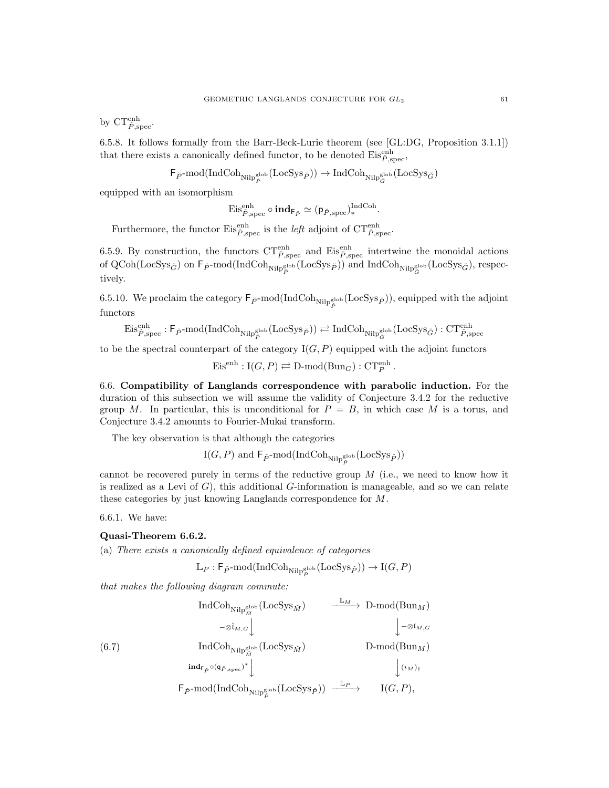by  $CT^{\text{enh}}_{\check{P}, \text{spec}}$ .

6.5.8. It follows formally from the Barr-Beck-Lurie theorem (see [GL:DG, Proposition 3.1.1]) that there exists a canonically defined functor, to be denoted  $\mathrm{Eis}_{\vec{P},\mathrm{spec}}^{\mathrm{enh}}$ ,

 $\mathsf{F}_{\check{P}}\text{-mod}(\mathrm{IndCoh}_{\mathrm{NilP}^{\mathrm{glob}}_{\check{P}}}(\mathrm{LocSys}_{\check{P}}))\to \mathrm{IndCoh}_{\mathrm{NilP}^{\mathrm{glob}}_{\check{G}}}(\mathrm{LocSys}_{\check{G}})$ 

equipped with an isomorphism

 ${\rm Eis}^{\rm enh}_{\check P, {\rm spec}} \circ \operatorname{\textbf{ind}}_{\mathsf F_{\check P}} \simeq ({\sf p}_{\check P, {\rm spec}})^{\rm IndCoh}_{\ast}.$ 

Furthermore, the functor  $\mathrm{Eis}_{\check{P}, \mathrm{spec}}^{\mathrm{enh}}$  is the *left* adjoint of  $\mathrm{CT}_{\check{P}, \mathrm{spec}}^{\mathrm{enh}}$ .

6.5.9. By construction, the functors  $CT^{enh}_{\check{P},spec}$  and  $Eis^{enh}_{\check{P},spec}$  intertwine the monoidal actions of QCoh(LocSys<sub> $\check{G}$ </sub>) on  $\mathsf{F}_{\check{P}}$ -mod(IndCoh<sub>Nilpglob</sub>(LocSys<sub> $\check{P}$ </sub>)) and IndCoh<sub>Nilpglob</sub>(LocSys<sub> $\check{G}$ </sub>), respectively.

6.5.10. We proclaim the category  $\mathsf{F}_{\check{P}}$ -mod(IndCoh<sub>Nilpglob</sub> (LocSys<sub>P</sub> $)$ ), equipped with the adjoint functors

 $\mathrm{Eis}^\mathrm{enh}_{\check{P},\mathrm{spec}}: \mathsf{F}_{\check{P}}\text{-mod}(\mathrm{IndCoh}_{\mathrm{NilP}^{\mathrm{glob}}_{\check{P}}}( \mathrm{LocSys}_{\check{P}})) \rightleftarrows \mathrm{IndCoh}_{\mathrm{NilP}^{\mathrm{glob}}_{\check{G}}}(\mathrm{LocSys}_{\check{G}}): \mathrm{CT}^\mathrm{enh}_{\check{P},\mathrm{spec}}$ 

to be the spectral counterpart of the category  $I(G, P)$  equipped with the adjoint functors

 $Eis<sup>enh</sup> : I(G, P) \rightleftarrows D-mod(Bun_G) : CT_P<sup>enh</sup>.$ 

6.6. Compatibility of Langlands correspondence with parabolic induction. For the duration of this subsection we will assume the validity of Conjecture 3.4.2 for the reductive group M. In particular, this is unconditional for  $P = B$ , in which case M is a torus, and Conjecture 3.4.2 amounts to Fourier-Mukai transform.

The key observation is that although the categories

 $I(G, P)$  and  $\mathsf{F}_{\check{P}}\text{-mod}(\text{IndCoh}_{\text{Nilp}^{\text{glob}}_{\check{P}}}(\text{LocSys}_{\check{P}}))$ 

cannot be recovered purely in terms of the reductive group  $M$  (i.e., we need to know how it is realized as a Levi of  $G$ ), this additional  $G$ -information is manageable, and so we can relate these categories by just knowing Langlands correspondence for M.

6.6.1. We have:

## Quasi-Theorem 6.6.2.

(a) There exists a canonically defined equivalence of categories

$$
\mathbb{L}_P: \mathsf{F}_{\check{P}}\text{-}\mathrm{mod}(\mathrm{IndCoh}_{\mathrm{Nilp}^{\mathrm{glob}}_{\check{P}}}(\mathrm{LocSys}_{\check{P}})) \to \mathrm{I}(G, P)
$$

that makes the following diagram commute:

$$
\text{IndCoh}_{\text{Nilp}_{\tilde{M}}^{\text{glob}}}(\text{LocSys}_{\tilde{M}}) \longrightarrow \text{D-mod}(\text{Bun}_{M})
$$
\n
$$
-\otimes i_{M,G} \downarrow \qquad \qquad \downarrow -\otimes I_{M,G}
$$
\n
$$
\text{IndCoh}_{\text{Nilp}_{\tilde{M}}^{\text{glob}}}(\text{LocSys}_{\tilde{M}}) \longrightarrow \text{D-mod}(\text{Bun}_{M})
$$
\n
$$
\text{ind}_{F_{\tilde{P}}}\circ(\text{q}_{\tilde{P},\text{spec}})^{*} \downarrow \qquad \qquad \downarrow (i_{M})_{\dagger}
$$
\n
$$
\text{F}_{\tilde{P}}\text{-mod}(\text{IndCoh}_{\text{Nilp}_{\tilde{P}}^{\text{glob}}}(\text{LocSys}_{\tilde{P}})) \longrightarrow \text{I}(G, P),
$$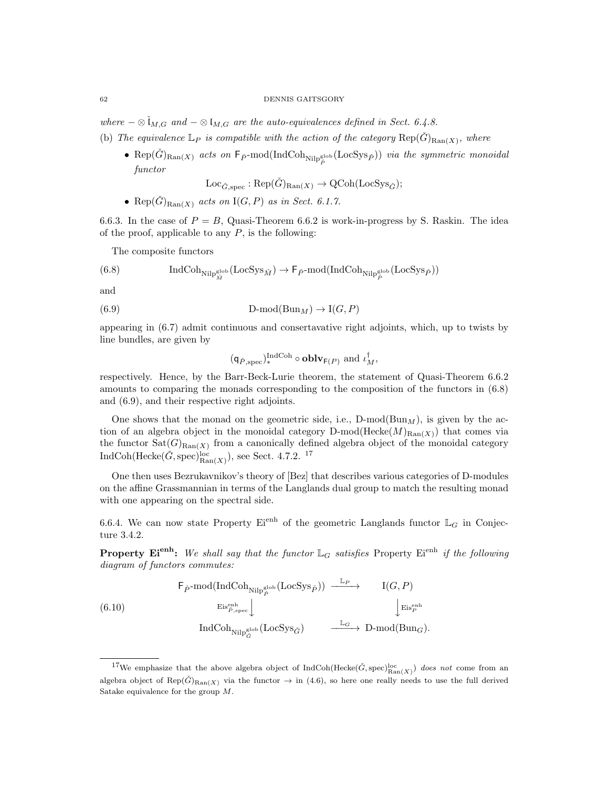### 62 DENNIS GAITSGORY

where  $-\otimes I_{M,G}$  and  $-\otimes I_{M,G}$  are the auto-equivalences defined in Sect. 6.4.8.

(b) The equivalence  $\mathbb{L}_P$  is compatible with the action of the category  $\text{Rep}(\check{G})_{\text{Ran}(X)}$ , where

• Rep( $\check{G}$ )<sub>Ran(X)</sub> acts on  $\mathsf{F}_{\check{P}}$ -mod(IndCoh<sub>Nilpglob</sub>(LocSys<sub> $\check{P}$ </sub>)) via the symmetric monoidal functor

$$
Loc_{\check{G},spec}:Rep(\check{G})_{\text{Ran}(X)} \to \text{QCoh}(\text{LocSys}_{\check{G}});
$$

• Rep $(\check{G})_{\text{Ran}(X)}$  acts on  $I(G, P)$  as in Sect. 6.1.7.

6.6.3. In the case of  $P = B$ , Quasi-Theorem 6.6.2 is work-in-progress by S. Raskin. The idea of the proof, applicable to any  $P$ , is the following:

The composite functors

(6.8) 
$$
\text{IndCoh}_{\text{Nilp}_{\tilde{M}}^{\text{glob}}}\left(\text{LocSys}_{\tilde{M}}\right) \to F_{\tilde{P}}\text{-mod}(\text{IndCoh}_{\text{Nilp}_{\tilde{P}}^{\text{glob}}}\left(\text{LocSys}_{\tilde{P}}\right))
$$

and

(6.9) 
$$
D\text{-mod}(Bun_M) \to I(G, P)
$$

appearing in (6.7) admit continuous and consertavative right adjoints, which, up to twists by line bundles, are given by

$$
(\mathsf{q}_{\check{P}, \mathrm{spec}})_{*}^{\mathrm{IndCoh}} \circ \mathbf{oblv}_{\mathsf{F}(P)} \text{ and } \iota_M^{\dagger},
$$

respectively. Hence, by the Barr-Beck-Lurie theorem, the statement of Quasi-Theorem 6.6.2 amounts to comparing the monads corresponding to the composition of the functors in (6.8) and (6.9), and their respective right adjoints.

One shows that the monad on the geometric side, i.e.,  $D\text{-mod}(Bun_M)$ , is given by the action of an algebra object in the monoidal category D-mod( $\text{Hecke}(M)_{\text{Ran}(X)}$ ) that comes via the functor  $\text{Sat}(G)_{\text{Ran}(X)}$  from a canonically defined algebra object of the monoidal category IndCoh(Hecke $(\check{G}, \text{spec})_{\text{Ran}(X)}^{\text{loc}}$ ), see Sect. 4.7.2. <sup>17</sup>

One then uses Bezrukavnikov's theory of [Bez] that describes various categories of D-modules on the affine Grassmannian in terms of the Langlands dual group to match the resulting monad with one appearing on the spectral side.

6.6.4. We can now state Property Ei<sup>enh</sup> of the geometric Langlands functor  $\mathbb{L}_G$  in Conjecture 3.4.2.

**Property Ei<sup>enh</sup>:** We shall say that the functor  $\mathbb{L}_G$  satisfies Property Ei<sup>enh</sup> if the following diagram of functors commutes:

$$
\begin{array}{ccc}\n\mathsf{F}_{\check{P}}\text{-mod}(\text{IndCoh}_{\text{Nilp}_{\check{P}}^{\text{glob}}}\text{(LocSys}_{\check{P}})) & \xrightarrow{\mathbb{L}_{P}} & \mathcal{I}(G, P) \\
&\xrightarrow{\text{Eis}_{\check{P}, \text{spec}}^{\text{enh}}} & & \downarrow{\text{Eis}_{P}^{\text{enh}}} \\
\text{IndCoh}_{\text{Nilp}_{G}^{\text{glob}}}\text{(LocSys}_{\check{G}}) & \xrightarrow{\mathbb{L}_{G}} & \mathcal{D}\text{-mod}(\text{Bun}_{G}).\n\end{array}
$$

<sup>&</sup>lt;sup>17</sup>We emphasize that the above algebra object of IndCoh(Hecke( $\check{G}$ , spec)<sup>loc</sup><sub>Ran(X)</sub> does not come from an algebra object of  $Rep(\check{G})_{\text{Ran}(X)}$  via the functor  $\rightarrow$  in (4.6), so here one really needs to use the full derived Satake equivalence for the group M.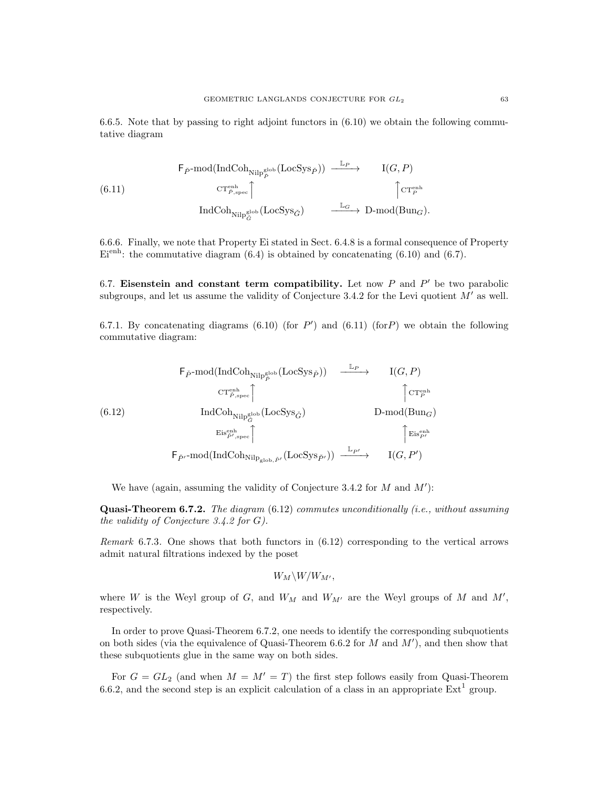6.6.5. Note that by passing to right adjoint functors in (6.10) we obtain the following commutative diagram

(6.11) 
$$
F_{\check{P}}\text{-mod}(\text{IndCoh}_{\text{Nilp}_{\check{P}}^{\text{glob}}}(LocSys_{\check{P}})) \xrightarrow{\mathbb{L}_{P}} I(G, P)
$$

$$
\text{CTr}_{\check{P}, \text{spec}}^{\text{enh}} \uparrow \qquad \qquad \uparrow \text{CTr}_{P}^{\text{enh}} \qquad \qquad \uparrow \text{CTr}_{P}^{\text{enh}}.
$$

$$
\text{IndCoh}_{\text{Nilp}_{G}^{\text{glob}}}(LocSys_{\check{G}}) \xrightarrow{\mathbb{L}_{G}} D\text{-mod}(\text{Bun}_{G}).
$$

6.6.6. Finally, we note that Property Ei stated in Sect. 6.4.8 is a formal consequence of Property  $E_i^{\text{enh}}$ : the commutative diagram (6.4) is obtained by concatenating (6.10) and (6.7).

6.7. Eisenstein and constant term compatibility. Let now  $P$  and  $P'$  be two parabolic subgroups, and let us assume the validity of Conjecture 3.4.2 for the Levi quotient  $M'$  as well.

6.7.1. By concatenating diagrams (6.10) (for  $P'$ ) and (6.11) (for P) we obtain the following commutative diagram:

$$
\begin{array}{ccc}\n\mathsf{F}_{\check{P}}\text{-mod}(\text{IndCoh}_{\text{Nilp}_{\check{P}}^{\text{glob}}}(LocSys_{\check{P}})) & \xrightarrow{\mathbb{L}_{P}} & \mathcal{I}(G, P) \\
& \xrightarrow{\mathbf{C}\mathbf{T}_{\check{P}, \text{spec}}^{\text{enh}}}\uparrow & \uparrow_{\mathbf{C}\mathbf{T}_{P}^{\text{enh}}}\uparrow_{\mathbf{C}\mathbf{T}_{P}^{\text{enh}}}\n\end{array}
$$
\n
$$
\begin{array}{ccc}\n\text{IndCoh}_{\text{Nilp}_{\check{G}}^{\text{glob}}}(LocSys_{\check{G}}) & \mathcal{D}\text{-mod}(\text{Bun}_{G}) \\
& \xrightarrow{\mathbf{Eis}_{\check{P}', \text{spec}}^{\text{enh}}}\uparrow & \uparrow_{\mathbf{Eis}_{P'}^{\text{enh}}}\n\end{array}
$$
\n
$$
\begin{array}{ccc}\n\mathsf{F}_{\check{P}'}\text{-mod}(\text{IndCoh}_{\text{Nilp}_{\text{glob}},\check{P}'}(\text{LocSys}_{\check{P}'})) & \xrightarrow{\mathbb{L}_{P'}} & \mathcal{I}(G, P')\n\end{array}
$$

We have (again, assuming the validity of Conjecture 3.4.2 for  $M$  and  $M'$ ):

**Quasi-Theorem 6.7.2.** The diagram  $(6.12)$  commutes unconditionally (i.e., without assuming the validity of Conjecture 3.4.2 for G).

Remark 6.7.3. One shows that both functors in  $(6.12)$  corresponding to the vertical arrows admit natural filtrations indexed by the poset

$$
W_M \backslash W / W_{M'},
$$

where W is the Weyl group of G, and  $W_M$  and  $W_{M'}$  are the Weyl groups of M and M', respectively.

In order to prove Quasi-Theorem 6.7.2, one needs to identify the corresponding subquotients on both sides (via the equivalence of Quasi-Theorem 6.6.2 for  $M$  and  $M'$ ), and then show that these subquotients glue in the same way on both sides.

For  $G = GL_2$  (and when  $M = M' = T$ ) the first step follows easily from Quasi-Theorem 6.6.2, and the second step is an explicit calculation of a class in an appropriate  $Ext<sup>1</sup>$  group.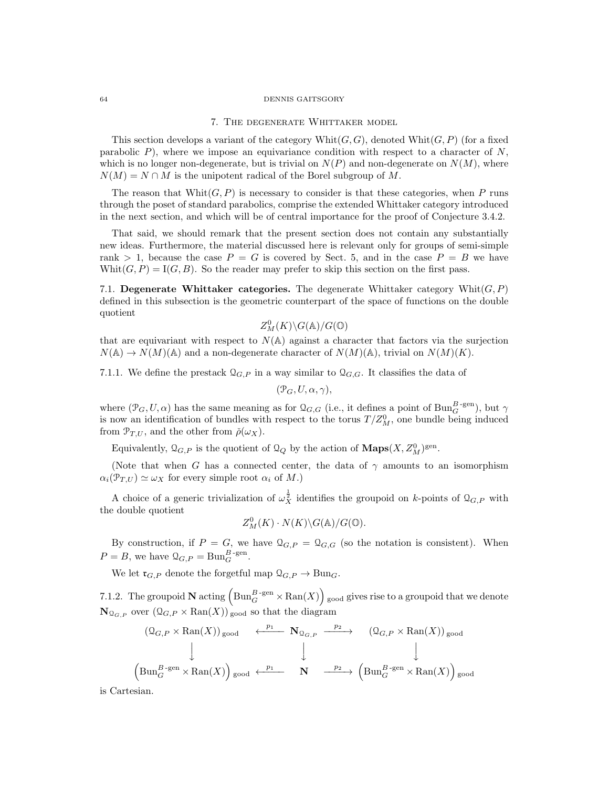#### 64 DENNIS GAITSGORY

### 7. The degenerate Whittaker model

This section develops a variant of the category  $\text{Whit}(G, G)$ , denoted  $\text{Whit}(G, P)$  (for a fixed parabolic  $P$ ), where we impose an equivariance condition with respect to a character of  $N$ . which is no longer non-degenerate, but is trivial on  $N(P)$  and non-degenerate on  $N(M)$ , where  $N(M) = N \cap M$  is the unipotent radical of the Borel subgroup of M.

The reason that  $W<sub>hit</sub>(G, P)$  is necessary to consider is that these categories, when P runs through the poset of standard parabolics, comprise the extended Whittaker category introduced in the next section, and which will be of central importance for the proof of Conjecture 3.4.2.

That said, we should remark that the present section does not contain any substantially new ideas. Furthermore, the material discussed here is relevant only for groups of semi-simple rank  $> 1$ , because the case  $P = G$  is covered by Sect. 5, and in the case  $P = B$  we have Whit $(G, P) = I(G, B)$ . So the reader may prefer to skip this section on the first pass.

7.1. Degenerate Whittaker categories. The degenerate Whittaker category Whit $(G, P)$ defined in this subsection is the geometric counterpart of the space of functions on the double quotient

$$
Z^0_M(K)\backslash G(\mathbb A)/G(\mathbb O)
$$

that are equivariant with respect to  $N(A)$  against a character that factors via the surjection  $N(\mathbb{A}) \to N(M)(\mathbb{A})$  and a non-degenerate character of  $N(M)(\mathbb{A})$ , trivial on  $N(M)(K)$ .

7.1.1. We define the prestack  $\mathcal{Q}_{G,P}$  in a way similar to  $\mathcal{Q}_{G,G}$ . It classifies the data of

$$
(\mathcal{P}_G,U,\alpha,\gamma),
$$

where  $(\mathcal{P}_G, U, \alpha)$  has the same meaning as for  $\mathcal{Q}_{G,G}$  (i.e., it defines a point of  $\text{Bun}_G^{B\text{-gen}}$ ), but  $\gamma$ is now an identification of bundles with respect to the torus  $T/Z_M^0$ , one bundle being induced from  $\mathcal{P}_{T,U}$ , and the other from  $\rho(\omega_X)$ .

Equivalently,  $\mathcal{Q}_{G,P}$  is the quotient of  $\mathcal{Q}_Q$  by the action of  $\mathbf{Maps}(X, \mathbb{Z}_M^0)$ <sup>gen</sup>.

(Note that when G has a connected center, the data of  $\gamma$  amounts to an isomorphism  $\alpha_i(\mathcal{P}_{T,U}) \simeq \omega_X$  for every simple root  $\alpha_i$  of M.)

A choice of a generic trivialization of  $\omega_X^{\frac{1}{2}}$  identifies the groupoid on k-points of  $\mathfrak{Q}_{G,P}$  with the double quotient

$$
Z_M^0(K) \cdot N(K) \backslash G(\mathbb{A})/G(\mathbb{O}).
$$

By construction, if  $P = G$ , we have  $\mathcal{Q}_{G,P} = \mathcal{Q}_{G,G}$  (so the notation is consistent). When  $P = B$ , we have  $\mathcal{Q}_{G,P} = \text{Bun}_{G}^{B\text{-gen}}$ .

We let  $\mathfrak{r}_{G,P}$  denote the forgetful map  $\mathcal{Q}_{G,P} \to \text{Bun}_G$ .

7.1.2. The groupoid  $N \text{ acting } \left( \text{Bun}_G^{B-\text{gen}} \times \text{Ran}(X) \right)$  good gives rise to a groupoid that we denote  $\mathbf{N}_{\mathcal{Q}_{G,P}}$  over  $(\mathcal{Q}_{G,P} \times \mathrm{Ran}(X))_{\text{good}}$  so that the diagram

$$
(\mathcal{Q}_{G,P} \times \text{Ran}(X))_{\text{good}} \leftarrow p_1 \qquad \mathbf{N}_{\mathcal{Q}_{G,P}} \xrightarrow{p_2} (\mathcal{Q}_{G,P} \times \text{Ran}(X))_{\text{good}}
$$
\n
$$
\downarrow \qquad \qquad \downarrow \qquad \qquad \downarrow
$$
\n
$$
\left(\text{Bun}_{G}^{B\text{-gen}} \times \text{Ran}(X)\right)_{\text{good}} \leftarrow p_1 \qquad \mathbf{N} \qquad \xrightarrow{p_2} \left(\text{Bun}_{G}^{B\text{-gen}} \times \text{Ran}(X)\right)_{\text{good}}
$$

is Cartesian.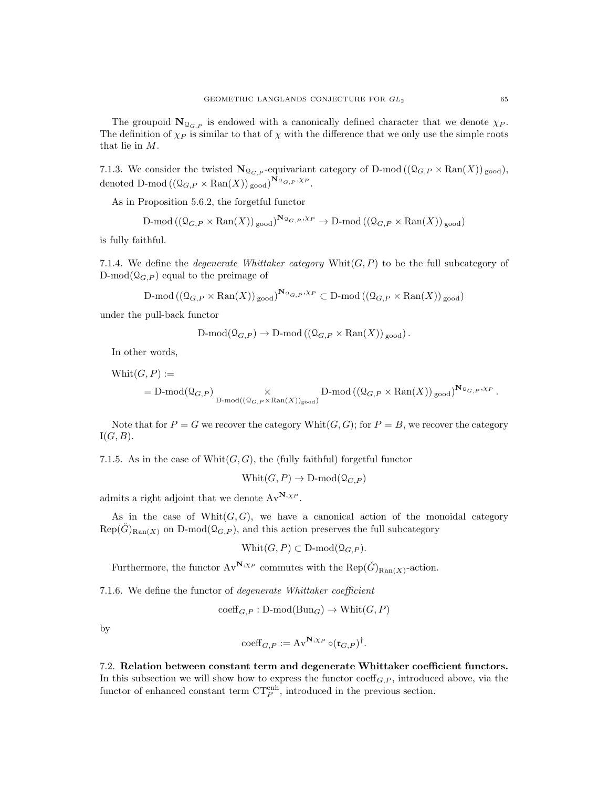The groupoid  $\mathbf{N}_{\mathbb{Q}_{G,P}}$  is endowed with a canonically defined character that we denote  $\chi_P$ . The definition of  $\chi_P$  is similar to that of  $\chi$  with the difference that we only use the simple roots that lie in M.

7.1.3. We consider the twisted  $\mathbf{N}_{\mathcal{Q}_{G,P}}$ -equivariant category of D-mod  $((\mathcal{Q}_{G,P} \times \text{Ran}(X))_{\text{good}})$ , denoted D-mod  $((\mathcal{Q}_{G,P} \times \mathrm{Ran}(X))_{\text{good}})^{\mathbf{N}_{\mathcal{Q}_{G,P}},\chi_P}.$ 

As in Proposition 5.6.2, the forgetful functor

$$
\mathrm{D\text{-}mod} \left( \left( \mathcal{Q}_{G,P} \times \mathrm{Ran}(X) \right)_{\mathrm{good}} \right)^{\mathbf{N}_{\mathcal{Q}_{G,P}},\chi_P} \to \mathrm{D\text{-}mod} \left( \left( \mathcal{Q}_{G,P} \times \mathrm{Ran}(X) \right)_{\mathrm{good}} \right)
$$

is fully faithful.

7.1.4. We define the *degenerate Whittaker category* Whit $(G, P)$  to be the full subcategory of D-mod $(\mathcal{Q}_{G,P})$  equal to the preimage of

$$
\mathrm{D\text{-}mod} \left( \left( \mathcal{Q}_{G,P} \times \mathrm{Ran}(X) \right)_{\mathrm{good}} \right)^{\mathbf{N}_{\mathcal{Q}_{G,P}},\chi_P} \subset \mathrm{D\text{-}mod} \left( \left( \mathcal{Q}_{G,P} \times \mathrm{Ran}(X) \right)_{\mathrm{good}} \right)
$$

under the pull-back functor

$$
\mathrm{D\text{-}mod}(\mathcal{Q}_{G,P}) \to \mathrm{D\text{-}mod}(\left(\mathcal{Q}_{G,P} \times \mathrm{Ran}(X)\right)_{\mathrm{good}}).
$$

In other words,

 $Whit(G, P) :=$  $= \mathrm{D\text{-}mod}(\mathbb{Q}_{G,P}) \underset{\mathrm{D\text{-}mod}((\mathbb{Q}_{G,P}\times \mathrm{Ran}(X))_{\mathrm{good}})}{\times} \mathrm{D\text{-}mod}((\mathbb{Q}_{G,P}\times \mathrm{Ran}(X))_{\mathrm{good}})^{\mathbf{N}_{\mathbb{Q}_{G,P}},\times P}.$ 

Note that for  $P = G$  we recover the category Whit $(G, G)$ ; for  $P = B$ , we recover the category  $I(G, B)$ .

7.1.5. As in the case of  $Whit(G, G)$ , the (fully faithful) forgetful functor

 $Whit(G, P) \to D-mod(\mathcal{Q}_{G, P})$ 

admits a right adjoint that we denote  $Av^{\mathbf{N},\chi_P}$ .

As in the case of  $Whit(G, G)$ , we have a canonical action of the monoidal category  $Rep(\check{G})_{\text{Ran}(X)}$  on D-mod $(\mathcal{Q}_{G,P})$ , and this action preserves the full subcategory

$$
Whit(G, P) \subset D\text{-mod}(\Omega_{G,P}).
$$

Furthermore, the functor  $Av^{\mathbf{N},\chi_P}$  commutes with the  $\text{Rep}(\check{G})_{\text{Ran}(X)}$ -action.

7.1.6. We define the functor of degenerate Whittaker coefficient

 $\mathrm{coeff}_G$   $_P : D\text{-mod}(Bun_G) \to \mathrm{Whit}(G, P)$ 

by

$$
\mathrm{coeff}_{G,P} := \mathrm{Av}^{\mathbf{N},\chi_P}\circ(\mathfrak{r}_{G,P})^{\dagger}.
$$

7.2. Relation between constant term and degenerate Whittaker coefficient functors. In this subsection we will show how to express the functor  $\operatorname{coeff}_{G,P}$ , introduced above, via the functor of enhanced constant term  $CT_P^{\text{enh}}$ , introduced in the previous section.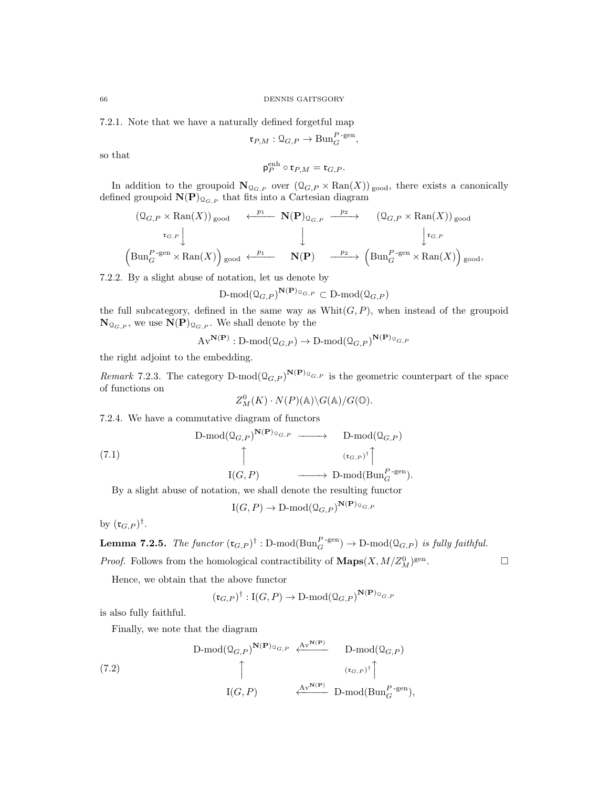7.2.1. Note that we have a naturally defined forgetful map

$$
\mathfrak{r}_{P,M}: \mathcal{Q}_{G,P} \to \text{Bun}_G^{P\text{-gen}},
$$

so that

$$
\mathsf{p}_P^{\text{enh}} \circ \mathfrak{r}_{P,M} = \mathfrak{r}_{G,P}.
$$

In addition to the groupoid  $\mathbf{N}_{\mathcal{Q}_{G,P}}$  over  $(\mathcal{Q}_{G,P} \times \text{Ran}(X))_{\text{good}}$ , there exists a canonically defined groupoid  $\mathbf{N}(\mathbf{P})_{\mathcal{Q}_{G,P}}$  that fits into a Cartesian diagram

$$
\begin{array}{ccc}\n\left(\mathfrak{Q}_{G,P}\times \mathrm{Ran}(X)\right)_{\mathrm{good}} & \xleftarrow{p_1} & \mathbf{N}(\mathbf{P})_{\mathfrak{Q}_{G,P}} \xrightarrow{p_2} & \left(\mathfrak{Q}_{G,P}\times \mathrm{Ran}(X)\right)_{\mathrm{good}} \\
\downarrow & \downarrow & \downarrow^{\mathfrak{r}_{G,P}} \\
\left(\mathrm{Bun}_{G}^{P\text{-gen}}\times \mathrm{Ran}(X)\right)_{\mathrm{good}} & \xleftarrow{p_1} & \mathbf{N}(\mathbf{P}) & \xrightarrow{p_2} & \left(\mathrm{Bun}_{G}^{P\text{-gen}}\times \mathrm{Ran}(X)\right)_{\mathrm{good}},\n\end{array}
$$

7.2.2. By a slight abuse of notation, let us denote by

 $\mathrm{D\text{-}mod}(\mathfrak{Q}_{G,P})^{\mathbf{N}(\mathbf{P})_{\mathfrak{Q}_{G,P}}} \subset \mathrm{D\text{-}mod}(\mathfrak{Q}_{G,P})$ 

the full subcategory, defined in the same way as  $Whit(G, P)$ , when instead of the groupoid  $\mathbf{N}_{\mathcal{Q}_{G,P}}$ , we use  $\mathbf{N}(\mathbf{P})_{\mathcal{Q}_{G,P}}$ . We shall denote by the

$$
\mathrm{Av}^{\mathbf{N}(\mathbf{P})} : \mathrm{D-mod}(\mathfrak{Q}_{G,P}) \to \mathrm{D-mod}(\mathfrak{Q}_{G,P})^{\mathbf{N}(\mathbf{P})_{\mathfrak{Q}_{G,P}}}
$$

the right adjoint to the embedding.

*Remark* 7.2.3. The category  $D\text{-mod}(\mathbb{Q}_{G,P})^{\mathbf{N}(\mathbf{P})_{\mathbb{Q}_{G,P}}}$  is the geometric counterpart of the space of functions on

$$
Z_M^0(K) \cdot N(P)(\mathbb{A}) \backslash G(\mathbb{A}) / G(\mathbb{O}).
$$

7.2.4. We have a commutative diagram of functors

$$
(7.1)
$$
\n
$$
\bigcap_{(T, P)} \text{Mod}(\mathfrak{Q}_{G, P})^{\mathbf{N}(\mathbf{P})_{\mathfrak{Q}_{G, P}}} \longrightarrow D\text{-mod}(\mathfrak{Q}_{G, P})
$$
\n
$$
\bigcap_{(T, P)} \text{Ind}(\text{Bun}_G^{P-\text{gen}}).
$$

By a slight abuse of notation, we shall denote the resulting functor

$$
I(G, P) \to \mathbf{D}\text{-mod}(\mathbf{Q}_{G, P})^{\mathbf{N}(\mathbf{P})_{\mathbf{Q}_{G, P}}}
$$

by  $(\mathfrak{r}_{G,P})^{\dagger}$ .

**Lemma 7.2.5.** The functor  $(\mathfrak{r}_{G,P})^{\dagger}$ : D-mod $(\text{Bun}_{G}^{P\text{-gen}}) \to \text{D-mod}(\mathfrak{Q}_{G,P})$  is fully faithful. . — Профессор — Профессор — Профессор — Профессор — Профессор — Профессор — Профессор — Профессор — Профессор <br>В профессор — Профессор — Профессор — Профессор — Профессор — Профессор — Профессор — Профессор — Профессор —

*Proof.* Follows from the homological contractibility of  $\mathbf{Maps}(X, M/Z_M^0)$ <sup>gen</sup>

Hence, we obtain that the above functor

$$
(\mathfrak{r}_{G,P})^{\dagger} : \mathrm{I}(G,P) \to \mathrm{D}\text{-}\mathrm{mod}(\mathfrak{Q}_{G,P})^{\mathbf{N}(\mathbf{P})_{\mathfrak{Q}_{G,P}}}
$$

is also fully faithful.

Finally, we note that the diagram

(7.2)  
\n
$$
\uparrow
$$
\n
$$
\uparrow
$$
\n
$$
\uparrow
$$
\n
$$
\uparrow
$$
\n
$$
\uparrow
$$
\n
$$
\uparrow
$$
\n
$$
\uparrow
$$
\n
$$
\uparrow
$$
\n
$$
\uparrow
$$
\n
$$
\downarrow
$$
\n
$$
\uparrow
$$
\n
$$
\downarrow
$$
\n
$$
\downarrow
$$
\n
$$
\downarrow
$$
\n
$$
\downarrow
$$
\n
$$
\downarrow
$$
\n
$$
\downarrow
$$
\n
$$
\downarrow
$$
\n
$$
\downarrow
$$
\n
$$
\downarrow
$$
\n
$$
\downarrow
$$
\n
$$
\downarrow
$$
\n
$$
\downarrow
$$
\n
$$
\downarrow
$$
\n
$$
\downarrow
$$
\n
$$
\downarrow
$$
\n
$$
\downarrow
$$
\n
$$
\downarrow
$$
\n
$$
\downarrow
$$
\n
$$
\downarrow
$$
\n
$$
\downarrow
$$
\n
$$
\downarrow
$$
\n
$$
\downarrow
$$
\n
$$
\downarrow
$$
\n
$$
\downarrow
$$
\n
$$
\downarrow
$$
\n
$$
\downarrow
$$
\n
$$
\downarrow
$$
\n
$$
\downarrow
$$
\n
$$
\downarrow
$$
\n
$$
\downarrow
$$
\n
$$
\downarrow
$$
\n
$$
\downarrow
$$
\n
$$
\downarrow
$$
\n
$$
\downarrow
$$
\n
$$
\downarrow
$$
\n
$$
\downarrow
$$
\n
$$
\downarrow
$$
\n
$$
\downarrow
$$
\n
$$
\downarrow
$$
\n
$$
\downarrow
$$
\n
$$
\downarrow
$$
\n
$$
\downarrow
$$
\n
$$
\downarrow
$$
\n
$$
\downarrow
$$
\n
$$
\downarrow
$$
\n
$$
\downarrow
$$
\n
$$
\downarrow
$$
\n
$$
\downarrow
$$
\n
$$
\downarrow
$$
\n
$$
\downarrow
$$
\n
$$
\downarrow
$$
\n
$$
\downarrow
$$
\n<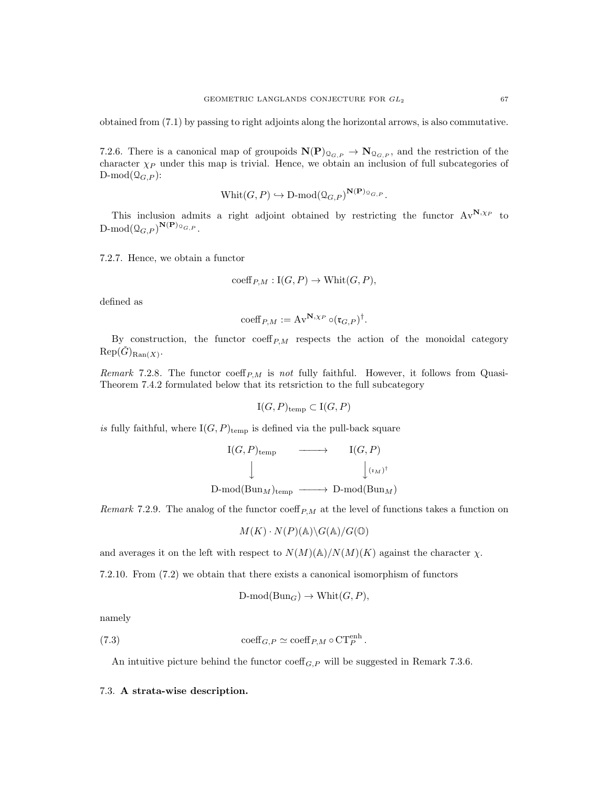obtained from (7.1) by passing to right adjoints along the horizontal arrows, is also commutative.

7.2.6. There is a canonical map of groupoids  $N(P)_{\mathcal{Q}_{G,P}} \to N_{\mathcal{Q}_{G,P}}$ , and the restriction of the character  $\chi_P$  under this map is trivial. Hence, we obtain an inclusion of full subcategories of  $D\text{-mod}(\mathcal{Q}_{G,P})$ :

$$
\text{Whit}(G, P) \hookrightarrow \text{D-mod}(\mathbf{Q}_{G,P})^{\mathbf{N}(\mathbf{P})_{\mathbf{Q}_{G,P}}}.
$$

This inclusion admits a right adjoint obtained by restricting the functor  $Av^{\mathbf{N},\chi_p}$  to  $\text{D-mod}(\mathfrak{Q}_{G,P})^{\mathbf{N}(\mathbf{P})_{\mathfrak{Q}_{G,P}}}.$ 

7.2.7. Hence, we obtain a functor

$$
\mathrm{coeff}_{P,M}:\mathrm{I}(G,P)\to\mathrm{Whit}(G,P),
$$

defined as

$$
\mathrm{coeff}_{P,M} := \mathrm{Av}^{\mathbf{N},\chi_P} \circ (\mathfrak{r}_{G,P})^{\dagger}.
$$

By construction, the functor  $\mathrm{coeff}_{P,M}$  respects the action of the monoidal category  $\operatorname{Rep}(\check{G})_{\operatorname{Ran}(X)}.$ 

Remark 7.2.8. The functor  $\mathrm{coeff}_{P,M}$  is not fully faithful. However, it follows from Quasi-Theorem 7.4.2 formulated below that its retsriction to the full subcategory

$$
I(G, P)_{temp} \subset I(G, P)
$$

is fully faithful, where  $I(G, P)_{temp}$  is defined via the pull-back square

$$
I(G, P)_{temp} \longrightarrow I(G, P)
$$
  
\n
$$
\downarrow \qquad \qquad \downarrow \qquad \qquad \downarrow \qquad \qquad \downarrow \qquad \qquad \downarrow \qquad \downarrow \qquad \downarrow \qquad \downarrow \qquad \downarrow \qquad \downarrow \qquad \downarrow \qquad \downarrow \qquad \downarrow \qquad \downarrow \qquad \downarrow \qquad \downarrow \qquad \downarrow \qquad \downarrow \qquad \downarrow \qquad \downarrow \qquad \downarrow \qquad \downarrow \qquad \downarrow \qquad \downarrow \qquad \downarrow \qquad \downarrow \qquad \downarrow \qquad \downarrow \qquad \downarrow \qquad \downarrow \qquad \downarrow \qquad \downarrow \qquad \downarrow \qquad \downarrow \qquad \downarrow \qquad \downarrow \qquad \downarrow \qquad \downarrow \qquad \downarrow \qquad \downarrow \qquad \downarrow \qquad \downarrow \qquad \downarrow \qquad \downarrow \qquad \downarrow \qquad \downarrow \qquad \downarrow \qquad \downarrow \qquad \downarrow \qquad \downarrow \qquad \downarrow \qquad \downarrow \qquad \downarrow \qquad \downarrow \qquad \downarrow \qquad \downarrow \qquad \downarrow \qquad \downarrow \qquad \downarrow \qquad \downarrow \qquad \downarrow \qquad \downarrow \qquad \downarrow \qquad \downarrow \qquad \downarrow \qquad \downarrow \qquad \downarrow \qquad \downarrow \qquad \downarrow \qquad \downarrow \qquad \downarrow \qquad \downarrow \qquad \downarrow \qquad \downarrow \qquad \downarrow \qquad \downarrow \qquad \downarrow \qquad \downarrow \qquad \downarrow \qquad \downarrow \qquad \downarrow \qquad \downarrow \qquad \downarrow \qquad \downarrow \qquad \downarrow \qquad \downarrow \qquad \downarrow \qquad \downarrow \qquad \downarrow \qquad \downarrow \qquad \downarrow \qquad \downarrow \qquad \downarrow \qquad \downarrow \qquad \downarrow \qquad \downarrow \qquad \downarrow \qquad \downarrow \qquad \downarrow \qquad \downarrow \qquad \downarrow \qquad \downarrow \qquad \downarrow \qquad \downarrow \qquad \downarrow \qquad \downarrow \qquad \downarrow \qquad \downarrow \qquad \downarrow \qquad \downarrow \qquad \downarrow \qquad \downarrow \qquad \downarrow \qquad \downarrow \qquad \downarrow \qquad \downarrow \qquad \downarrow \qquad \downarrow \qquad \downarrow \qquad \downarrow \qquad \down
$$

Remark 7.2.9. The analog of the functor coeff<sub>P,M</sub> at the level of functions takes a function on

$$
M(K) \cdot N(P)(\mathbb{A}) \backslash G(\mathbb{A}) / G(\mathbb{O})
$$

and averages it on the left with respect to  $N(M)(A)/N(M)(K)$  against the character  $\chi$ .

7.2.10. From (7.2) we obtain that there exists a canonical isomorphism of functors

$$
D\text{-mod}(Bun_G) \to \text{Whit}(G, P),
$$

namely

(7.3) 
$$
\operatorname{coeff}_{G,P} \simeq \operatorname{coeff}_{P,M} \circ \operatorname{CT}_P^{\text{enh}}.
$$

An intuitive picture behind the functor coeff<sub>G,P</sub> will be suggested in Remark 7.3.6.

## 7.3. A strata-wise description.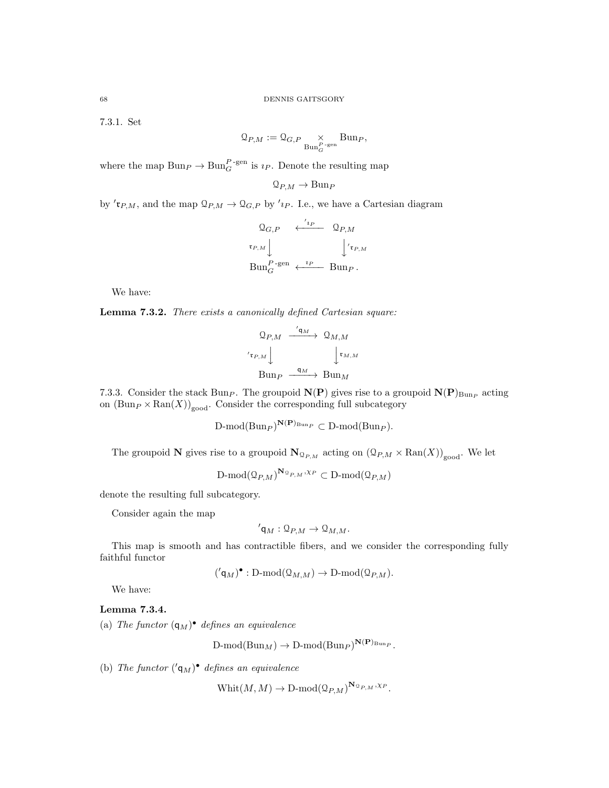7.3.1. Set

$$
\mathcal{Q}_{P,M}:=\mathcal{Q}_{G,P} \underset{\operatorname{Bun}_G^{P\text{-}\mathrm{gen}}} \times \operatorname{Bun}_P,
$$

where the map  $\text{Bun}_P \to \text{Bun}_G^{P\text{-gen}}$  is  $\imath_P$ . Denote the resulting map

$$
\mathcal{Q}_{P,M} \to \text{Bun}_P
$$

by ' ${\rm tr}_{P,M}$ , and the map  $\mathcal{Q}_{P,M} \to \mathcal{Q}_{G,P}$  by ' $i_P$ . I.e., we have a Cartesian diagram

$$
\mathbb{Q}_{G,P} \xleftarrow{\prime_{ip}} \mathbb{Q}_{P,M}
$$
\n
$$
\mathfrak{r}_{P,M} \downarrow \qquad \qquad \downarrow \prime \mathfrak{r}_{P,M}
$$
\n
$$
\text{Bun}_{G}^{P-\text{gen}} \xleftarrow{\iota_{P}} \text{Bun}_{P}.
$$

We have:

Lemma 7.3.2. There exists a canonically defined Cartesian square:

$$
\begin{array}{ccc}\n\mathbb{Q}_{P,M} & \xrightarrow{\cdot_{\mathbf{q}_M}} & \mathbb{Q}_{M,M} \\
\downarrow^{\cdot_{\mathbf{r}_{P,M}}} & & \downarrow^{\mathbf{r}_{M,M}} \\
\text{Bun}_{P} & \xrightarrow{\mathbf{q}_M} & \text{Bun}_{M}\n\end{array}
$$

7.3.3. Consider the stack Bun<sub>P</sub>. The groupoid  $N(P)$  gives rise to a groupoid  $N(P)_{\text{Bun}_P}$  acting on  $(\text{Bun}_P \times \text{Ran}(X))_{\text{good}}$ . Consider the corresponding full subcategory

$$
\text{D-mod}(\text{Bun}_P)^{\mathbf{N}(\mathbf{P})_{\text{Bun}_P}} \subset \text{D-mod}(\text{Bun}_P).
$$

The groupoid **N** gives rise to a groupoid  $N_{\mathcal{Q}_{P,M}}$  acting on  $(\mathcal{Q}_{P,M} \times \text{Ran}(X))_{\text{good}}$ . We let

$$
\operatorname{D-mod}(\mathcal{Q}_{P,M})^{\mathbf{N}_{\mathcal{Q}_{P,M}},\chi_P}\subset \operatorname{D-mod}(\mathcal{Q}_{P,M})
$$

denote the resulting full subcategory.

Consider again the map

$$
{}'q_M: \mathcal{Q}_{P,M} \to \mathcal{Q}_{M,M}.
$$

This map is smooth and has contractible fibers, and we consider the corresponding fully faithful functor

$$
({\operatorname{q}}_M)^\bullet: \operatorname{D-mod}(\mathfrak{Q}_{M,M}) \to \operatorname{D-mod}(\mathfrak{Q}_{P,M}).
$$

We have:

# Lemma 7.3.4.

(a) The functor  $(q_M)$ <sup>•</sup> defines an equivalence

 $\text{D-mod}(\text{Bun}_M) \to \text{D-mod}(\text{Bun}_P)^{\mathbf{N}(\mathbf{P})_{\text{Bun}_P}}$ .

(b) The functor  $({}^{\prime}$ **q**M)<sup>•</sup> defines an equivalence

 $\text{Whit}(M, M) \to \text{D-mod}(\mathbb{Q}_{P,M})^{\mathbf{N}_{\mathcal{Q}_{P,M}}, \chi_P}.$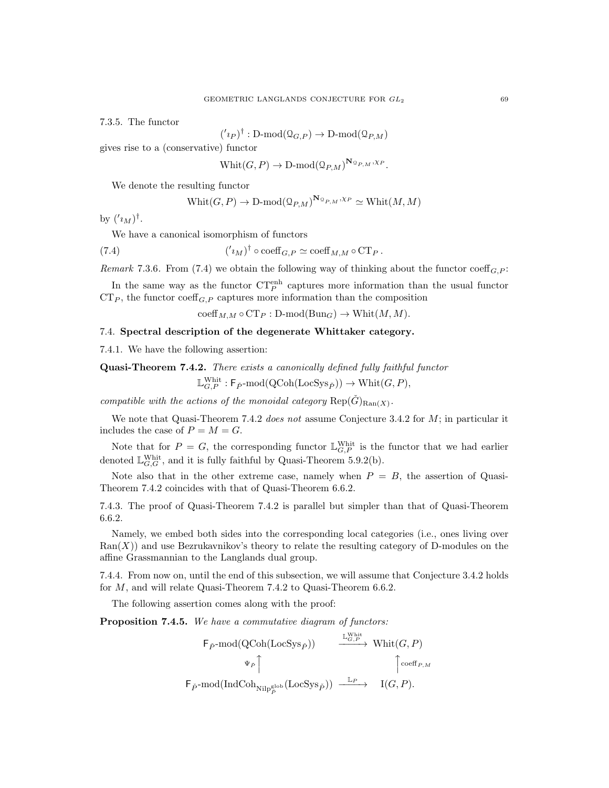7.3.5. The functor

$$
({'}_{P})^{\dagger} : D\text{-mod}(\mathcal{Q}_{G,P}) \to D\text{-mod}(\mathcal{Q}_{P,M})
$$

gives rise to a (conservative) functor

$$
Whit(G, P) \to \mathbf{D}\text{-mod}(\mathbf{Q}_{P,M})^{\mathbf{N}_{\mathbf{Q}_{P,M}}, \chi_P}.
$$

We denote the resulting functor

$$
Whit(G, P) \to D\text{-mod}(\mathcal{Q}_{P,M})^{\mathbf{N}_{\mathcal{Q}_{P,M}}, \chi_P} \simeq Whit(M, M)
$$

by  $('i<sub>M</sub>)<sup>†</sup>$ .

We have a canonical isomorphism of functors

(7.4) 
$$
({}^{\prime}u_M)^{\dagger} \circ \mathrm{coeff}_{G,P} \simeq \mathrm{coeff}_{M,M} \circ \mathrm{CT}_P.
$$

Remark 7.3.6. From (7.4) we obtain the following way of thinking about the functor coeff  $G.P$ :

In the same way as the functor  $CT_P^{\text{enh}}$  captures more information than the usual functor  $CT_P$ , the functor coeff<sub>G,P</sub> captures more information than the composition

 $\mathrm{coeff}_{M,M} \circ \mathrm{CT}_P : \mathrm{D\text{-}mod}(\mathrm{Bun}_G) \to \mathrm{Whit}(M,M).$ 

# 7.4. Spectral description of the degenerate Whittaker category.

7.4.1. We have the following assertion:

Quasi-Theorem 7.4.2. There exists a canonically defined fully faithful functor

$$
\mathbb{L}_{G,P}^{\mathrm{Whit}} : \mathsf{F}_{\check{P}}\text{-}\mathrm{mod}(\mathrm{QCoh}(\mathrm{LocSys}_{\check{P}})) \to \mathrm{Whit}(G,P),
$$

compatible with the actions of the monoidal category  $\text{Rep}(\check{G})_{\text{Ran}(X)}$ .

We note that Quasi-Theorem 7.4.2 does not assume Conjecture 3.4.2 for  $M$ ; in particular it includes the case of  $P = M = G$ .

Note that for  $P = G$ , the corresponding functor  $\mathbb{L}_{G,P}^{\text{White}}$  is the functor that we had earlier denoted  $\mathbb{L}_{G,G}^{\text{White}}$ , and it is fully faithful by Quasi-Theorem 5.9.2(b).

Note also that in the other extreme case, namely when  $P = B$ , the assertion of Quasi-Theorem 7.4.2 coincides with that of Quasi-Theorem 6.6.2.

7.4.3. The proof of Quasi-Theorem 7.4.2 is parallel but simpler than that of Quasi-Theorem 6.6.2.

Namely, we embed both sides into the corresponding local categories (i.e., ones living over  $\text{Ran}(X)$ ) and use Bezrukavnikov's theory to relate the resulting category of D-modules on the affine Grassmannian to the Langlands dual group.

7.4.4. From now on, until the end of this subsection, we will assume that Conjecture 3.4.2 holds for M, and will relate Quasi-Theorem 7.4.2 to Quasi-Theorem 6.6.2.

The following assertion comes along with the proof:

Proposition 7.4.5. We have a commutative diagram of functors:

$$
\begin{array}{ccc}\n\mathsf{F}_{\check{P}}\text{-mod}(\text{QCoh}(\text{LocSys}_{\check{P}})) & \xrightarrow{\mathbb{L}_{G,\check{P}}}\text{Whit}(G,P) \\
\downarrow^{\Psi_{\check{P}}}\uparrow & & \uparrow^{\text{coeff}_{P,M}} \\
\mathsf{F}_{\check{P}}\text{-mod}(\text{IndCoh}_{\text{Nilp}_{\check{P}}^{\text{glob}}}(\text{LocSys}_{\check{P}})) & \xrightarrow{\mathbb{L}_{P}} & \mathcal{I}(G,P).\n\end{array}
$$

 $W$ hit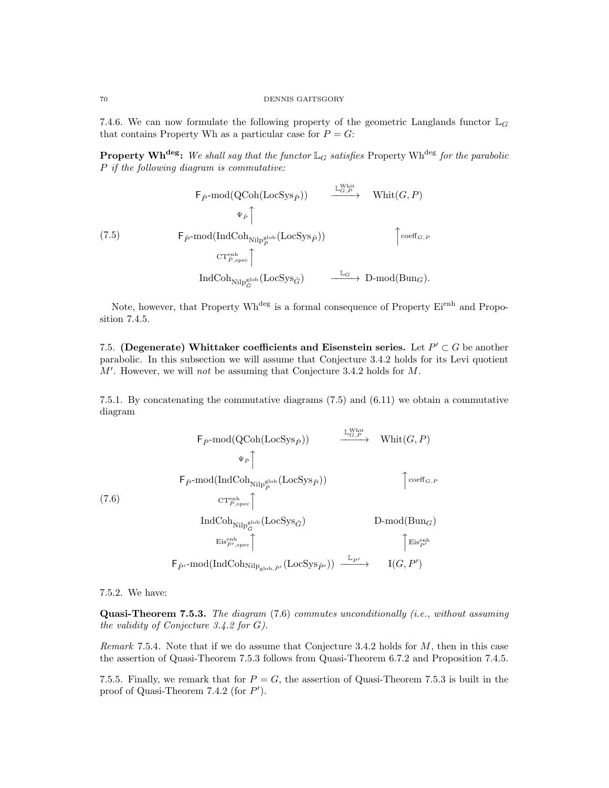7.4.6. We can now formulate the following property of the geometric Langlands functor  $\mathbb{L}_G$ that contains Property Wh as a particular case for  $P = G$ :

**Property Wh<sup>deg</sup>**: We shall say that the functor  $\mathbb{L}_G$  satisfies Property Wh<sup>deg</sup> for the parabolic P if the following diagram is commutative:

$$
\begin{array}{ccc}\n\mathsf{F}_{\check{P}}\text{-mod}(\text{QCoh}(\text{LocSys}_{\check{P}})) & \xrightarrow{\mathbb{L}_{G,P}^{\text{Whit}}} & \text{Whit}(G,P) \\
\downarrow^{\Psi_{\check{P}}}\uparrow & & \\
\mathsf{F}_{\check{P}}\text{-mod}(\text{IndCoh}_{\text{Nilp}_{\check{P}}^{\text{glob}}}\text{(LocSys}_{\check{P}})) & \uparrow^{\text{coeff}_{G,P}} \\
&\xrightarrow{\mathbf{C}\mathbf{T}_{\check{P},\text{spec}}^{\text{enh}}}\uparrow & \\
\text{IndCoh}_{\text{Nilp}_{\check{G}}^{\text{glob}}}\text{(LocSys}_{\check{G}}) & \xrightarrow{\mathbb{L}_{G}}\text{D-mod}(\text{Bun}_{G}).\n\end{array}
$$

Note, however, that Property Wh<sup>deg</sup> is a formal consequence of Property Ei<sup>enh</sup> and Proposition 7.4.5.

7.5. (Degenerate) Whittaker coefficients and Eisenstein series. Let  $P' \subset G$  be another parabolic. In this subsection we will assume that Conjecture 3.4.2 holds for its Levi quotient  $M'$ . However, we will not be assuming that Conjecture 3.4.2 holds for  $M$ .

7.5.1. By concatenating the commutative diagrams (7.5) and (6.11) we obtain a commutative diagram

$$
\begin{array}{ccc}\n\mathsf{F}_{\vec{P}}\text{-mod}(\text{QCoh}(\text{LocSys}_{\vec{P}})) & \xrightarrow{\mathbb{L}_{G,P}^{\text{Whit}}}\text{Whit}(G,P) \\
& \xrightarrow{\Psi_{\vec{P}}}\uparrow \\
& \mathsf{F}_{\vec{P}}\text{-mod}(\text{IndCoh}_{\text{Nilp}_{\vec{P}}^{\text{glob}}}\text{(LocSys}_{\vec{P}})) & \uparrow_{\text{coeff}_{G,P}} \\
& \text{Cr}_{\vec{P},\text{spec}}^{\text{enh}}\uparrow \\
& \text{IndCoh}_{\text{Nilp}_{\vec{G}}^{\text{glob}}}(\text{LocSys}_{\vec{G}}) & \text{D-mod}(\text{Bun}_G) \\
& \xrightarrow{\text{Eis}_{\vec{P}',\text{spec}}^{\text{enh}}}\uparrow \\
& \mathsf{F}_{\vec{P}'}\text{-mod}(\text{IndCoh}_{\text{Nilp}_{\text{glob},\vec{P}'}}(\text{LocSys}_{\vec{P}})) & \xrightarrow{\mathbb{L}_{P'}} \qquad \text{I}(G,P')\n\end{array}
$$

7.5.2. We have:

**Quasi-Theorem 7.5.3.** The diagram  $(7.6)$  commutes unconditionally (i.e., without assuming the validity of Conjecture 3.4.2 for G).

Remark 7.5.4. Note that if we do assume that Conjecture 3.4.2 holds for M, then in this case the assertion of Quasi-Theorem 7.5.3 follows from Quasi-Theorem 6.7.2 and Proposition 7.4.5.

7.5.5. Finally, we remark that for  $P = G$ , the assertion of Quasi-Theorem 7.5.3 is built in the proof of Quasi-Theorem 7.4.2 (for  $P'$ ).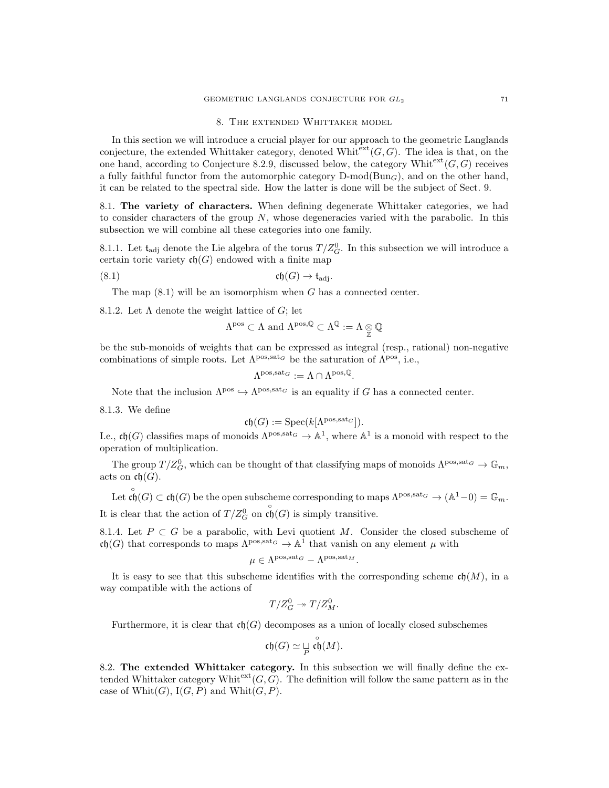#### 8. The extended Whittaker model

In this section we will introduce a crucial player for our approach to the geometric Langlands conjecture, the extended Whittaker category, denoted Whit $e^{ext}(G, G)$ . The idea is that, on the one hand, according to Conjecture 8.2.9, discussed below, the category Whit<sup>ext</sup> $(G, G)$  receives a fully faithful functor from the automorphic category  $D\text{-mod}(Bun_G)$ , and on the other hand, it can be related to the spectral side. How the latter is done will be the subject of Sect. 9.

8.1. The variety of characters. When defining degenerate Whittaker categories, we had to consider characters of the group  $N$ , whose degeneracies varied with the parabolic. In this subsection we will combine all these categories into one family.

8.1.1. Let  $\mathfrak{t}_{\text{adj}}$  denote the Lie algebra of the torus  $T/Z_G^0$ . In this subsection we will introduce a certain toric variety  $\mathfrak{ch}(G)$  endowed with a finite map

$$
(8.1) \t\t \t\t\t \mathfrak{ch}(G) \to \mathfrak{t}_{\mathrm{adj}}.
$$

The map  $(8.1)$  will be an isomorphism when G has a connected center.

8.1.2. Let  $\Lambda$  denote the weight lattice of  $G$ ; let

$$
\Lambda^{\rm pos}\subset \Lambda \text{ and } \Lambda^{\rm pos, \mathbb Q}\subset \Lambda^{\mathbb Q}:=\Lambda\underset{\mathbb Z}{\otimes} \mathbb Q
$$

be the sub-monoids of weights that can be expressed as integral (resp., rational) non-negative combinations of simple roots. Let  $\Lambda^{pos, \text{sat}_G}$  be the saturation of  $\Lambda^{pos}$ , i.e.,

$$
\Lambda^{\text{pos},\text{sat}_G}:=\Lambda\cap\Lambda^{\text{pos},\mathbb{Q}}.
$$

Note that the inclusion  $\Lambda^{pos} \hookrightarrow \Lambda^{pos, \text{sat}_G}$  is an equality if G has a connected center.

8.1.3. We define

$$
\mathfrak{ch}(G) := \operatorname{Spec}(k[\Lambda^{\operatorname{pos}, \operatorname{sat}_G}]).
$$

I.e., ch(G) classifies maps of monoids  $\Lambda^{pos, \text{sat}_G} \to \mathbb{A}^1$ , where  $\mathbb{A}^1$  is a monoid with respect to the operation of multiplication.

The group  $T/Z_G^0$ , which can be thought of that classifying maps of monoids  $\Lambda^{pos, \text{sat}_G} \to \mathbb{G}_m$ , acts on  $\mathfrak{ch}(G)$ .

Let  $\mathfrak{ch}(G) \subset \mathfrak{ch}(G)$  be the open subscheme corresponding to maps  $\Lambda^{pos, \text{sat}_G} \to (\mathbb{A}^1 - 0) = \mathbb{G}_m$ . It is clear that the action of  $T/Z_G^0$  on  $\mathfrak{ch}(G)$  is simply transitive.

8.1.4. Let  $P \subset G$  be a parabolic, with Levi quotient M. Consider the closed subscheme of ch(G) that corresponds to maps  $\Lambda^{pos, \text{sat}_G} \to \mathbb{A}^1$  that vanish on any element  $\mu$  with

$$
\mu \in \Lambda^{\text{pos}, \text{sat}_G} - \Lambda^{\text{pos}, \text{sat}_M}.
$$

It is easy to see that this subscheme identifies with the corresponding scheme  $\mathfrak{ch}(M)$ , in a way compatible with the actions of

$$
T/Z_G^0 \twoheadrightarrow T/Z_M^0.
$$

Furthermore, it is clear that  $\mathfrak{ch}(G)$  decomposes as a union of locally closed subschemes

$$
\mathfrak{ch}(G)\simeq \mathop{\sqcup}\limits_P\, \overset{\circ}{\mathfrak{ch}}(M).
$$

8.2. The extended Whittaker category. In this subsection we will finally define the extended Whittaker category Whit<sup>ext</sup> $(G, G)$ . The definition will follow the same pattern as in the case of Whit $(G)$ ,  $I(G, P)$  and Whit $(G, P)$ .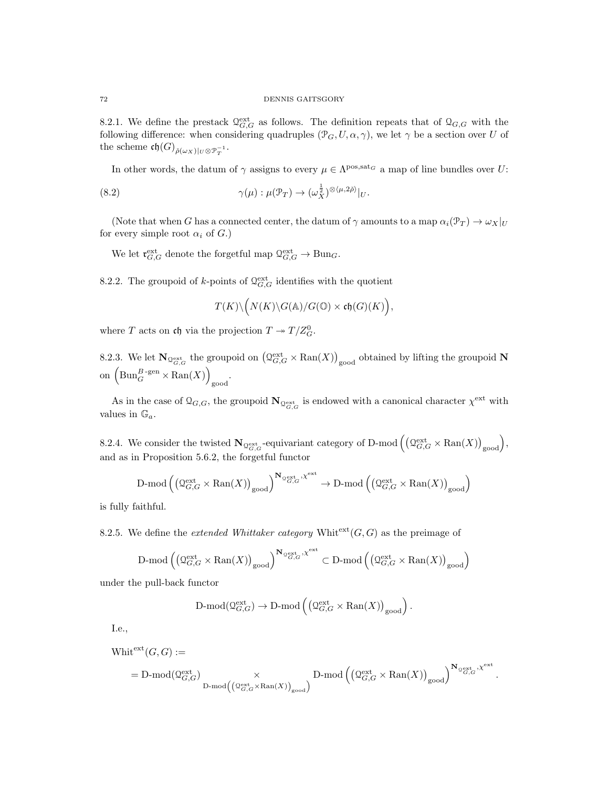8.2.1. We define the prestack  $Q_{G,G}^{\text{ext}}$  as follows. The definition repeats that of  $Q_{G,G}$  with the following difference: when considering quadruples  $(\mathcal{P}_G, U, \alpha, \gamma)$ , we let  $\gamma$  be a section over U of the scheme  $\mathfrak{ch}(G)_{\check{\rho}(\omega_X)|_U\otimes \mathcal{P}_T^{-1}}.$ 

In other words, the datum of  $\gamma$  assigns to every  $\mu \in \Lambda^{pos, \text{sat}_G}$  a map of line bundles over U:

(8.2) 
$$
\gamma(\mu): \mu(\mathcal{P}_T) \to (\omega_X^{\frac{1}{2}})^{\otimes \langle \mu, 2\check{\rho} \rangle} |_{U}.
$$

(Note that when G has a connected center, the datum of  $\gamma$  amounts to a map  $\alpha_i(\mathcal{P}_T) \to \omega_X|_U$ for every simple root  $\alpha_i$  of G.)

We let  $\mathfrak{r}_{G,G}^{\text{ext}}$  denote the forgetful map  $\mathcal{Q}_{G,G}^{\text{ext}} \to \text{Bun}_G$ .

8.2.2. The groupoid of k-points of  $\mathcal{Q}_{G,G}^{\text{ext}}$  identifies with the quotient

$$
T(K)\backslash \Big(N(K)\backslash G(\mathbb{A})/G(\mathbb{O})\times \mathfrak{ch}(G)(K)\Big),
$$

where T acts on ch via the projection  $T \to T/Z_G^0$ .

8.2.3. We let  $\mathbf{N}_{\mathbb{Q}_{G,G}^{\text{ext}}}$  the groupoid on  $(\mathbb{Q}_{G,G}^{\text{ext}} \times \text{Ran}(X))_{\text{good}}$  obtained by lifting the groupoid  $\mathbf{N}$ on  $\left(\text{Bun}_G^{B\text{-gen}}\times \text{Ran}(X)\right)$ good .

As in the case of  $\mathcal{Q}_{G,G}$ , the groupoid  $\mathbf{N}_{Q_{G,G}^{\text{ext}}}$  is endowed with a canonical character  $\chi^{\text{ext}}$  with values in  $\mathbb{G}_a$ .

8.2.4. We consider the twisted  $\mathbf{N}_{\mathcal{Q}_{G,G}^{\text{ext}}}$ -equivariant category of D-mod  $\left(\left(\mathcal{Q}_{G,G}^{\text{ext}} \times \text{Ran}(X)\right)_{\text{good}}\right)$ , and as in Proposition 5.6.2, the forgetful functor

$$
\mathrm{D\text{-}mod} \left( \left( \mathsf{Q}_{G,G}^{\mathrm{ext}} \times \mathrm{Ran}(X) \right)_\mathrm{good} \right)^{\mathbf{N}_{\mathsf{Q}_{G,G}^{\mathrm{ext}}},\chi^{\mathrm{ext}}} \to \mathrm{D\text{-}mod} \left( \left( \mathsf{Q}_{G,G}^{\mathrm{ext}} \times \mathrm{Ran}(X) \right)_\mathrm{good} \right)
$$

is fully faithful.

8.2.5. We define the *extended Whittaker category* Whit<sup>ext</sup> $(G, G)$  as the preimage of

$$
\displaystyle \operatorname{D-mod} \left( \left( \mathbb{Q}_{G,G}^{\operatorname{ext}} \times \operatorname{Ran}(X) \right)_{\operatorname{good}} \right)^{\mathbf{N}_{\mathbb{Q}_{G,G}^{\operatorname{ext}}},\chi^{\operatorname{ext}}} \subset \operatorname{D-mod} \left( \left( \mathbb{Q}_{G,G}^{\operatorname{ext}} \times \operatorname{Ran}(X) \right)_{\operatorname{good}} \right)
$$

under the pull-back functor

$$
\mathrm{D\text{-}mod}(\mathcal{Q}_{G,G}^{\mathrm{ext}}) \to \mathrm{D\text{-}mod}\left(\left(\mathcal{Q}_{G,G}^{\mathrm{ext}} \times \mathrm{Ran}(X)\right)_{\mathrm{good}}\right).
$$

I.e.,

$$
\begin{aligned} \textrm{Whit}^{\text{ext}}(G,G) := \\ & = \textrm{D-mod}\big(\mathbb{Q}_{G,G}^{\text{ext}}\big) \underset{\textrm{D-mod}\big(\big(\mathbb{Q}_{G,G}^{\text{ext}}\times \textrm{Ran}(X)\big)_{\text{good}}\big)}{\times} \textrm{D-mod}\left(\big(\mathbb{Q}_{G,G}^{\text{ext}}\times \textrm{Ran}(X)\big)_{\text{good}}\right)^{\mathbf{N}_{\mathcal{Q}_{G,G}^{\text{ext}}},\chi^{\text{ext}}}.\end{aligned}
$$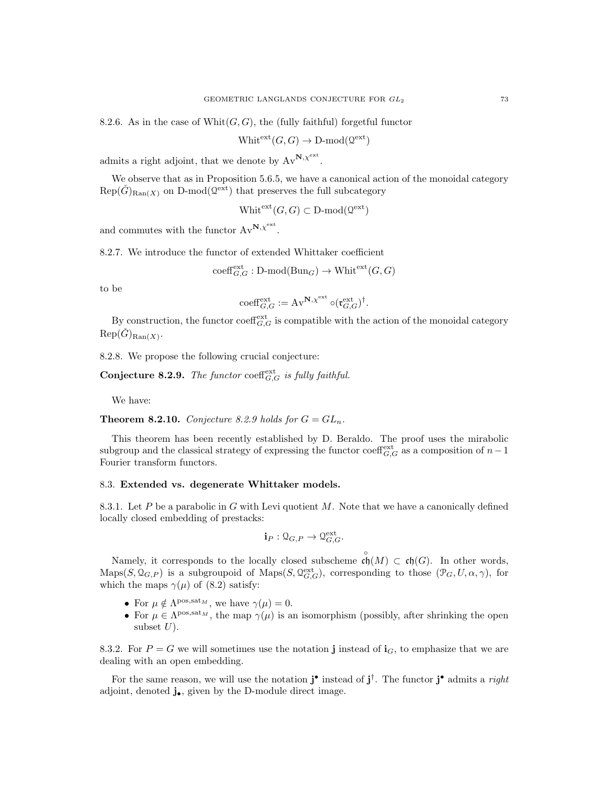8.2.6. As in the case of  $Whit(G, G)$ , the (fully faithful) forgetful functor

$$
Whit^{ext}(G, G) \to D\text{-mod}(\mathbb{Q}^{\text{ext}})
$$

admits a right adjoint, that we denote by  $Av^{\mathbf{N}, \chi^{\text{ext}}}.$ 

We observe that as in Proposition 5.6.5, we have a canonical action of the monoidal category  $Rep(\check{G})_{\text{Ran}(X)}$  on D-mod $(\mathbb{Q}^{\text{ext}})$  that preserves the full subcategory

 $\text{Whit}^{\text{ext}}(G, G) \subset \text{D-mod}(\mathcal{Q}^{\text{ext}})$ 

and commutes with the functor  $Av^{N,\chi^{ext}}$ .

8.2.7. We introduce the functor of extended Whittaker coefficient

$$
\mathrm{coeff}_{G,G}^{\mathrm{ext}}: \mathrm{D\text{-}mod}(\mathrm{Bun}_G) \to \mathrm{Whit}^{\mathrm{ext}}(G,G)
$$

to be

$$
\mathrm{coeff}_{G,G}^{\mathrm{ext}} := \mathrm{Av}^{\mathbf{N},\chi^{\mathrm{ext}}}\circ(\mathfrak{r}_{G,G}^{\mathrm{ext}})^{\dagger}.
$$

By construction, the functor  $\operatorname{coeff}_{G,G}^{\operatorname{ext}}$  is compatible with the action of the monoidal category  $\text{Rep}(\check{G})_{\text{Ran}(X)}.$ 

8.2.8. We propose the following crucial conjecture:

Conjecture 8.2.9. The functor coeffext is fully faithful.

We have:

**Theorem 8.2.10.** Conjecture 8.2.9 holds for  $G = GL_n$ .

This theorem has been recently established by D. Beraldo. The proof uses the mirabolic subgroup and the classical strategy of expressing the functor coeff<sup>ext</sup><sub>G,G</sub> as a composition of  $n-1$ Fourier transform functors.

#### 8.3. Extended vs. degenerate Whittaker models.

8.3.1. Let P be a parabolic in G with Levi quotient M. Note that we have a canonically defined locally closed embedding of prestacks:

$$
\mathbf{i}_P: \mathcal{Q}_{G,P} \to \mathcal{Q}_{G,G}^{\text{ext}}.
$$

Namely, it corresponds to the locally closed subscheme  $\mathfrak{ch}(M) \subset \mathfrak{ch}(G)$ . In other words,  $\text{Maps}(S, \mathcal{Q}_{G,P})$  is a subgroupoid of  $\text{Maps}(S, \mathcal{Q}_{G,G}^{\text{ext}})$ , corresponding to those  $(\mathcal{P}_G, U, \alpha, \gamma)$ , for which the maps  $\gamma(\mu)$  of (8.2) satisfy:

- For  $\mu \notin \Lambda^{\text{pos}, \text{sat}_M}$ , we have  $\gamma(\mu) = 0$ .
- For  $\mu \in \Lambda^{pos, sat_M}$ , the map  $\gamma(\mu)$  is an isomorphism (possibly, after shrinking the open subset  $U$ ).

8.3.2. For  $P = G$  we will sometimes use the notation j instead of  $i_G$ , to emphasize that we are dealing with an open embedding.

For the same reason, we will use the notation  $j^{\bullet}$  instead of  $j^{\dagger}$ . The functor  $j^{\bullet}$  admits a *right* adjoint, denoted  $j_{\bullet}$ , given by the D-module direct image.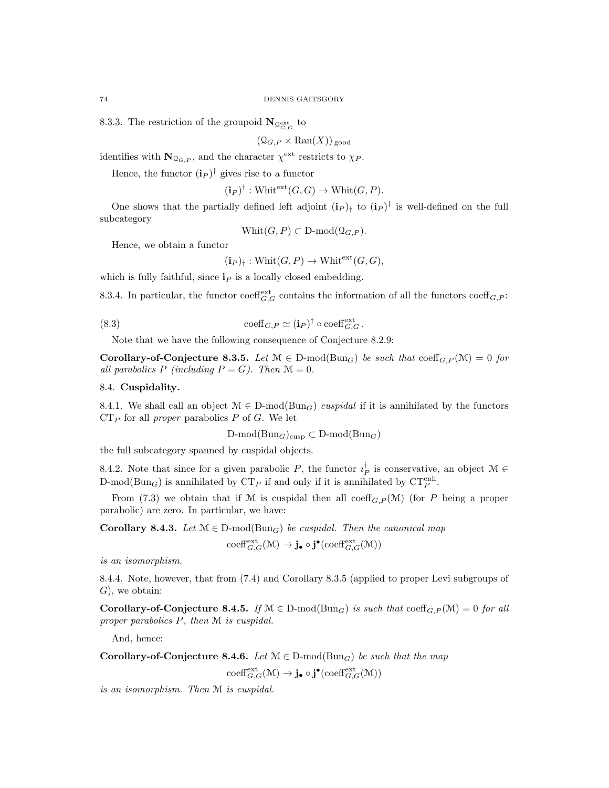8.3.3. The restriction of the groupoid  $\mathbf{N}_{\mathbb{Q}_{G,G}^{\text{ext}}}$  to

 $(\mathcal{Q}_{G,P} \times \text{Ran}(X))_{\text{good}}$ 

identifies with  $\mathbf{N}_{\mathbb{Q}_{G,P}}$ , and the character  $\chi^{\text{ext}}$  restricts to  $\chi_P$ .

Hence, the functor  $(i_P)^\dagger$  gives rise to a functor

$$
(i_P)^{\dagger}
$$
: Whit<sup>ext</sup> $(G, G) \rightarrow$  Whit $(G, P)$ .

One shows that the partially defined left adjoint  $(i_P)$ <sup>†</sup> to  $(i_P)$ <sup>†</sup> is well-defined on the full subcategory

 $\text{Whit}(G, P) \subset \text{D-mod}(\mathcal{Q}_{G, P}).$ 

Hence, we obtain a functor

 $(i_P)_f: \text{Whit}(G, P) \to \text{Whit}^{\text{ext}}(G, G),$ 

which is fully faithful, since  $i<sub>P</sub>$  is a locally closed embedding.

8.3.4. In particular, the functor coeff<sup>ext</sup><sub>G,G</sub> contains the information of all the functors coeff<sub>G,P</sub>:

(8.3) 
$$
\operatorname{coeff}_{G,P} \simeq (\mathbf{i}_P)^{\dagger} \circ \operatorname{coeff}_{G,G}^{\operatorname{ext}}.
$$

Note that we have the following consequence of Conjecture 8.2.9:

**Corollary-of-Conjecture 8.3.5.** Let  $\mathcal{M} \in D\text{-mod}(Bun_G)$  be such that  $\text{coeff}_G P(\mathcal{M}) = 0$  for all parabolics P (including  $P = G$ ). Then  $\mathcal{M} = 0$ .

## 8.4. Cuspidality.

8.4.1. We shall call an object  $\mathcal{M} \in \mathcal{D}$ -mod $(\text{Bun}_G)$  cuspidal if it is annihilated by the functors  $CT_P$  for all *proper* parabolics P of G. We let

D-mod( $Bun_G$ )<sub>cusp</sub> ⊂ D-mod( $Bun_G$ )

the full subcategory spanned by cuspidal objects.

8.4.2. Note that since for a given parabolic P, the functor  $i_P^{\dagger}$  is conservative, an object  $\mathcal{M} \in$ D-mod( $\text{Bun}_G$ ) is annihilated by  $CT_P$  if and only if it is annihilated by  $CT_P^{\text{enh}}$ .

From (7.3) we obtain that if M is cuspidal then all coeff<sub>G,P</sub>(M) (for P being a proper parabolic) are zero. In particular, we have:

**Corollary 8.4.3.** Let  $M \in D-mod(Bun_G)$  be cuspidal. Then the canonical map

$$
\mathrm{coeff}_{G,G}^{\mathrm{ext}}(\mathcal{M})\to \mathbf{j}_\bullet\circ\mathbf{j}^\bullet(\mathrm{coeff}_{G,G}^{\mathrm{ext}}(\mathcal{M}))
$$

is an isomorphism.

8.4.4. Note, however, that from (7.4) and Corollary 8.3.5 (applied to proper Levi subgroups of  $G$ , we obtain:

**Corollary-of-Conjecture 8.4.5.** If  $\mathcal{M} \in D\text{-mod}(Bun_G)$  is such that  $\text{coeff}_{G,P}(\mathcal{M}) = 0$  for all proper parabolics P, then M is cuspidal.

And, hence:

Corollary-of-Conjecture 8.4.6. Let  $\mathcal{M} \in \mathcal{D}$ -mod $(\text{Bun}_G)$  be such that the map

 $\mathrm{coeff}_{G,G}^{\mathrm{ext}}(\mathfrak{M}) \to \mathbf{j}_{\bullet} \circ \mathbf{j}^{\bullet}(\mathrm{coeff}_{G,G}^{\mathrm{ext}}(\mathfrak{M}))$ 

is an isomorphism. Then M is cuspidal.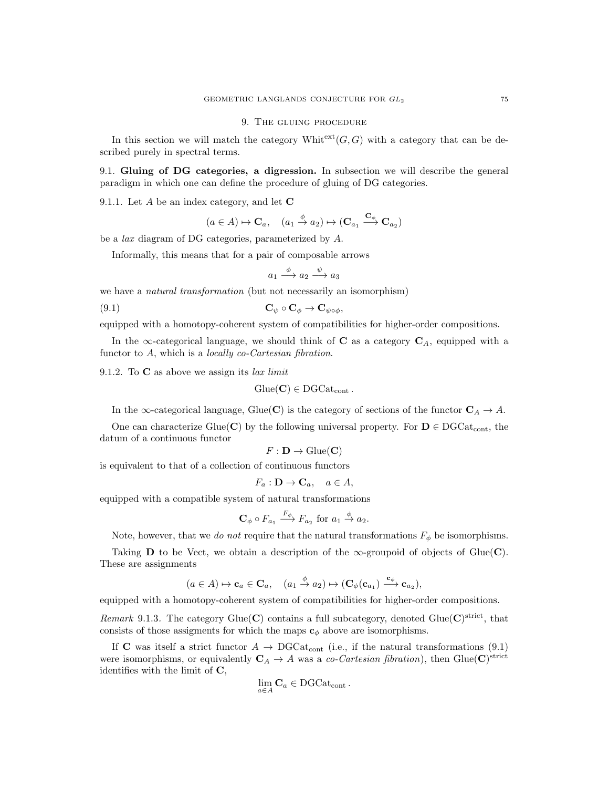#### 9. The gluing procedure

In this section we will match the category Whitext $(G, G)$  with a category that can be described purely in spectral terms.

9.1. Gluing of DG categories, a digression. In subsection we will describe the general paradigm in which one can define the procedure of gluing of DG categories.

9.1.1. Let  $A$  be an index category, and let  $C$ 

$$
(a \in A) \mapsto \mathbf{C}_a, \quad (a_1 \stackrel{\phi}{\to} a_2) \mapsto (\mathbf{C}_{a_1} \stackrel{\mathbf{C}_{\phi}}{\to} \mathbf{C}_{a_2})
$$

be a lax diagram of DG categories, parameterized by A.

Informally, this means that for a pair of composable arrows

$$
a_1 \xrightarrow{\phi} a_2 \xrightarrow{\psi} a_3
$$

we have a *natural transformation* (but not necessarily an isomorphism)

$$
C_{\psi} \circ C_{\phi} \to C_{\psi \circ \phi},
$$

equipped with a homotopy-coherent system of compatibilities for higher-order compositions.

In the  $\infty$ -categorical language, we should think of **C** as a category  $C_A$ , equipped with a functor to A, which is a locally co-Cartesian fibration.

9.1.2. To  $C$  as above we assign its *lax limit* 

$$
Glue(\mathbf{C}) \in \mathrm{DGCat}_{\mathrm{cont}}.
$$

In the  $\infty$ -categorical language, Glue(C) is the category of sections of the functor  $C_A \rightarrow A$ .

One can characterize Glue(C) by the following universal property. For  $D \in DGCat_{cont}$ , the datum of a continuous functor

$$
F:\mathbf{D}\to\operatorname{Glue}(\mathbf{C})
$$

is equivalent to that of a collection of continuous functors

$$
F_a: \mathbf{D} \to \mathbf{C}_a, \quad a \in A,
$$

equipped with a compatible system of natural transformations

$$
\mathbf{C}_{\phi} \circ F_{a_1} \xrightarrow{F_{\phi}} F_{a_2} \text{ for } a_1 \xrightarrow{\phi} a_2.
$$

Note, however, that we do not require that the natural transformations  $F_{\phi}$  be isomorphisms.

Taking **D** to be Vect, we obtain a description of the  $\infty$ -groupoid of objects of Glue(**C**). These are assignments

$$
(a\in A)\mapsto \mathbf{c}_a\in \mathbf{C}_a, \quad (a_1\stackrel{\phi}{\to} a_2)\mapsto (\mathbf{C}_{\phi}(\mathbf{c}_{a_1})\stackrel{\mathbf{c}_{\phi}}{\longrightarrow}\mathbf{c}_{a_2}),
$$

equipped with a homotopy-coherent system of compatibilities for higher-order compositions.

Remark 9.1.3. The category Glue(C) contains a full subcategory, denoted Glue( $\mathbf{C}$ )<sup>strict</sup>, that consists of those assigments for which the maps  $c_{\phi}$  above are isomorphisms.

If C was itself a strict functor  $A \to \text{DGCat}_{cont}$  (i.e., if the natural transformations (9.1) were isomorphisms, or equivalently  $\mathbf{C}_A \to A$  was a co-Cartesian fibration), then Glue(C)<sup>strict</sup> identifies with the limit of  $C$ ,

$$
\lim_{a \in A} \mathbf{C}_a \in \text{DGCat}_{\text{cont}} \, .
$$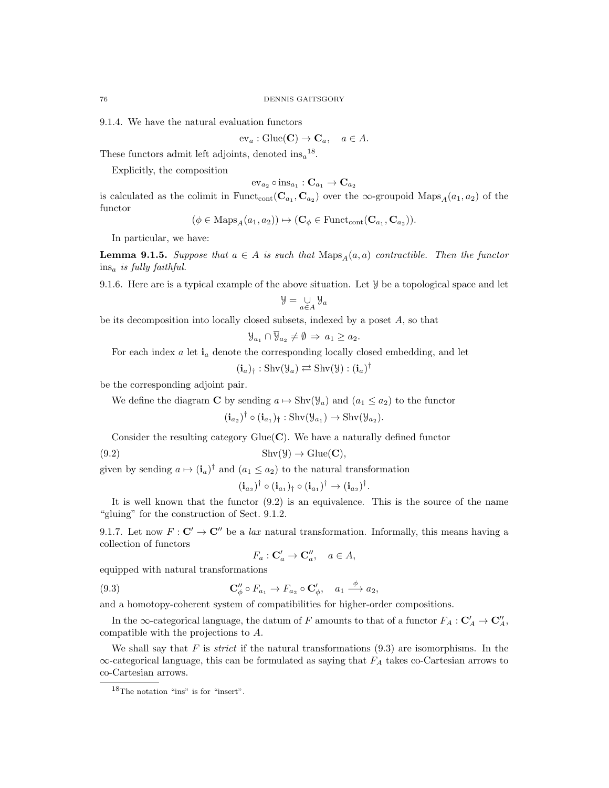9.1.4. We have the natural evaluation functors

$$
\mathrm{ev}_a: \mathrm{Glue}(\mathbf{C}) \to \mathbf{C}_a, \quad a \in A.
$$

These functors admit left adjoints, denoted  $ins_a$ <sup>18</sup>.

Explicitly, the composition

$$
\operatorname{ev}_{a_2} \circ \operatorname{ins}_{a_1} : \mathbf{C}_{a_1} \to \mathbf{C}_{a_2}
$$

is calculated as the colimit in  $Function(C_{a_1}, C_{a_2})$  over the  $\infty$ -groupoid  $Maps_A(a_1, a_2)$  of the functor

$$
(\phi \in \mathrm{Maps}_{A}(a_1, a_2)) \mapsto (\mathbf{C}_{\phi} \in \mathrm{Funct}_{\mathrm{cont}}(\mathbf{C}_{a_1}, \mathbf{C}_{a_2})).
$$

In particular, we have:

**Lemma 9.1.5.** Suppose that  $a \in A$  is such that  $\text{Maps}_{A}(a, a)$  contractible. Then the functor  $ins_a$  is fully faithful.

9.1.6. Here are is a typical example of the above situation. Let Y be a topological space and let

$$
\mathcal{Y} = \underset{a \in A}{\cup} \mathcal{Y}_a
$$

be its decomposition into locally closed subsets, indexed by a poset  $A$ , so that

$$
\mathcal{Y}_{a_1} \cap \overline{\mathcal{Y}}_{a_2} \neq \emptyset \Rightarrow a_1 \ge a_2.
$$

For each index  $a$  let  $\mathbf{i}_a$  denote the corresponding locally closed embedding, and let

$$
(\mathbf{i}_a)_\dagger : \operatorname{Shv}(\mathcal{Y}_a) \rightleftarrows \operatorname{Shv}(\mathcal{Y}) : (\mathbf{i}_a)^\dagger
$$

be the corresponding adjoint pair.

We define the diagram C by sending  $a \mapsto \text{Shv}(\mathcal{Y}_a)$  and  $(a_1 \leq a_2)$  to the functor

$$
(\mathbf{i}_{a_2})^{\dagger} \circ (\mathbf{i}_{a_1})_{\dagger} : \mathrm{Shv}(\mathcal{Y}_{a_1}) \to \mathrm{Shv}(\mathcal{Y}_{a_2}).
$$

Consider the resulting category  $Glue(\mathbf{C})$ . We have a naturally defined functor

(9.2) Shv(Y) → Glue(C),

given by sending  $a \mapsto (\mathbf{i}_a)^{\dagger}$  and  $(a_1 \le a_2)$  to the natural transformation

$$
(\mathbf{i}_{a_2})^{\dagger} \circ (\mathbf{i}_{a_1})_{\dagger} \circ (\mathbf{i}_{a_1})^{\dagger} \to (\mathbf{i}_{a_2})^{\dagger}.
$$

It is well known that the functor (9.2) is an equivalence. This is the source of the name "gluing" for the construction of Sect. 9.1.2.

9.1.7. Let now  $F: \mathbb{C}' \to \mathbb{C}''$  be a lax natural transformation. Informally, this means having a collection of functors

$$
F_a: \mathbf{C}'_a \to \mathbf{C}''_a, \quad a \in A,
$$

equipped with natural transformations

(9.3) 
$$
\mathbf{C}''_{\phi} \circ F_{a_1} \to F_{a_2} \circ \mathbf{C}'_{\phi}, \quad a_1 \stackrel{\phi}{\longrightarrow} a_2,
$$

and a homotopy-coherent system of compatibilities for higher-order compositions.

In the  $\infty$ -categorical language, the datum of F amounts to that of a functor  $F_A: \mathbf{C}'_A \to \mathbf{C}''_A$ , compatible with the projections to A.

We shall say that F is *strict* if the natural transformations  $(9.3)$  are isomorphisms. In the  $\infty$ -categorical language, this can be formulated as saying that  $F_A$  takes co-Cartesian arrows to co-Cartesian arrows.

<sup>18</sup>The notation "ins" is for "insert".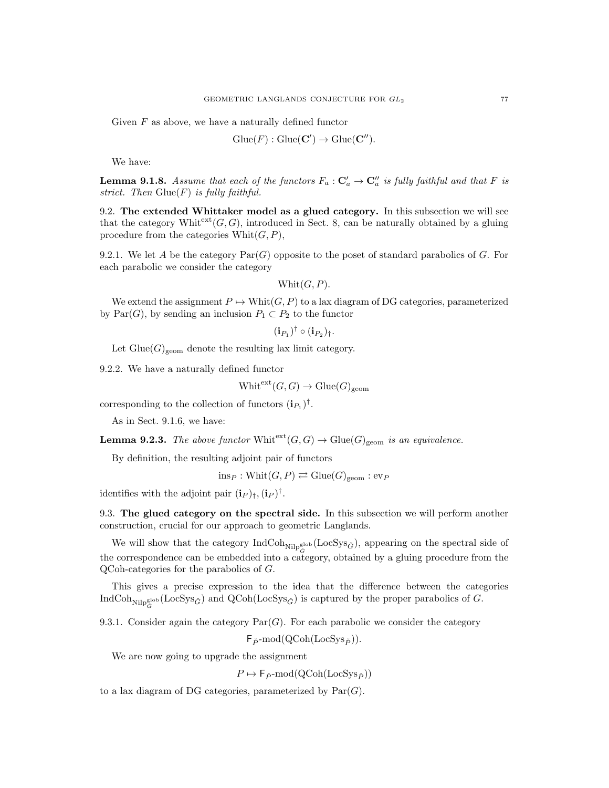Given  $F$  as above, we have a naturally defined functor

$$
Glue(F) : Glue(C') \to Glue(C'').
$$

We have:

**Lemma 9.1.8.** Assume that each of the functors  $F_a: \mathbb{C}'_a \to \mathbb{C}''_a$  is fully faithful and that F is strict. Then  $G\text{lu}(F)$  is fully faithful.

9.2. The extended Whittaker model as a glued category. In this subsection we will see that the category Whitext $(G, G)$ , introduced in Sect. 8, can be naturally obtained by a gluing procedure from the categories  $Whit(G, P)$ ,

9.2.1. We let A be the category  $\text{Par}(G)$  opposite to the poset of standard parabolics of G. For each parabolic we consider the category

Whit $(G, P)$ .

We extend the assignment  $P \mapsto \text{Whit}(G, P)$  to a lax diagram of DG categories, parameterized by  $Par(G)$ , by sending an inclusion  $P_1 \subset P_2$  to the functor

 $(\mathbf{i}_{P_1})^\dagger \circ (\mathbf{i}_{P_2})_\dagger.$ 

Let  $\text{Glue}(G)_{\text{geom}}$  denote the resulting lax limit category.

9.2.2. We have a naturally defined functor

$$
Whit^{ext}(G, G) \to Glue(G)_{\text{geom}}
$$

corresponding to the collection of functors  $(i_{P_1})^{\dagger}$ .

As in Sect. 9.1.6, we have:

**Lemma 9.2.3.** The above functor Whit<sup>ext</sup> $(G, G) \to$  Glue $(G)_{\text{geom}}$  is an equivalence.

By definition, the resulting adjoint pair of functors

 $ins_P: \text{Whit}(G, P) \rightleftarrows \text{Glue}(G)_{\text{geom}}: \text{ev}_P$ 

identifies with the adjoint pair  $(i_P)_{\dagger}$ ,  $(i_P)^{\dagger}$ .

9.3. The glued category on the spectral side. In this subsection we will perform another construction, crucial for our approach to geometric Langlands.

We will show that the category  $\text{IndCoh}_{\text{Nilp}_G^{\text{glob}}}(\text{LocSys}_{\check{G}})$ , appearing on the spectral side of the correspondence can be embedded into a category, obtained by a gluing procedure from the QCoh-categories for the parabolics of G.

This gives a precise expression to the idea that the difference between the categories  $\text{IndCoh}_{\text{Nilp}^{\text{glob}}_{G}}(\text{LocSys}_{\check{G}})$  and  $\text{QCoh}(\text{LocSys}_{\check{G}})$  is captured by the proper parabolics of  $G$ .

9.3.1. Consider again the category  $\text{Par}(G)$ . For each parabolic we consider the category

 $\mathsf{F}_{\check{P}}\text{-mod}(\mathrm{QCoh}(\mathrm{LocSys}_{\check{P}})).$ 

We are now going to upgrade the assignment

 $P \mapsto \mathsf{F}_{\check{P}}\text{-mod}(\mathrm{QCoh}(\mathrm{LocSys}_{\check{P}}))$ 

to a lax diagram of DG categories, parameterized by  $Par(G)$ .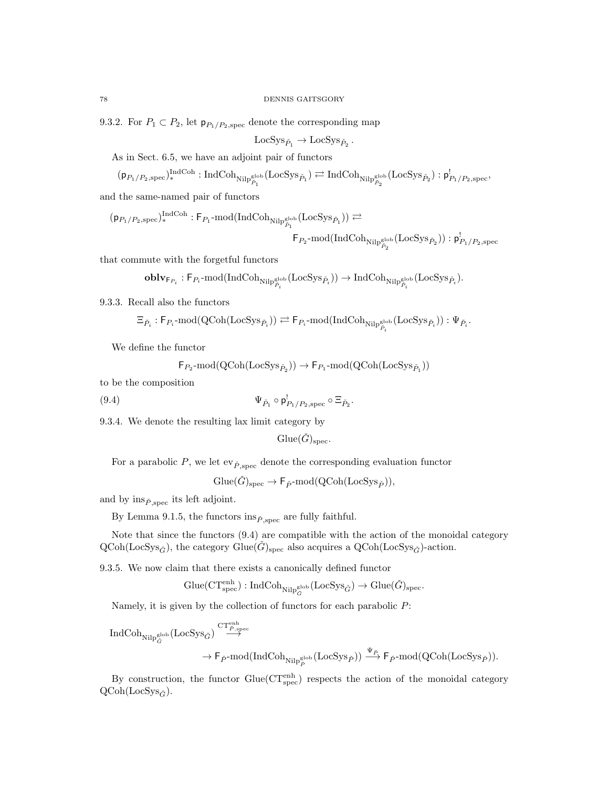9.3.2. For  $P_1 \subset P_2$ , let  $p_{P_1/P_2, \text{spec}}$  denote the corresponding map

$$
\text{LocSys}_{\check{P}_1} \to \text{LocSys}_{\check{P}_2}.
$$

As in Sect. 6.5, we have an adjoint pair of functors

$$
(\mathsf{p}_{P_1/P_2,\mathrm{spec}})_*^{\mathrm{IndCoh}}:\mathrm{IndCoh}_{\mathrm{Nilp}_{\check{P}_1}^{\mathrm{glob}}}( \mathrm{LocSys}_{\check{P}_1})\rightleftarrows \mathrm{IndCoh}_{\mathrm{Nilp}_{\check{P}_2}^{\mathrm{glob}}}( \mathrm{LocSys}_{\check{P}_2}): \mathsf{p}^!_{P_1/P_2,\mathrm{spec}},
$$

and the same-named pair of functors

$$
\begin{array}{c}\left(\mathfrak{p}_{P_1/P_2,\mathrm{spec}}\right)^{\mathrm{IndCoh}}_*: \mathsf{F}_{P_1}\text{-mod}(\mathrm{IndCoh}_{\mathrm{NilP}^{\mathrm{glob}}_{P_1}}(\mathrm{LocSys}_{\check{P}_1}))\rightleftarrows\\\hspace{25pt}\hspace{25pt}\mathsf{F}_{P_2}\text{-mod}(\mathrm{IndCoh}_{\mathrm{NilP}^{\mathrm{glob}}_{P_2}}(\mathrm{LocSys}_{\check{P}_2})) : \mathfrak{p}^!_{P_1/P_2,\mathrm{spec}}\end{array}
$$

that commute with the forgetful functors

$$
\mathbf{oblv}_{\mathsf{F}_{P_i}}:\mathsf{F}_{P_i}\text{-mod}(\mathrm{IndCoh}_{\mathrm{Nilp}_{P_i}^{\mathrm{glob}}}( \mathrm{LocSys}_{\check{P}_i}))\to \mathrm{IndCoh}_{\mathrm{Nilp}_{\check{P}_i}^{\mathrm{glob}}}( \mathrm{LocSys}_{\check{P}_i}).
$$

9.3.3. Recall also the functors

$$
\Xi_{\check{P}_i}:\mathsf{F}_{P_i}\text{-mod}(\text{QCoh}(\text{LocSys}_{\check{P}_i}))\rightleftarrows\mathsf{F}_{P_i}\text{-mod}(\text{IndCoh}_{\text{Nilp}_{\check{P}_i}^{\text{glob}}}(\text{LocSys}_{\check{P}_i})):\Psi_{\check{P}_i}.
$$

We define the functor

$$
\mathsf{F}_{P_2}\text{-mod}(\text{QCoh}(\text{LocSys}_{\check{P}_2})) \to \mathsf{F}_{P_1}\text{-mod}(\text{QCoh}(\text{LocSys}_{\check{P}_1}))
$$

to be the composition

(9.4) 
$$
\Psi_{\check{P}_1} \circ \mathsf{p}_{P_1/P_2,\text{spec}}^! \circ \Xi_{\check{P}_2}.
$$

9.3.4. We denote the resulting lax limit category by

$$
\text{Glue}(\check{G})_{\text{spec}}.
$$

For a parabolic P, we let  $ev_{\tilde{P}, \text{spec}}$  denote the corresponding evaluation functor

 $Glue(\check{G})_{\text{spec}} \to F_{\check{P}}\text{-mod}(QCoh(LocSys_{\check{P}})),$ 

and by  $ins_{\check{P}, \text{spec}}$  its left adjoint.

By Lemma 9.1.5, the functors ins $_{\check{P}, \text{spec}}$  are fully faithful.

Note that since the functors (9.4) are compatible with the action of the monoidal category  $QCoh(LocSys_{\check{G}})$ , the category Glue( $\check{G}$ )<sub>spec</sub> also acquires a  $QCoh(LocSys_{\check{G}})$ -action.

9.3.5. We now claim that there exists a canonically defined functor

$$
\mathrm{Glue}(\mathrm{CT}^{\mathrm{enh}}_{\mathrm{spec}}): \mathrm{IndCoh}_{\mathrm{NilP}_G^{\mathrm{glob}}}( \mathrm{LocSys}_{\check G}) \to \mathrm{Glue}(\check G)_{\mathrm{spec}}.
$$

Namely, it is given by the collection of functors for each parabolic  $P$ :

$$
\operatorname{IndCoh}_{\operatorname{Nilp}^{\operatorname{glob}}_{\check{G}}}(\operatorname{LocSys}_{\check{G}}) \stackrel{\operatorname{CT^{enh}}}{\longrightarrow}
$$

 $\rightarrow$   $\vdash_{\check{P}} \text{-mod}(\text{IndCoh}_{\text{Nilp}^{\text{glob}}_{\check{P}}}( \text{LocSys}_{\check{P}})) \xrightarrow{\Psi_{\check{P}}} \text{F}_{\check{P}} \text{-mod}(\text{QCoh}(\text{LocSys}_{\check{P}})).$ 

By construction, the functor  $\text{Glue}(\text{CT}_{\text{spec}}^{\text{enh}})$  respects the action of the monoidal category  $QCoh(LocSys_{\check{G}}).$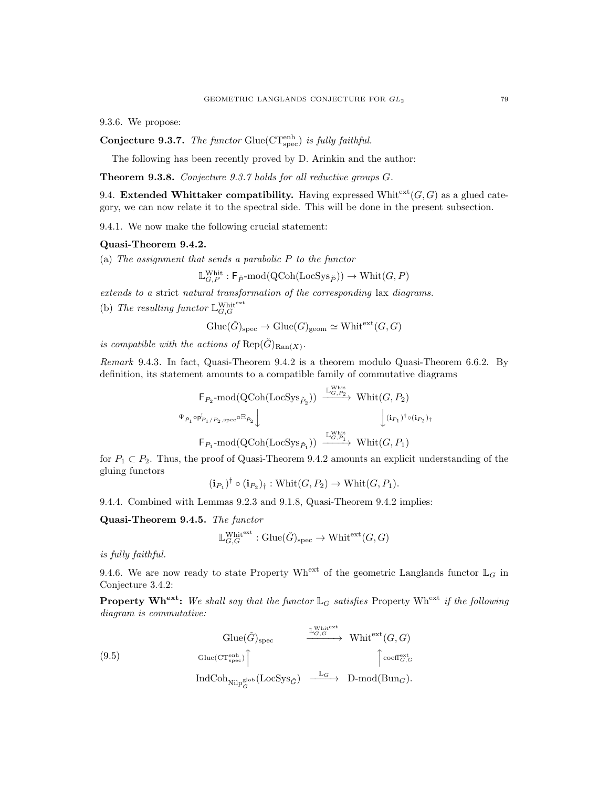9.3.6. We propose:

**Conjecture 9.3.7.** The functor Glue( $CT_{\text{spec}}^{\text{enh}}$ ) is fully faithful.

The following has been recently proved by D. Arinkin and the author:

Theorem 9.3.8. Conjecture 9.3.7 holds for all reductive groups G.

9.4. Extended Whittaker compatibility. Having expressed Whit $e^{i\omega t}(G, G)$  as a glued category, we can now relate it to the spectral side. This will be done in the present subsection.

9.4.1. We now make the following crucial statement:

### Quasi-Theorem 9.4.2.

(a) The assignment that sends a parabolic P to the functor

$$
\mathbb{L}_{G,P}^{\rm Whit}: \mathsf{F}_{\check{P}}\text{-}\mathrm{mod}(\mathrm{QCoh}(\mathrm{LocSys}_{\check{P}})) \to \mathrm{Whit}(G,P)
$$

extends to a strict natural transformation of the corresponding lax diagrams. (b) The resulting functor  $\mathbb{L}_{G,G}^{\text{Whit}^{\text{ext}}}$ 

$$
\mathrm{Glue}(\check{G})_{\mathrm{spec}}\rightarrow \mathrm{Glue}(G)_{\mathrm{geom}}\simeq \mathrm{Whit}^{\mathrm{ext}}(G,G)
$$

is compatible with the actions of  $\text{Rep}(\check{G})_{\text{Ran}(X)}$ .

Remark 9.4.3. In fact, Quasi-Theorem 9.4.2 is a theorem modulo Quasi-Theorem 6.6.2. By definition, its statement amounts to a compatible family of commutative diagrams

$$
\begin{array}{ccc}\n\mathsf{F}_{P_2}\text{-mod}(\text{QCoh}(\text{LocSys}_{\check{P}_2})) & \xrightarrow{\mathbb{L}_{G,P_2}^{\text{Whit}}} & \text{Whit}(G,P_2) \\
\downarrow^{\Psi_{\check{P}_1} \circ \mathsf{p}_{P_1/P_2,\text{spec}}^{\mathsf{I}} \circ \Xi_{P_2}} \Big\downarrow^{\mathbb{L}_{G,P_1}^{\text{Whit}}} & \downarrow^{\mathsf{lin}(G,P_2)} \\
\mathsf{F}_{P_1}\text{-mod}(\text{QCoh}(\text{LocSys}_{\check{P}_1})) & \xrightarrow{\mathbb{L}_{G,P_1}^{\text{Whit}}} & \text{Whit}(G,P_1)\n\end{array}
$$

for  $P_1 \subset P_2$ . Thus, the proof of Quasi-Theorem 9.4.2 amounts an explicit understanding of the gluing functors

$$
(\mathbf{i}_{P_1})^{\dagger} \circ (\mathbf{i}_{P_2})_{\dagger} : \text{Whit}(G, P_2) \to \text{Whit}(G, P_1).
$$

9.4.4. Combined with Lemmas 9.2.3 and 9.1.8, Quasi-Theorem 9.4.2 implies:

Quasi-Theorem 9.4.5. The functor

$$
\mathbb{L}^\mathrm{Whit^{ext}}_{G, G}: \mathrm{Glue}(\check{G})_{\mathrm{spec}} \to \mathrm{Whit^{ext}}(G, G)
$$

is fully faithful.

9.4.6. We are now ready to state Property Wh<sup>ext</sup> of the geometric Langlands functor  $\mathbb{L}_G$  in Conjecture 3.4.2:

**Property Wh<sup>ext</sup>:** We shall say that the functor  $\mathbb{L}_G$  satisfies Property Wh<sup>ext</sup> if the following diagram is commutative:

(9.5)  
\n
$$
\text{Glue}(\check{G})_{\text{spec}} \longrightarrow \text{Whit}^{\text{ext}}(G, G)
$$
\n
$$
\text{Glue}(\text{CT}_{\text{spec}}^{\text{enh}}) \qquad \qquad \uparrow \text{coeff}_{G, G}^{\text{ext}} \qquad \qquad \uparrow \text{coeff}_{G, G}^{\text{ext}}
$$
\n
$$
\text{IndCoh}_{\text{Nilp}_G^{\text{glob}}}(\text{LocSys}_{\check{G}}) \longrightarrow \text{D-mod}(\text{Bun}_G).
$$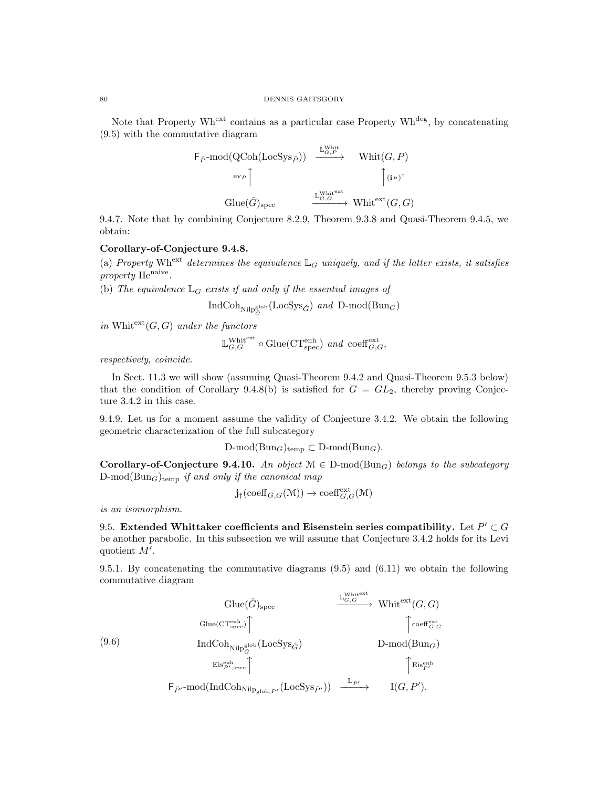Note that Property Wh<sup>ext</sup> contains as a particular case Property Wh<sup>deg</sup>, by concatenating (9.5) with the commutative diagram

$$
\begin{array}{ccc}\n\mathsf{F}_{\check{P}}\text{-mod}(\text{QCoh}(\text{LocSys}_{\check{P}})) & \xrightarrow{\mathbb{L}_{G,P}^{\text{White}}} & \text{Whit}(G,P) \\
&\xrightarrow{\text{ev}_{P}\uparrow} & \uparrow_{(\textbf{i}_{P})^{\dagger}} \\
\text{Glue}(\check{G})_{\text{spec}} & \xrightarrow{\mathbb{L}_{G,G}^{\text{Whiteext}}} & \text{Whit}^{\text{ext}}(G,G)\n\end{array}
$$

9.4.7. Note that by combining Conjecture 8.2.9, Theorem 9.3.8 and Quasi-Theorem 9.4.5, we obtain:

# Corollary-of-Conjecture 9.4.8.

(a) Property Wh<sup>ext</sup> determines the equivalence  $\mathbb{L}_G$  uniquely, and if the latter exists, it satisfies property He<sup>naive</sup>.

(b) The equivalence  $\mathbb{L}_G$  exists if and only if the essential images of

 $\text{IndCoh}_{\text{Nilp}^{\text{glob}}_{G}}(\text{LocSys}_{\check{G}})$  and  $\text{D-mod}(\text{Bun}_G)$ 

in Whit $e^{ext}(G, G)$  under the functors

$$
\mathbb{L}^{\text{Whit}^{\text{ext}}}_{G, G} \circ \text{Glue}(\text{CT}^{\text{enh}}_{\text{spec}}) \text{ and } \text{coeff}_{G, G}^{\text{ext}},
$$

respectively, coincide.

In Sect. 11.3 we will show (assuming Quasi-Theorem 9.4.2 and Quasi-Theorem 9.5.3 below) that the condition of Corollary 9.4.8(b) is satisfied for  $G = GL_2$ , thereby proving Conjecture 3.4.2 in this case.

9.4.9. Let us for a moment assume the validity of Conjecture 3.4.2. We obtain the following geometric characterization of the full subcategory

 $D\text{-mod}(Bun_G)_{temp} \subset D\text{-mod}(Bun_G).$ 

Corollary-of-Conjecture 9.4.10. An object  $\mathcal{M} \in \mathcal{D}\text{-mod}(\text{Bun}_G)$  belongs to the subcategory  $D\text{-mod}(Bun_G)_{temp}$  if and only if the canonical map

$$
\mathbf{j}_{\dagger}(\mathrm{coeff}_{G,G}(\mathfrak{M}))\rightarrow \mathrm{coeff}_{G,G}^{\mathrm{ext}}(\mathfrak{M})
$$

is an isomorphism.

9.5. Extended Whittaker coefficients and Eisenstein series compatibility. Let  $P' \subset G$ be another parabolic. In this subsection we will assume that Conjecture 3.4.2 holds for its Levi quotient  $M'$ .

9.5.1. By concatenating the commutative diagrams (9.5) and (6.11) we obtain the following commutative diagram

$$
\text{Glue}(\check{G})_{\text{spec}} \xrightarrow{\mathbb{L}_{G,G}^{\text{Whitext}}} \text{Whit}^{\text{ext}}(G, G)
$$
\n
$$
\text{Glue}(\text{CT}_{\text{spec}}^{\text{enh}}) \qquad \qquad \text{Unit}^{\text{cut}}(G, G)
$$
\n
$$
\text{IndCoh}_{\text{Nilp}_{\check{G}}^{\text{glob}}}(Loc\text{Sys}_{\check{G}}) \qquad \qquad \text{D-mod}(Bun_G)
$$
\n
$$
\text{Eis}_{P', \text{spec}}^{\text{enh}} \qquad \qquad \text{Eis}_{P'}^{\text{enh}} \qquad \qquad \text{Eis}_{P'}^{\text{enh}}
$$
\n
$$
\mathsf{F}_{\check{P}'}\text{-mod}(\text{IndCoh}_{\text{Nilp}_{\text{glob}, \check{P}'}}(Loc\text{Sys}_{\check{P}})) \xrightarrow{\mathbb{L}_{P'}} \qquad \text{I}(G, P').
$$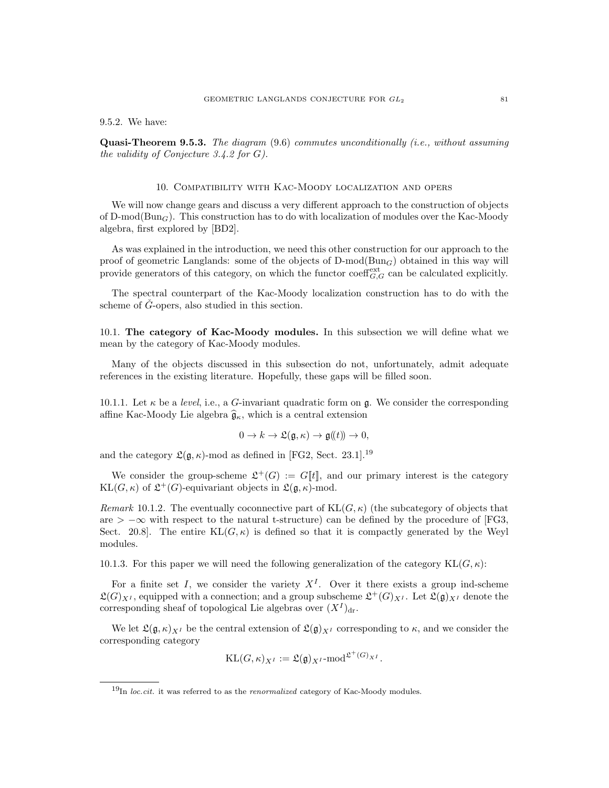9.5.2. We have:

**Quasi-Theorem 9.5.3.** The diagram  $(9.6)$  commutes unconditionally (i.e., without assuming the validity of Conjecture 3.4.2 for  $G$ ).

# 10. Compatibility with Kac-Moody localization and opers

We will now change gears and discuss a very different approach to the construction of objects of D-mod( $Bun_G$ ). This construction has to do with localization of modules over the Kac-Moody algebra, first explored by [BD2].

As was explained in the introduction, we need this other construction for our approach to the proof of geometric Langlands: some of the objects of  $D\text{-mod}(Bun_G)$  obtained in this way will provide generators of this category, on which the functor coeff<sup>ext</sup> can be calculated explicitly.

The spectral counterpart of the Kac-Moody localization construction has to do with the scheme of G-opers, also studied in this section.

10.1. The category of Kac-Moody modules. In this subsection we will define what we mean by the category of Kac-Moody modules.

Many of the objects discussed in this subsection do not, unfortunately, admit adequate references in the existing literature. Hopefully, these gaps will be filled soon.

10.1.1. Let  $\kappa$  be a level, i.e., a G-invariant quadratic form on g. We consider the corresponding affine Kac-Moody Lie algebra  $\hat{\mathfrak{g}}_{\kappa}$ , which is a central extension

$$
0 \to k \to \mathfrak{L}(\mathfrak{g}, \kappa) \to \mathfrak{g}(\!(t)\!)
$$

and the category  $\mathfrak{L}(\mathfrak{g},\kappa)$ -mod as defined in [FG2, Sect. 23.1].<sup>19</sup>

We consider the group-scheme  $\mathfrak{L}^+(G) := G[[t]]$ , and our primary interest is the category KL $(G, \kappa)$  of  $\mathfrak{L}^+(G)$ -equivariant objects in  $\mathfrak{L}(\mathfrak{g}, \kappa)$ -mod.

Remark 10.1.2. The eventually coconnective part of  $KL(G, \kappa)$  (the subcategory of objects that are  $> -\infty$  with respect to the natural t-structure) can be defined by the procedure of [FG3, Sect. 20.8. The entire  $KL(G, \kappa)$  is defined so that it is compactly generated by the Weyl modules.

10.1.3. For this paper we will need the following generalization of the category  $KL(G, \kappa)$ :

For a finite set I, we consider the variety  $X<sup>I</sup>$ . Over it there exists a group ind-scheme  $\mathfrak{L}(G)_{X^I}$ , equipped with a connection; and a group subscheme  $\mathfrak{L}^+(G)_{X^I}$ . Let  $\mathfrak{L}(\mathfrak{g})_{X^I}$  denote the corresponding sheaf of topological Lie algebras over  $(X^I)_{dr}$ .

We let  $\mathfrak{L}(\mathfrak{g},\kappa)_{X^I}$  be the central extension of  $\mathfrak{L}(\mathfrak{g})_{X^I}$  corresponding to  $\kappa$ , and we consider the corresponding category

$$
KL(G,\kappa)_{X^I} := \mathfrak{L}(\mathfrak{g})_{X^I} \text{-mod}^{\mathfrak{L}^+(G)_{X^I}}.
$$

 $19$ In loc.cit. it was referred to as the *renormalized* category of Kac-Moody modules.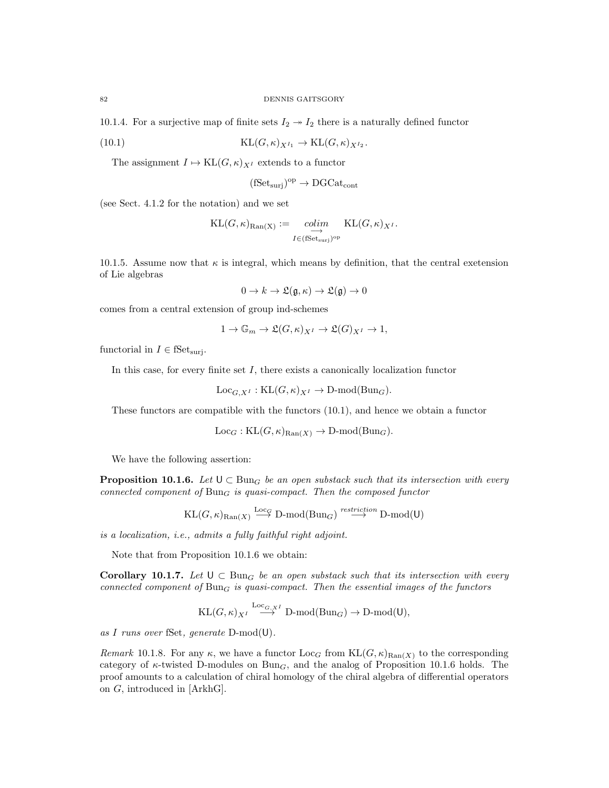10.1.4. For a surjective map of finite sets  $I_2 \rightarrow I_2$  there is a naturally defined functor

(10.1) 
$$
KL(G,\kappa)_{X^{I_1}} \to KL(G,\kappa)_{X^{I_2}}.
$$

The assignment  $I \mapsto \text{KL}(G, \kappa)_{X^I}$  extends to a functor

$$
(\mathrm{fSet}_{\mathrm{surj}})^\mathrm{op} \to \mathrm{DGCat}_{\mathrm{cont}}
$$

(see Sect. 4.1.2 for the notation) and we set

$$
KL(G,\kappa)_{\text{Ran}(X)} := \underset{I \in (\text{fSet}_{\text{surj}})^{\text{op}}}{\text{colim}} \text{KL}(G,\kappa)_{X^I}.
$$

10.1.5. Assume now that  $\kappa$  is integral, which means by definition, that the central exetension of Lie algebras

$$
0 \to k \to \mathfrak{L}(\mathfrak{g}, \kappa) \to \mathfrak{L}(\mathfrak{g}) \to 0
$$

comes from a central extension of group ind-schemes

$$
1 \to \mathbb{G}_m \to \mathfrak{L}(G,\kappa)_{X^I} \to \mathfrak{L}(G)_{X^I} \to 1,
$$

functorial in  $I \in \text{fSet}_{\text{surj}}$ .

In this case, for every finite set I, there exists a canonically localization functor

 $Loc_{G,X^I}: \text{KL}(G,\kappa)_{X^I} \to \text{D-mod}(\text{Bun}_G).$ 

These functors are compatible with the functors (10.1), and hence we obtain a functor

$$
Loc_G: KL(G, \kappa)_{\text{Ran}(X)} \to D\text{-mod}(Bun_G).
$$

We have the following assertion:

**Proposition 10.1.6.** Let  $U \subset \text{Bun}_G$  be an open substack such that its intersection with every connected component of  $Bun<sub>G</sub>$  is quasi-compact. Then the composed functor

$$
KL(G, \kappa)_{\text{Ran}(X)} \stackrel{\text{Loc}_G}{\longrightarrow} \text{D-mod}(\text{Bun}_G) \stackrel{\text{restriction}}{\longrightarrow} \text{D-mod}(\text{U})
$$

is a localization, i.e., admits a fully faithful right adjoint.

Note that from Proposition 10.1.6 we obtain:

Corollary 10.1.7. Let  $U \subset \text{Bun}_G$  be an open substack such that its intersection with every connected component of  $Bun_G$  is quasi-compact. Then the essential images of the functors

$$
\mathrm{KL}(G,\kappa)_{X^I} \stackrel{\mathrm{Loc}_{G,X^I}}{\longrightarrow} \mathrm{D}\text{-}\mathrm{mod}(\mathrm{Bun}_G) \to \mathrm{D}\text{-}\mathrm{mod}(\mathsf{U}),
$$

as I runs over fSet, generate D-mod(U).

Remark 10.1.8. For any  $\kappa$ , we have a functor  $Loc_G$  from  $KL(G, \kappa)_{\text{Ran}(X)}$  to the corresponding category of  $\kappa$ -twisted D-modules on Bun<sub>G</sub>, and the analog of Proposition 10.1.6 holds. The proof amounts to a calculation of chiral homology of the chiral algebra of differential operators on G, introduced in [ArkhG].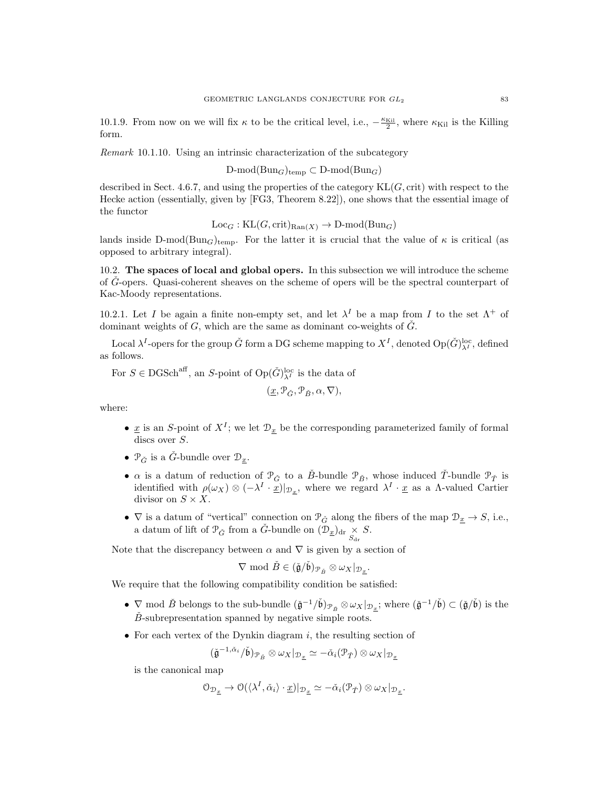10.1.9. From now on we will fix  $\kappa$  to be the critical level, i.e.,  $-\frac{\kappa_{\text{Kil}}}{2}$ , where  $\kappa_{\text{Kil}}$  is the Killing form.

Remark 10.1.10. Using an intrinsic characterization of the subcategory

D-mod( $Bun_G$ )<sub>temp</sub>  $\subset$  D-mod( $Bun_G$ )

described in Sect. 4.6.7, and using the properties of the category  $KL(G, crit)$  with respect to the Hecke action (essentially, given by [FG3, Theorem 8.22]), one shows that the essential image of the functor

$$
Loc_G : KL(G, crit)_{\text{Ran}(X)} \to D\text{-mod}(\text{Bun}_G)
$$

lands inside D-mod( $Bun_G$ )<sub>temp</sub>. For the latter it is crucial that the value of  $\kappa$  is critical (as opposed to arbitrary integral).

10.2. The spaces of local and global opers. In this subsection we will introduce the scheme of  $\check{G}$ -opers. Quasi-coherent sheaves on the scheme of opers will be the spectral counterpart of Kac-Moody representations.

10.2.1. Let I be again a finite non-empty set, and let  $\lambda^I$  be a map from I to the set  $\Lambda^+$  of dominant weights of  $G$ , which are the same as dominant co-weights of  $\check{G}$ .

Local  $\lambda^I$ -opers for the group  $\check{G}$  form a DG scheme mapping to  $X^I$ , denoted  $Op(\check{G})_{\lambda^I}^{\text{loc}}$ , defined as follows.

For  $S \in \text{DGSch}^{\text{aff}}$ , an S-point of  $\text{Op}(\check{G})_{\lambda^I}^{\text{loc}}$  is the data of

$$
(\underline{x},\mathcal{P}_{\check{G}},\mathcal{P}_{\check{B}},\alpha,\nabla),
$$

where:

- $\underline{x}$  is an S-point of  $X^I$ ; we let  $\mathcal{D}_{\underline{x}}$  be the corresponding parameterized family of formal discs over S.
- $\mathcal{P}_{\tilde{G}}$  is a  $\tilde{G}$ -bundle over  $\mathcal{D}_x$ .
- $\alpha$  is a datum of reduction of  $\mathcal{P}_{\check{G}}$  to a  $\check{B}$ -bundle  $\mathcal{P}_{\check{B}}$ , whose induced  $\check{T}$ -bundle  $\mathcal{P}_{\check{T}}$  is identified with  $\rho(\omega_X) \otimes (-\lambda^I \cdot \underline{x})|_{\mathcal{D}_{\underline{x}}}$ , where we regard  $\lambda^I \cdot \underline{x}$  as a  $\Lambda$ -valued Cartier divisor on  $S \times X$ .
- $\nabla$  is a datum of "vertical" connection on  $\mathcal{P}_{\check{G}}$  along the fibers of the map  $\mathcal{D}_{\underline{x}} \to S$ , i.e., a datum of lift of  $\mathcal{P}_{\check{G}}$  from a  $\check{G}$ -bundle on  $(\mathcal{D}_{\underline{x}})_{\text{dr}} \underset{S_{\text{dr}}}{\times} S$ .

Note that the discrepancy between  $\alpha$  and  $\nabla$  is given by a section of

$$
\nabla \bmod \check{B} \in (\check{\mathfrak{g}}/\check{\mathfrak{b}})_{\mathcal{P}_{\check{B}}} \otimes \omega_X|_{\mathcal{D}_{\underline{x}}}.
$$

We require that the following compatibility condition be satisfied:

- $\nabla$  mod  $\check{B}$  belongs to the sub-bundle  $(\check{\mathfrak{g}}^{-1}/\check{\mathfrak{b}})_{\mathcal{P}_{\check{B}}} \otimes \omega_X|_{\mathcal{D}_{\underline{x}}};$  where  $(\check{\mathfrak{g}}^{-1}/\check{\mathfrak{b}}) \subset (\check{\mathfrak{g}}/\check{\mathfrak{b}})$  is the  $\check{B}$ -subrepresentation spanned by negative simple roots.
- For each vertex of the Dynkin diagram  $i$ , the resulting section of

$$
(\check{\mathfrak{g}}^{-1,\check{\alpha}_i}/\check{\mathfrak{b}})_{{\mathcal{P}}_{\check{B}}}\otimes \omega_X|_{{\mathcal{D}}_{{\underline{x}}}}\simeq -\check{\alpha}_i({\mathcal{P}}_{\check{T}})\otimes \omega_X|_{{\mathcal{D}}_{{\underline{x}}}}
$$

is the canonical map

$$
\mathcal{O}_{\mathcal{D}_{\underline{x}}} \to \mathcal{O}(\langle \lambda^I, \check{\alpha}_i \rangle \cdot \underline{x})|_{\mathcal{D}_{\underline{x}}} \simeq -\check{\alpha}_i(\mathcal{P}_{\check{T}}) \otimes \omega_X|_{\mathcal{D}_{\underline{x}}}.
$$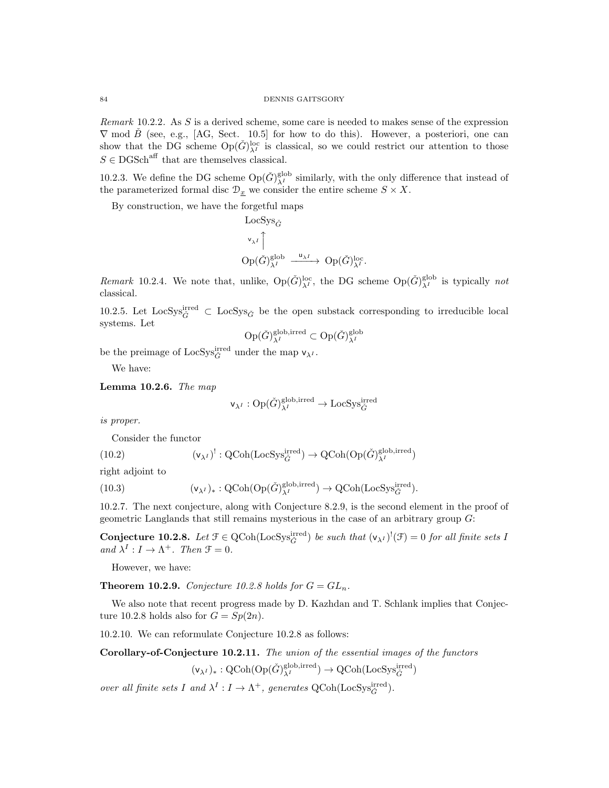Remark 10.2.2. As S is a derived scheme, some care is needed to makes sense of the expression  $\nabla$  mod  $\hat{B}$  (see, e.g., [AG, Sect. 10.5] for how to do this). However, a posteriori, one can show that the DG scheme  $Op(\check{G})^{\text{loc}}_{\lambda^I}$  is classical, so we could restrict our attention to those  $S \in \text{DGSch}^{\text{aff}}$  that are themselves classical.

10.2.3. We define the DG scheme  $Op(\check{G})_{\lambda^I}^{\text{glob}}$  similarly, with the only difference that instead of the parameterized formal disc  $\mathcal{D}_{x}$  we consider the entire scheme  $S \times X$ .

By construction, we have the forgetful maps

$$
\begin{array}{l}\n\text{LocSys}_{\check{G}} \\
\downarrow^{\vee_{\lambda^I}} \uparrow \\
\text{Op}(\check{G})_{\lambda^I}^{\text{glob}} \xrightarrow{\mathsf{u}_{\lambda^I}} \text{Op}(\check{G})_{\lambda^I}^{\text{loc}}.\n\end{array}
$$

Remark 10.2.4. We note that, unlike,  $Op(\check{G})_{\lambda^I}^{\text{loc}}$ , the DG scheme  $Op(\check{G})_{\lambda^I}^{\text{glob}}$  is typically not classical.

10.2.5. Let LocSys $_{\check{G}}^{\text{irred}}$   $\subset$  LocSys<sub> $_{\check{G}}$ </sub> be the open substack corresponding to irreducible local systems. Let

$$
\textnormal{Op}(\check{G})_{\lambda^I}^{\textnormal{glob}, \textnormal{irred}} \subset \textnormal{Op}(\check{G})_{\lambda^I}^{\textnormal{glob}}
$$

be the preimage of  $\text{LocSys}_{\check{G}}^{\text{irred}}$  under the map  $\mathsf{v}_{\lambda^I}$ .

We have:

Lemma 10.2.6. The map

$$
\mathsf{v}_{\lambda^I} : \operatorname{Op}(\check{G})_{\lambda^I}^{\operatorname{glob}, \text{irred}} \to \operatorname{LocSys}_{\check{G}}^{\text{irred}}
$$

is proper.

Consider the functor

(10.2) 
$$
(\mathsf{v}_{\lambda^I})^! : \mathrm{QCoh}(\mathrm{LocSys}_{\check{G}}^\mathrm{irred}) \to \mathrm{QCoh}(\mathrm{Op}(\check{G})_{\lambda^I}^\mathrm{glob,irred})
$$

right adjoint to

(10.3) 
$$
(\mathsf{v}_{\lambda^I})_* : \mathrm{QCoh}(\mathrm{Op}(\check{G})_{\lambda^I}^{\mathrm{glob}, \mathrm{irred}}) \to \mathrm{QCoh}(\mathrm{Loc} \mathrm{Sys}_{\check{G}}^{\mathrm{irred}}).
$$

10.2.7. The next conjecture, along with Conjecture 8.2.9, is the second element in the proof of geometric Langlands that still remains mysterious in the case of an arbitrary group G:

**Conjecture 10.2.8.** Let  $\mathcal{F} \in \text{QCoh}(\text{LocSys}_{\tilde{G}}^{\text{irred}})$  be such that  $(v_{\lambda^I})^!(\mathcal{F}) = 0$  for all finite sets I and  $\lambda^I: I \to \Lambda^+$ . Then  $\mathfrak{F} = 0$ .

However, we have:

**Theorem 10.2.9.** Conjecture 10.2.8 holds for  $G = GL_n$ .

We also note that recent progress made by D. Kazhdan and T. Schlank implies that Conjecture 10.2.8 holds also for  $G = Sp(2n)$ .

10.2.10. We can reformulate Conjecture 10.2.8 as follows:

Corollary-of-Conjecture 10.2.11. The union of the essential images of the functors

$$
(\mathsf{v}_{\lambda^I})_*:{\rm QCoh}({\rm Op}(\check{G})^{\rm glob,irred}_{\lambda^I})\rightarrow{\rm QCoh}({\rm LocSys}_{\check{G}}^{\rm irred})
$$

over all finite sets I and  $\lambda^I : I \to \Lambda^+$ , generates  $Q\text{Coh}(\text{LocSys}_{\check{G}}^{\text{irred}})$ .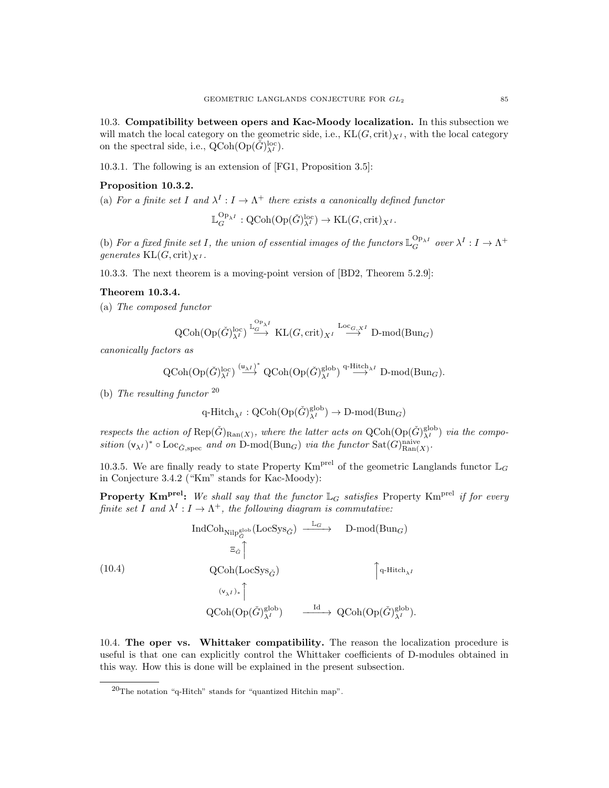10.3. Compatibility between opers and Kac-Moody localization. In this subsection we will match the local category on the geometric side, i.e.,  $KL(G, crit)_{X^I}$ , with the local category on the spectral side, i.e.,  $\text{QCoh}(\text{Op}(\check{G})_{\lambda^I}^{\text{loc}})$ .

10.3.1. The following is an extension of [FG1, Proposition 3.5]:

## Proposition 10.3.2.

(a) For a finite set I and  $\lambda^I: I \to \Lambda^+$  there exists a canonically defined functor

$$
\mathbb{L}_G^{\text{Op}_{\lambda^I}}: \text{QCoh}(\text{Op}(\check{G})_{\lambda^I}^{\text{loc}}) \to \text{KL}(G, \text{crit})_{X^I}.
$$

(b) For a fixed finite set I, the union of essential images of the functors  $\mathbb{L}_G^{\text{Op}_{\lambda^I}}$  over  $\lambda^I:I\to\Lambda^+$ generates  $KL(G, crit)_{X^I}$ .

10.3.3. The next theorem is a moving-point version of [BD2, Theorem 5.2.9]:

## Theorem 10.3.4.

(a) The composed functor

$$
\operatorname{QCoh}(\operatorname{Op}(\check{G})_{\lambda^I}^{\operatorname{loc}}) \stackrel{\mathbb{L}_{G}^{\operatorname{Op}_{\lambda^I}}}{\longrightarrow} \operatorname{KL}(G,\operatorname{crit})_{X^I} \stackrel{\operatorname{Loc}_{G,X^I}}{\longrightarrow} \operatorname{D-mod}(\operatorname{Bun}_G)
$$

canonically factors as

$$
\text{QCoh}(\text{Op}(\check{G})_{\lambda^I}^{\text{loc}}) \stackrel{(\mathsf{u}_{\lambda^I})^*}{\longrightarrow} \text{QCoh}(\text{Op}(\check{G})_{\lambda^I}^{\text{glob}}) \stackrel{q\text{-Hitch}_{\lambda^I}}{\longrightarrow} \text{D-mod}(\text{Bun}_G).
$$

(b) The resulting functor  $^{20}$ 

$$
\operatorname{q-Hitch}_{\lambda^I} : \operatorname{QCoh}(\operatorname{Op}(\check{G})^{\operatorname{glob}}_{\lambda^I}) \to \operatorname{D-mod}(\operatorname{Bun}_G)
$$

respects the action of  $\text{Rep}(\check{G})_{\text{Ran}(X)}$ , where the latter acts on  $\text{QCoh}(\text{Op}(\check{G})_{\lambda^I}^{\text{glob}})$  via the composition  $(v_{\lambda^I})^* \circ \text{Loc}_{\check{G}, \text{spec}}$  and on D-mod( $\text{Bun}_G$ ) via the functor  $\text{Sat}(G)_{\text{Ran}(X)}^{\text{naive}}$ .

10.3.5. We are finally ready to state Property Km<sup>prel</sup> of the geometric Langlands functor  $\mathbb{L}_G$ in Conjecture 3.4.2 ("Km" stands for Kac-Moody):

**Property Km<sup>prel</sup>:** We shall say that the functor  $\mathbb{L}_G$  satisfies Property Km<sup>prel</sup> if for every finite set I and  $\lambda^I: I \to \Lambda^+$ , the following diagram is commutative:

$$
\text{IndCoh}_{\text{Nilp}_{\tilde{G}}^{\text{glob}}}\left(\text{LocSys}_{\tilde{G}}\right) \xrightarrow{\mathbb{L}_G} \text{D-mod}(\text{Bun}_G)
$$
\n
$$
\equiv_{\tilde{G}} \uparrow
$$
\n
$$
\text{QCoh}(\text{LocSys}_{\tilde{G}}) \qquad \qquad \uparrow_{q\text{-Hitch}_{\lambda^I}}
$$
\n
$$
\text{QCoh}(\text{Op}(\check{G})_{\lambda^I}^{\text{glob}}) \xrightarrow{\text{Id}} \text{QCoh}(\text{Op}(\check{G})_{\lambda^I}^{\text{glob}}).
$$

10.4. The oper vs. Whittaker compatibility. The reason the localization procedure is useful is that one can explicitly control the Whittaker coefficients of D-modules obtained in this way. How this is done will be explained in the present subsection.

<sup>20</sup>The notation "q-Hitch" stands for "quantized Hitchin map".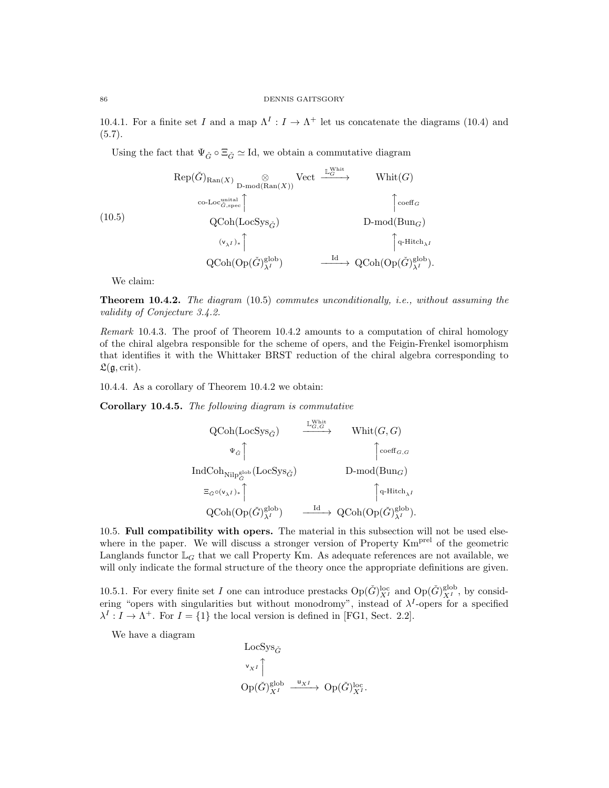10.4.1. For a finite set I and a map  $\Lambda^I: I \to \Lambda^+$  let us concatenate the diagrams (10.4) and  $(5.7).$ 

Using the fact that  $\Psi_{\check{G}} \circ \Xi_{\check{G}} \simeq Id$ , we obtain a commutative diagram

(10.5)  
\n
$$
\operatorname{Rep}(\check{G})_{\text{Ran}(X)} \xrightarrow{\otimes} \operatorname{Vect} \xrightarrow{\mathbb{L}_G^{\text{Whit}}} \operatorname{Whit}(G)
$$
\n
$$
\operatorname{co-Loc}_{G,\text{spec}}^{\text{unital}} \uparrow \qquad \qquad \qquad \text{Whit}(G)
$$
\n
$$
\operatorname{QCoh}(\text{LocSys}_{\check{G}}) \qquad \qquad \qquad \text{D-mod}(\text{Bun}_G)
$$
\n
$$
\operatorname{QCoh}(\text{LocSys}_{\check{G}}) \qquad \qquad \qquad \text{D-mod}(\text{Bun}_G)
$$
\n
$$
\operatorname{QCoh}(\text{Op}(\check{G})_{\lambda^I}^{\text{glob}}) \qquad \qquad \xrightarrow{\text{Id}} \qquad \operatorname{QCoh}(\text{Op}(\check{G})_{\lambda^I}^{\text{glob}}).
$$

We claim:

**Theorem 10.4.2.** The diagram  $(10.5)$  commutes unconditionally, i.e., without assuming the validity of Conjecture 3.4.2.

Remark 10.4.3. The proof of Theorem 10.4.2 amounts to a computation of chiral homology of the chiral algebra responsible for the scheme of opers, and the Feigin-Frenkel isomorphism that identifies it with the Whittaker BRST reduction of the chiral algebra corresponding to  $\mathfrak{L}(\mathfrak{g}, \mathrm{crit}).$ 

10.4.4. As a corollary of Theorem 10.4.2 we obtain:

Corollary 10.4.5. The following diagram is commutative

$$
\begin{array}{ccc}\n\text{QCoh}(\text{LocSys}_{\check{G}}) & \xrightarrow{\mathbb{L}_{G,G}^{\text{Whit}}}\n\text{Whit}(G, G) \\
\downarrow^{\psi_G} \uparrow & \uparrow^{\text{coeff}_{G, G}} \\
\text{IndCoh}_{\text{Nilp}_{\check{G}}^{\text{glob}}}(\text{LocSys}_{\check{G}}) & \text{D-mod}(\text{Bun}_G) \\
\cong_{\check{G}^{\circ(\mathsf{v}_{\lambda}I) *}} \uparrow & \uparrow^{\text{q-Hitch}_{\lambda^I}} \\
\text{QCoh}(\text{Op}(\check{G})_{\lambda^I}^{\text{glob}}) & \xrightarrow{\text{Id}}\n\end{array}
$$
 
$$
\text{QCoh}(\text{Op}(\check{G})_{\lambda^I}^{\text{glob}}).
$$

10.5. Full compatibility with opers. The material in this subsection will not be used elsewhere in the paper. We will discuss a stronger version of Property Km<sup>prel</sup> of the geometric Langlands functor  $\mathbb{L}_G$  that we call Property Km. As adequate references are not available, we will only indicate the formal structure of the theory once the appropriate definitions are given.

10.5.1. For every finite set I one can introduce prestacks  $Op(\check{G})_{X}^{\text{loc}}$  and  $Op(\check{G})_{X}^{\text{glob}}$ , by considering "opers with singularities but without monodromy", instead of  $\lambda^I$ -opers for a specified  $\lambda^I : I \to \Lambda^+$ . For  $I = \{1\}$  the local version is defined in [FG1, Sect. 2.2].

We have a diagram

$$
\begin{array}{l}\n\text{LocSys}_{\check{G}} \\
\downarrow^{\vee} \text{X}^I \upharpoonright \\
\text{Op}(\check{G})_{X^I}^{\text{glob}} \xrightarrow{\mathsf{u}_{X^I}} \text{Op}(\check{G})_{X^I}^{\text{loc}}.\n\end{array}
$$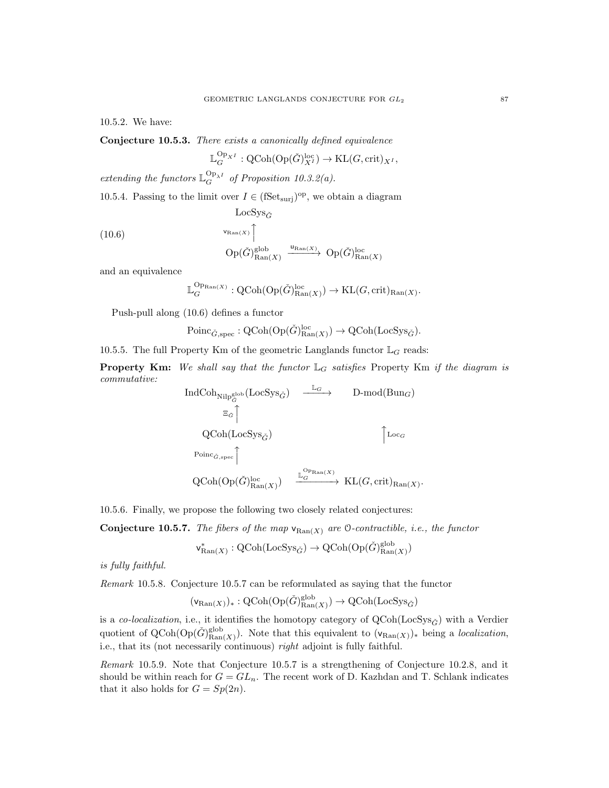10.5.2. We have:

Conjecture 10.5.3. There exists a canonically defined equivalence

$$
\mathbb{L}_G^{\text{Op}_{X^I}}: \text{QCoh}(\text{Op}(\check{G})_{X^I}^{\text{loc}}) \to \text{KL}(G, \text{crit})_{X^I},
$$

extending the functors  $\mathbb{L}_G^{\mathcal{O}_{P_{\lambda^I}}}$  of Proposition 10.3.2(a).

10.5.4. Passing to the limit over  $I \in (\text{Set}_{\text{surj}})^{\text{op}}$ , we obtain a diagram

 $LocSys_{\check{C}}$ 

(10.6) 
$$
\exp\left(\tilde{G}\right)_{\text{Ran}(X)}^{\text{v}_{\text{Ran}(X)}} \xrightarrow{u_{\text{Ran}(X)}} \text{Op}(\tilde{G})_{\text{Ran}(X)}^{\text{loc}}
$$

and an equivalence

$$
\mathbb{L}_G^{\mathrm{Op}_{\mathrm{Ran}(X)}}: \mathrm{QCoh}(\mathrm{Op}(\check{G})_{\mathrm{Ran}(X)}^{\mathrm{loc}}) \to \mathrm{KL}(G, \mathrm{crit})_{\mathrm{Ran}(X)}.
$$

Push-pull along (10.6) defines a functor

$$
\text{Poinc}_{\check{G}, \text{spec}} : \text{QCoh}(\text{Op}(\check{G})_{\text{Ran}(X)}^{\text{loc}}) \to \text{QCoh}(\text{LocSys}_{\check{G}}).
$$

10.5.5. The full Property Km of the geometric Langlands functor  $\mathbb{L}_G$  reads:

**Property Km:** We shall say that the functor  $\mathbb{L}_G$  satisfies Property Km if the diagram is commutative:

IndCohNilpglob Gˇ (LocSysGˇ) <sup>L</sup><sup>G</sup> −−−−→ D-mod(BunG) ΞG<sup>ˇ</sup> x QCoh(LocSysGˇ) x Loc<sup>G</sup> PoincG, <sup>ˇ</sup> spec x QCoh(Op(Gˇ) loc Ran(X) ) L OpRan(X) <sup>G</sup> −−−−−−−→ KL(G, crit)Ran(X) .

10.5.6. Finally, we propose the following two closely related conjectures:

**Conjecture 10.5.7.** The fibers of the map  $v_{\text{Ran}(X)}$  are 0-contractible, i.e., the functor

$$
\mathsf{v}^*_\mathrm{Ran}(X) : \mathrm{QCoh}(\mathrm{LocSys}_{\check{G}}) \to \mathrm{QCoh}(\mathrm{Op}(\check{G})_\mathrm{Ran}(X)^\mathrm{glob})
$$

is fully faithful.

Remark 10.5.8. Conjecture 10.5.7 can be reformulated as saying that the functor

$$
(\mathsf{v}_{\text{Ran}(X)})_* : \text{QCoh}(\text{Op}(\check{G})_{\text{Ran}(X)}^{\text{glob}}) \to \text{QCoh}(\text{LocSys}_{\check{G}})
$$

is a co-localization, i.e., it identifies the homotopy category of  $QCoh(LocSys_{\check{G}})$  with a Verdier quotient of  $Q\text{Coh}(\text{Op}(\check{G})_{\text{Ban}}^{\text{glob}}$  $\lim_{\text{Ran}(X)}$ ). Note that this equivalent to  $(v_{\text{Ran}(X)})_*$  being a *localization*, i.e., that its (not necessarily continuous) right adjoint is fully faithful.

Remark 10.5.9. Note that Conjecture 10.5.7 is a strengthening of Conjecture 10.2.8, and it should be within reach for  $G = GL_n$ . The recent work of D. Kazhdan and T. Schlank indicates that it also holds for  $G = Sp(2n)$ .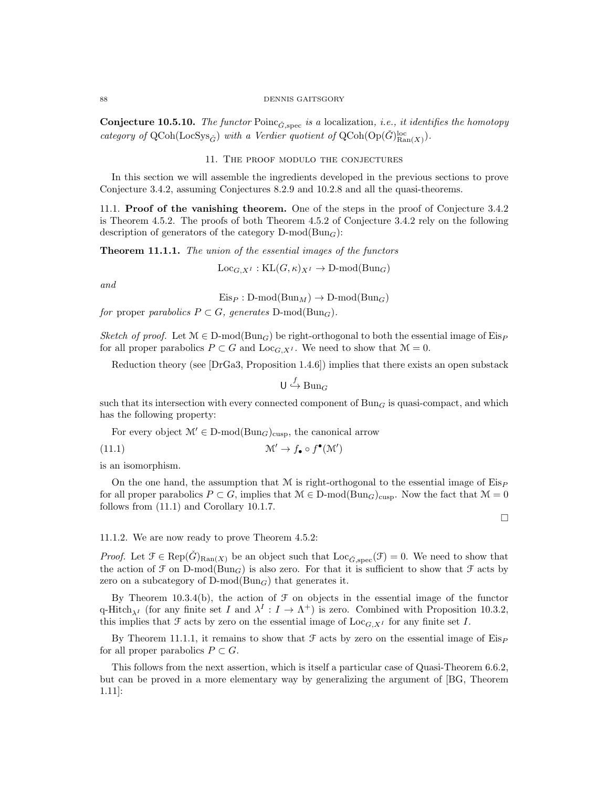**Conjecture 10.5.10.** The functor  $\text{Poinc}_{\check{G}, \text{spec}}$  is a localization, *i.e.*, *it identifies the homotopy* category of  $Q\text{Coh}(\text{LocSys}_{\check{G}})$  with a Verdier quotient of  $Q\text{Coh}(\text{Op}(\check{G})_{\text{Ran}(X)}^{\text{loc}})$ .

# 11. The proof modulo the conjectures

In this section we will assemble the ingredients developed in the previous sections to prove Conjecture 3.4.2, assuming Conjectures 8.2.9 and 10.2.8 and all the quasi-theorems.

11.1. Proof of the vanishing theorem. One of the steps in the proof of Conjecture 3.4.2 is Theorem 4.5.2. The proofs of both Theorem 4.5.2 of Conjecture 3.4.2 rely on the following description of generators of the category  $D\text{-mod}(Bun_G)$ :

Theorem 11.1.1. The union of the essential images of the functors

 $Loc_{G,X^I}: \text{KL}(G,\kappa)_{X^I} \to \text{D-mod}(\text{Bun}_G)$ 

and

 $Eis_P : D-mod(Bun_M) \to D-mod(Bun_G)$ 

for proper parabolics  $P \subset G$ , generates D-mod(Bun<sub>G</sub>).

Sketch of proof. Let  $\mathcal{M} \in \mathcal{D}$ -mod $(\text{Bun}_G)$  be right-orthogonal to both the essential image of Eis<sub>P</sub> for all proper parabolics  $P \subset G$  and  $\text{Loc}_{G,X^I}$ . We need to show that  $\mathcal{M} = 0$ .

Reduction theory (see [DrGa3, Proposition 1.4.6]) implies that there exists an open substack

$$
\mathsf{U} \stackrel{f}{\hookrightarrow} \operatorname{Bun}_G
$$

such that its intersection with every connected component of  $Bun<sub>G</sub>$  is quasi-compact, and which has the following property:

For every object  $\mathcal{M}' \in \mathbb{D}\text{-mod}(\text{Bun}_G)_{\text{cusp}}$ , the canonical arrow

(11.1) 
$$
\mathcal{M}' \to f_{\bullet} \circ f^{\bullet}(\mathcal{M}')
$$

is an isomorphism.

On the one hand, the assumption that M is right-orthogonal to the essential image of  $Eis_P$ for all proper parabolics  $P \subset G$ , implies that  $\mathcal{M} \in D\text{-mod}(Bun_G)_{\text{cusp}}$ . Now the fact that  $\mathcal{M} = 0$ follows from (11.1) and Corollary 10.1.7.

 $\Box$ 

11.1.2. We are now ready to prove Theorem 4.5.2:

*Proof.* Let  $\mathcal{F} \in \text{Rep}(\check{G})_{\text{Ran}(X)}$  be an object such that  $\text{Loc}_{\check{G}, \text{spec}}(\mathcal{F}) = 0$ . We need to show that the action of F on D-mod( $Bun_G$ ) is also zero. For that it is sufficient to show that F acts by zero on a subcategory of  $D\text{-mod}(Bun_G)$  that generates it.

By Theorem 10.3.4(b), the action of  $\mathcal F$  on objects in the essential image of the functor q-Hitch<sub> $\lambda^I$ </sub> (for any finite set I and  $\lambda^I: I \to \Lambda^+$ ) is zero. Combined with Proposition 10.3.2, this implies that F acts by zero on the essential image of  $\text{Loc}_{G, X^I}$  for any finite set I.

By Theorem 11.1.1, it remains to show that  $\mathcal F$  acts by zero on the essential image of Eis<sub>P</sub> for all proper parabolics  $P \subset G$ .

This follows from the next assertion, which is itself a particular case of Quasi-Theorem 6.6.2, but can be proved in a more elementary way by generalizing the argument of [BG, Theorem 1.11]: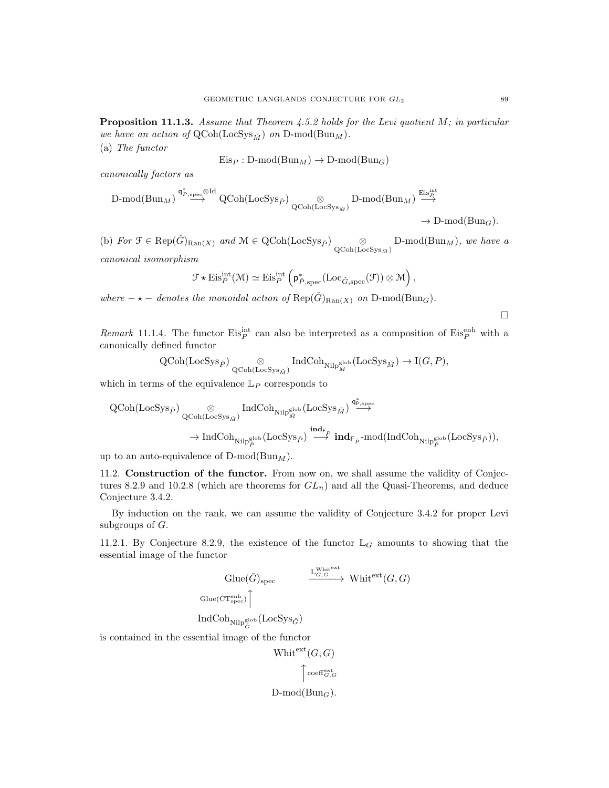**Proposition 11.1.3.** Assume that Theorem 4.5.2 holds for the Levi quotient  $M$ ; in particular we have an action of  $QCoh(LocSys_{\tilde{M}})$  on  $D\text{-mod}(Bun_M)$ . (a) The functor

$$
Eis_P : D\text{-mod}(Bun_M) \to D\text{-mod}(Bun_G)
$$

canonically factors as

$$
\operatorname{D-mod}(\operatorname{Bun}_M) \stackrel{\mathfrak{q}_{P,\operatorname{spec}}^* \otimes \operatorname{Id}}{\longrightarrow} \operatorname{QCoh}(\operatorname{LocSys}_{\check{P}}) \underset{\operatorname{QCoh}(\operatorname{LocSys}_{\check{M}})}{\otimes} \operatorname{D-mod}(\operatorname{Bun}_M) \stackrel{\operatorname{Eis}_P^{\operatorname{int}}}{\longrightarrow} \to \operatorname{D-mod}(\operatorname{Bun}_G).
$$

(b) For  $\mathcal{F} \in \text{Rep}(\check{G})_{\text{Ran}(X)}$  and  $\mathcal{M} \in \text{QCoh}(\text{LocSys}_{\check{P}}) \underset{\text{QCoh}(\text{LocSys}_{\check{M}})}{\otimes}$  D-mod( $\text{Bun}_M$ ), we have a canonical isomorphism

$$
\mathcal{F} \star \mathrm{Eis}_P^{\mathrm{int}}(\mathcal{M}) \simeq \mathrm{Eis}_P^{\mathrm{int}}\left(p_{\check{P}, \mathrm{spec}}^*(\mathrm{Loc}_{\check{G}, \mathrm{spec}}(\mathcal{F})) \otimes \mathcal{M}\right),
$$

where  $-\star$  – denotes the monoidal action of  $\text{Rep}(\check{G})_{\text{Ran}(X)}$  on D-mod( $\text{Bun}_G$ ).

Remark 11.1.4. The functor  $\text{Eis}_{P}^{\text{int}}$  can also be interpreted as a composition of  $\text{Eis}_{P}^{\text{enh}}$  with a canonically defined functor

$$
\operatorname{QCoh}(\operatorname{LocSys}_{\check{P}}) \underset{\operatorname{QCoh}(\operatorname{LocSys}_{\check{M}})}{\otimes} \operatorname{IndCoh}_{\operatorname{Nilp}^{\operatorname{glob}}_{\check{M}}}(\operatorname{LocSys}_{\check{M}}) \to \operatorname{I}(G, P),
$$

which in terms of the equivalence  $\mathbb{L}_P$  corresponds to

$$
\begin{array}{ccc} \displaystyle \mathrm{QCoh}(\mathrm{LocSys}_{\check{P}}) \underset{\mathrm{QCoh}(\mathrm{LocSys}_{\check{M}})}{\otimes} \mathrm{IndCoh}_{\mathrm{Nilp}^{\mathrm{glob}}_{\check{M}}}(\mathrm{LocSys}_{\check{M}}) \overset{\mathfrak{q}^*_{\check{P}, \mathrm{spec}}}{\longrightarrow} \\ & \to \mathrm{IndCoh}_{\mathrm{Nilp}^{\mathrm{glob}}_{\check{P}}}(\mathrm{LocSys}_{\check{P}}) \overset{\mathbf{ind}_{F_{\check{P}}}}{\longrightarrow} \mathbf{ind}_{F_{\check{P}}} \textrm{-mod}(\mathrm{IndCoh}_{\mathrm{Nilp}^{\mathrm{glob}}_{\check{P}}}(\mathrm{LocSys}_{\check{P}})), \end{array}
$$

up to an auto-equivalence of  $D\text{-mod}(Bun_M)$ .

11.2. Construction of the functor. From now on, we shall assume the validity of Conjectures 8.2.9 and 10.2.8 (which are theorems for  $GL_n$ ) and all the Quasi-Theorems, and deduce Conjecture 3.4.2.

By induction on the rank, we can assume the validity of Conjecture 3.4.2 for proper Levi subgroups of  $G$ .

11.2.1. By Conjecture 8.2.9, the existence of the functor  $\mathbb{L}_G$  amounts to showing that the essential image of the functor

$$
\text{Glue}(\check{G})_{\text{spec}} \xrightarrow{\mathbb{L}_{G,G}^{\text{Whitext}}} \text{Whit}^{\text{ext}}(G,G)
$$
\n
$$
\text{Glue}(\text{CT}_{\text{spec}}^{\text{enh}}) \biguparrow
$$
\n
$$
\text{IndCoh}_{\text{Nilp}_G^{\text{glob}}}(\text{LocSys}_{\check{G}})
$$
\nis contained in the essential image of the functor

Whit<sup>ext</sup> $(G, G)$  $\bigcap_{G,G} \mathrm{coeff}_{G,G}^{\mathrm{ext}}$  $D\text{-mod}(Bun_G)$ .  $\Box$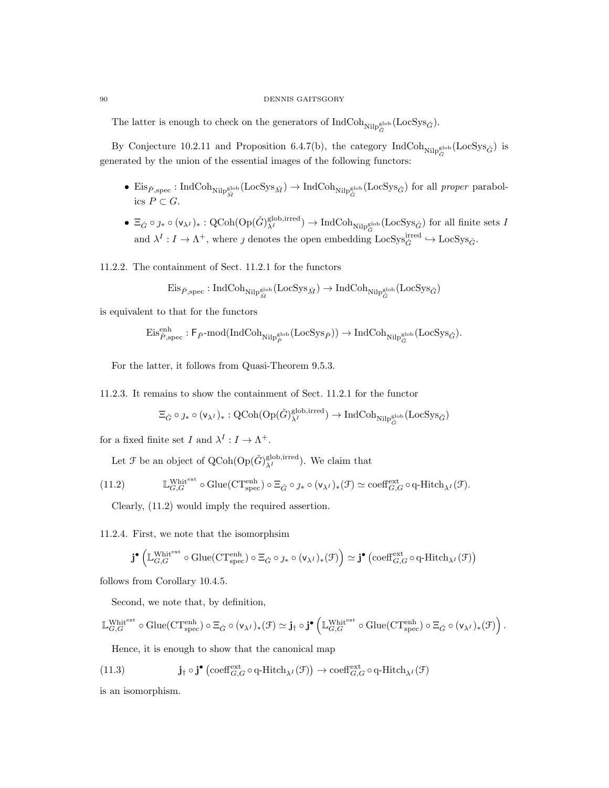The latter is enough to check on the generators of  $\text{IndCoh}_{\text{Nilp}_G^{\text{glob}}}(\text{LocSys}_{\check{G}})$ .

By Conjecture 10.2.11 and Proposition 6.4.7(b), the category  $\text{IndCoh}_{\text{NilP}_G^{\text{glob}}}(\text{LocSys}_{\check{G}})$  is generated by the union of the essential images of the following functors:

- Eis $\tilde{P}_{\beta, \text{spec}}$ : IndCoh $_{\text{Nilp}_{\tilde{M}}^{\text{glob}}}$ (LocSys<sub> $\tilde{M}$ </sub>)  $\rightarrow$  IndCoh<sub>Nilpglob</sub>(LocSys<sub> $\tilde{G}$ </sub>) for all proper parabolics  $P \subset G$ .
- $\Xi_{\check{G}} \circ \jmath_* \circ (\mathsf{v}_{\lambda^I})_* : \mathrm{QCoh}(\mathrm{Op}(\check{G})_{\lambda^I}^{\mathrm{glob},\mathrm{irred}}) \to \mathrm{IndCoh}_{\mathrm{Nilp}_{\check{G}}^{\mathrm{glob}}}(\mathrm{LocSys}_{\check{G}})$  for all finite sets I and  $\lambda^I: I \to \Lambda^+$ , where *j* denotes the open embedding  $\text{LocSys}_{\check{G}}^{\text{irred}} \hookrightarrow \text{LocSys}_{\check{G}}$ .

11.2.2. The containment of Sect. 11.2.1 for the functors

$$
\mathrm{Eis}_{\check{P}, \mathrm{spec}}: \mathrm{IndCoh}_{\mathrm{NilP}^{\mathrm{glob}}_{\check{M}}}(\mathrm{LocSys}_{\check{M}}) \to \mathrm{IndCoh}_{\mathrm{NilP}^{\mathrm{glob}}_{\check{G}}}(\mathrm{LocSys}_{\check{G}})
$$

is equivalent to that for the functors

$$
\mathrm{Eis}^{\mathrm{enh}}_{\check{P},\mathrm{spec}}: \mathsf{F}_{\check{P}}\text{-}\mathrm{mod}(\mathrm{IndCoh}_{\mathrm{NilP}^{\mathrm{glob}}_{\check{P}}}( \mathrm{LocSys}_{\check{P}})) \to \mathrm{IndCoh}_{\mathrm{NilP}^{\mathrm{glob}}_{\check{G}}}( \mathrm{LocSys}_{\check{G}}).
$$

For the latter, it follows from Quasi-Theorem 9.5.3.

11.2.3. It remains to show the containment of Sect. 11.2.1 for the functor

$$
\Xi_{\check G}\circ \jmath_*\circ (\mathsf v_{\lambda^{\mathcal I}})_*:{\rm QCoh}({\rm Op}(\check G)^{{\rm glob},\rm irred}_{\lambda^{\mathcal I}})\rightarrow {\rm IndCoh}_{\rm Nilp^{\rm glob}_{{\check G}}}( {\rm LocSys}_{\check G})
$$

for a fixed finite set I and  $\lambda^I: I \to \Lambda^+$ .

Let  $\mathcal F$  be an object of  $QCoh(Op(\check{G})_{\lambda^I}^{\text{glob},\text{irred}})$ . We claim that

(11.2) 
$$
\mathbb{L}^{\text{Whit}^{\text{ext}}}_{G, G} \circ \text{Glue}(\text{CT}^{\text{enh}}_{\text{spec}}) \circ \Xi_{\check{G}} \circ \jmath_{*} \circ (\mathsf{v}_{\lambda^{I}})_{*}(\mathcal{F}) \simeq \text{coeff}_{G, G}^{\text{ext}} \circ \text{q-Hitch}_{\lambda^{I}}(\mathcal{F}).
$$

Clearly, (11.2) would imply the required assertion.

11.2.4. First, we note that the isomorphsim

$$
\mathbf{j}^\bullet\left(\mathbb{L}^{\mathrm{Whit}^{\mathrm{ext}}}_{G, G}\circ \mathrm{Glue}(\mathrm{CT}^{\mathrm{enh}}_{\mathrm{spec}})\circ \Xi_{\check{G}}\circ \jmath_*\circ (\mathsf{v}_{\lambda^I})_*(\mathfrak{F})\right)\simeq \mathbf{j}^\bullet\left(\mathrm{coeff}_{G, G}^{\mathrm{ext}}\circ \mathrm{q}\text{-Hitch}_{\lambda^I}(\mathfrak{F})\right)
$$

follows from Corollary 10.4.5.

Second, we note that, by definition,

$$
\mathbb{L}^{\mathrm{Whit}^{\mathrm{ext}}}_{G,G} \circ \mathrm{Glue}(\mathrm{CT}^{\mathrm{enh}}_{\mathrm{spec}}) \circ \Xi_{\check{G}} \circ (\mathsf{v}_{\lambda^I})_*(\mathfrak{F}) \simeq \mathbf{j}_\dagger \circ \mathbf{j}^\bullet \left(\mathbb{L}^{\mathrm{Whit}^{\mathrm{ext}}}_{G,G} \circ \mathrm{Glue}(\mathrm{CT}^{\mathrm{enh}}_{\mathrm{spec}}) \circ \Xi_{\check{G}} \circ (\mathsf{v}_{\lambda^I})_*(\mathfrak{F})\right).
$$

Hence, it is enough to show that the canonical map

(11.3) 
$$
\mathbf{j}_{\dagger} \circ \mathbf{j}^{\bullet} \left( \mathrm{coeff}_{G,G}^{\mathrm{ext}} \circ \mathrm{q}\text{-Hitch}_{\lambda^{I}}(\mathcal{F}) \right) \to \mathrm{coeff}_{G,G}^{\mathrm{ext}} \circ \mathrm{q}\text{-Hitch}_{\lambda^{I}}(\mathcal{F})
$$

is an isomorphism.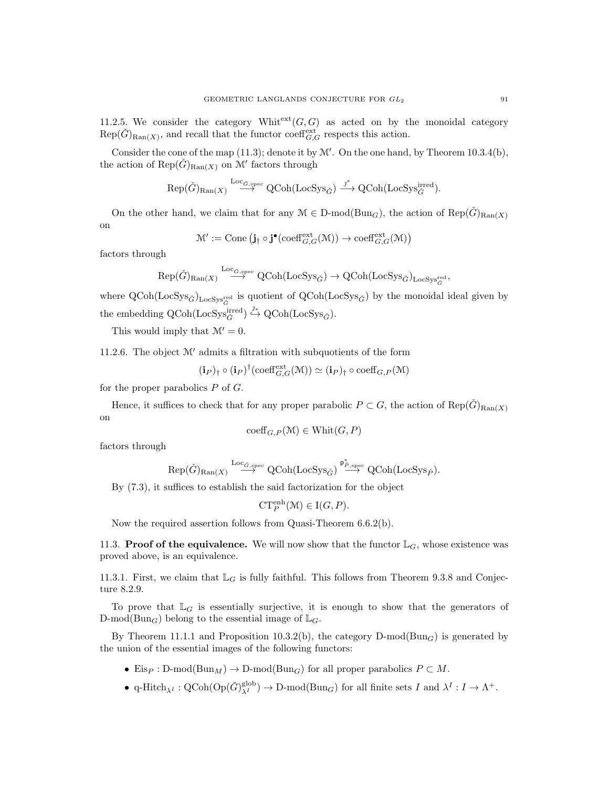11.2.5. We consider the category Whitext $(G, G)$  as acted on by the monoidal category  $Rep(\check{G})_{\text{Ran}(X)}$ , and recall that the functor coeff<sup>ext</sup> respects this action.

Consider the cone of the map  $(11.3)$ ; denote it by  $\mathcal{M}'$ . On the one hand, by Theorem 10.3.4(b), the action of  $\operatorname{Rep}(\check{G})_{\operatorname{Ran}(X)}$  on  $\mathcal{M}'$  factors through

$$
\mathrm{Rep}(\check{G})_{\mathrm{Ran}(X)} \stackrel{\mathrm{Loc}_{\check{G},\mathrm{spec}}}{\longrightarrow} \mathrm{QCoh}(\mathrm{Loc} \mathrm{Sys}_{\check{G}}) \stackrel{j^*}{\longrightarrow} \mathrm{QCoh}(\mathrm{Loc} \mathrm{Sys}_{\check{G}}^{\mathrm{irred}}).
$$

On the other hand, we claim that for any  $\mathcal{M} \in \mathcal{D}\text{-mod}(\text{Bun}_G)$ , the action of  $\text{Rep}(\check{G})_{\text{Ran}(X)}$ on

$$
\mathcal{M}' := \mathrm{Cone}\left(\mathbf{j}_\dagger \circ \mathbf{j}^\bullet(\mathrm{coeff}_{G,G}^{\mathrm{ext}}(\mathcal{M})) \to \mathrm{coeff}_{G,G}^{\mathrm{ext}}(\mathcal{M})\right)
$$

factors through

$$
\mathrm{Rep}(\check{G})_{\mathrm{Ran}(X)} \stackrel{\mathrm{Loc}_{\check{G},\mathrm{spec}}}{\longrightarrow} \mathrm{QCoh}(\mathrm{LocSys}_{\check{G}}) \to \mathrm{QCoh}(\mathrm{LocSys}_{\check{G}})_{\mathrm{LocSys}_{\check{G}}^{\mathrm{red}}},
$$

where  $QCoh(LocSys_{\check{G}})_{LocSys_{\check{G}}^{red}}$  is quotient of  $QCoh(LocSys_{\check{G}})$  by the monoidal ideal given by the embedding  $QCoh(LocSys_{\check{G}}^{\text{irred}}) \stackrel{\jmath_*}{\hookrightarrow} QCoh(LocSys_{\check{G}})$ .

This would imply that  $\mathcal{M}' = 0$ .

11.2.6. The object  $\mathcal{M}'$  admits a filtration with subquotients of the form

 $(\mathbf{i}_P)_\dagger \circ (\mathbf{i}_P)^\dagger(\mathrm{coeff}_{G,G}^{\mathrm{ext}}(\mathcal{M})) \simeq (\mathbf{i}_P)_\dagger \circ \mathrm{coeff}_{G,P}(\mathcal{M})$ 

for the proper parabolics  $P$  of  $G$ .

Hence, it suffices to check that for any proper parabolic  $P \subset G$ , the action of  $Rep(\check{G})_{\text{Ran}(X)}$ on

$$
\mathrm{coeff}_{G,P}(\mathcal{M}) \in \mathrm{Whit}(G,P)
$$

factors through

$$
\text{Rep}(\check{G})_{\text{Ran}(X)} \stackrel{\text{Loc}_{\check{G}, \text{spec}}}{\longrightarrow} \text{QCoh}(\text{LocSys}_{\check{G}}) \stackrel{\mathfrak{p}^*_{\check{P}, \text{spec}}}{\longrightarrow} \text{QCoh}(\text{LocSys}_{\check{P}}).
$$

By (7.3), it suffices to establish the said factorization for the object

$$
\mathbf{CT}_P^{\text{enh}}(\mathcal{M}) \in \mathcal{I}(G, P).
$$

Now the required assertion follows from Quasi-Theorem 6.6.2(b).

11.3. **Proof of the equivalence.** We will now show that the functor  $\mathbb{L}_G$ , whose existence was proved above, is an equivalence.

11.3.1. First, we claim that  $\mathbb{L}_G$  is fully faithful. This follows from Theorem 9.3.8 and Conjecture 8.2.9.

To prove that  $\mathbb{L}_G$  is essentially surjective, it is enough to show that the generators of  $D\text{-mod}(Bun_G)$  belong to the essential image of  $\mathbb{L}_G$ .

By Theorem 11.1.1 and Proposition 10.3.2(b), the category  $D\text{-mod}(Bun_G)$  is generated by the union of the essential images of the following functors:

- Eis<sub>P</sub> : D-mod(Bun<sub>M</sub>)  $\rightarrow$  D-mod(Bun<sub>G</sub>) for all proper parabolics  $P \subset M$ .
- q-Hitch<sub> $\lambda^I$ </sub>:  $Q\text{Coh}(\text{Op}(\check{G})_{\lambda^I}^{\text{glob}}) \to D\text{-mod}(\text{Bun}_G)$  for all finite sets  $I$  and  $\lambda^I: I \to \Lambda^+$ .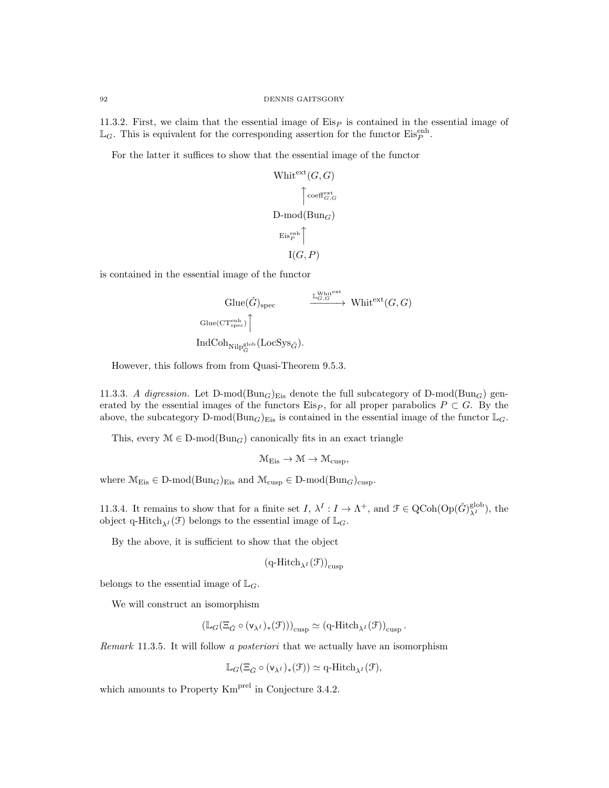11.3.2. First, we claim that the essential image of  $Eis<sub>P</sub>$  is contained in the essential image of  $\mathbb{L}_G$ . This is equivalent for the corresponding assertion for the functor  $\mathrm{Eis}_P^{\mathrm{enh}}$ .

For the latter it suffices to show that the essential image of the functor

$$
\begin{array}{c}\n\text{Whit}^{\text{ext}}(G, G) \\
\qquad \int \text{coeff}_{G, G}^{\text{ext}} \\
\text{D-mod}(\text{Bun}_G) \\
\qquad \text{Eis}_{P}^{\text{enh}}\bigg\uparrow \\
\qquad \qquad \text{I}(G, P)\n\end{array}
$$

is contained in the essential image of the functor

$$
\begin{array}{ccc}\n\text{Glue}(\check{G})_{\text{spec}} & \xrightarrow{\mathbb{L}_{G,G}^{\text{Whiteext}}} \text{Whit}^{\text{ext}}(G,G) \\
\text{Glue}(\text{CT}^{\text{enh}}_{\text{spec}}) \bigup\}\n\text{IndCoh}_{\text{Nilp}^{\text{glob}}_{\check{G}}}(\text{LocSys}_{\check{G}}).\n\end{array}
$$

However, this follows from from Quasi-Theorem 9.5.3.

11.3.3. A digression. Let  $D\text{-mod}(Bun_G)_{Eis}$  denote the full subcategory of  $D\text{-mod}(Bun_G)$  generated by the essential images of the functors  $E$ is<sub>P</sub>, for all proper parabolics  $P \subset G$ . By the above, the subcategory  $D\text{-mod}(Bun_G)_{Eis}$  is contained in the essential image of the functor  $\mathbb{L}_G$ .

This, every  $\mathcal{M} \in \mathcal{D}\text{-mod}(\text{Bun}_G)$  canonically fits in an exact triangle

$$
\mathcal{M}_{\mathrm{Eis}} \to \mathcal{M} \to \mathcal{M}_{\mathrm{cusp}},
$$

where  $\mathcal{M}_{Eis} \in D\text{-mod}(Bun_G)_{Eis}$  and  $\mathcal{M}_{cusp} \in D\text{-mod}(Bun_G)_{cusp}$ .

11.3.4. It remains to show that for a finite set  $I, \lambda^I: I \to \Lambda^+$ , and  $\mathcal{F} \in \text{QCoh}(\text{Op}(\check{G})_{\lambda^I}^{\text{glob}})$ , the object q-Hitch<sub> $\lambda$ I</sub> (F) belongs to the essential image of  $\mathbb{L}_G$ .

By the above, it is sufficient to show that the object

$$
\left(\text{q-Hitch}_{\lambda^I}(\mathcal{F})\right)_{\text{cusp}}
$$

belongs to the essential image of  $\mathbb{L}_G.$ 

We will construct an isomorphism

$$
\left(\mathbb{L}_G(\Xi_{\check G}\circ (\mathsf{v}_{\lambda^I})_*(\mathcal{F}))\right)_\mathrm{cusp}\simeq \left(\text{$\mathrm{q$-Hitch}_{\lambda^I}(\mathcal{F})}\right)_\mathrm{cusp}.
$$

Remark 11.3.5. It will follow a posteriori that we actually have an isomorphism

$$
\mathbb{L}_G(\Xi_{\check G}\circ(\mathsf{v}_{\lambda^I})_*(\mathcal{F}))\simeq \text{$\mathsf{q}$-Hitch}_{\lambda^I}(\mathcal{F}),
$$

which amounts to Property Km<sup>prel</sup> in Conjecture 3.4.2.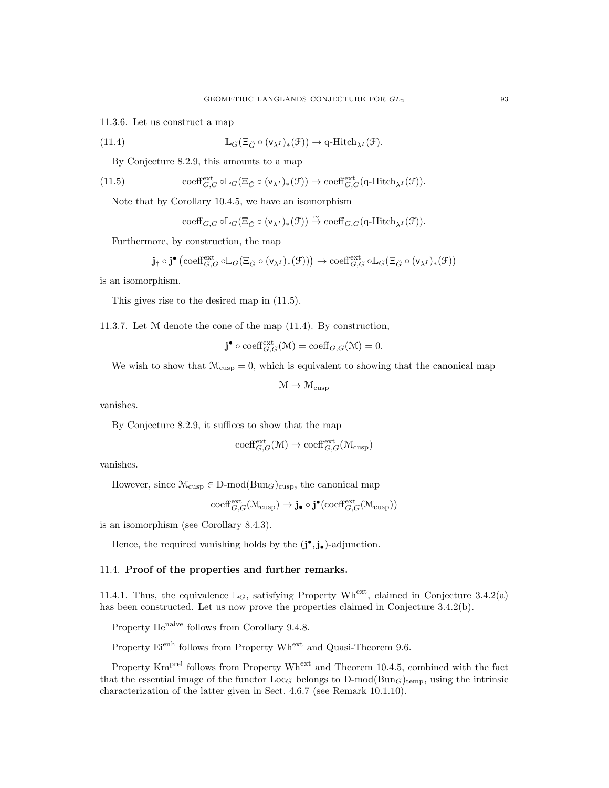11.3.6. Let us construct a map

(11.4) 
$$
\mathbb{L}_G(\Xi_{\check{G}} \circ (\mathsf{v}_{\lambda^I})_*(\mathcal{F})) \to \mathrm{q}\text{-Hitch}_{\lambda^I}(\mathcal{F}).
$$

By Conjecture 8.2.9, this amounts to a map

(11.5) 
$$
\mathrm{coeff}_{G,G}^{\mathrm{ext}} \circ \mathbb{L}_G(\Xi_{\check{G}} \circ (\mathsf{v}_{\lambda^I})_*(\mathcal{F})) \to \mathrm{coeff}_{G,G}^{\mathrm{ext}}(\mathrm{q}\text{-Hitch}_{\lambda^I}(\mathcal{F})).
$$

Note that by Corollary 10.4.5, we have an isomorphism

$$
\mathrm{coeff}_{G,G}\circ\mathbb{L}_G(\Xi_{\check{G}}\circ(\mathsf{v}_{\lambda^I})_*(\mathfrak{F}))\stackrel{\sim}{\to}\mathrm{coeff}_{G,G}(\textrm{q-Hitch}_{\lambda^I}(\mathfrak{F})).
$$

Furthermore, by construction, the map

$$
\mathbf{j}_\dagger \circ \mathbf{j}^\bullet \left( \mathrm{coeff}_{G,G}^{\mathrm{ext}} \circ \mathbb{L}_G(\Xi_{\check G} \circ (\mathsf{v}_{\lambda^I})_*(\mathfrak{F})) \right) \to \mathrm{coeff}_{G,G}^{\mathrm{ext}} \circ \mathbb{L}_G(\Xi_{\check G} \circ (\mathsf{v}_{\lambda^I})_*(\mathfrak{F}))
$$

is an isomorphism.

This gives rise to the desired map in (11.5).

11.3.7. Let M denote the cone of the map (11.4). By construction,

 $j^{\bullet} \circ \mathrm{coeff}_{G,G}^{\mathrm{ext}}(\mathcal{M}) = \mathrm{coeff}_{G,G}(\mathcal{M}) = 0.$ 

We wish to show that  $\mathcal{M}_{\text{cusp}} = 0$ , which is equivalent to showing that the canonical map

 $\mathcal{M} \to \mathcal{M}_{\text{cusp}}$ 

vanishes.

By Conjecture 8.2.9, it suffices to show that the map

$$
\mathrm{coeff}_{G,G}^{\mathrm{ext}}(\mathcal{M})\to \mathrm{coeff}_{G,G}^{\mathrm{ext}}(\mathcal{M}_{\mathrm{cusp}})
$$

vanishes.

However, since  $\mathcal{M}_{\text{cusp}} \in D\text{-mod}(Bun_G)_{\text{cusp}}$ , the canonical map

$$
\mathrm{coeff}_{G,G}^{\mathrm{ext}}(\mathcal{M}_\mathrm{cusp})\to \mathbf{j}_\bullet\circ\mathbf{j}^\bullet(\mathrm{coeff}_{G,G}^\mathrm{ext}(\mathcal{M}_\mathrm{cusp}))
$$

is an isomorphism (see Corollary 8.4.3).

Hence, the required vanishing holds by the  $(j^{\bullet}, j_{\bullet})$ -adjunction.

## 11.4. Proof of the properties and further remarks.

11.4.1. Thus, the equivalence  $\mathbb{L}_G$ , satisfying Property Wh<sup>ext</sup>, claimed in Conjecture 3.4.2(a) has been constructed. Let us now prove the properties claimed in Conjecture 3.4.2(b).

Property He<sup>naive</sup> follows from Corollary 9.4.8.

Property Ei<sup>enh</sup> follows from Property Wh<sup>ext</sup> and Quasi-Theorem 9.6.

Property Km<sup>prel</sup> follows from Property Wh<sup>ext</sup> and Theorem 10.4.5, combined with the fact that the essential image of the functor  $Loc_G$  belongs to  $D\text{-mod}(Bun_G)_{temp}$ , using the intrinsic characterization of the latter given in Sect. 4.6.7 (see Remark 10.1.10).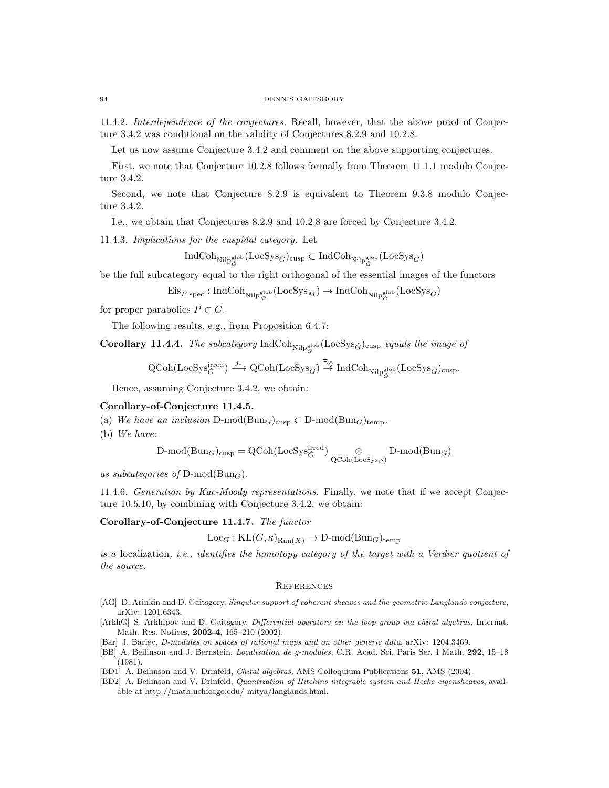#### 94 DENNIS GAITSGORY

11.4.2. Interdependence of the conjectures. Recall, however, that the above proof of Conjecture 3.4.2 was conditional on the validity of Conjectures 8.2.9 and 10.2.8.

Let us now assume Conjecture 3.4.2 and comment on the above supporting conjectures.

First, we note that Conjecture 10.2.8 follows formally from Theorem 11.1.1 modulo Conjecture 3.4.2.

Second, we note that Conjecture 8.2.9 is equivalent to Theorem 9.3.8 modulo Conjecture 3.4.2.

I.e., we obtain that Conjectures 8.2.9 and 10.2.8 are forced by Conjecture 3.4.2.

11.4.3. Implications for the cuspidal category. Let

 $\mathrm{IndCoh}_{\mathrm{Nilp}^{\mathrm{glob}}_{\check{G}}}(\mathrm{LocSys}_{\check{G}})_{\mathrm{cusp}}\subset \mathrm{IndCoh}_{\mathrm{Nilp}^{\mathrm{glob}}_{\check{G}}}(\mathrm{LocSys}_{\check{G}})$ 

be the full subcategory equal to the right orthogonal of the essential images of the functors

 ${\rm Eis}_{\check{P}, {\rm spec}}: {\rm IndCoh}_{\rm Nilp}_{\check{M}}^{\rm glob}({\rm LocSys}_{\check{M}}) \to {\rm IndCoh}_{\rm Nilp}_{\check{G}}^{\rm glob}({\rm LocSys}_{\check{G}})$ 

for proper parabolics  $P \subset G$ .

The following results, e.g., from Proposition 6.4.7:

**Corollary 11.4.4.** The subcategory  $\text{IndCoh}_{\text{Nilp}^{\text{glob}}_{\tilde{G}}}(\text{LocSys}_{\tilde{G}})_{\text{cusp}}$  equals the image of

$$
\operatorname{QCoh}(\operatorname{LocSys}^{\operatorname{irred}}_{\check{G}}) \xrightarrow{\jmath_*} \operatorname{QCoh}(\operatorname{LocSys}_{\check{G}}) \xrightarrow{\Xi_{\check{G}}} \operatorname{IndCoh}_{\operatorname{Nilp}^{\operatorname{glob}}_{\check{G}}}(\operatorname{LocSys}_{\check{G}})_{\operatorname{cusp}}.
$$

Hence, assuming Conjecture 3.4.2, we obtain:

### Corollary-of-Conjecture 11.4.5.

(a) We have an inclusion D-mod $(\text{Bun}_G)_{\text{cusp}} \subset D\text{-mod}(\text{Bun}_G)_{\text{temp}}$ .

(b) We have:

$$
\text{D-mod}(\text{Bun}_G)_{\text{cusp}} = \text{QCoh}(\text{LocSys}_{\check{G}}^{\text{irred}}) \underset{\text{QCoh}(\text{LocSys}_{\check{G}})}{\otimes} \text{D-mod}(\text{Bun}_G)
$$

as subcategories of  $D\text{-mod}(Bun_G)$ .

11.4.6. Generation by Kac-Moody representations. Finally, we note that if we accept Conjecture 10.5.10, by combining with Conjecture 3.4.2, we obtain:

## Corollary-of-Conjecture 11.4.7. The functor

$$
Loc_G : KL(G, \kappa)_{\text{Ran}(X)} \to D\text{-mod}(\text{Bun}_G)_{\text{temp}}
$$

is a localization, i.e., identifies the homotopy category of the target with a Verdier quotient of the source.

#### **REFERENCES**

- [AG] D. Arinkin and D. Gaitsgory, Singular support of coherent sheaves and the geometric Langlands conjecture, arXiv: 1201.6343.
- [ArkhG] S. Arkhipov and D. Gaitsgory, *Differential operators on the loop group via chiral algebras*, Internat. Math. Res. Notices, 2002-4, 165–210 (2002).
- [Bar] J. Barlev, D-modules on spaces of rational maps and on other generic data, arXiv: 1204.3469.
- [BB] A. Beilinson and J. Bernstein, Localisation de g-modules, C.R. Acad. Sci. Paris Ser. I Math. 292, 15–18 (1981).
- [BD1] A. Beilinson and V. Drinfeld, Chiral algebras, AMS Colloquium Publications 51, AMS (2004).
- [BD2] A. Beilinson and V. Drinfeld, Quantization of Hitchins integrable system and Hecke eigensheaves, available at http://math.uchicago.edu/ mitya/langlands.html.